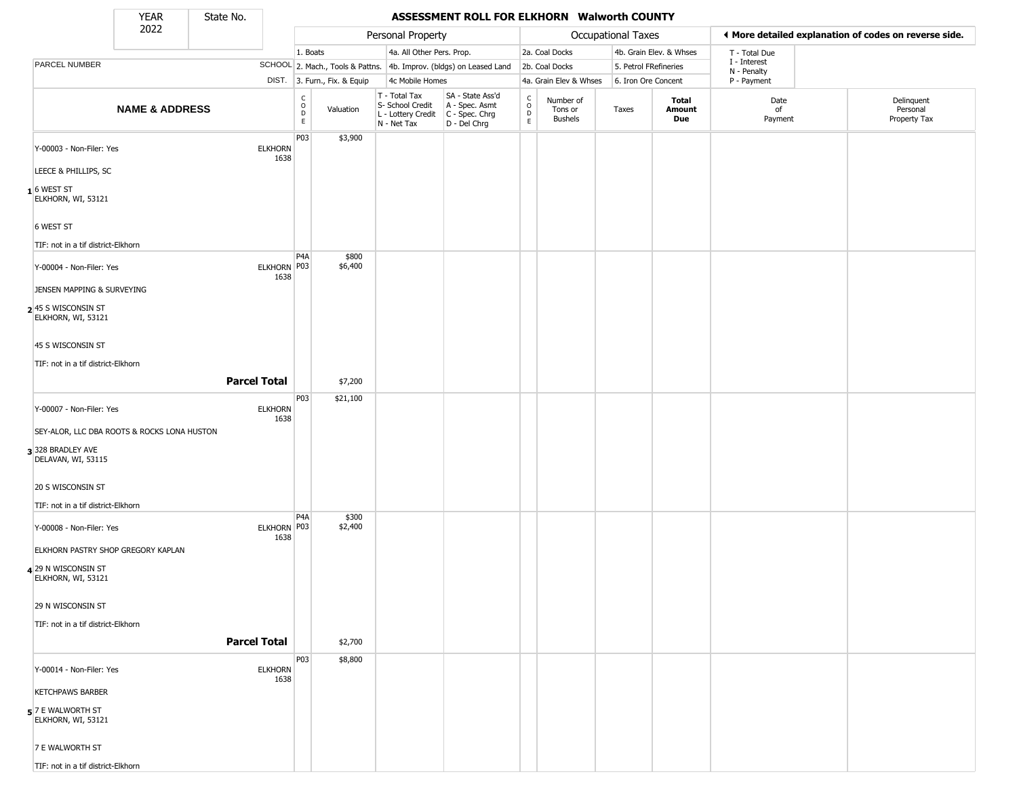State No.

## **YEAR** State No. **ASSESSMENT ROLL FOR ELKHORN Walworth COUNTY**

|                                             | 2022                      |                        |                                                   |                              | Personal Property                                                      |                                                                        |                                            |                                        | Occupational Taxes    |                         |                             | ◀ More detailed explanation of codes on reverse side. |
|---------------------------------------------|---------------------------|------------------------|---------------------------------------------------|------------------------------|------------------------------------------------------------------------|------------------------------------------------------------------------|--------------------------------------------|----------------------------------------|-----------------------|-------------------------|-----------------------------|-------------------------------------------------------|
|                                             |                           |                        | 1. Boats                                          |                              | 4a. All Other Pers. Prop.                                              |                                                                        |                                            | 2a. Coal Docks                         |                       | 4b. Grain Elev. & Whses | T - Total Due               |                                                       |
| PARCEL NUMBER                               |                           |                        |                                                   |                              |                                                                        | SCHOOL 2. Mach., Tools & Pattns. 4b. Improv. (bldgs) on Leased Land    |                                            | 2b. Coal Docks                         | 5. Petrol FRefineries |                         | I - Interest<br>N - Penalty |                                                       |
|                                             |                           |                        |                                                   | DIST. 3. Furn., Fix. & Equip | 4c Mobile Homes                                                        |                                                                        |                                            | 4a. Grain Elev & Whses                 | 6. Iron Ore Concent   |                         | P - Payment                 |                                                       |
|                                             | <b>NAME &amp; ADDRESS</b> |                        | C<br>$\begin{array}{c}\n0 \\ D \\ E\n\end{array}$ | Valuation                    | T - Total Tax<br>S- School Credit<br>L - Lottery Credit<br>N - Net Tax | SA - State Ass'd<br>A - Spec. Asmt<br>$C - Spec. Chrg$<br>D - Del Chrg | $\begin{array}{c} C \\ O \\ E \end{array}$ | Number of<br>Tons or<br><b>Bushels</b> | Taxes                 | Total<br>Amount<br>Due  | Date<br>of<br>Payment       | Delinquent<br>Personal<br>Property Tax                |
| Y-00003 - Non-Filer: Yes                    |                           | <b>ELKHORN</b><br>1638 | P03                                               | \$3,900                      |                                                                        |                                                                        |                                            |                                        |                       |                         |                             |                                                       |
| LEECE & PHILLIPS, SC                        |                           |                        |                                                   |                              |                                                                        |                                                                        |                                            |                                        |                       |                         |                             |                                                       |
| $1$ 6 WEST ST<br>ELKHORN, WI, 53121         |                           |                        |                                                   |                              |                                                                        |                                                                        |                                            |                                        |                       |                         |                             |                                                       |
| 6 WEST ST                                   |                           |                        |                                                   |                              |                                                                        |                                                                        |                                            |                                        |                       |                         |                             |                                                       |
| TIF: not in a tif district-Elkhorn          |                           |                        |                                                   |                              |                                                                        |                                                                        |                                            |                                        |                       |                         |                             |                                                       |
| Y-00004 - Non-Filer: Yes                    |                           | ELKHORN P03<br>1638    | P4A                                               | \$800<br>\$6,400             |                                                                        |                                                                        |                                            |                                        |                       |                         |                             |                                                       |
| JENSEN MAPPING & SURVEYING                  |                           |                        |                                                   |                              |                                                                        |                                                                        |                                            |                                        |                       |                         |                             |                                                       |
| 245 S WISCONSIN ST<br>ELKHORN, WI, 53121    |                           |                        |                                                   |                              |                                                                        |                                                                        |                                            |                                        |                       |                         |                             |                                                       |
| 45 S WISCONSIN ST                           |                           |                        |                                                   |                              |                                                                        |                                                                        |                                            |                                        |                       |                         |                             |                                                       |
| TIF: not in a tif district-Elkhorn          |                           |                        |                                                   |                              |                                                                        |                                                                        |                                            |                                        |                       |                         |                             |                                                       |
|                                             |                           | <b>Parcel Total</b>    |                                                   | \$7,200                      |                                                                        |                                                                        |                                            |                                        |                       |                         |                             |                                                       |
| Y-00007 - Non-Filer: Yes                    |                           | <b>ELKHORN</b><br>1638 | P03                                               | \$21,100                     |                                                                        |                                                                        |                                            |                                        |                       |                         |                             |                                                       |
| SEY-ALOR, LLC DBA ROOTS & ROCKS LONA HUSTON |                           |                        |                                                   |                              |                                                                        |                                                                        |                                            |                                        |                       |                         |                             |                                                       |
| 3 328 BRADLEY AVE<br>DELAVAN, WI, 53115     |                           |                        |                                                   |                              |                                                                        |                                                                        |                                            |                                        |                       |                         |                             |                                                       |
| 20 S WISCONSIN ST                           |                           |                        |                                                   |                              |                                                                        |                                                                        |                                            |                                        |                       |                         |                             |                                                       |
| TIF: not in a tif district-Elkhorn          |                           |                        | P <sub>4</sub> A                                  | \$300                        |                                                                        |                                                                        |                                            |                                        |                       |                         |                             |                                                       |
| Y-00008 - Non-Filer: Yes                    |                           | ELKHORN   P03<br>1638  |                                                   | \$2,400                      |                                                                        |                                                                        |                                            |                                        |                       |                         |                             |                                                       |
| ELKHORN PASTRY SHOP GREGORY KAPLAN          |                           |                        |                                                   |                              |                                                                        |                                                                        |                                            |                                        |                       |                         |                             |                                                       |
| 4 29 N WISCONSIN ST<br>ELKHORN, WI, 53121   |                           |                        |                                                   |                              |                                                                        |                                                                        |                                            |                                        |                       |                         |                             |                                                       |
| 29 N WISCONSIN ST                           |                           |                        |                                                   |                              |                                                                        |                                                                        |                                            |                                        |                       |                         |                             |                                                       |
| TIF: not in a tif district-Elkhorn          |                           | <b>Parcel Total</b>    |                                                   |                              |                                                                        |                                                                        |                                            |                                        |                       |                         |                             |                                                       |
|                                             |                           |                        |                                                   | \$2,700                      |                                                                        |                                                                        |                                            |                                        |                       |                         |                             |                                                       |
| Y-00014 - Non-Filer: Yes                    |                           | <b>ELKHORN</b><br>1638 | P <sub>0</sub> 3                                  | \$8,800                      |                                                                        |                                                                        |                                            |                                        |                       |                         |                             |                                                       |
| <b>KETCHPAWS BARBER</b>                     |                           |                        |                                                   |                              |                                                                        |                                                                        |                                            |                                        |                       |                         |                             |                                                       |
| $5$ 7 E WALWORTH ST<br>ELKHORN, WI, 53121   |                           |                        |                                                   |                              |                                                                        |                                                                        |                                            |                                        |                       |                         |                             |                                                       |
| 7 E WALWORTH ST                             |                           |                        |                                                   |                              |                                                                        |                                                                        |                                            |                                        |                       |                         |                             |                                                       |
| TIF: not in a tif district-Elkhorn          |                           |                        |                                                   |                              |                                                                        |                                                                        |                                            |                                        |                       |                         |                             |                                                       |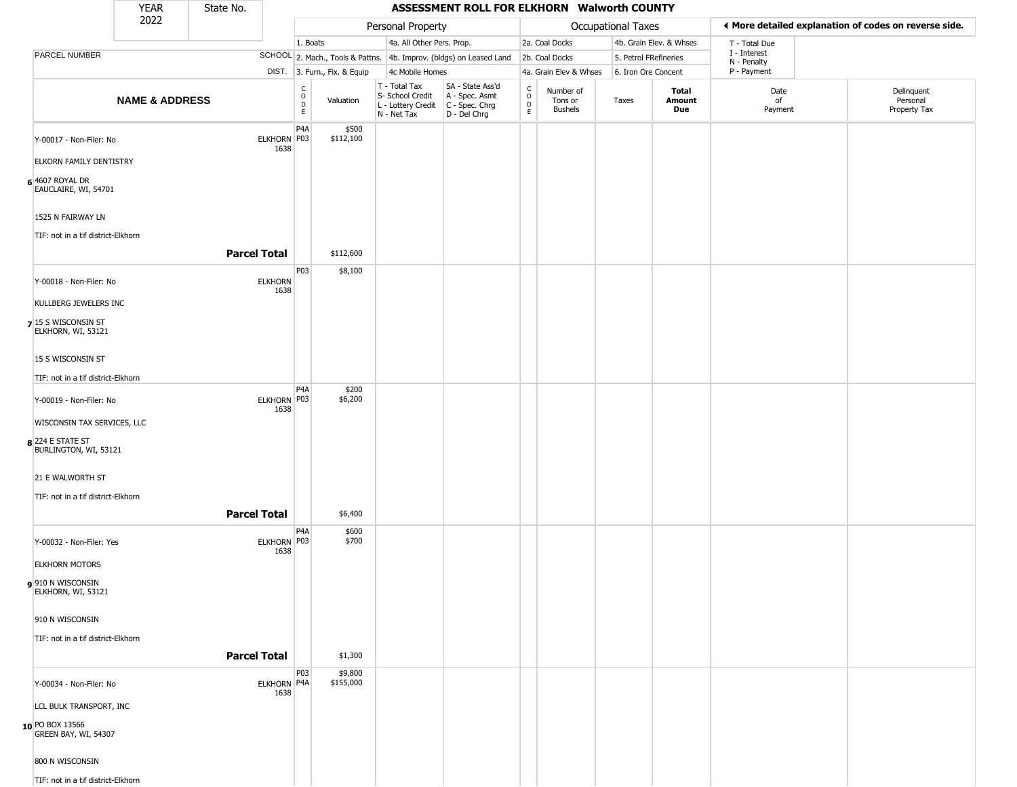|                                           | YEAR                      | State No.           |                        |                                                 |                              |                                                                                         | ASSESSMENT ROLL FOR ELKHORN Walworth COUNTY                         |                                                |                                        |                       |                               |                             |                                                       |
|-------------------------------------------|---------------------------|---------------------|------------------------|-------------------------------------------------|------------------------------|-----------------------------------------------------------------------------------------|---------------------------------------------------------------------|------------------------------------------------|----------------------------------------|-----------------------|-------------------------------|-----------------------------|-------------------------------------------------------|
|                                           | 2022                      |                     |                        |                                                 |                              | Personal Property                                                                       |                                                                     |                                                |                                        | Occupational Taxes    |                               |                             | ♦ More detailed explanation of codes on reverse side. |
|                                           |                           |                     |                        | 1. Boats                                        |                              | 4a. All Other Pers. Prop.                                                               |                                                                     |                                                | 2a. Coal Docks                         |                       | 4b. Grain Elev. & Whses       | T - Total Due               |                                                       |
| PARCEL NUMBER                             |                           |                     |                        |                                                 |                              |                                                                                         | SCHOOL 2. Mach., Tools & Pattns. 4b. Improv. (bldgs) on Leased Land |                                                | 2b. Coal Docks                         | 5. Petrol FRefineries |                               | I - Interest<br>N - Penalty |                                                       |
|                                           |                           |                     |                        |                                                 | DIST. 3. Furn., Fix. & Equip | 4c Mobile Homes                                                                         |                                                                     |                                                | 4a. Grain Elev & Whses                 | 6. Iron Ore Concent   |                               | P - Payment                 |                                                       |
|                                           | <b>NAME &amp; ADDRESS</b> |                     |                        | $\begin{array}{c} C \\ O \\ D \\ E \end{array}$ | Valuation                    | T - Total Tax<br>S- School Credit<br>L - Lottery Credit   C - Spec. Chrg<br>N - Net Tax | SA - State Ass'd<br>A - Spec. Asmt<br>D - Del Chrg                  | $\begin{matrix} 0 \\ 0 \\ 0 \end{matrix}$<br>E | Number of<br>Tons or<br><b>Bushels</b> | Taxes                 | <b>Total</b><br>Amount<br>Due | Date<br>of<br>Payment       | Delinquent<br>Personal<br>Property Tax                |
| Y-00017 - Non-Filer: No                   |                           |                     | ELKHORN P03<br>1638    | P <sub>4</sub> A                                | \$500<br>\$112,100           |                                                                                         |                                                                     |                                                |                                        |                       |                               |                             |                                                       |
| ELKORN FAMILY DENTISTRY                   |                           |                     |                        |                                                 |                              |                                                                                         |                                                                     |                                                |                                        |                       |                               |                             |                                                       |
| $6$ 4607 ROYAL DR<br>EAUCLAIRE, WI, 54701 |                           |                     |                        |                                                 |                              |                                                                                         |                                                                     |                                                |                                        |                       |                               |                             |                                                       |
| 1525 N FAIRWAY LN                         |                           |                     |                        |                                                 |                              |                                                                                         |                                                                     |                                                |                                        |                       |                               |                             |                                                       |
| TIF: not in a tif district-Elkhorn        |                           | <b>Parcel Total</b> |                        |                                                 | \$112,600                    |                                                                                         |                                                                     |                                                |                                        |                       |                               |                             |                                                       |
| Y-00018 - Non-Filer: No                   |                           |                     | <b>ELKHORN</b><br>1638 | <b>P03</b>                                      | \$8,100                      |                                                                                         |                                                                     |                                                |                                        |                       |                               |                             |                                                       |
| KULLBERG JEWELERS INC                     |                           |                     |                        |                                                 |                              |                                                                                         |                                                                     |                                                |                                        |                       |                               |                             |                                                       |
| 7 15 S WISCONSIN ST<br>ELKHORN, WI, 53121 |                           |                     |                        |                                                 |                              |                                                                                         |                                                                     |                                                |                                        |                       |                               |                             |                                                       |
| 15 S WISCONSIN ST                         |                           |                     |                        |                                                 |                              |                                                                                         |                                                                     |                                                |                                        |                       |                               |                             |                                                       |
| TIF: not in a tif district-Elkhorn        |                           |                     |                        | P <sub>4</sub> A                                |                              |                                                                                         |                                                                     |                                                |                                        |                       |                               |                             |                                                       |
| Y-00019 - Non-Filer: No                   |                           |                     | ELKHORN P03<br>1638    |                                                 | \$200<br>\$6,200             |                                                                                         |                                                                     |                                                |                                        |                       |                               |                             |                                                       |
| WISCONSIN TAX SERVICES, LLC               |                           |                     |                        |                                                 |                              |                                                                                         |                                                                     |                                                |                                        |                       |                               |                             |                                                       |
| 8 224 E STATE ST<br>BURLINGTON, WI, 53121 |                           |                     |                        |                                                 |                              |                                                                                         |                                                                     |                                                |                                        |                       |                               |                             |                                                       |
| 21 E WALWORTH ST                          |                           |                     |                        |                                                 |                              |                                                                                         |                                                                     |                                                |                                        |                       |                               |                             |                                                       |
| TIF: not in a tif district-Elkhorn        |                           |                     |                        |                                                 |                              |                                                                                         |                                                                     |                                                |                                        |                       |                               |                             |                                                       |
|                                           |                           | <b>Parcel Total</b> |                        |                                                 | \$6,400                      |                                                                                         |                                                                     |                                                |                                        |                       |                               |                             |                                                       |
| Y-00032 - Non-Filer: Yes                  |                           |                     | ELKHORN P03<br>1638    | P <sub>4</sub> A                                | \$600<br>\$700               |                                                                                         |                                                                     |                                                |                                        |                       |                               |                             |                                                       |
| <b>ELKHORN MOTORS</b>                     |                           |                     |                        |                                                 |                              |                                                                                         |                                                                     |                                                |                                        |                       |                               |                             |                                                       |
| 910 N WISCONSIN<br>ELKHORN, WI, 53121     |                           |                     |                        |                                                 |                              |                                                                                         |                                                                     |                                                |                                        |                       |                               |                             |                                                       |
| 910 N WISCONSIN                           |                           |                     |                        |                                                 |                              |                                                                                         |                                                                     |                                                |                                        |                       |                               |                             |                                                       |
| TIF: not in a tif district-Elkhorn        |                           |                     |                        |                                                 |                              |                                                                                         |                                                                     |                                                |                                        |                       |                               |                             |                                                       |
|                                           |                           | <b>Parcel Total</b> |                        |                                                 | \$1,300                      |                                                                                         |                                                                     |                                                |                                        |                       |                               |                             |                                                       |
| Y-00034 - Non-Filer: No                   |                           |                     | ELKHORN P4A<br>1638    | P03                                             | \$9,800<br>\$155,000         |                                                                                         |                                                                     |                                                |                                        |                       |                               |                             |                                                       |
| LCL BULK TRANSPORT, INC                   |                           |                     |                        |                                                 |                              |                                                                                         |                                                                     |                                                |                                        |                       |                               |                             |                                                       |
| 10 PO BOX 13566<br>GREEN BAY, WI, 54307   |                           |                     |                        |                                                 |                              |                                                                                         |                                                                     |                                                |                                        |                       |                               |                             |                                                       |
| 800 N WISCONSIN                           |                           |                     |                        |                                                 |                              |                                                                                         |                                                                     |                                                |                                        |                       |                               |                             |                                                       |
| TIF: not in a tif district-Elkhorn        |                           |                     |                        |                                                 |                              |                                                                                         |                                                                     |                                                |                                        |                       |                               |                             |                                                       |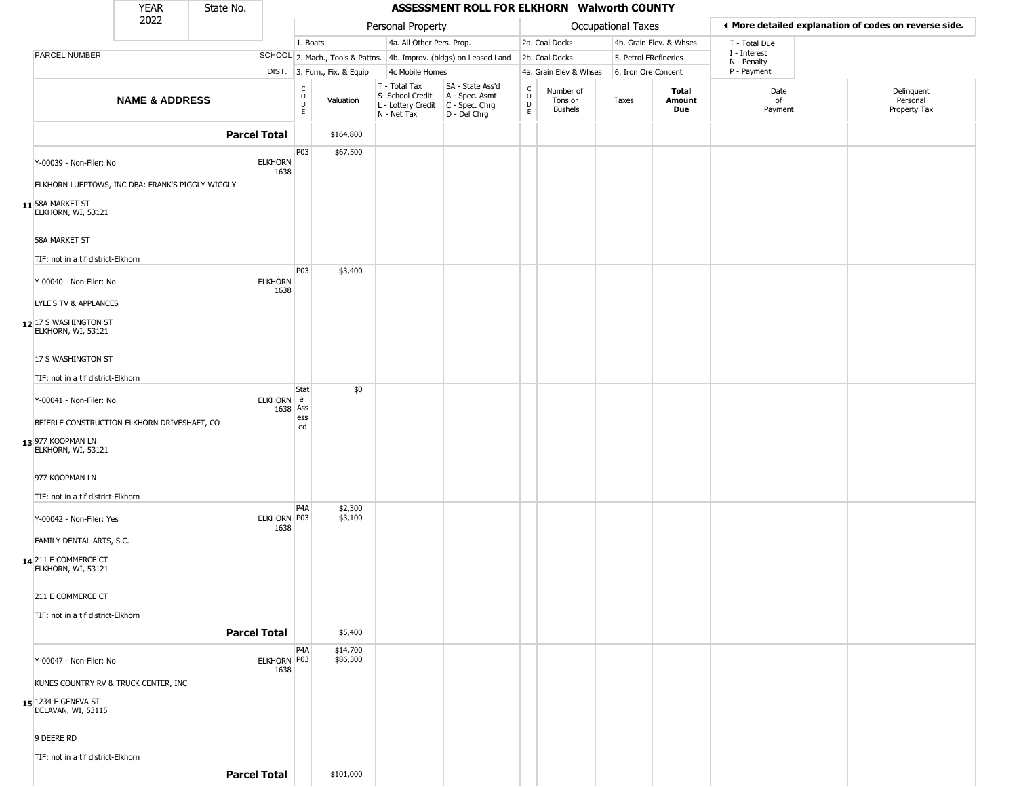|                                                     | <b>YEAR</b>                                      | State No.           |                                                |                              |                                                                                         | ASSESSMENT ROLL FOR ELKHORN Walworth COUNTY                         |                         |                                 |                           |                         |                             |                                                        |
|-----------------------------------------------------|--------------------------------------------------|---------------------|------------------------------------------------|------------------------------|-----------------------------------------------------------------------------------------|---------------------------------------------------------------------|-------------------------|---------------------------------|---------------------------|-------------------------|-----------------------------|--------------------------------------------------------|
|                                                     | 2022                                             |                     |                                                |                              | Personal Property                                                                       |                                                                     |                         |                                 | <b>Occupational Taxes</b> |                         |                             | If More detailed explanation of codes on reverse side. |
|                                                     |                                                  |                     |                                                | 1. Boats                     | 4a. All Other Pers. Prop.                                                               |                                                                     |                         | 2a. Coal Docks                  |                           | 4b. Grain Elev. & Whses | T - Total Due               |                                                        |
| PARCEL NUMBER                                       |                                                  |                     |                                                |                              |                                                                                         | SCHOOL 2. Mach., Tools & Pattns. 4b. Improv. (bldgs) on Leased Land |                         | 2b. Coal Docks                  | 5. Petrol FRefineries     |                         | I - Interest<br>N - Penalty |                                                        |
|                                                     |                                                  |                     |                                                | DIST. 3. Furn., Fix. & Equip | 4c Mobile Homes                                                                         |                                                                     |                         | 4a. Grain Elev & Whses          | 6. Iron Ore Concent       |                         | P - Payment                 |                                                        |
|                                                     | <b>NAME &amp; ADDRESS</b>                        |                     | $\begin{matrix} 0 \\ 0 \\ D \end{matrix}$<br>E | Valuation                    | T - Total Tax<br>S- School Credit<br>L - Lottery Credit   C - Spec. Chrg<br>N - Net Tax | SA - State Ass'd<br>A - Spec. Asmt<br>D - Del Chrg                  | C<br>$\circ$<br>D<br>E. | Number of<br>Tons or<br>Bushels | Taxes                     | Total<br>Amount<br>Due  | Date<br>of<br>Payment       | Delinquent<br>Personal<br>Property Tax                 |
|                                                     |                                                  | <b>Parcel Total</b> |                                                | \$164,800                    |                                                                                         |                                                                     |                         |                                 |                           |                         |                             |                                                        |
| Y-00039 - Non-Filer: No                             |                                                  | <b>ELKHORN</b>      | P03<br>1638                                    | \$67,500                     |                                                                                         |                                                                     |                         |                                 |                           |                         |                             |                                                        |
|                                                     | ELKHORN LUEPTOWS, INC DBA: FRANK'S PIGGLY WIGGLY |                     |                                                |                              |                                                                                         |                                                                     |                         |                                 |                           |                         |                             |                                                        |
| 11 58A MARKET ST<br>ELKHORN, WI, 53121              |                                                  |                     |                                                |                              |                                                                                         |                                                                     |                         |                                 |                           |                         |                             |                                                        |
| 58A MARKET ST<br>TIF: not in a tif district-Elkhorn |                                                  |                     |                                                |                              |                                                                                         |                                                                     |                         |                                 |                           |                         |                             |                                                        |
| Y-00040 - Non-Filer: No                             |                                                  | <b>ELKHORN</b>      | <b>P03</b><br>1638                             | \$3,400                      |                                                                                         |                                                                     |                         |                                 |                           |                         |                             |                                                        |
| LYLE'S TV & APPLANCES                               |                                                  |                     |                                                |                              |                                                                                         |                                                                     |                         |                                 |                           |                         |                             |                                                        |
| 12 17 S WASHINGTON ST<br>ELKHORN, WI, 53121         |                                                  |                     |                                                |                              |                                                                                         |                                                                     |                         |                                 |                           |                         |                             |                                                        |
| 17 S WASHINGTON ST                                  |                                                  |                     |                                                |                              |                                                                                         |                                                                     |                         |                                 |                           |                         |                             |                                                        |
| TIF: not in a tif district-Elkhorn                  |                                                  |                     |                                                |                              |                                                                                         |                                                                     |                         |                                 |                           |                         |                             |                                                        |
| Y-00041 - Non-Filer: No                             |                                                  |                     | Stat<br>ELKHORN e<br>1638 Ass                  | \$0                          |                                                                                         |                                                                     |                         |                                 |                           |                         |                             |                                                        |
|                                                     | BEIERLE CONSTRUCTION ELKHORN DRIVESHAFT, CO      |                     | ess<br>ed                                      |                              |                                                                                         |                                                                     |                         |                                 |                           |                         |                             |                                                        |
| 13 977 KOOPMAN LN<br>ELKHORN, WI, 53121             |                                                  |                     |                                                |                              |                                                                                         |                                                                     |                         |                                 |                           |                         |                             |                                                        |
| 977 KOOPMAN LN                                      |                                                  |                     |                                                |                              |                                                                                         |                                                                     |                         |                                 |                           |                         |                             |                                                        |
| TIF: not in a tif district-Elkhorn                  |                                                  |                     |                                                |                              |                                                                                         |                                                                     |                         |                                 |                           |                         |                             |                                                        |
| Y-00042 - Non-Filer: Yes                            |                                                  |                     | P <sub>4</sub> A<br>ELKHORN P03<br>1638        | \$2,300<br>\$3,100           |                                                                                         |                                                                     |                         |                                 |                           |                         |                             |                                                        |
| FAMILY DENTAL ARTS, S.C.                            |                                                  |                     |                                                |                              |                                                                                         |                                                                     |                         |                                 |                           |                         |                             |                                                        |
| 14 211 E COMMERCE CT<br>ELKHORN, WI, 53121          |                                                  |                     |                                                |                              |                                                                                         |                                                                     |                         |                                 |                           |                         |                             |                                                        |
| 211 E COMMERCE CT                                   |                                                  |                     |                                                |                              |                                                                                         |                                                                     |                         |                                 |                           |                         |                             |                                                        |
| TIF: not in a tif district-Elkhorn                  |                                                  |                     |                                                |                              |                                                                                         |                                                                     |                         |                                 |                           |                         |                             |                                                        |
|                                                     |                                                  | <b>Parcel Total</b> |                                                | \$5,400                      |                                                                                         |                                                                     |                         |                                 |                           |                         |                             |                                                        |
| Y-00047 - Non-Filer: No                             |                                                  |                     | P <sub>4</sub> A<br>ELKHORN P03<br>1638        | \$14,700<br>\$86,300         |                                                                                         |                                                                     |                         |                                 |                           |                         |                             |                                                        |
|                                                     | KUNES COUNTRY RV & TRUCK CENTER, INC             |                     |                                                |                              |                                                                                         |                                                                     |                         |                                 |                           |                         |                             |                                                        |
| 15 1234 E GENEVA ST<br>DELAVAN, WI, 53115           |                                                  |                     |                                                |                              |                                                                                         |                                                                     |                         |                                 |                           |                         |                             |                                                        |
| 9 DEERE RD                                          |                                                  |                     |                                                |                              |                                                                                         |                                                                     |                         |                                 |                           |                         |                             |                                                        |
| TIF: not in a tif district-Elkhorn                  |                                                  |                     |                                                |                              |                                                                                         |                                                                     |                         |                                 |                           |                         |                             |                                                        |
|                                                     |                                                  | <b>Parcel Total</b> |                                                | \$101,000                    |                                                                                         |                                                                     |                         |                                 |                           |                         |                             |                                                        |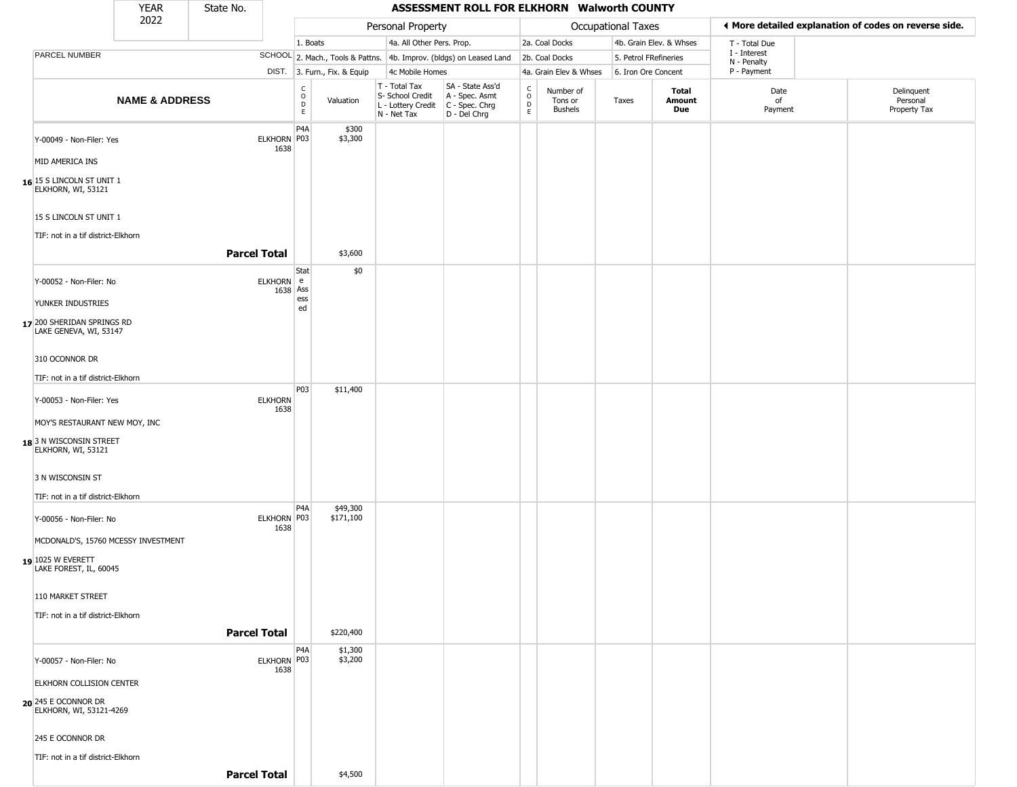|                                                                                      | <b>YEAR</b>               | State No.           |                        |                                   |                              |                                                                                       | ASSESSMENT ROLL FOR ELKHORN Walworth COUNTY                         |                                  |                                        |                       |                         |                             |                                                       |
|--------------------------------------------------------------------------------------|---------------------------|---------------------|------------------------|-----------------------------------|------------------------------|---------------------------------------------------------------------------------------|---------------------------------------------------------------------|----------------------------------|----------------------------------------|-----------------------|-------------------------|-----------------------------|-------------------------------------------------------|
|                                                                                      | 2022                      |                     |                        |                                   |                              | Personal Property                                                                     |                                                                     |                                  |                                        | Occupational Taxes    |                         |                             | ♦ More detailed explanation of codes on reverse side. |
|                                                                                      |                           |                     |                        | 1. Boats                          |                              | 4a. All Other Pers. Prop.                                                             |                                                                     |                                  | 2a. Coal Docks                         |                       | 4b. Grain Elev. & Whses | T - Total Due               |                                                       |
| PARCEL NUMBER                                                                        |                           |                     |                        |                                   |                              |                                                                                       | SCHOOL 2. Mach., Tools & Pattns. 4b. Improv. (bldgs) on Leased Land |                                  | 2b. Coal Docks                         | 5. Petrol FRefineries |                         | I - Interest<br>N - Penalty |                                                       |
|                                                                                      |                           |                     |                        |                                   | DIST. 3. Furn., Fix. & Equip | 4c Mobile Homes                                                                       |                                                                     |                                  | 4a. Grain Elev & Whses                 | 6. Iron Ore Concent   |                         | P - Payment                 |                                                       |
|                                                                                      | <b>NAME &amp; ADDRESS</b> |                     |                        | $\frac{c}{0}$<br>$\mathsf D$<br>E | Valuation                    | T - Total Tax<br>S- School Credit<br>L - Lottery Credit C - Spec. Chrg<br>N - Net Tax | SA - State Ass'd<br>A - Spec. Asmt<br>D - Del Chrg                  | C<br>$\circ$<br>$\mathsf D$<br>E | Number of<br>Tons or<br><b>Bushels</b> | Taxes                 | Total<br>Amount<br>Due  | Date<br>of<br>Payment       | Delinquent<br>Personal<br>Property Tax                |
| Y-00049 - Non-Filer: Yes                                                             |                           |                     | ELKHORN P03            | P <sub>4</sub> A                  | \$300<br>\$3,300             |                                                                                       |                                                                     |                                  |                                        |                       |                         |                             |                                                       |
| MID AMERICA INS                                                                      |                           |                     | 1638                   |                                   |                              |                                                                                       |                                                                     |                                  |                                        |                       |                         |                             |                                                       |
| 16 15 S LINCOLN ST UNIT 1<br>ELKHORN, WI, 53121                                      |                           |                     |                        |                                   |                              |                                                                                       |                                                                     |                                  |                                        |                       |                         |                             |                                                       |
| 15 S LINCOLN ST UNIT 1                                                               |                           |                     |                        |                                   |                              |                                                                                       |                                                                     |                                  |                                        |                       |                         |                             |                                                       |
| TIF: not in a tif district-Elkhorn                                                   |                           | <b>Parcel Total</b> |                        |                                   | \$3,600                      |                                                                                       |                                                                     |                                  |                                        |                       |                         |                             |                                                       |
| Y-00052 - Non-Filer: No                                                              |                           |                     | ELKHORN e<br>1638 Ass  | Stat                              | \$0                          |                                                                                       |                                                                     |                                  |                                        |                       |                         |                             |                                                       |
| YUNKER INDUSTRIES                                                                    |                           |                     |                        | ess<br>ed                         |                              |                                                                                       |                                                                     |                                  |                                        |                       |                         |                             |                                                       |
| 17 200 SHERIDAN SPRINGS RD<br>LAKE GENEVA, WI, 53147                                 |                           |                     |                        |                                   |                              |                                                                                       |                                                                     |                                  |                                        |                       |                         |                             |                                                       |
| 310 OCONNOR DR                                                                       |                           |                     |                        |                                   |                              |                                                                                       |                                                                     |                                  |                                        |                       |                         |                             |                                                       |
| TIF: not in a tif district-Elkhorn                                                   |                           |                     |                        |                                   |                              |                                                                                       |                                                                     |                                  |                                        |                       |                         |                             |                                                       |
| Y-00053 - Non-Filer: Yes                                                             |                           |                     | <b>ELKHORN</b><br>1638 | P03                               | \$11,400                     |                                                                                       |                                                                     |                                  |                                        |                       |                         |                             |                                                       |
| MOY'S RESTAURANT NEW MOY, INC                                                        |                           |                     |                        |                                   |                              |                                                                                       |                                                                     |                                  |                                        |                       |                         |                             |                                                       |
| 18 3 N WISCONSIN STREET<br>ELKHORN, WI, 53121                                        |                           |                     |                        |                                   |                              |                                                                                       |                                                                     |                                  |                                        |                       |                         |                             |                                                       |
| 3 N WISCONSIN ST                                                                     |                           |                     |                        |                                   |                              |                                                                                       |                                                                     |                                  |                                        |                       |                         |                             |                                                       |
| TIF: not in a tif district-Elkhorn                                                   |                           |                     |                        | P <sub>4</sub> A                  | \$49,300                     |                                                                                       |                                                                     |                                  |                                        |                       |                         |                             |                                                       |
| Y-00056 - Non-Filer: No                                                              |                           |                     | ELKHORN P03<br>1638    |                                   | \$171,100                    |                                                                                       |                                                                     |                                  |                                        |                       |                         |                             |                                                       |
| MCDONALD'S, 15760 MCESSY INVESTMENT<br>$19$ 1025 W EVERETT<br>LAKE FOREST, IL, 60045 |                           |                     |                        |                                   |                              |                                                                                       |                                                                     |                                  |                                        |                       |                         |                             |                                                       |
| 110 MARKET STREET                                                                    |                           |                     |                        |                                   |                              |                                                                                       |                                                                     |                                  |                                        |                       |                         |                             |                                                       |
| TIF: not in a tif district-Elkhorn                                                   |                           |                     |                        |                                   |                              |                                                                                       |                                                                     |                                  |                                        |                       |                         |                             |                                                       |
|                                                                                      |                           | <b>Parcel Total</b> |                        |                                   | \$220,400                    |                                                                                       |                                                                     |                                  |                                        |                       |                         |                             |                                                       |
| Y-00057 - Non-Filer: No                                                              |                           |                     | ELKHORN P03<br>1638    | P <sub>4</sub> A                  | \$1,300<br>\$3,200           |                                                                                       |                                                                     |                                  |                                        |                       |                         |                             |                                                       |
| ELKHORN COLLISION CENTER                                                             |                           |                     |                        |                                   |                              |                                                                                       |                                                                     |                                  |                                        |                       |                         |                             |                                                       |
| 20 245 E OCONNOR DR<br>ELKHORN, WI, 53121-4269                                       |                           |                     |                        |                                   |                              |                                                                                       |                                                                     |                                  |                                        |                       |                         |                             |                                                       |
| 245 E OCONNOR DR                                                                     |                           |                     |                        |                                   |                              |                                                                                       |                                                                     |                                  |                                        |                       |                         |                             |                                                       |
| TIF: not in a tif district-Elkhorn                                                   |                           |                     |                        |                                   |                              |                                                                                       |                                                                     |                                  |                                        |                       |                         |                             |                                                       |
|                                                                                      |                           | <b>Parcel Total</b> |                        |                                   | \$4,500                      |                                                                                       |                                                                     |                                  |                                        |                       |                         |                             |                                                       |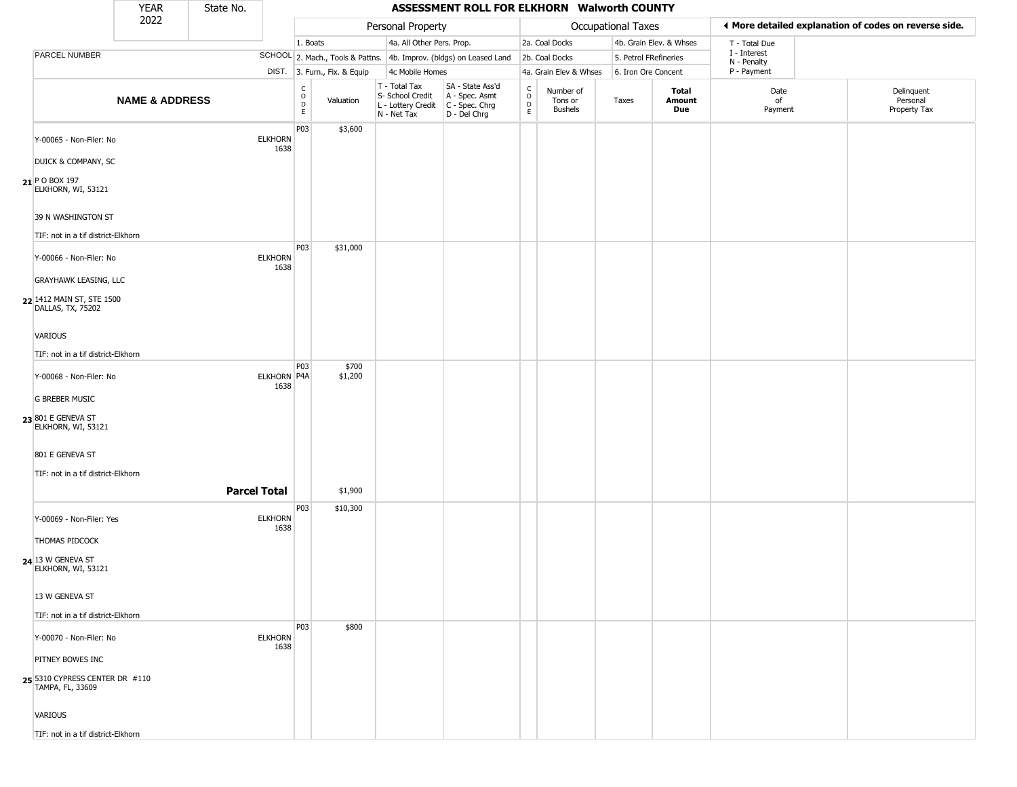|                                                    | <b>YEAR</b>               | State No. |                        |                                     |                              |                                                                        | ASSESSMENT ROLL FOR ELKHORN Walworth COUNTY                            |                                             |                                        |                       |                         |                             |                                                       |
|----------------------------------------------------|---------------------------|-----------|------------------------|-------------------------------------|------------------------------|------------------------------------------------------------------------|------------------------------------------------------------------------|---------------------------------------------|----------------------------------------|-----------------------|-------------------------|-----------------------------|-------------------------------------------------------|
|                                                    | 2022                      |           |                        |                                     |                              | Personal Property                                                      |                                                                        |                                             |                                        | Occupational Taxes    |                         |                             | ♦ More detailed explanation of codes on reverse side. |
|                                                    |                           |           |                        | 1. Boats                            |                              | 4a. All Other Pers. Prop.                                              |                                                                        |                                             | 2a. Coal Docks                         |                       | 4b. Grain Elev. & Whses | T - Total Due               |                                                       |
| PARCEL NUMBER                                      |                           |           |                        |                                     |                              |                                                                        | SCHOOL 2. Mach., Tools & Pattns. 4b. Improv. (bldgs) on Leased Land    |                                             | 2b. Coal Docks                         | 5. Petrol FRefineries |                         | I - Interest<br>N - Penalty |                                                       |
|                                                    |                           |           |                        |                                     | DIST. 3. Furn., Fix. & Equip | 4c Mobile Homes                                                        |                                                                        |                                             | 4a. Grain Elev & Whses                 | 6. Iron Ore Concent   |                         | P - Payment                 |                                                       |
|                                                    | <b>NAME &amp; ADDRESS</b> |           |                        | $\frac{c}{0}$<br>$_{\rm E}^{\rm D}$ | Valuation                    | T - Total Tax<br>S- School Credit<br>L - Lottery Credit<br>N - Net Tax | SA - State Ass'd<br>A - Spec. Asmt<br>C - Spec. Chrg<br>$D - Del Chrg$ | $\int_{0}^{c}$<br>$\mathsf{D}_{\mathsf{E}}$ | Number of<br>Tons or<br><b>Bushels</b> | Taxes                 | Total<br>Amount<br>Due  | Date<br>of<br>Payment       | Delinquent<br>Personal<br>Property Tax                |
| Y-00065 - Non-Filer: No                            |                           |           | <b>ELKHORN</b><br>1638 | P03                                 | \$3,600                      |                                                                        |                                                                        |                                             |                                        |                       |                         |                             |                                                       |
| DUICK & COMPANY, SC                                |                           |           |                        |                                     |                              |                                                                        |                                                                        |                                             |                                        |                       |                         |                             |                                                       |
| $21$ P O BOX 197<br>ELKHORN, WI, 53121             |                           |           |                        |                                     |                              |                                                                        |                                                                        |                                             |                                        |                       |                         |                             |                                                       |
| 39 N WASHINGTON ST                                 |                           |           |                        |                                     |                              |                                                                        |                                                                        |                                             |                                        |                       |                         |                             |                                                       |
| TIF: not in a tif district-Elkhorn                 |                           |           |                        |                                     |                              |                                                                        |                                                                        |                                             |                                        |                       |                         |                             |                                                       |
| Y-00066 - Non-Filer: No                            |                           |           | <b>ELKHORN</b><br>1638 | P03                                 | \$31,000                     |                                                                        |                                                                        |                                             |                                        |                       |                         |                             |                                                       |
| <b>GRAYHAWK LEASING, LLC</b>                       |                           |           |                        |                                     |                              |                                                                        |                                                                        |                                             |                                        |                       |                         |                             |                                                       |
| 22 1412 MAIN ST, STE 1500<br>DALLAS, TX, 75202     |                           |           |                        |                                     |                              |                                                                        |                                                                        |                                             |                                        |                       |                         |                             |                                                       |
| <b>VARIOUS</b>                                     |                           |           |                        |                                     |                              |                                                                        |                                                                        |                                             |                                        |                       |                         |                             |                                                       |
| TIF: not in a tif district-Elkhorn                 |                           |           |                        |                                     |                              |                                                                        |                                                                        |                                             |                                        |                       |                         |                             |                                                       |
| Y-00068 - Non-Filer: No                            |                           |           | ELKHORN P4A<br>1638    | P03                                 | \$700<br>\$1,200             |                                                                        |                                                                        |                                             |                                        |                       |                         |                             |                                                       |
| <b>G BREBER MUSIC</b>                              |                           |           |                        |                                     |                              |                                                                        |                                                                        |                                             |                                        |                       |                         |                             |                                                       |
| 23 801 E GENEVA ST<br>ELKHORN, WI, 53121           |                           |           |                        |                                     |                              |                                                                        |                                                                        |                                             |                                        |                       |                         |                             |                                                       |
| 801 E GENEVA ST                                    |                           |           |                        |                                     |                              |                                                                        |                                                                        |                                             |                                        |                       |                         |                             |                                                       |
| TIF: not in a tif district-Elkhorn                 |                           |           |                        |                                     |                              |                                                                        |                                                                        |                                             |                                        |                       |                         |                             |                                                       |
|                                                    |                           |           | <b>Parcel Total</b>    |                                     | \$1,900                      |                                                                        |                                                                        |                                             |                                        |                       |                         |                             |                                                       |
| Y-00069 - Non-Filer: Yes                           |                           |           | <b>ELKHORN</b><br>1638 | P03                                 | \$10,300                     |                                                                        |                                                                        |                                             |                                        |                       |                         |                             |                                                       |
| THOMAS PIDCOCK                                     |                           |           |                        |                                     |                              |                                                                        |                                                                        |                                             |                                        |                       |                         |                             |                                                       |
| 24 13 W GENEVA ST<br>ELKHORN, WI, 53121            |                           |           |                        |                                     |                              |                                                                        |                                                                        |                                             |                                        |                       |                         |                             |                                                       |
| 13 W GENEVA ST                                     |                           |           |                        |                                     |                              |                                                                        |                                                                        |                                             |                                        |                       |                         |                             |                                                       |
| TIF: not in a tif district-Elkhorn                 |                           |           |                        |                                     |                              |                                                                        |                                                                        |                                             |                                        |                       |                         |                             |                                                       |
| Y-00070 - Non-Filer: No                            |                           |           | <b>ELKHORN</b><br>1638 | P03                                 | \$800                        |                                                                        |                                                                        |                                             |                                        |                       |                         |                             |                                                       |
| PITNEY BOWES INC                                   |                           |           |                        |                                     |                              |                                                                        |                                                                        |                                             |                                        |                       |                         |                             |                                                       |
| 25 5310 CYPRESS CENTER DR #110<br>TAMPA, FL, 33609 |                           |           |                        |                                     |                              |                                                                        |                                                                        |                                             |                                        |                       |                         |                             |                                                       |
| VARIOUS                                            |                           |           |                        |                                     |                              |                                                                        |                                                                        |                                             |                                        |                       |                         |                             |                                                       |
| TIF: not in a tif district-Elkhorn                 |                           |           |                        |                                     |                              |                                                                        |                                                                        |                                             |                                        |                       |                         |                             |                                                       |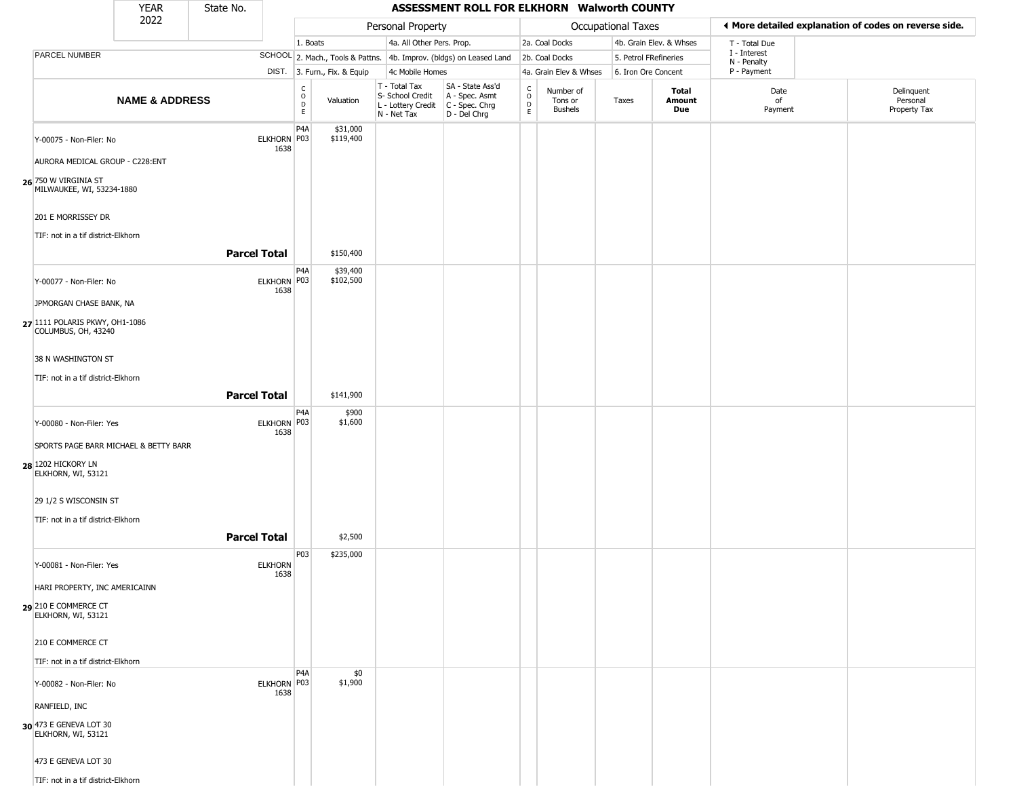|                                                       | <b>YEAR</b>               | State No.           |                        |                                   |                              |                                                                                       | ASSESSMENT ROLL FOR ELKHORN Walworth COUNTY                         |                                       |                                        |                       |                         |                             |                                                       |
|-------------------------------------------------------|---------------------------|---------------------|------------------------|-----------------------------------|------------------------------|---------------------------------------------------------------------------------------|---------------------------------------------------------------------|---------------------------------------|----------------------------------------|-----------------------|-------------------------|-----------------------------|-------------------------------------------------------|
|                                                       | 2022                      |                     |                        |                                   |                              | Personal Property                                                                     |                                                                     |                                       |                                        | Occupational Taxes    |                         |                             | ♦ More detailed explanation of codes on reverse side. |
|                                                       |                           |                     |                        | 1. Boats                          |                              | 4a. All Other Pers. Prop.                                                             |                                                                     |                                       | 2a. Coal Docks                         |                       | 4b. Grain Elev. & Whses | T - Total Due               |                                                       |
| PARCEL NUMBER                                         |                           |                     |                        |                                   |                              |                                                                                       | SCHOOL 2. Mach., Tools & Pattns. 4b. Improv. (bldgs) on Leased Land |                                       | 2b. Coal Docks                         | 5. Petrol FRefineries |                         | I - Interest<br>N - Penalty |                                                       |
|                                                       |                           |                     |                        |                                   | DIST. 3. Furn., Fix. & Equip | 4c Mobile Homes                                                                       |                                                                     |                                       | 4a. Grain Elev & Whses                 | 6. Iron Ore Concent   |                         | P - Payment                 |                                                       |
|                                                       | <b>NAME &amp; ADDRESS</b> |                     |                        | $\frac{c}{0}$<br>$\mathsf D$<br>E | Valuation                    | T - Total Tax<br>S- School Credit<br>L - Lottery Credit C - Spec. Chrg<br>N - Net Tax | SA - State Ass'd<br>A - Spec. Asmt<br>D - Del Chrg                  | C<br>$\mathsf O$<br>$\mathsf{D}$<br>E | Number of<br>Tons or<br><b>Bushels</b> | Taxes                 | Total<br>Amount<br>Due  | Date<br>of<br>Payment       | Delinquent<br>Personal<br>Property Tax                |
| Y-00075 - Non-Filer: No                               |                           |                     | ELKHORN P03<br>1638    | P <sub>4</sub> A                  | \$31,000<br>\$119,400        |                                                                                       |                                                                     |                                       |                                        |                       |                         |                             |                                                       |
| AURORA MEDICAL GROUP - C228:ENT                       |                           |                     |                        |                                   |                              |                                                                                       |                                                                     |                                       |                                        |                       |                         |                             |                                                       |
| 26 750 W VIRGINIA ST<br>MILWAUKEE, WI, 53234-1880     |                           |                     |                        |                                   |                              |                                                                                       |                                                                     |                                       |                                        |                       |                         |                             |                                                       |
| 201 E MORRISSEY DR                                    |                           |                     |                        |                                   |                              |                                                                                       |                                                                     |                                       |                                        |                       |                         |                             |                                                       |
| TIF: not in a tif district-Elkhorn                    |                           | <b>Parcel Total</b> |                        |                                   | \$150,400                    |                                                                                       |                                                                     |                                       |                                        |                       |                         |                             |                                                       |
| Y-00077 - Non-Filer: No                               |                           |                     | ELKHORN P03<br>1638    | P <sub>4</sub> A                  | \$39,400<br>\$102,500        |                                                                                       |                                                                     |                                       |                                        |                       |                         |                             |                                                       |
| JPMORGAN CHASE BANK, NA                               |                           |                     |                        |                                   |                              |                                                                                       |                                                                     |                                       |                                        |                       |                         |                             |                                                       |
| 27 1111 POLARIS PKWY, OH1-1086<br>COLUMBUS, OH, 43240 |                           |                     |                        |                                   |                              |                                                                                       |                                                                     |                                       |                                        |                       |                         |                             |                                                       |
| 38 N WASHINGTON ST                                    |                           |                     |                        |                                   |                              |                                                                                       |                                                                     |                                       |                                        |                       |                         |                             |                                                       |
| TIF: not in a tif district-Elkhorn                    |                           | <b>Parcel Total</b> |                        |                                   | \$141,900                    |                                                                                       |                                                                     |                                       |                                        |                       |                         |                             |                                                       |
| Y-00080 - Non-Filer: Yes                              |                           |                     | ELKHORN P03<br>1638    | P <sub>4</sub> A                  | \$900<br>\$1,600             |                                                                                       |                                                                     |                                       |                                        |                       |                         |                             |                                                       |
| SPORTS PAGE BARR MICHAEL & BETTY BARR                 |                           |                     |                        |                                   |                              |                                                                                       |                                                                     |                                       |                                        |                       |                         |                             |                                                       |
| 28 1202 HICKORY LN<br>ELKHORN, WI, 53121              |                           |                     |                        |                                   |                              |                                                                                       |                                                                     |                                       |                                        |                       |                         |                             |                                                       |
| 29 1/2 S WISCONSIN ST                                 |                           |                     |                        |                                   |                              |                                                                                       |                                                                     |                                       |                                        |                       |                         |                             |                                                       |
| TIF: not in a tif district-Elkhorn                    |                           |                     |                        |                                   |                              |                                                                                       |                                                                     |                                       |                                        |                       |                         |                             |                                                       |
|                                                       |                           | <b>Parcel Total</b> |                        |                                   | \$2,500                      |                                                                                       |                                                                     |                                       |                                        |                       |                         |                             |                                                       |
| Y-00081 - Non-Filer: Yes                              |                           |                     | <b>ELKHORN</b><br>1638 | P03                               | \$235,000                    |                                                                                       |                                                                     |                                       |                                        |                       |                         |                             |                                                       |
| HARI PROPERTY, INC AMERICAINN                         |                           |                     |                        |                                   |                              |                                                                                       |                                                                     |                                       |                                        |                       |                         |                             |                                                       |
| 29 210 E COMMERCE CT<br>ELKHORN, WI, 53121            |                           |                     |                        |                                   |                              |                                                                                       |                                                                     |                                       |                                        |                       |                         |                             |                                                       |
| 210 E COMMERCE CT                                     |                           |                     |                        |                                   |                              |                                                                                       |                                                                     |                                       |                                        |                       |                         |                             |                                                       |
| TIF: not in a tif district-Elkhorn                    |                           |                     |                        |                                   |                              |                                                                                       |                                                                     |                                       |                                        |                       |                         |                             |                                                       |
| Y-00082 - Non-Filer: No                               |                           |                     | ELKHORN P03<br>1638    | P <sub>4</sub> A                  | \$0<br>\$1,900               |                                                                                       |                                                                     |                                       |                                        |                       |                         |                             |                                                       |
| RANFIELD, INC                                         |                           |                     |                        |                                   |                              |                                                                                       |                                                                     |                                       |                                        |                       |                         |                             |                                                       |
| 30 473 E GENEVA LOT 30<br>ELKHORN, WI, 53121          |                           |                     |                        |                                   |                              |                                                                                       |                                                                     |                                       |                                        |                       |                         |                             |                                                       |
| 473 E GENEVA LOT 30                                   |                           |                     |                        |                                   |                              |                                                                                       |                                                                     |                                       |                                        |                       |                         |                             |                                                       |
| TIF: not in a tif district-Elkhorn                    |                           |                     |                        |                                   |                              |                                                                                       |                                                                     |                                       |                                        |                       |                         |                             |                                                       |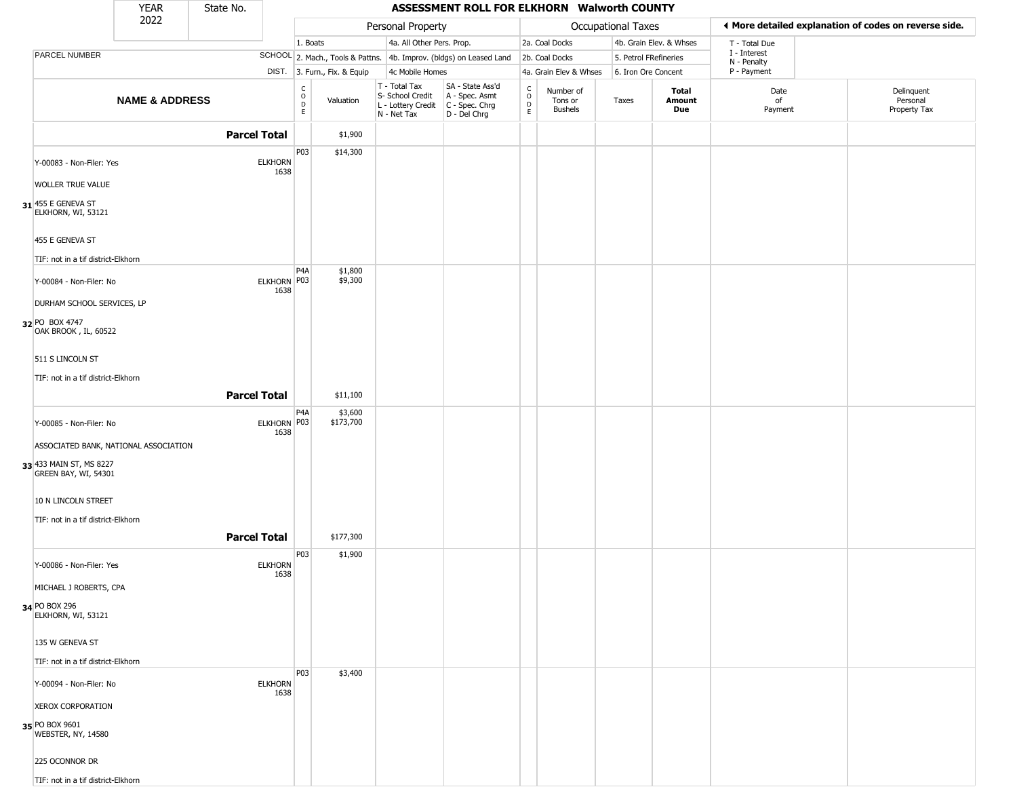|                                                                  | <b>YEAR</b>               | State No.           |                                         |                                                        |                                                                                         | ASSESSMENT ROLL FOR ELKHORN Walworth COUNTY                         |                        |                                 |                       |                         |                             |                                                        |
|------------------------------------------------------------------|---------------------------|---------------------|-----------------------------------------|--------------------------------------------------------|-----------------------------------------------------------------------------------------|---------------------------------------------------------------------|------------------------|---------------------------------|-----------------------|-------------------------|-----------------------------|--------------------------------------------------------|
|                                                                  | 2022                      |                     |                                         |                                                        | Personal Property                                                                       |                                                                     |                        |                                 | Occupational Taxes    |                         |                             | If More detailed explanation of codes on reverse side. |
|                                                                  |                           |                     |                                         | 1. Boats                                               | 4a. All Other Pers. Prop.                                                               |                                                                     |                        | 2a. Coal Docks                  |                       | 4b. Grain Elev. & Whses | T - Total Due               |                                                        |
| PARCEL NUMBER                                                    |                           |                     |                                         |                                                        |                                                                                         | SCHOOL 2. Mach., Tools & Pattns. 4b. Improv. (bldgs) on Leased Land |                        | 2b. Coal Docks                  | 5. Petrol FRefineries |                         | I - Interest<br>N - Penalty |                                                        |
|                                                                  |                           |                     |                                         | DIST. 3. Furn., Fix. & Equip                           | 4c Mobile Homes                                                                         |                                                                     |                        | 4a. Grain Elev & Whses          | 6. Iron Ore Concent   |                         | P - Payment                 |                                                        |
|                                                                  | <b>NAME &amp; ADDRESS</b> |                     | E                                       | $\begin{matrix} 0 \\ 0 \\ D \end{matrix}$<br>Valuation | T - Total Tax<br>S- School Credit<br>L - Lottery Credit   C - Spec. Chrg<br>N - Net Tax | SA - State Ass'd<br>A - Spec. Asmt<br>D - Del Chrg                  | C<br>$\circ$<br>D<br>E | Number of<br>Tons or<br>Bushels | Taxes                 | Total<br>Amount<br>Due  | Date<br>of<br>Payment       | Delinquent<br>Personal<br>Property Tax                 |
|                                                                  |                           | <b>Parcel Total</b> |                                         | \$1,900                                                |                                                                                         |                                                                     |                        |                                 |                       |                         |                             |                                                        |
| Y-00083 - Non-Filer: Yes                                         |                           |                     | P03<br><b>ELKHORN</b><br>1638           | \$14,300                                               |                                                                                         |                                                                     |                        |                                 |                       |                         |                             |                                                        |
| WOLLER TRUE VALUE                                                |                           |                     |                                         |                                                        |                                                                                         |                                                                     |                        |                                 |                       |                         |                             |                                                        |
| 31 455 E GENEVA ST<br>ELKHORN, WI, 53121                         |                           |                     |                                         |                                                        |                                                                                         |                                                                     |                        |                                 |                       |                         |                             |                                                        |
| 455 E GENEVA ST<br>TIF: not in a tif district-Elkhorn            |                           |                     |                                         |                                                        |                                                                                         |                                                                     |                        |                                 |                       |                         |                             |                                                        |
| Y-00084 - Non-Filer: No                                          |                           |                     | P <sub>4</sub> A<br>ELKHORN P03<br>1638 | \$1,800<br>\$9,300                                     |                                                                                         |                                                                     |                        |                                 |                       |                         |                             |                                                        |
| DURHAM SCHOOL SERVICES, LP<br>32 PO BOX 4747                     |                           |                     |                                         |                                                        |                                                                                         |                                                                     |                        |                                 |                       |                         |                             |                                                        |
| OAK BROOK, IL, 60522<br>511 S LINCOLN ST                         |                           |                     |                                         |                                                        |                                                                                         |                                                                     |                        |                                 |                       |                         |                             |                                                        |
| TIF: not in a tif district-Elkhorn                               |                           |                     |                                         |                                                        |                                                                                         |                                                                     |                        |                                 |                       |                         |                             |                                                        |
|                                                                  |                           | <b>Parcel Total</b> |                                         | \$11,100                                               |                                                                                         |                                                                     |                        |                                 |                       |                         |                             |                                                        |
| Y-00085 - Non-Filer: No                                          |                           |                     | P <sub>4</sub> A<br>ELKHORN P03<br>1638 | \$3,600<br>\$173,700                                   |                                                                                         |                                                                     |                        |                                 |                       |                         |                             |                                                        |
| ASSOCIATED BANK, NATIONAL ASSOCIATION                            |                           |                     |                                         |                                                        |                                                                                         |                                                                     |                        |                                 |                       |                         |                             |                                                        |
| 33 433 MAIN ST, MS 8227<br>GREEN BAY, WI, 54301                  |                           |                     |                                         |                                                        |                                                                                         |                                                                     |                        |                                 |                       |                         |                             |                                                        |
| 10 N LINCOLN STREET                                              |                           |                     |                                         |                                                        |                                                                                         |                                                                     |                        |                                 |                       |                         |                             |                                                        |
| TIF: not in a tif district-Elkhorn                               |                           | <b>Parcel Total</b> |                                         | \$177,300                                              |                                                                                         |                                                                     |                        |                                 |                       |                         |                             |                                                        |
| Y-00086 - Non-Filer: Yes                                         |                           |                     | P03<br><b>ELKHORN</b><br>1638           | \$1,900                                                |                                                                                         |                                                                     |                        |                                 |                       |                         |                             |                                                        |
| MICHAEL J ROBERTS, CPA                                           |                           |                     |                                         |                                                        |                                                                                         |                                                                     |                        |                                 |                       |                         |                             |                                                        |
| 34 PO BOX 296<br>ELKHORN, WI, 53121                              |                           |                     |                                         |                                                        |                                                                                         |                                                                     |                        |                                 |                       |                         |                             |                                                        |
| 135 W GENEVA ST                                                  |                           |                     |                                         |                                                        |                                                                                         |                                                                     |                        |                                 |                       |                         |                             |                                                        |
| TIF: not in a tif district-Elkhorn                               |                           |                     | P03                                     | \$3,400                                                |                                                                                         |                                                                     |                        |                                 |                       |                         |                             |                                                        |
| Y-00094 - Non-Filer: No                                          |                           |                     | <b>ELKHORN</b><br>1638                  |                                                        |                                                                                         |                                                                     |                        |                                 |                       |                         |                             |                                                        |
| <b>XEROX CORPORATION</b><br>35 PO BOX 9601<br>WEBSTER, NY, 14580 |                           |                     |                                         |                                                        |                                                                                         |                                                                     |                        |                                 |                       |                         |                             |                                                        |
| 225 OCONNOR DR                                                   |                           |                     |                                         |                                                        |                                                                                         |                                                                     |                        |                                 |                       |                         |                             |                                                        |
| TIF: not in a tif district-Elkhorn                               |                           |                     |                                         |                                                        |                                                                                         |                                                                     |                        |                                 |                       |                         |                             |                                                        |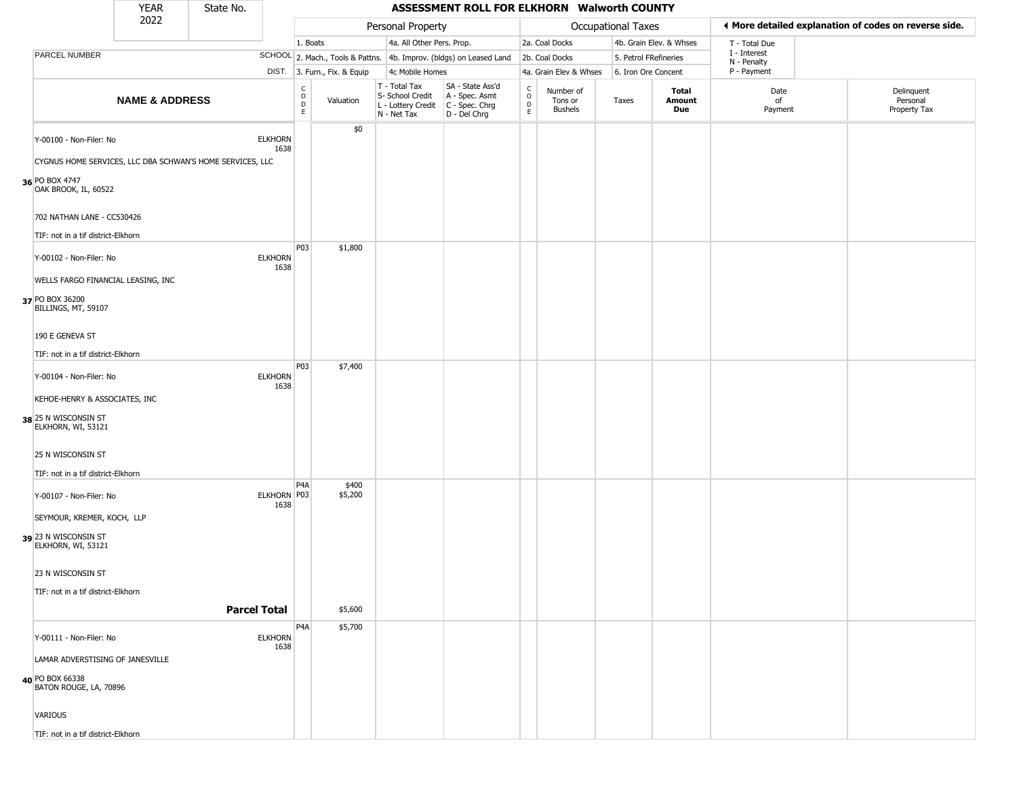|                                                       | <b>YEAR</b>               | State No.                                                 |                        |                                           |                              |                                                                        | ASSESSMENT ROLL FOR ELKHORN Walworth COUNTY                          |                                   |                                        |                       |                         |                             |                                                       |
|-------------------------------------------------------|---------------------------|-----------------------------------------------------------|------------------------|-------------------------------------------|------------------------------|------------------------------------------------------------------------|----------------------------------------------------------------------|-----------------------------------|----------------------------------------|-----------------------|-------------------------|-----------------------------|-------------------------------------------------------|
|                                                       | 2022                      |                                                           |                        |                                           |                              | Personal Property                                                      |                                                                      |                                   |                                        | Occupational Taxes    |                         |                             | ◀ More detailed explanation of codes on reverse side. |
|                                                       |                           |                                                           |                        | 1. Boats                                  |                              | 4a. All Other Pers. Prop.                                              |                                                                      |                                   | 2a. Coal Docks                         |                       | 4b. Grain Elev. & Whses | T - Total Due               |                                                       |
| PARCEL NUMBER                                         |                           |                                                           |                        |                                           |                              |                                                                        | SCHOOL 2. Mach., Tools & Pattns. 4b. Improv. (bldgs) on Leased Land  |                                   | 2b. Coal Docks                         | 5. Petrol FRefineries |                         | I - Interest<br>N - Penalty |                                                       |
|                                                       |                           |                                                           |                        |                                           | DIST. 3. Furn., Fix. & Equip | 4c Mobile Homes                                                        |                                                                      |                                   | 4a. Grain Elev & Whses                 | 6. Iron Ore Concent   |                         | P - Payment                 |                                                       |
|                                                       | <b>NAME &amp; ADDRESS</b> |                                                           |                        | C<br>$\circ$<br>$\overrightarrow{D}$<br>E | Valuation                    | T - Total Tax<br>S- School Credit<br>L - Lottery Credit<br>N - Net Tax | SA - State Ass'd<br>A - Spec. Asmt<br>C - Spec. Chrg<br>D - Del Chrg | C<br>$\circ$<br>$\mathsf{D}$<br>E | Number of<br>Tons or<br><b>Bushels</b> | Taxes                 | Total<br>Amount<br>Due  | Date<br>of<br>Payment       | Delinquent<br>Personal<br>Property Tax                |
| Y-00100 - Non-Filer: No                               |                           | CYGNUS HOME SERVICES, LLC DBA SCHWAN'S HOME SERVICES, LLC | <b>ELKHORN</b><br>1638 |                                           | \$0                          |                                                                        |                                                                      |                                   |                                        |                       |                         |                             |                                                       |
| 36 PO BOX 4747<br>OAK BROOK, IL, 60522                |                           |                                                           |                        |                                           |                              |                                                                        |                                                                      |                                   |                                        |                       |                         |                             |                                                       |
| 702 NATHAN LANE - CC530426                            |                           |                                                           |                        |                                           |                              |                                                                        |                                                                      |                                   |                                        |                       |                         |                             |                                                       |
| TIF: not in a tif district-Elkhorn                    |                           |                                                           |                        |                                           |                              |                                                                        |                                                                      |                                   |                                        |                       |                         |                             |                                                       |
| Y-00102 - Non-Filer: No                               |                           |                                                           | <b>ELKHORN</b><br>1638 | P03                                       | \$1,800                      |                                                                        |                                                                      |                                   |                                        |                       |                         |                             |                                                       |
| WELLS FARGO FINANCIAL LEASING, INC                    |                           |                                                           |                        |                                           |                              |                                                                        |                                                                      |                                   |                                        |                       |                         |                             |                                                       |
| 37 PO BOX 36200<br>BILLINGS, MT, 59107                |                           |                                                           |                        |                                           |                              |                                                                        |                                                                      |                                   |                                        |                       |                         |                             |                                                       |
| 190 E GENEVA ST                                       |                           |                                                           |                        |                                           |                              |                                                                        |                                                                      |                                   |                                        |                       |                         |                             |                                                       |
| TIF: not in a tif district-Elkhorn                    |                           |                                                           |                        |                                           |                              |                                                                        |                                                                      |                                   |                                        |                       |                         |                             |                                                       |
| Y-00104 - Non-Filer: No                               |                           |                                                           | <b>ELKHORN</b><br>1638 | P03                                       | \$7,400                      |                                                                        |                                                                      |                                   |                                        |                       |                         |                             |                                                       |
| KEHOE-HENRY & ASSOCIATES, INC<br>38 25 N WISCONSIN ST |                           |                                                           |                        |                                           |                              |                                                                        |                                                                      |                                   |                                        |                       |                         |                             |                                                       |
| ELKHORN, WI, 53121                                    |                           |                                                           |                        |                                           |                              |                                                                        |                                                                      |                                   |                                        |                       |                         |                             |                                                       |
| 25 N WISCONSIN ST                                     |                           |                                                           |                        |                                           |                              |                                                                        |                                                                      |                                   |                                        |                       |                         |                             |                                                       |
| TIF: not in a tif district-Elkhorn                    |                           |                                                           |                        |                                           |                              |                                                                        |                                                                      |                                   |                                        |                       |                         |                             |                                                       |
| Y-00107 - Non-Filer: No                               |                           |                                                           | ELKHORN P03<br>1638    | P <sub>4</sub> A                          | \$400<br>\$5,200             |                                                                        |                                                                      |                                   |                                        |                       |                         |                             |                                                       |
| SEYMOUR, KREMER, KOCH, LLP                            |                           |                                                           |                        |                                           |                              |                                                                        |                                                                      |                                   |                                        |                       |                         |                             |                                                       |
| 39 23 N WISCONSIN ST<br>ELKHORN, WI, 53121            |                           |                                                           |                        |                                           |                              |                                                                        |                                                                      |                                   |                                        |                       |                         |                             |                                                       |
| 23 N WISCONSIN ST                                     |                           |                                                           |                        |                                           |                              |                                                                        |                                                                      |                                   |                                        |                       |                         |                             |                                                       |
| TIF: not in a tif district-Elkhorn                    |                           |                                                           |                        |                                           |                              |                                                                        |                                                                      |                                   |                                        |                       |                         |                             |                                                       |
|                                                       |                           | <b>Parcel Total</b>                                       |                        |                                           | \$5,600                      |                                                                        |                                                                      |                                   |                                        |                       |                         |                             |                                                       |
| Y-00111 - Non-Filer: No                               |                           |                                                           | <b>ELKHORN</b><br>1638 | P <sub>4</sub> A                          | \$5,700                      |                                                                        |                                                                      |                                   |                                        |                       |                         |                             |                                                       |
| LAMAR ADVERSTISING OF JANESVILLE                      |                           |                                                           |                        |                                           |                              |                                                                        |                                                                      |                                   |                                        |                       |                         |                             |                                                       |
| 40 PO BOX 66338<br>BATON ROUGE, LA, 70896             |                           |                                                           |                        |                                           |                              |                                                                        |                                                                      |                                   |                                        |                       |                         |                             |                                                       |
| VARIOUS                                               |                           |                                                           |                        |                                           |                              |                                                                        |                                                                      |                                   |                                        |                       |                         |                             |                                                       |
| TIF: not in a tif district-Elkhorn                    |                           |                                                           |                        |                                           |                              |                                                                        |                                                                      |                                   |                                        |                       |                         |                             |                                                       |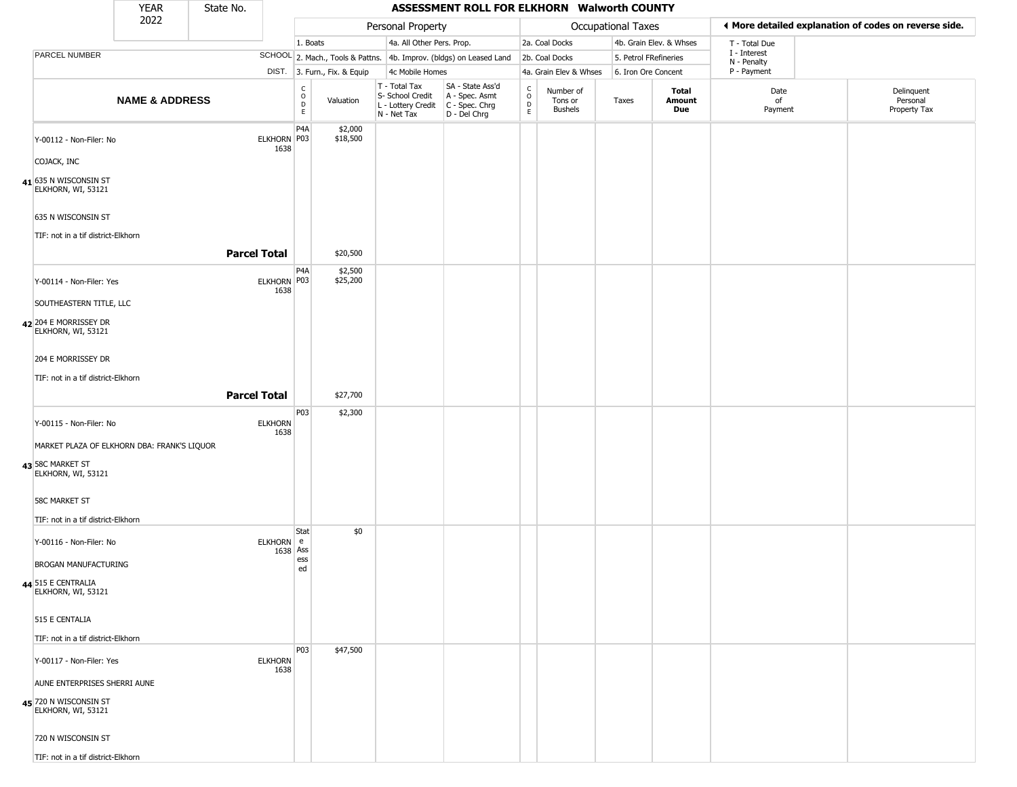|                                               | <b>YEAR</b>                                 | State No.              |                                                 |                              |                                                                        | ASSESSMENT ROLL FOR ELKHORN Walworth COUNTY                          |                                                          |                                        |                    |                         |                             |                                                       |
|-----------------------------------------------|---------------------------------------------|------------------------|-------------------------------------------------|------------------------------|------------------------------------------------------------------------|----------------------------------------------------------------------|----------------------------------------------------------|----------------------------------------|--------------------|-------------------------|-----------------------------|-------------------------------------------------------|
|                                               | 2022                                        |                        |                                                 |                              | Personal Property                                                      |                                                                      |                                                          |                                        | Occupational Taxes |                         |                             | ♦ More detailed explanation of codes on reverse side. |
|                                               |                                             |                        |                                                 | 1. Boats                     |                                                                        | 4a. All Other Pers. Prop.                                            |                                                          | 2a. Coal Docks                         |                    | 4b. Grain Elev. & Whses | T - Total Due               |                                                       |
| PARCEL NUMBER                                 |                                             |                        |                                                 |                              |                                                                        | SCHOOL 2. Mach., Tools & Pattns. 4b. Improv. (bldgs) on Leased Land  |                                                          | 2b. Coal Docks                         |                    | 5. Petrol FRefineries   | I - Interest<br>N - Penalty |                                                       |
|                                               |                                             |                        |                                                 | DIST. 3. Furn., Fix. & Equip | 4c Mobile Homes                                                        |                                                                      |                                                          | 4a. Grain Elev & Whses                 |                    | 6. Iron Ore Concent     | P - Payment                 |                                                       |
|                                               | <b>NAME &amp; ADDRESS</b>                   |                        | $\begin{array}{c} C \\ O \\ D \\ E \end{array}$ | Valuation                    | T - Total Tax<br>S- School Credit<br>L - Lottery Credit<br>N - Net Tax | SA - State Ass'd<br>A - Spec. Asmt<br>C - Spec. Chrg<br>D - Del Chrg | $\begin{matrix} 0 \\ 0 \\ D \end{matrix}$<br>$\mathsf E$ | Number of<br>Tons or<br><b>Bushels</b> | Taxes              | Total<br>Amount<br>Due  | Date<br>of<br>Payment       | Delinquent<br>Personal<br>Property Tax                |
| Y-00112 - Non-Filer: No                       |                                             | ELKHORN P03<br>1638    | P <sub>4</sub> A                                | \$2,000<br>\$18,500          |                                                                        |                                                                      |                                                          |                                        |                    |                         |                             |                                                       |
| COJACK, INC                                   |                                             |                        |                                                 |                              |                                                                        |                                                                      |                                                          |                                        |                    |                         |                             |                                                       |
| $41$ 635 N WISCONSIN ST<br>ELKHORN, WI, 53121 |                                             |                        |                                                 |                              |                                                                        |                                                                      |                                                          |                                        |                    |                         |                             |                                                       |
| 635 N WISCONSIN ST                            | TIF: not in a tif district-Elkhorn          |                        |                                                 |                              |                                                                        |                                                                      |                                                          |                                        |                    |                         |                             |                                                       |
|                                               |                                             | <b>Parcel Total</b>    |                                                 | \$20,500<br>\$2,500          |                                                                        |                                                                      |                                                          |                                        |                    |                         |                             |                                                       |
| Y-00114 - Non-Filer: Yes                      |                                             | <b>ELKHORN</b><br>1638 | P <sub>4</sub> A<br>P03                         | \$25,200                     |                                                                        |                                                                      |                                                          |                                        |                    |                         |                             |                                                       |
| 42 204 E MORRISSEY DR<br>ELKHORN, WI, 53121   | SOUTHEASTERN TITLE, LLC                     |                        |                                                 |                              |                                                                        |                                                                      |                                                          |                                        |                    |                         |                             |                                                       |
| 204 E MORRISSEY DR                            |                                             |                        |                                                 |                              |                                                                        |                                                                      |                                                          |                                        |                    |                         |                             |                                                       |
|                                               | TIF: not in a tif district-Elkhorn          |                        |                                                 |                              |                                                                        |                                                                      |                                                          |                                        |                    |                         |                             |                                                       |
|                                               |                                             | <b>Parcel Total</b>    |                                                 | \$27,700                     |                                                                        |                                                                      |                                                          |                                        |                    |                         |                             |                                                       |
| Y-00115 - Non-Filer: No                       |                                             | <b>ELKHORN</b><br>1638 | P03                                             | \$2,300                      |                                                                        |                                                                      |                                                          |                                        |                    |                         |                             |                                                       |
|                                               | MARKET PLAZA OF ELKHORN DBA: FRANK'S LIQUOR |                        |                                                 |                              |                                                                        |                                                                      |                                                          |                                        |                    |                         |                             |                                                       |
| 43 58C MARKET ST<br>ELKHORN, WI, 53121        |                                             |                        |                                                 |                              |                                                                        |                                                                      |                                                          |                                        |                    |                         |                             |                                                       |
| <b>58C MARKET ST</b>                          |                                             |                        |                                                 |                              |                                                                        |                                                                      |                                                          |                                        |                    |                         |                             |                                                       |
|                                               | TIF: not in a tif district-Elkhorn          |                        |                                                 |                              |                                                                        |                                                                      |                                                          |                                        |                    |                         |                             |                                                       |
| Y-00116 - Non-Filer: No                       |                                             | ELKHORN e              | Stat<br>1638 Ass<br>ess                         | \$0                          |                                                                        |                                                                      |                                                          |                                        |                    |                         |                             |                                                       |
|                                               | BROGAN MANUFACTURING                        |                        | ed                                              |                              |                                                                        |                                                                      |                                                          |                                        |                    |                         |                             |                                                       |
| 44 515 E CENTRALIA<br>ELKHORN, WI, 53121      |                                             |                        |                                                 |                              |                                                                        |                                                                      |                                                          |                                        |                    |                         |                             |                                                       |
| 515 E CENTALIA                                |                                             |                        |                                                 |                              |                                                                        |                                                                      |                                                          |                                        |                    |                         |                             |                                                       |
|                                               | TIF: not in a tif district-Elkhorn          |                        |                                                 |                              |                                                                        |                                                                      |                                                          |                                        |                    |                         |                             |                                                       |
| Y-00117 - Non-Filer: Yes                      |                                             | <b>ELKHORN</b><br>1638 | <b>P03</b>                                      | \$47,500                     |                                                                        |                                                                      |                                                          |                                        |                    |                         |                             |                                                       |
|                                               | AUNE ENTERPRISES SHERRI AUNE                |                        |                                                 |                              |                                                                        |                                                                      |                                                          |                                        |                    |                         |                             |                                                       |
| 45 720 N WISCONSIN ST<br>ELKHORN, WI, 53121   |                                             |                        |                                                 |                              |                                                                        |                                                                      |                                                          |                                        |                    |                         |                             |                                                       |
| 720 N WISCONSIN ST                            |                                             |                        |                                                 |                              |                                                                        |                                                                      |                                                          |                                        |                    |                         |                             |                                                       |
|                                               | TIF: not in a tif district-Elkhorn          |                        |                                                 |                              |                                                                        |                                                                      |                                                          |                                        |                    |                         |                             |                                                       |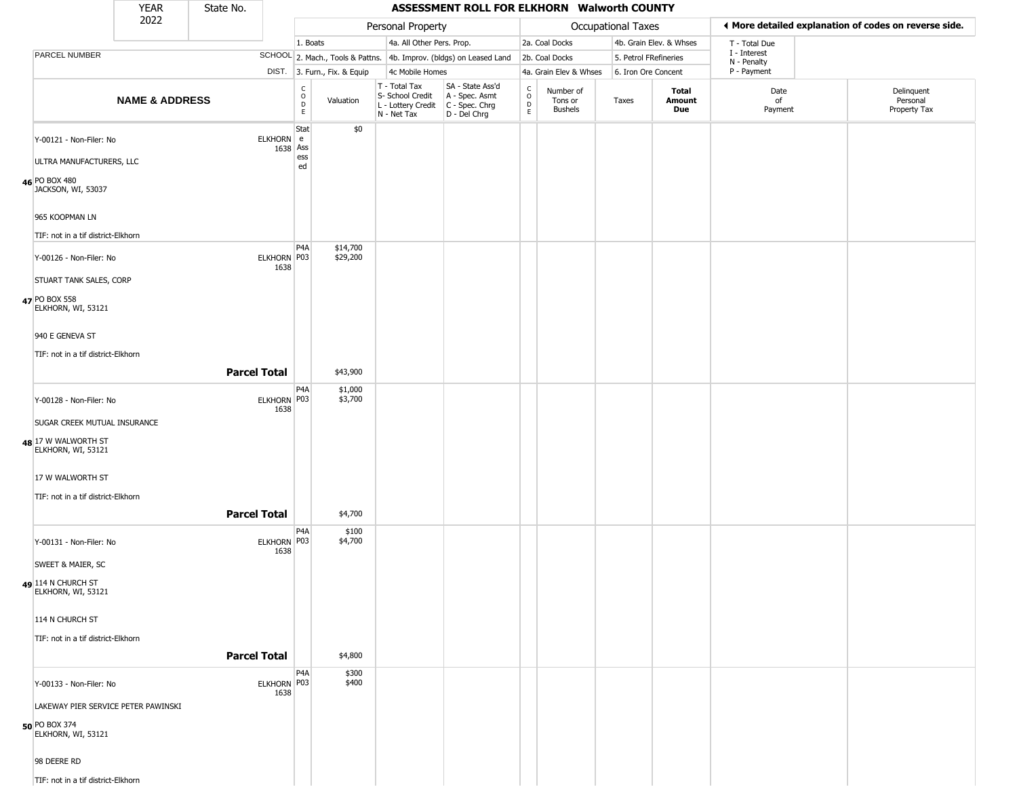|                                           | YEAR                      | State No.           |                     |                                        |                              |                                                                                       | ASSESSMENT ROLL FOR ELKHORN Walworth COUNTY                         |                        |                                        |                           |                               |                             |                                                       |
|-------------------------------------------|---------------------------|---------------------|---------------------|----------------------------------------|------------------------------|---------------------------------------------------------------------------------------|---------------------------------------------------------------------|------------------------|----------------------------------------|---------------------------|-------------------------------|-----------------------------|-------------------------------------------------------|
|                                           | 2022                      |                     |                     |                                        |                              | Personal Property                                                                     |                                                                     |                        |                                        | <b>Occupational Taxes</b> |                               |                             | ♦ More detailed explanation of codes on reverse side. |
|                                           |                           |                     |                     | 1. Boats                               |                              | 4a. All Other Pers. Prop.                                                             |                                                                     |                        | 2a. Coal Docks                         |                           | 4b. Grain Elev. & Whses       | T - Total Due               |                                                       |
| PARCEL NUMBER                             |                           |                     |                     |                                        |                              |                                                                                       | SCHOOL 2. Mach., Tools & Pattns. 4b. Improv. (bldgs) on Leased Land |                        | 2b. Coal Docks                         | 5. Petrol FRefineries     |                               | I - Interest<br>N - Penalty |                                                       |
|                                           |                           |                     |                     |                                        | DIST. 3. Furn., Fix. & Equip | 4c Mobile Homes                                                                       |                                                                     |                        | 4a. Grain Elev & Whses                 | 6. Iron Ore Concent       |                               | P - Payment                 |                                                       |
|                                           | <b>NAME &amp; ADDRESS</b> |                     |                     | $_{\rm o}^{\rm c}$<br>$\mathsf D$<br>E | Valuation                    | T - Total Tax<br>S- School Credit<br>L - Lottery Credit C - Spec. Chrg<br>N - Net Tax | SA - State Ass'd<br>A - Spec. Asmt<br>$D - Del Chrg$                | C<br>$\circ$<br>D<br>E | Number of<br>Tons or<br><b>Bushels</b> | Taxes                     | <b>Total</b><br>Amount<br>Due | Date<br>of<br>Payment       | Delinquent<br>Personal<br>Property Tax                |
| Y-00121 - Non-Filer: No                   |                           |                     | ELKHORN e           | Stat<br>1638 Ass                       | \$0                          |                                                                                       |                                                                     |                        |                                        |                           |                               |                             |                                                       |
| ULTRA MANUFACTURERS, LLC                  |                           |                     |                     | ess<br>ed                              |                              |                                                                                       |                                                                     |                        |                                        |                           |                               |                             |                                                       |
| 46 PO BOX 480<br>JACKSON, WI, 53037       |                           |                     |                     |                                        |                              |                                                                                       |                                                                     |                        |                                        |                           |                               |                             |                                                       |
| 965 KOOPMAN LN                            |                           |                     |                     |                                        |                              |                                                                                       |                                                                     |                        |                                        |                           |                               |                             |                                                       |
| TIF: not in a tif district-Elkhorn        |                           |                     |                     |                                        |                              |                                                                                       |                                                                     |                        |                                        |                           |                               |                             |                                                       |
| Y-00126 - Non-Filer: No                   |                           |                     | ELKHORN P03<br>1638 | P <sub>4</sub> A                       | \$14,700<br>\$29,200         |                                                                                       |                                                                     |                        |                                        |                           |                               |                             |                                                       |
| STUART TANK SALES, CORP                   |                           |                     |                     |                                        |                              |                                                                                       |                                                                     |                        |                                        |                           |                               |                             |                                                       |
| 47 PO BOX 558<br>ELKHORN, WI, 53121       |                           |                     |                     |                                        |                              |                                                                                       |                                                                     |                        |                                        |                           |                               |                             |                                                       |
| 940 E GENEVA ST                           |                           |                     |                     |                                        |                              |                                                                                       |                                                                     |                        |                                        |                           |                               |                             |                                                       |
| TIF: not in a tif district-Elkhorn        |                           |                     |                     |                                        |                              |                                                                                       |                                                                     |                        |                                        |                           |                               |                             |                                                       |
|                                           |                           | <b>Parcel Total</b> |                     |                                        | \$43,900                     |                                                                                       |                                                                     |                        |                                        |                           |                               |                             |                                                       |
| Y-00128 - Non-Filer: No                   |                           |                     | ELKHORN P03<br>1638 | P <sub>4</sub> A                       | \$1,000<br>\$3,700           |                                                                                       |                                                                     |                        |                                        |                           |                               |                             |                                                       |
| SUGAR CREEK MUTUAL INSURANCE              |                           |                     |                     |                                        |                              |                                                                                       |                                                                     |                        |                                        |                           |                               |                             |                                                       |
| 48 17 W WALWORTH ST<br>ELKHORN, WI, 53121 |                           |                     |                     |                                        |                              |                                                                                       |                                                                     |                        |                                        |                           |                               |                             |                                                       |
| 17 W WALWORTH ST                          |                           |                     |                     |                                        |                              |                                                                                       |                                                                     |                        |                                        |                           |                               |                             |                                                       |
| TIF: not in a tif district-Elkhorn        |                           |                     |                     |                                        |                              |                                                                                       |                                                                     |                        |                                        |                           |                               |                             |                                                       |
|                                           |                           | <b>Parcel Total</b> |                     |                                        | \$4,700                      |                                                                                       |                                                                     |                        |                                        |                           |                               |                             |                                                       |
| Y-00131 - Non-Filer: No                   |                           |                     | ELKHORN P03<br>1638 | P <sub>4</sub> A                       | \$100<br>\$4,700             |                                                                                       |                                                                     |                        |                                        |                           |                               |                             |                                                       |
| <b>SWEET &amp; MAIER, SC</b>              |                           |                     |                     |                                        |                              |                                                                                       |                                                                     |                        |                                        |                           |                               |                             |                                                       |
| 49 114 N CHURCH ST<br>ELKHORN, WI, 53121  |                           |                     |                     |                                        |                              |                                                                                       |                                                                     |                        |                                        |                           |                               |                             |                                                       |
| 114 N CHURCH ST                           |                           |                     |                     |                                        |                              |                                                                                       |                                                                     |                        |                                        |                           |                               |                             |                                                       |
| TIF: not in a tif district-Elkhorn        |                           | <b>Parcel Total</b> |                     |                                        | \$4,800                      |                                                                                       |                                                                     |                        |                                        |                           |                               |                             |                                                       |
|                                           |                           |                     |                     | P <sub>4</sub> A                       | \$300                        |                                                                                       |                                                                     |                        |                                        |                           |                               |                             |                                                       |
| Y-00133 - Non-Filer: No                   |                           |                     | ELKHORN P03<br>1638 |                                        | \$400                        |                                                                                       |                                                                     |                        |                                        |                           |                               |                             |                                                       |
| LAKEWAY PIER SERVICE PETER PAWINSKI       |                           |                     |                     |                                        |                              |                                                                                       |                                                                     |                        |                                        |                           |                               |                             |                                                       |
| 50 PO BOX 374<br>ELKHORN, WI, 53121       |                           |                     |                     |                                        |                              |                                                                                       |                                                                     |                        |                                        |                           |                               |                             |                                                       |
| 98 DEERE RD                               |                           |                     |                     |                                        |                              |                                                                                       |                                                                     |                        |                                        |                           |                               |                             |                                                       |
| TIF: not in a tif district-Elkhorn        |                           |                     |                     |                                        |                              |                                                                                       |                                                                     |                        |                                        |                           |                               |                             |                                                       |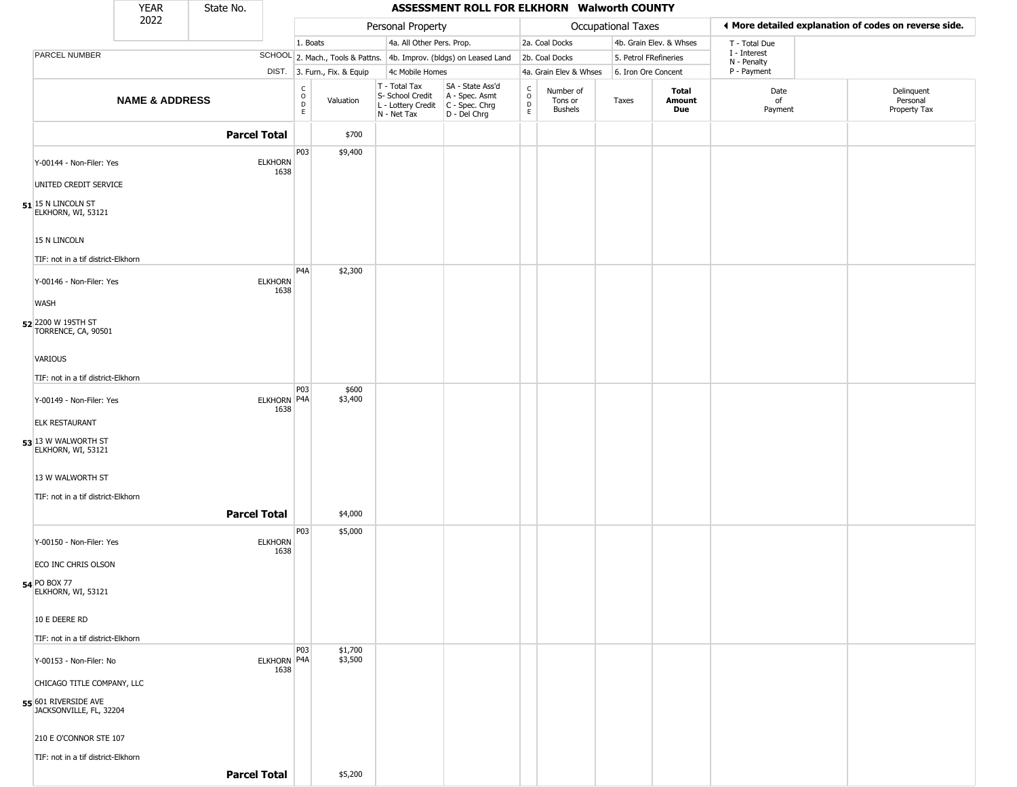|                                                       | <b>YEAR</b>               | State No.           |                                                          |                              |                                                                                         | ASSESSMENT ROLL FOR ELKHORN Walworth COUNTY                         |                         |                                 |                       |                         |                             |                                                       |
|-------------------------------------------------------|---------------------------|---------------------|----------------------------------------------------------|------------------------------|-----------------------------------------------------------------------------------------|---------------------------------------------------------------------|-------------------------|---------------------------------|-----------------------|-------------------------|-----------------------------|-------------------------------------------------------|
|                                                       | 2022                      |                     |                                                          |                              | Personal Property                                                                       |                                                                     |                         |                                 | Occupational Taxes    |                         |                             | ♦ More detailed explanation of codes on reverse side. |
|                                                       |                           |                     |                                                          | 1. Boats                     | 4a. All Other Pers. Prop.                                                               |                                                                     |                         | 2a. Coal Docks                  |                       | 4b. Grain Elev. & Whses | T - Total Due               |                                                       |
| PARCEL NUMBER                                         |                           |                     |                                                          |                              |                                                                                         | SCHOOL 2. Mach., Tools & Pattns. 4b. Improv. (bldgs) on Leased Land |                         | 2b. Coal Docks                  | 5. Petrol FRefineries |                         | I - Interest<br>N - Penalty |                                                       |
|                                                       |                           |                     |                                                          | DIST. 3. Furn., Fix. & Equip | 4c Mobile Homes                                                                         |                                                                     |                         | 4a. Grain Elev & Whses          | 6. Iron Ore Concent   |                         | P - Payment                 |                                                       |
|                                                       | <b>NAME &amp; ADDRESS</b> |                     | $\begin{smallmatrix} C \\ O \\ D \end{smallmatrix}$<br>E | Valuation                    | T - Total Tax<br>S- School Credit<br>L - Lottery Credit   C - Spec. Chrg<br>N - Net Tax | SA - State Ass'd<br>A - Spec. Asmt<br>D - Del Chrg                  | C<br>$\circ$<br>D<br>E. | Number of<br>Tons or<br>Bushels | Taxes                 | Total<br>Amount<br>Due  | Date<br>of<br>Payment       | Delinquent<br>Personal<br>Property Tax                |
|                                                       |                           | <b>Parcel Total</b> |                                                          | \$700                        |                                                                                         |                                                                     |                         |                                 |                       |                         |                             |                                                       |
| Y-00144 - Non-Filer: Yes                              |                           | <b>ELKHORN</b>      | P03                                                      | \$9,400                      |                                                                                         |                                                                     |                         |                                 |                       |                         |                             |                                                       |
| UNITED CREDIT SERVICE                                 |                           |                     | 1638                                                     |                              |                                                                                         |                                                                     |                         |                                 |                       |                         |                             |                                                       |
| $51$ <sup>15 N</sup> LINCOLN ST<br>ELKHORN, WI, 53121 |                           |                     |                                                          |                              |                                                                                         |                                                                     |                         |                                 |                       |                         |                             |                                                       |
| 15 N LINCOLN                                          |                           |                     |                                                          |                              |                                                                                         |                                                                     |                         |                                 |                       |                         |                             |                                                       |
| TIF: not in a tif district-Elkhorn                    |                           |                     |                                                          |                              |                                                                                         |                                                                     |                         |                                 |                       |                         |                             |                                                       |
| Y-00146 - Non-Filer: Yes                              |                           | <b>ELKHORN</b>      | P <sub>4</sub> A<br>1638                                 | \$2,300                      |                                                                                         |                                                                     |                         |                                 |                       |                         |                             |                                                       |
| <b>WASH</b>                                           |                           |                     |                                                          |                              |                                                                                         |                                                                     |                         |                                 |                       |                         |                             |                                                       |
| 52 2200 W 195TH ST<br>TORRENCE, CA, 90501             |                           |                     |                                                          |                              |                                                                                         |                                                                     |                         |                                 |                       |                         |                             |                                                       |
| VARIOUS                                               |                           |                     |                                                          |                              |                                                                                         |                                                                     |                         |                                 |                       |                         |                             |                                                       |
| TIF: not in a tif district-Elkhorn                    |                           |                     |                                                          |                              |                                                                                         |                                                                     |                         |                                 |                       |                         |                             |                                                       |
| Y-00149 - Non-Filer: Yes                              |                           |                     | P03<br>ELKHORN P4A<br>1638                               | \$600<br>\$3,400             |                                                                                         |                                                                     |                         |                                 |                       |                         |                             |                                                       |
| <b>ELK RESTAURANT</b>                                 |                           |                     |                                                          |                              |                                                                                         |                                                                     |                         |                                 |                       |                         |                             |                                                       |
| 53 13 W WALWORTH ST<br>ELKHORN, WI, 53121             |                           |                     |                                                          |                              |                                                                                         |                                                                     |                         |                                 |                       |                         |                             |                                                       |
| 13 W WALWORTH ST                                      |                           |                     |                                                          |                              |                                                                                         |                                                                     |                         |                                 |                       |                         |                             |                                                       |
| TIF: not in a tif district-Elkhorn                    |                           |                     |                                                          |                              |                                                                                         |                                                                     |                         |                                 |                       |                         |                             |                                                       |
|                                                       |                           | <b>Parcel Total</b> |                                                          | \$4,000                      |                                                                                         |                                                                     |                         |                                 |                       |                         |                             |                                                       |
| Y-00150 - Non-Filer: Yes                              |                           | <b>ELKHORN</b>      | P03<br>1638                                              | \$5,000                      |                                                                                         |                                                                     |                         |                                 |                       |                         |                             |                                                       |
| ECO INC CHRIS OLSON                                   |                           |                     |                                                          |                              |                                                                                         |                                                                     |                         |                                 |                       |                         |                             |                                                       |
| 54 PO BOX 77<br>ELKHORN, WI, 53121                    |                           |                     |                                                          |                              |                                                                                         |                                                                     |                         |                                 |                       |                         |                             |                                                       |
| 10 E DEERE RD                                         |                           |                     |                                                          |                              |                                                                                         |                                                                     |                         |                                 |                       |                         |                             |                                                       |
| TIF: not in a tif district-Elkhorn                    |                           |                     | <b>P03</b>                                               |                              |                                                                                         |                                                                     |                         |                                 |                       |                         |                             |                                                       |
| Y-00153 - Non-Filer: No                               |                           |                     | ELKHORN P4A<br>1638                                      | \$1,700<br>\$3,500           |                                                                                         |                                                                     |                         |                                 |                       |                         |                             |                                                       |
| CHICAGO TITLE COMPANY, LLC                            |                           |                     |                                                          |                              |                                                                                         |                                                                     |                         |                                 |                       |                         |                             |                                                       |
| 55 601 RIVERSIDE AVE<br>JACKSONVILLE, FL, 32204       |                           |                     |                                                          |                              |                                                                                         |                                                                     |                         |                                 |                       |                         |                             |                                                       |
| 210 E O'CONNOR STE 107                                |                           |                     |                                                          |                              |                                                                                         |                                                                     |                         |                                 |                       |                         |                             |                                                       |
| TIF: not in a tif district-Elkhorn                    |                           |                     |                                                          |                              |                                                                                         |                                                                     |                         |                                 |                       |                         |                             |                                                       |
|                                                       |                           | <b>Parcel Total</b> |                                                          | \$5,200                      |                                                                                         |                                                                     |                         |                                 |                       |                         |                             |                                                       |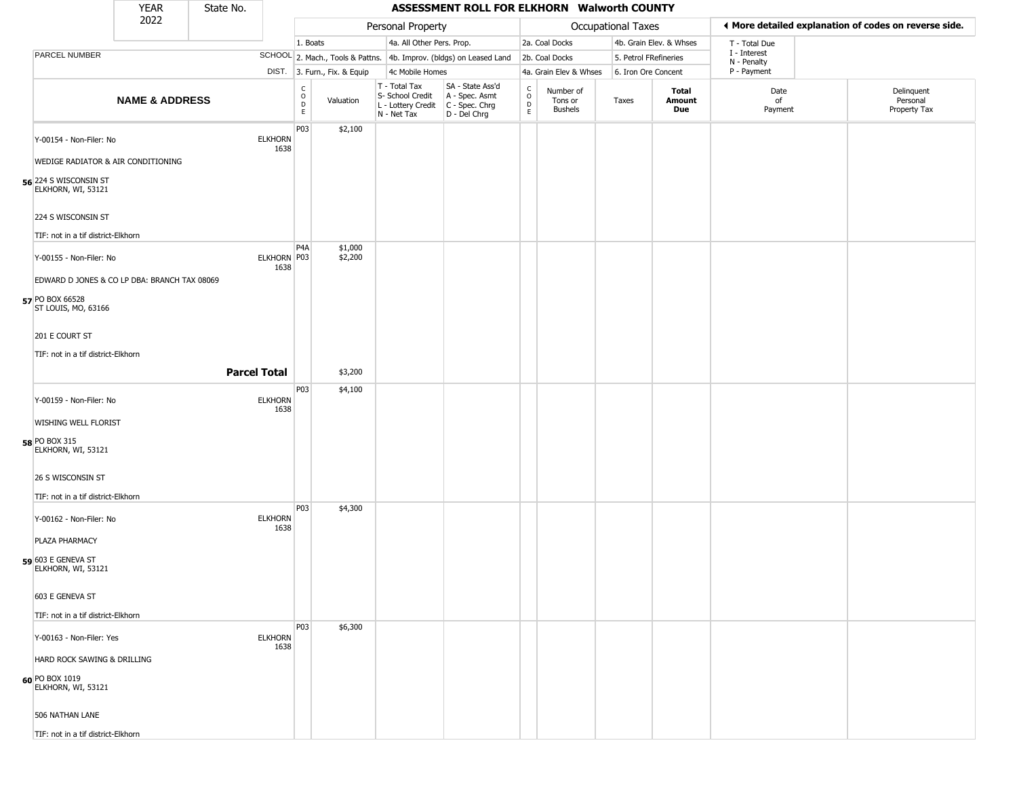|                                             | <b>YEAR</b>                                  | State No. |                        |                  |                              |                                                                        | ASSESSMENT ROLL FOR ELKHORN Walworth COUNTY                          |                            |                                        |                       |                               |                             |                                                       |
|---------------------------------------------|----------------------------------------------|-----------|------------------------|------------------|------------------------------|------------------------------------------------------------------------|----------------------------------------------------------------------|----------------------------|----------------------------------------|-----------------------|-------------------------------|-----------------------------|-------------------------------------------------------|
|                                             | 2022                                         |           |                        |                  |                              | Personal Property                                                      |                                                                      |                            |                                        | Occupational Taxes    |                               |                             | ♦ More detailed explanation of codes on reverse side. |
|                                             |                                              |           |                        | 1. Boats         |                              | 4a. All Other Pers. Prop.                                              |                                                                      |                            | 2a. Coal Docks                         |                       | 4b. Grain Elev. & Whses       | T - Total Due               |                                                       |
| PARCEL NUMBER                               |                                              |           |                        |                  |                              |                                                                        | SCHOOL 2. Mach., Tools & Pattns. 4b. Improv. (bldgs) on Leased Land  |                            | 2b. Coal Docks                         | 5. Petrol FRefineries |                               | I - Interest<br>N - Penalty |                                                       |
|                                             |                                              |           |                        |                  | DIST. 3. Furn., Fix. & Equip | 4c Mobile Homes                                                        |                                                                      |                            | 4a. Grain Elev & Whses                 | 6. Iron Ore Concent   |                               | P - Payment                 |                                                       |
|                                             | <b>NAME &amp; ADDRESS</b>                    |           |                        | C<br>O<br>D<br>E | Valuation                    | T - Total Tax<br>S- School Credit<br>L - Lottery Credit<br>N - Net Tax | SA - State Ass'd<br>A - Spec. Asmt<br>C - Spec. Chrg<br>D - Del Chrg | $\rm ^c_{\rm o}$<br>D<br>E | Number of<br>Tons or<br><b>Bushels</b> | Taxes                 | <b>Total</b><br>Amount<br>Due | Date<br>of<br>Payment       | Delinquent<br>Personal<br>Property Tax                |
| Y-00154 - Non-Filer: No                     |                                              |           | <b>ELKHORN</b><br>1638 | P03              | \$2,100                      |                                                                        |                                                                      |                            |                                        |                       |                               |                             |                                                       |
| 56 224 S WISCONSIN ST<br>ELKHORN, WI, 53121 | WEDIGE RADIATOR & AIR CONDITIONING           |           |                        |                  |                              |                                                                        |                                                                      |                            |                                        |                       |                               |                             |                                                       |
| 224 S WISCONSIN ST                          |                                              |           |                        |                  |                              |                                                                        |                                                                      |                            |                                        |                       |                               |                             |                                                       |
| TIF: not in a tif district-Elkhorn          |                                              |           |                        |                  |                              |                                                                        |                                                                      |                            |                                        |                       |                               |                             |                                                       |
| Y-00155 - Non-Filer: No                     |                                              |           | ELKHORN P03<br>1638    | P4A              | \$1,000<br>\$2,200           |                                                                        |                                                                      |                            |                                        |                       |                               |                             |                                                       |
|                                             | EDWARD D JONES & CO LP DBA: BRANCH TAX 08069 |           |                        |                  |                              |                                                                        |                                                                      |                            |                                        |                       |                               |                             |                                                       |
| 57 PO BOX 66528<br>ST LOUIS, MO, 63166      |                                              |           |                        |                  |                              |                                                                        |                                                                      |                            |                                        |                       |                               |                             |                                                       |
| 201 E COURT ST                              |                                              |           |                        |                  |                              |                                                                        |                                                                      |                            |                                        |                       |                               |                             |                                                       |
| TIF: not in a tif district-Elkhorn          |                                              |           |                        |                  |                              |                                                                        |                                                                      |                            |                                        |                       |                               |                             |                                                       |
|                                             |                                              |           | <b>Parcel Total</b>    |                  | \$3,200                      |                                                                        |                                                                      |                            |                                        |                       |                               |                             |                                                       |
| Y-00159 - Non-Filer: No                     |                                              |           | <b>ELKHORN</b>         | P03              | \$4,100                      |                                                                        |                                                                      |                            |                                        |                       |                               |                             |                                                       |
| WISHING WELL FLORIST                        |                                              |           | 1638                   |                  |                              |                                                                        |                                                                      |                            |                                        |                       |                               |                             |                                                       |
| 58 PO BOX 315<br>ELKHORN, WI, 53121         |                                              |           |                        |                  |                              |                                                                        |                                                                      |                            |                                        |                       |                               |                             |                                                       |
| 26 S WISCONSIN ST                           |                                              |           |                        |                  |                              |                                                                        |                                                                      |                            |                                        |                       |                               |                             |                                                       |
| TIF: not in a tif district-Elkhorn          |                                              |           |                        | P03              | \$4,300                      |                                                                        |                                                                      |                            |                                        |                       |                               |                             |                                                       |
| Y-00162 - Non-Filer: No                     |                                              |           | <b>ELKHORN</b><br>1638 |                  |                              |                                                                        |                                                                      |                            |                                        |                       |                               |                             |                                                       |
| PLAZA PHARMACY                              |                                              |           |                        |                  |                              |                                                                        |                                                                      |                            |                                        |                       |                               |                             |                                                       |
| 59 603 E GENEVA ST<br>ELKHORN, WI, 53121    |                                              |           |                        |                  |                              |                                                                        |                                                                      |                            |                                        |                       |                               |                             |                                                       |
| 603 E GENEVA ST                             |                                              |           |                        |                  |                              |                                                                        |                                                                      |                            |                                        |                       |                               |                             |                                                       |
| TIF: not in a tif district-Elkhorn          |                                              |           |                        |                  |                              |                                                                        |                                                                      |                            |                                        |                       |                               |                             |                                                       |
| Y-00163 - Non-Filer: Yes                    |                                              |           | <b>ELKHORN</b><br>1638 | P03              | \$6,300                      |                                                                        |                                                                      |                            |                                        |                       |                               |                             |                                                       |
| HARD ROCK SAWING & DRILLING                 |                                              |           |                        |                  |                              |                                                                        |                                                                      |                            |                                        |                       |                               |                             |                                                       |
| 60 PO BOX 1019<br>ELKHORN, WI, 53121        |                                              |           |                        |                  |                              |                                                                        |                                                                      |                            |                                        |                       |                               |                             |                                                       |
| 506 NATHAN LANE                             |                                              |           |                        |                  |                              |                                                                        |                                                                      |                            |                                        |                       |                               |                             |                                                       |
| TIF: not in a tif district-Elkhorn          |                                              |           |                        |                  |                              |                                                                        |                                                                      |                            |                                        |                       |                               |                             |                                                       |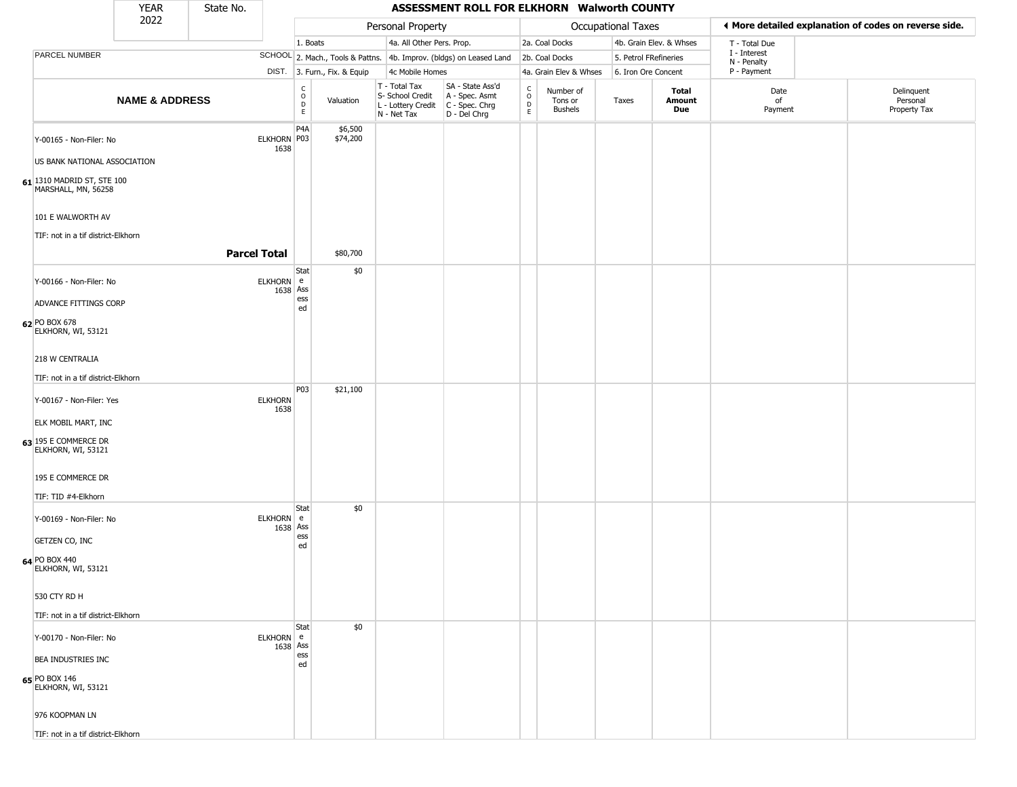|                                                   | <b>YEAR</b>               | State No. |                        |                                                          |                              |                                                  | ASSESSMENT ROLL FOR ELKHORN Walworth COUNTY                                               |                                    |                                        |                       |                         |                             |                                                       |
|---------------------------------------------------|---------------------------|-----------|------------------------|----------------------------------------------------------|------------------------------|--------------------------------------------------|-------------------------------------------------------------------------------------------|------------------------------------|----------------------------------------|-----------------------|-------------------------|-----------------------------|-------------------------------------------------------|
|                                                   | 2022                      |           |                        |                                                          |                              | Personal Property                                |                                                                                           |                                    |                                        | Occupational Taxes    |                         |                             | ♦ More detailed explanation of codes on reverse side. |
|                                                   |                           |           |                        | 1. Boats                                                 |                              | 4a. All Other Pers. Prop.                        |                                                                                           |                                    | 2a. Coal Docks                         |                       | 4b. Grain Elev. & Whses | T - Total Due               |                                                       |
| PARCEL NUMBER                                     |                           |           |                        |                                                          |                              |                                                  | SCHOOL 2. Mach., Tools & Pattns. 4b. Improv. (bldgs) on Leased Land 2b. Coal Docks        |                                    |                                        | 5. Petrol FRefineries |                         | I - Interest<br>N - Penalty |                                                       |
|                                                   |                           |           |                        |                                                          | DIST. 3. Furn., Fix. & Equip | 4c Mobile Homes                                  |                                                                                           |                                    | 4a. Grain Elev & Whses                 | 6. Iron Ore Concent   |                         | P - Payment                 |                                                       |
|                                                   | <b>NAME &amp; ADDRESS</b> |           |                        | $\begin{smallmatrix} C \\ O \\ D \end{smallmatrix}$<br>E | Valuation                    | T - Total Tax<br>S- School Credit<br>N - Net Tax | SA - State Ass'd<br>A - Spec. Asmt<br>L - Lottery Credit   C - Spec. Chrg<br>D - Del Chrg | $\int_{0}^{c}$<br>$\mathsf D$<br>E | Number of<br>Tons or<br><b>Bushels</b> | Taxes                 | Total<br>Amount<br>Due  | Date<br>of<br>Payment       | Delinquent<br>Personal<br>Property Tax                |
| Y-00165 - Non-Filer: No                           |                           |           | ELKHORN P03<br>1638    | P <sub>4</sub> A                                         | \$6,500<br>\$74,200          |                                                  |                                                                                           |                                    |                                        |                       |                         |                             |                                                       |
| US BANK NATIONAL ASSOCIATION                      |                           |           |                        |                                                          |                              |                                                  |                                                                                           |                                    |                                        |                       |                         |                             |                                                       |
| 61 1310 MADRID ST, STE 100<br>MARSHALL, MN, 56258 |                           |           |                        |                                                          |                              |                                                  |                                                                                           |                                    |                                        |                       |                         |                             |                                                       |
| 101 E WALWORTH AV                                 |                           |           |                        |                                                          |                              |                                                  |                                                                                           |                                    |                                        |                       |                         |                             |                                                       |
| TIF: not in a tif district-Elkhorn                |                           |           |                        |                                                          |                              |                                                  |                                                                                           |                                    |                                        |                       |                         |                             |                                                       |
|                                                   |                           |           | <b>Parcel Total</b>    |                                                          | \$80,700                     |                                                  |                                                                                           |                                    |                                        |                       |                         |                             |                                                       |
| Y-00166 - Non-Filer: No                           |                           |           | ELKHORN e              | Stat<br>1638 Ass                                         | \$0                          |                                                  |                                                                                           |                                    |                                        |                       |                         |                             |                                                       |
| ADVANCE FITTINGS CORP                             |                           |           |                        | ess<br>ed                                                |                              |                                                  |                                                                                           |                                    |                                        |                       |                         |                             |                                                       |
| 62 PO BOX 678<br>ELKHORN, WI, 53121               |                           |           |                        |                                                          |                              |                                                  |                                                                                           |                                    |                                        |                       |                         |                             |                                                       |
| 218 W CENTRALIA                                   |                           |           |                        |                                                          |                              |                                                  |                                                                                           |                                    |                                        |                       |                         |                             |                                                       |
| TIF: not in a tif district-Elkhorn                |                           |           |                        |                                                          |                              |                                                  |                                                                                           |                                    |                                        |                       |                         |                             |                                                       |
| Y-00167 - Non-Filer: Yes                          |                           |           | <b>ELKHORN</b><br>1638 | P03                                                      | \$21,100                     |                                                  |                                                                                           |                                    |                                        |                       |                         |                             |                                                       |
| <b>ELK MOBIL MART, INC</b>                        |                           |           |                        |                                                          |                              |                                                  |                                                                                           |                                    |                                        |                       |                         |                             |                                                       |
| 63 195 E COMMERCE DR<br>ELKHORN, WI, 53121        |                           |           |                        |                                                          |                              |                                                  |                                                                                           |                                    |                                        |                       |                         |                             |                                                       |
| 195 E COMMERCE DR<br>TIF: TID #4-Elkhorn          |                           |           |                        |                                                          |                              |                                                  |                                                                                           |                                    |                                        |                       |                         |                             |                                                       |
|                                                   |                           |           |                        | Stat                                                     | \$0                          |                                                  |                                                                                           |                                    |                                        |                       |                         |                             |                                                       |
| Y-00169 - Non-Filer: No                           |                           |           | ELKHORN e              | 1638 Ass                                                 |                              |                                                  |                                                                                           |                                    |                                        |                       |                         |                             |                                                       |
| GETZEN CO, INC                                    |                           |           |                        | ess<br>ed                                                |                              |                                                  |                                                                                           |                                    |                                        |                       |                         |                             |                                                       |
| 64 PO BOX 440<br>ELKHORN, WI, 53121               |                           |           |                        |                                                          |                              |                                                  |                                                                                           |                                    |                                        |                       |                         |                             |                                                       |
| 530 CTY RD H                                      |                           |           |                        |                                                          |                              |                                                  |                                                                                           |                                    |                                        |                       |                         |                             |                                                       |
| TIF: not in a tif district-Elkhorn                |                           |           |                        |                                                          |                              |                                                  |                                                                                           |                                    |                                        |                       |                         |                             |                                                       |
| Y-00170 - Non-Filer: No                           |                           |           | ELKHORN e              | Stat<br>1638 Ass                                         | \$0                          |                                                  |                                                                                           |                                    |                                        |                       |                         |                             |                                                       |
| BEA INDUSTRIES INC                                |                           |           |                        | ess<br>ed                                                |                              |                                                  |                                                                                           |                                    |                                        |                       |                         |                             |                                                       |
| 65 PO BOX 146<br>ELKHORN, WI, 53121               |                           |           |                        |                                                          |                              |                                                  |                                                                                           |                                    |                                        |                       |                         |                             |                                                       |
| 976 KOOPMAN LN                                    |                           |           |                        |                                                          |                              |                                                  |                                                                                           |                                    |                                        |                       |                         |                             |                                                       |
| TIF: not in a tif district-Elkhorn                |                           |           |                        |                                                          |                              |                                                  |                                                                                           |                                    |                                        |                       |                         |                             |                                                       |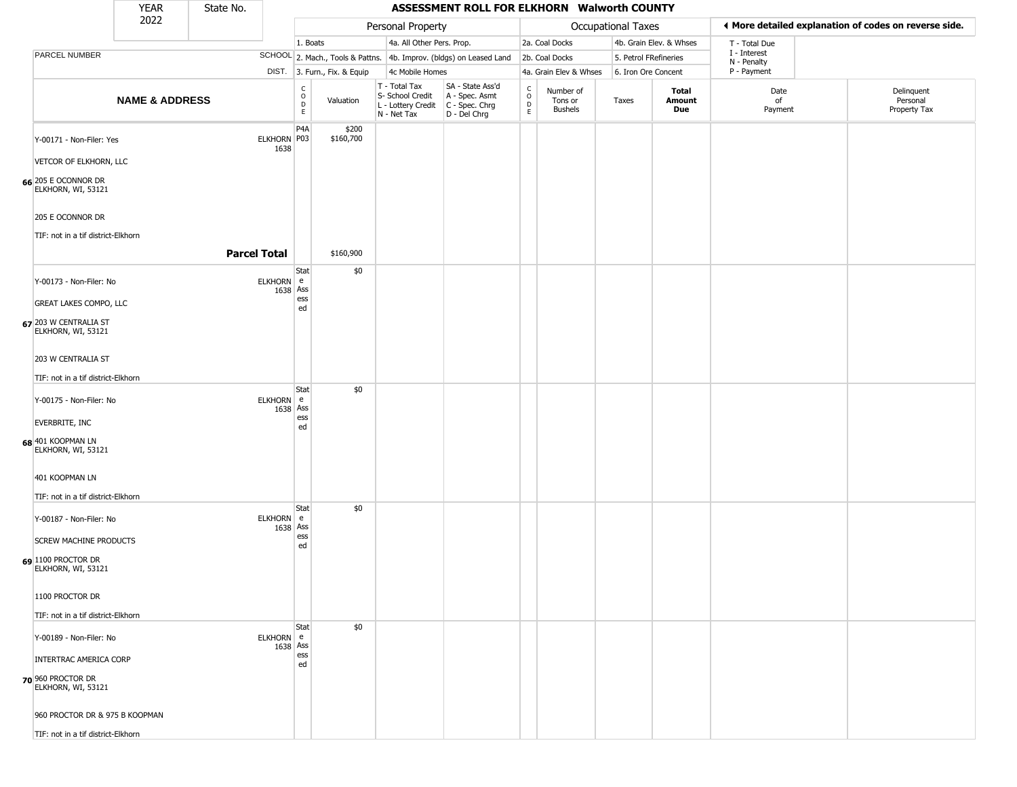|                                             | <b>YEAR</b>               | State No.           |                       |                         |                              |                                                                                         | ASSESSMENT ROLL FOR ELKHORN Walworth COUNTY                         |                                                          |                                        |                    |                         |                             |                                                       |
|---------------------------------------------|---------------------------|---------------------|-----------------------|-------------------------|------------------------------|-----------------------------------------------------------------------------------------|---------------------------------------------------------------------|----------------------------------------------------------|----------------------------------------|--------------------|-------------------------|-----------------------------|-------------------------------------------------------|
|                                             | 2022                      |                     |                       |                         |                              | Personal Property                                                                       |                                                                     |                                                          |                                        | Occupational Taxes |                         |                             | ◀ More detailed explanation of codes on reverse side. |
|                                             |                           |                     |                       | 1. Boats                |                              | 4a. All Other Pers. Prop.                                                               |                                                                     |                                                          | 2a. Coal Docks                         |                    | 4b. Grain Elev. & Whses | T - Total Due               |                                                       |
| PARCEL NUMBER                               |                           |                     |                       |                         |                              |                                                                                         | SCHOOL 2. Mach., Tools & Pattns. 4b. Improv. (bldgs) on Leased Land |                                                          | 2b. Coal Docks                         |                    | 5. Petrol FRefineries   | I - Interest<br>N - Penalty |                                                       |
|                                             |                           |                     |                       |                         | DIST. 3. Furn., Fix. & Equip | 4c Mobile Homes                                                                         |                                                                     |                                                          | 4a. Grain Elev & Whses                 |                    | 6. Iron Ore Concent     | P - Payment                 |                                                       |
|                                             | <b>NAME &amp; ADDRESS</b> |                     |                       | $\frac{c}{0}$<br>D<br>E | Valuation                    | T - Total Tax<br>S- School Credit<br>L - Lottery Credit   C - Spec. Chrg<br>N - Net Tax | SA - State Ass'd<br>A - Spec. Asmt<br>D - Del Chrg                  | $\begin{matrix} 0 \\ 0 \\ 0 \end{matrix}$<br>$\mathsf E$ | Number of<br>Tons or<br><b>Bushels</b> | Taxes              | Total<br>Amount<br>Due  | Date<br>of<br>Payment       | Delinquent<br>Personal<br>Property Tax                |
| Y-00171 - Non-Filer: Yes                    |                           |                     | ELKHORN P03<br>1638   | P4A                     | \$200<br>\$160,700           |                                                                                         |                                                                     |                                                          |                                        |                    |                         |                             |                                                       |
| VETCOR OF ELKHORN, LLC                      |                           |                     |                       |                         |                              |                                                                                         |                                                                     |                                                          |                                        |                    |                         |                             |                                                       |
| 66 205 E OCONNOR DR<br>ELKHORN, WI, 53121   |                           |                     |                       |                         |                              |                                                                                         |                                                                     |                                                          |                                        |                    |                         |                             |                                                       |
| 205 E OCONNOR DR                            |                           |                     |                       |                         |                              |                                                                                         |                                                                     |                                                          |                                        |                    |                         |                             |                                                       |
| TIF: not in a tif district-Elkhorn          |                           |                     |                       |                         |                              |                                                                                         |                                                                     |                                                          |                                        |                    |                         |                             |                                                       |
|                                             |                           | <b>Parcel Total</b> |                       |                         | \$160,900                    |                                                                                         |                                                                     |                                                          |                                        |                    |                         |                             |                                                       |
| Y-00173 - Non-Filer: No                     |                           |                     | ELKHORN e<br>1638 Ass | Stat                    | \$0                          |                                                                                         |                                                                     |                                                          |                                        |                    |                         |                             |                                                       |
| <b>GREAT LAKES COMPO, LLC</b>               |                           |                     |                       | ess<br>ed               |                              |                                                                                         |                                                                     |                                                          |                                        |                    |                         |                             |                                                       |
| 67 203 W CENTRALIA ST<br>ELKHORN, WI, 53121 |                           |                     |                       |                         |                              |                                                                                         |                                                                     |                                                          |                                        |                    |                         |                             |                                                       |
| 203 W CENTRALIA ST                          |                           |                     |                       |                         |                              |                                                                                         |                                                                     |                                                          |                                        |                    |                         |                             |                                                       |
| TIF: not in a tif district-Elkhorn          |                           |                     |                       |                         |                              |                                                                                         |                                                                     |                                                          |                                        |                    |                         |                             |                                                       |
| Y-00175 - Non-Filer: No                     |                           |                     | ELKHORN e<br>1638 Ass | Stat                    | \$0                          |                                                                                         |                                                                     |                                                          |                                        |                    |                         |                             |                                                       |
| <b>EVERBRITE, INC</b>                       |                           |                     |                       | ess<br>ed               |                              |                                                                                         |                                                                     |                                                          |                                        |                    |                         |                             |                                                       |
| 68 401 KOOPMAN LN<br>ELKHORN, WI, 53121     |                           |                     |                       |                         |                              |                                                                                         |                                                                     |                                                          |                                        |                    |                         |                             |                                                       |
| 401 KOOPMAN LN                              |                           |                     |                       |                         |                              |                                                                                         |                                                                     |                                                          |                                        |                    |                         |                             |                                                       |
| TIF: not in a tif district-Elkhorn          |                           |                     |                       | Stat                    | \$0                          |                                                                                         |                                                                     |                                                          |                                        |                    |                         |                             |                                                       |
| Y-00187 - Non-Filer: No                     |                           |                     | ELKHORN e<br>1638 Ass |                         |                              |                                                                                         |                                                                     |                                                          |                                        |                    |                         |                             |                                                       |
| <b>SCREW MACHINE PRODUCTS</b>               |                           |                     |                       | ess<br>ed               |                              |                                                                                         |                                                                     |                                                          |                                        |                    |                         |                             |                                                       |
| 69 1100 PROCTOR DR<br>ELKHORN, WI, 53121    |                           |                     |                       |                         |                              |                                                                                         |                                                                     |                                                          |                                        |                    |                         |                             |                                                       |
| 1100 PROCTOR DR                             |                           |                     |                       |                         |                              |                                                                                         |                                                                     |                                                          |                                        |                    |                         |                             |                                                       |
| TIF: not in a tif district-Elkhorn          |                           |                     |                       |                         |                              |                                                                                         |                                                                     |                                                          |                                        |                    |                         |                             |                                                       |
| Y-00189 - Non-Filer: No                     |                           |                     | ELKHORN e<br>1638 Ass | Stat                    | \$0                          |                                                                                         |                                                                     |                                                          |                                        |                    |                         |                             |                                                       |
| INTERTRAC AMERICA CORP                      |                           |                     |                       | ess<br>ed               |                              |                                                                                         |                                                                     |                                                          |                                        |                    |                         |                             |                                                       |
| 70 960 PROCTOR DR<br>ELKHORN, WI, 53121     |                           |                     |                       |                         |                              |                                                                                         |                                                                     |                                                          |                                        |                    |                         |                             |                                                       |
| 960 PROCTOR DR & 975 B KOOPMAN              |                           |                     |                       |                         |                              |                                                                                         |                                                                     |                                                          |                                        |                    |                         |                             |                                                       |
| TIF: not in a tif district-Elkhorn          |                           |                     |                       |                         |                              |                                                                                         |                                                                     |                                                          |                                        |                    |                         |                             |                                                       |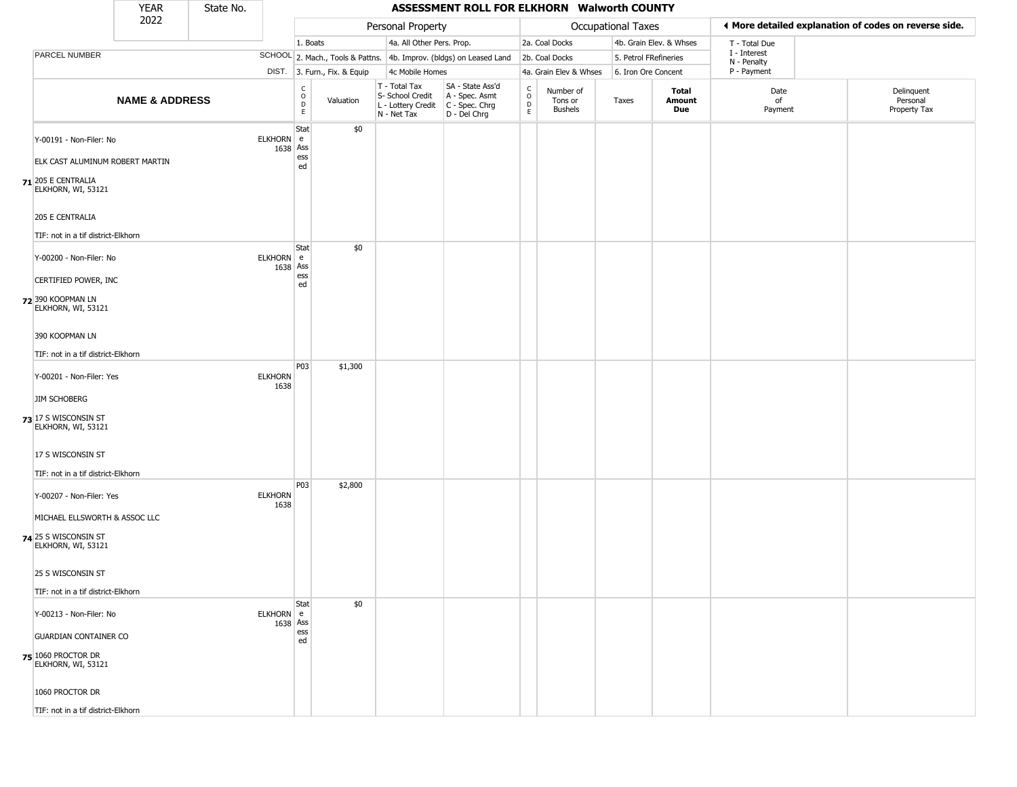|                                                                                                         | <b>YEAR</b>               | State No. |                        |                                   |                              |                                                                        | ASSESSMENT ROLL FOR ELKHORN Walworth COUNTY                            |                                 |                                        |                           |                         |                             |                                                       |
|---------------------------------------------------------------------------------------------------------|---------------------------|-----------|------------------------|-----------------------------------|------------------------------|------------------------------------------------------------------------|------------------------------------------------------------------------|---------------------------------|----------------------------------------|---------------------------|-------------------------|-----------------------------|-------------------------------------------------------|
|                                                                                                         | 2022                      |           |                        |                                   |                              | Personal Property                                                      |                                                                        |                                 |                                        | <b>Occupational Taxes</b> |                         |                             | ◀ More detailed explanation of codes on reverse side. |
|                                                                                                         |                           |           |                        | 1. Boats                          |                              | 4a. All Other Pers. Prop.                                              |                                                                        |                                 | 2a. Coal Docks                         |                           | 4b. Grain Elev. & Whses | T - Total Due               |                                                       |
| PARCEL NUMBER                                                                                           |                           |           |                        |                                   |                              |                                                                        | SCHOOL 2. Mach., Tools & Pattns. 4b. Improv. (bldgs) on Leased Land    |                                 | 2b. Coal Docks                         | 5. Petrol FRefineries     |                         | I - Interest<br>N - Penalty |                                                       |
|                                                                                                         |                           |           |                        |                                   | DIST. 3. Furn., Fix. & Equip | 4c Mobile Homes                                                        |                                                                        |                                 | 4a. Grain Elev & Whses                 | 6. Iron Ore Concent       |                         | P - Payment                 |                                                       |
|                                                                                                         | <b>NAME &amp; ADDRESS</b> |           |                        | $\frac{c}{0}$<br>$\mathsf D$<br>E | Valuation                    | T - Total Tax<br>S- School Credit<br>L - Lottery Credit<br>N - Net Tax | SA - State Ass'd<br>A - Spec. Asmt<br>C - Spec. Chrg<br>$D - Del Chrg$ | $\rm ^c_o$<br>$\mathsf{D}$<br>E | Number of<br>Tons or<br><b>Bushels</b> | Taxes                     | Total<br>Amount<br>Due  | Date<br>of<br>Payment       | Delinquent<br>Personal<br>Property Tax                |
| Y-00191 - Non-Filer: No                                                                                 |                           |           | ELKHORN e<br>1638 Ass  | Stat<br>ess                       | \$0                          |                                                                        |                                                                        |                                 |                                        |                           |                         |                             |                                                       |
| ELK CAST ALUMINUM ROBERT MARTIN<br>$71$ 205 E CENTRALIA<br>ELKHORN, WI, 53121                           |                           |           |                        | ed                                |                              |                                                                        |                                                                        |                                 |                                        |                           |                         |                             |                                                       |
| 205 E CENTRALIA<br>TIF: not in a tif district-Elkhorn                                                   |                           |           |                        |                                   |                              |                                                                        |                                                                        |                                 |                                        |                           |                         |                             |                                                       |
| Y-00200 - Non-Filer: No<br>CERTIFIED POWER, INC<br>72 390 KOOPMAN LN<br>ELKHORN, WI, 53121              |                           |           | ELKHORN e<br>1638 Ass  | Stat<br>ess<br>ed                 | \$0                          |                                                                        |                                                                        |                                 |                                        |                           |                         |                             |                                                       |
| 390 KOOPMAN LN<br>TIF: not in a tif district-Elkhorn                                                    |                           |           |                        |                                   |                              |                                                                        |                                                                        |                                 |                                        |                           |                         |                             |                                                       |
| Y-00201 - Non-Filer: Yes<br><b>JIM SCHOBERG</b><br>73 17 S WISCONSIN ST                                 |                           |           | <b>ELKHORN</b><br>1638 | <b>P03</b>                        | \$1,300                      |                                                                        |                                                                        |                                 |                                        |                           |                         |                             |                                                       |
| ELKHORN, WI, 53121<br>17 S WISCONSIN ST<br>TIF: not in a tif district-Elkhorn                           |                           |           |                        |                                   |                              |                                                                        |                                                                        |                                 |                                        |                           |                         |                             |                                                       |
| Y-00207 - Non-Filer: Yes<br>MICHAEL ELLSWORTH & ASSOC LLC<br>74 25 S WISCONSIN ST<br>ELKHORN, WI, 53121 |                           |           | <b>ELKHORN</b><br>1638 | P03                               | \$2,800                      |                                                                        |                                                                        |                                 |                                        |                           |                         |                             |                                                       |
| 25 S WISCONSIN ST<br>TIF: not in a tif district-Elkhorn                                                 |                           |           |                        |                                   |                              |                                                                        |                                                                        |                                 |                                        |                           |                         |                             |                                                       |
| Y-00213 - Non-Filer: No<br><b>GUARDIAN CONTAINER CO</b>                                                 |                           |           | ELKHORN e<br>1638 Ass  | Stat<br>ess                       | \$0                          |                                                                        |                                                                        |                                 |                                        |                           |                         |                             |                                                       |
| 75 1060 PROCTOR DR<br>ELKHORN, WI, 53121                                                                |                           |           |                        | ed                                |                              |                                                                        |                                                                        |                                 |                                        |                           |                         |                             |                                                       |
| 1060 PROCTOR DR<br>TIF: not in a tif district-Elkhorn                                                   |                           |           |                        |                                   |                              |                                                                        |                                                                        |                                 |                                        |                           |                         |                             |                                                       |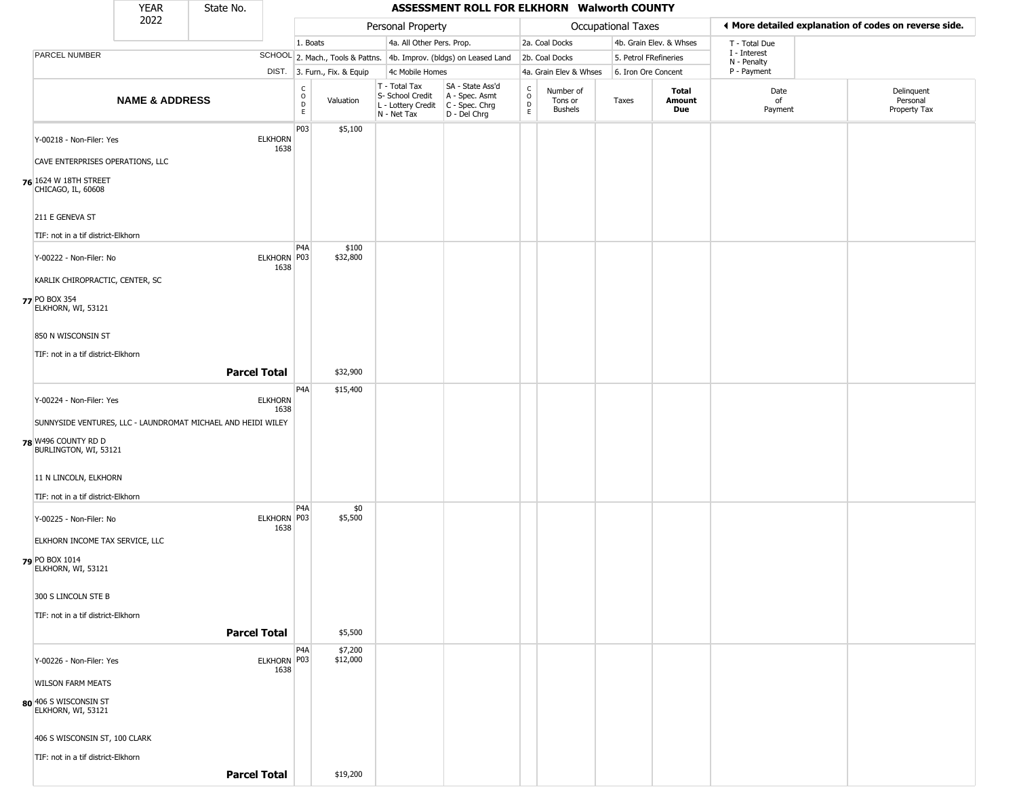|                                                              | <b>YEAR</b>               | State No.           |                        |                                   |                              |                                                  | ASSESSMENT ROLL FOR ELKHORN Walworth COUNTY                                               |                                    |                                 |                           |                         |                             |                                                       |
|--------------------------------------------------------------|---------------------------|---------------------|------------------------|-----------------------------------|------------------------------|--------------------------------------------------|-------------------------------------------------------------------------------------------|------------------------------------|---------------------------------|---------------------------|-------------------------|-----------------------------|-------------------------------------------------------|
|                                                              | 2022                      |                     |                        |                                   |                              | Personal Property                                |                                                                                           |                                    |                                 | <b>Occupational Taxes</b> |                         |                             | ◀ More detailed explanation of codes on reverse side. |
|                                                              |                           |                     |                        | 1. Boats                          |                              | 4a. All Other Pers. Prop.                        |                                                                                           |                                    | 2a. Coal Docks                  |                           | 4b. Grain Elev. & Whses | T - Total Due               |                                                       |
| PARCEL NUMBER                                                |                           |                     |                        |                                   |                              |                                                  | SCHOOL 2. Mach., Tools & Pattns. 4b. Improv. (bldgs) on Leased Land                       |                                    | 2b. Coal Docks                  | 5. Petrol FRefineries     |                         | I - Interest<br>N - Penalty |                                                       |
|                                                              |                           |                     |                        |                                   | DIST. 3. Furn., Fix. & Equip | 4c Mobile Homes                                  |                                                                                           |                                    | 4a. Grain Elev & Whses          | 6. Iron Ore Concent       |                         | P - Payment                 |                                                       |
|                                                              | <b>NAME &amp; ADDRESS</b> |                     |                        | $\frac{C}{O}$<br>D<br>$\mathsf E$ | Valuation                    | T - Total Tax<br>S- School Credit<br>N - Net Tax | SA - State Ass'd<br>A - Spec. Asmt<br>L - Lottery Credit   C - Spec. Chrg<br>D - Del Chrg | $\int_{0}^{c}$<br>$\mathsf D$<br>E | Number of<br>Tons or<br>Bushels | Taxes                     | Total<br>Amount<br>Due  | Date<br>of<br>Payment       | Delinquent<br>Personal<br>Property Tax                |
| Y-00218 - Non-Filer: Yes                                     |                           |                     | <b>ELKHORN</b><br>1638 | P03                               | \$5,100                      |                                                  |                                                                                           |                                    |                                 |                           |                         |                             |                                                       |
| CAVE ENTERPRISES OPERATIONS, LLC                             |                           |                     |                        |                                   |                              |                                                  |                                                                                           |                                    |                                 |                           |                         |                             |                                                       |
| 76 1624 W 18TH STREET<br>CHICAGO, IL, 60608                  |                           |                     |                        |                                   |                              |                                                  |                                                                                           |                                    |                                 |                           |                         |                             |                                                       |
| 211 E GENEVA ST                                              |                           |                     |                        |                                   |                              |                                                  |                                                                                           |                                    |                                 |                           |                         |                             |                                                       |
| TIF: not in a tif district-Elkhorn                           |                           |                     |                        |                                   |                              |                                                  |                                                                                           |                                    |                                 |                           |                         |                             |                                                       |
| Y-00222 - Non-Filer: No                                      |                           |                     | ELKHORN P03<br>1638    | P4A                               | \$100<br>\$32,800            |                                                  |                                                                                           |                                    |                                 |                           |                         |                             |                                                       |
| KARLIK CHIROPRACTIC, CENTER, SC                              |                           |                     |                        |                                   |                              |                                                  |                                                                                           |                                    |                                 |                           |                         |                             |                                                       |
| 77 PO BOX 354<br>ELKHORN, WI, 53121                          |                           |                     |                        |                                   |                              |                                                  |                                                                                           |                                    |                                 |                           |                         |                             |                                                       |
| 850 N WISCONSIN ST                                           |                           |                     |                        |                                   |                              |                                                  |                                                                                           |                                    |                                 |                           |                         |                             |                                                       |
| TIF: not in a tif district-Elkhorn                           |                           |                     |                        |                                   |                              |                                                  |                                                                                           |                                    |                                 |                           |                         |                             |                                                       |
|                                                              |                           | <b>Parcel Total</b> |                        |                                   | \$32,900                     |                                                  |                                                                                           |                                    |                                 |                           |                         |                             |                                                       |
| Y-00224 - Non-Filer: Yes                                     |                           |                     | <b>ELKHORN</b><br>1638 | P4A                               | \$15,400                     |                                                  |                                                                                           |                                    |                                 |                           |                         |                             |                                                       |
| SUNNYSIDE VENTURES, LLC - LAUNDROMAT MICHAEL AND HEIDI WILEY |                           |                     |                        |                                   |                              |                                                  |                                                                                           |                                    |                                 |                           |                         |                             |                                                       |
| 78 W496 COUNTY RD D<br>BURLINGTON, WI, 53121                 |                           |                     |                        |                                   |                              |                                                  |                                                                                           |                                    |                                 |                           |                         |                             |                                                       |
| 11 N LINCOLN, ELKHORN                                        |                           |                     |                        |                                   |                              |                                                  |                                                                                           |                                    |                                 |                           |                         |                             |                                                       |
| TIF: not in a tif district-Elkhorn                           |                           |                     |                        |                                   |                              |                                                  |                                                                                           |                                    |                                 |                           |                         |                             |                                                       |
| Y-00225 - Non-Filer: No                                      |                           |                     | ELKHORN P03<br>1638    | P4A                               | \$0<br>\$5,500               |                                                  |                                                                                           |                                    |                                 |                           |                         |                             |                                                       |
| ELKHORN INCOME TAX SERVICE, LLC                              |                           |                     |                        |                                   |                              |                                                  |                                                                                           |                                    |                                 |                           |                         |                             |                                                       |
| 79 PO BOX 1014<br>ELKHORN, WI, 53121                         |                           |                     |                        |                                   |                              |                                                  |                                                                                           |                                    |                                 |                           |                         |                             |                                                       |
| 300 S LINCOLN STE B                                          |                           |                     |                        |                                   |                              |                                                  |                                                                                           |                                    |                                 |                           |                         |                             |                                                       |
| TIF: not in a tif district-Elkhorn                           |                           |                     |                        |                                   |                              |                                                  |                                                                                           |                                    |                                 |                           |                         |                             |                                                       |
|                                                              |                           | <b>Parcel Total</b> |                        |                                   | \$5,500                      |                                                  |                                                                                           |                                    |                                 |                           |                         |                             |                                                       |
| Y-00226 - Non-Filer: Yes                                     |                           |                     | ELKHORN P03<br>1638    | P4A                               | \$7,200<br>\$12,000          |                                                  |                                                                                           |                                    |                                 |                           |                         |                             |                                                       |
| <b>WILSON FARM MEATS</b>                                     |                           |                     |                        |                                   |                              |                                                  |                                                                                           |                                    |                                 |                           |                         |                             |                                                       |
| 80 406 S WISCONSIN ST<br>ELKHORN, WI, 53121                  |                           |                     |                        |                                   |                              |                                                  |                                                                                           |                                    |                                 |                           |                         |                             |                                                       |
| 406 S WISCONSIN ST, 100 CLARK                                |                           |                     |                        |                                   |                              |                                                  |                                                                                           |                                    |                                 |                           |                         |                             |                                                       |
| TIF: not in a tif district-Elkhorn                           |                           |                     |                        |                                   |                              |                                                  |                                                                                           |                                    |                                 |                           |                         |                             |                                                       |
|                                                              |                           | <b>Parcel Total</b> |                        |                                   | \$19,200                     |                                                  |                                                                                           |                                    |                                 |                           |                         |                             |                                                       |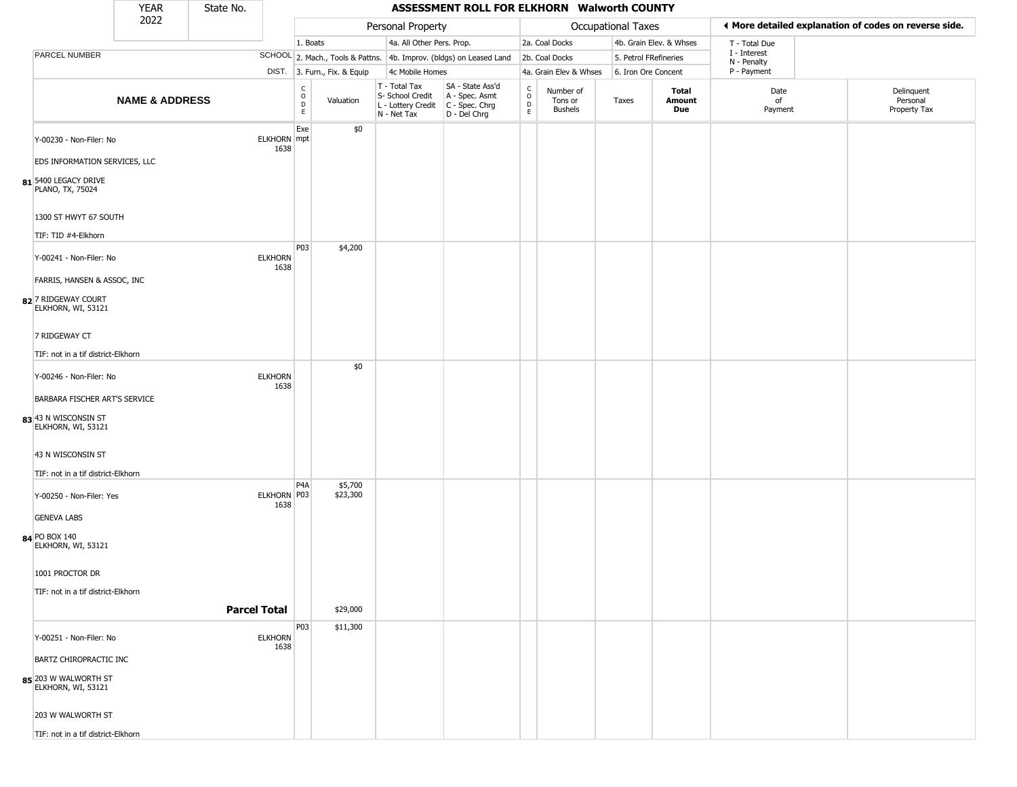|                                            | <b>YEAR</b>               | State No. |                            |                   |                              |                                                                        | ASSESSMENT ROLL FOR ELKHORN Walworth COUNTY                            |                                       |                                        |                       |                               |                             |                                                       |
|--------------------------------------------|---------------------------|-----------|----------------------------|-------------------|------------------------------|------------------------------------------------------------------------|------------------------------------------------------------------------|---------------------------------------|----------------------------------------|-----------------------|-------------------------------|-----------------------------|-------------------------------------------------------|
|                                            | 2022                      |           |                            |                   |                              | Personal Property                                                      |                                                                        |                                       |                                        | Occupational Taxes    |                               |                             | ♦ More detailed explanation of codes on reverse side. |
|                                            |                           |           |                            | 1. Boats          |                              | 4a. All Other Pers. Prop.                                              |                                                                        |                                       | 2a. Coal Docks                         |                       | 4b. Grain Elev. & Whses       | T - Total Due               |                                                       |
| PARCEL NUMBER                              |                           |           |                            |                   |                              |                                                                        | SCHOOL 2. Mach., Tools & Pattns. 4b. Improv. (bldgs) on Leased Land    |                                       | 2b. Coal Docks                         | 5. Petrol FRefineries |                               | I - Interest<br>N - Penalty |                                                       |
|                                            |                           |           |                            |                   | DIST. 3. Furn., Fix. & Equip | 4c Mobile Homes                                                        |                                                                        |                                       | 4a. Grain Elev & Whses                 | 6. Iron Ore Concent   |                               | P - Payment                 |                                                       |
|                                            | <b>NAME &amp; ADDRESS</b> |           |                            | C<br>0<br>D<br>E. | Valuation                    | T - Total Tax<br>S- School Credit<br>L - Lottery Credit<br>N - Net Tax | SA - State Ass'd<br>A - Spec. Asmt<br>$C - Spec. Chrg$<br>D - Del Chrg | $\mathsf{C}$<br>$\mathsf O$<br>D<br>E | Number of<br>Tons or<br><b>Bushels</b> | Taxes                 | <b>Total</b><br>Amount<br>Due | Date<br>of<br>Payment       | Delinquent<br>Personal<br>Property Tax                |
| Y-00230 - Non-Filer: No                    |                           |           | <b>ELKHORN</b> mpt<br>1638 | Exe               | \$0                          |                                                                        |                                                                        |                                       |                                        |                       |                               |                             |                                                       |
| EDS INFORMATION SERVICES, LLC              |                           |           |                            |                   |                              |                                                                        |                                                                        |                                       |                                        |                       |                               |                             |                                                       |
| 81 5400 LEGACY DRIVE<br>PLANO, TX, 75024   |                           |           |                            |                   |                              |                                                                        |                                                                        |                                       |                                        |                       |                               |                             |                                                       |
| 1300 ST HWYT 67 SOUTH                      |                           |           |                            |                   |                              |                                                                        |                                                                        |                                       |                                        |                       |                               |                             |                                                       |
| TIF: TID #4-Elkhorn                        |                           |           |                            |                   |                              |                                                                        |                                                                        |                                       |                                        |                       |                               |                             |                                                       |
| Y-00241 - Non-Filer: No                    |                           |           | <b>ELKHORN</b><br>1638     | P03               | \$4,200                      |                                                                        |                                                                        |                                       |                                        |                       |                               |                             |                                                       |
| FARRIS, HANSEN & ASSOC, INC                |                           |           |                            |                   |                              |                                                                        |                                                                        |                                       |                                        |                       |                               |                             |                                                       |
| 82 7 RIDGEWAY COURT<br>ELKHORN, WI, 53121  |                           |           |                            |                   |                              |                                                                        |                                                                        |                                       |                                        |                       |                               |                             |                                                       |
| 7 RIDGEWAY CT                              |                           |           |                            |                   |                              |                                                                        |                                                                        |                                       |                                        |                       |                               |                             |                                                       |
| TIF: not in a tif district-Elkhorn         |                           |           |                            |                   |                              |                                                                        |                                                                        |                                       |                                        |                       |                               |                             |                                                       |
| Y-00246 - Non-Filer: No                    |                           |           | <b>ELKHORN</b><br>1638     |                   | \$0                          |                                                                        |                                                                        |                                       |                                        |                       |                               |                             |                                                       |
| BARBARA FISCHER ART'S SERVICE              |                           |           |                            |                   |                              |                                                                        |                                                                        |                                       |                                        |                       |                               |                             |                                                       |
| 83 43 N WISCONSIN ST<br>ELKHORN, WI, 53121 |                           |           |                            |                   |                              |                                                                        |                                                                        |                                       |                                        |                       |                               |                             |                                                       |
| 43 N WISCONSIN ST                          |                           |           |                            |                   |                              |                                                                        |                                                                        |                                       |                                        |                       |                               |                             |                                                       |
| TIF: not in a tif district-Elkhorn         |                           |           |                            |                   |                              |                                                                        |                                                                        |                                       |                                        |                       |                               |                             |                                                       |
| Y-00250 - Non-Filer: Yes                   |                           |           | ELKHORN P03<br>1638        | P <sub>4</sub> A  | \$5,700<br>\$23,300          |                                                                        |                                                                        |                                       |                                        |                       |                               |                             |                                                       |
| <b>GENEVA LABS</b>                         |                           |           |                            |                   |                              |                                                                        |                                                                        |                                       |                                        |                       |                               |                             |                                                       |
| 84 PO BOX 140<br>ELKHORN, WI, 53121        |                           |           |                            |                   |                              |                                                                        |                                                                        |                                       |                                        |                       |                               |                             |                                                       |
| 1001 PROCTOR DR                            |                           |           |                            |                   |                              |                                                                        |                                                                        |                                       |                                        |                       |                               |                             |                                                       |
| TIF: not in a tif district-Elkhorn         |                           |           |                            |                   |                              |                                                                        |                                                                        |                                       |                                        |                       |                               |                             |                                                       |
|                                            |                           |           | <b>Parcel Total</b>        |                   | \$29,000                     |                                                                        |                                                                        |                                       |                                        |                       |                               |                             |                                                       |
| Y-00251 - Non-Filer: No                    |                           |           | <b>ELKHORN</b><br>1638     | P03               | \$11,300                     |                                                                        |                                                                        |                                       |                                        |                       |                               |                             |                                                       |
| BARTZ CHIROPRACTIC INC                     |                           |           |                            |                   |                              |                                                                        |                                                                        |                                       |                                        |                       |                               |                             |                                                       |
| 85 203 W WALWORTH ST<br>ELKHORN, WI, 53121 |                           |           |                            |                   |                              |                                                                        |                                                                        |                                       |                                        |                       |                               |                             |                                                       |
| 203 W WALWORTH ST                          |                           |           |                            |                   |                              |                                                                        |                                                                        |                                       |                                        |                       |                               |                             |                                                       |
| TIF: not in a tif district-Elkhorn         |                           |           |                            |                   |                              |                                                                        |                                                                        |                                       |                                        |                       |                               |                             |                                                       |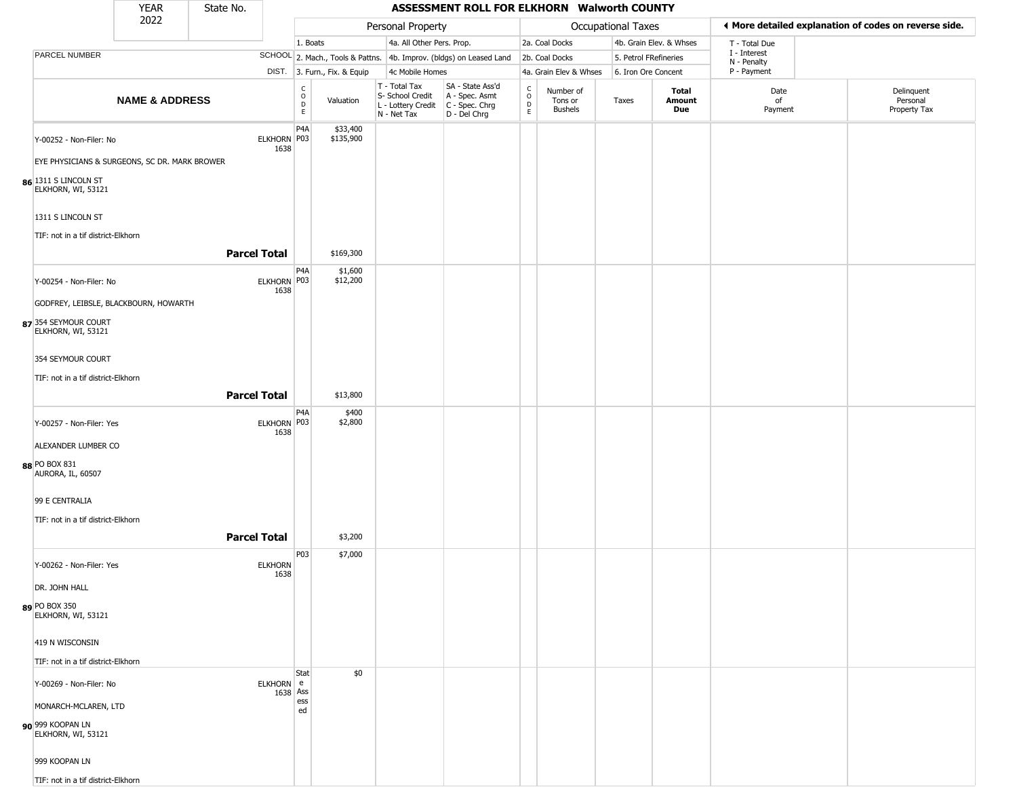|                                               | <b>YEAR</b><br>2022       | State No.           |                        |                                |                              |                                                                                       | ASSESSMENT ROLL FOR ELKHORN Walworth COUNTY                         |                                   |                                        |                       |                               |                                                       |                                        |
|-----------------------------------------------|---------------------------|---------------------|------------------------|--------------------------------|------------------------------|---------------------------------------------------------------------------------------|---------------------------------------------------------------------|-----------------------------------|----------------------------------------|-----------------------|-------------------------------|-------------------------------------------------------|----------------------------------------|
|                                               |                           |                     |                        |                                | Personal Property            |                                                                                       |                                                                     |                                   | Occupational Taxes                     |                       |                               | ♦ More detailed explanation of codes on reverse side. |                                        |
|                                               |                           |                     |                        | 1. Boats                       |                              | 4a. All Other Pers. Prop.                                                             |                                                                     |                                   | 2a. Coal Docks                         |                       | 4b. Grain Elev. & Whses       | T - Total Due                                         |                                        |
| PARCEL NUMBER                                 |                           |                     |                        |                                |                              |                                                                                       | SCHOOL 2. Mach., Tools & Pattns. 4b. Improv. (bldgs) on Leased Land |                                   | 2b. Coal Docks                         | 5. Petrol FRefineries |                               | I - Interest<br>N - Penalty                           |                                        |
|                                               |                           |                     |                        |                                | DIST. 3. Furn., Fix. & Equip | 4c Mobile Homes                                                                       |                                                                     |                                   | 4a. Grain Elev & Whses                 | 6. Iron Ore Concent   |                               | P - Payment                                           |                                        |
|                                               | <b>NAME &amp; ADDRESS</b> |                     |                        | $\rm _o^c$<br>$\mathsf D$<br>E | Valuation                    | T - Total Tax<br>S- School Credit<br>L - Lottery Credit C - Spec. Chrg<br>N - Net Tax | SA - State Ass'd<br>A - Spec. Asmt<br>D - Del Chrg                  | $\frac{c}{0}$<br>$\mathsf D$<br>E | Number of<br>Tons or<br><b>Bushels</b> | Taxes                 | <b>Total</b><br>Amount<br>Due | Date<br>of<br>Payment                                 | Delinquent<br>Personal<br>Property Tax |
| Y-00252 - Non-Filer: No                       |                           |                     | ELKHORN P03<br>1638    | P4A                            | \$33,400<br>\$135,900        |                                                                                       |                                                                     |                                   |                                        |                       |                               |                                                       |                                        |
| EYE PHYSICIANS & SURGEONS, SC DR. MARK BROWER |                           |                     |                        |                                |                              |                                                                                       |                                                                     |                                   |                                        |                       |                               |                                                       |                                        |
| 86 1311 S LINCOLN ST<br>ELKHORN, WI, 53121    |                           |                     |                        |                                |                              |                                                                                       |                                                                     |                                   |                                        |                       |                               |                                                       |                                        |
| 1311 S LINCOLN ST                             |                           |                     |                        |                                |                              |                                                                                       |                                                                     |                                   |                                        |                       |                               |                                                       |                                        |
| TIF: not in a tif district-Elkhorn            |                           | <b>Parcel Total</b> |                        |                                | \$169,300                    |                                                                                       |                                                                     |                                   |                                        |                       |                               |                                                       |                                        |
| Y-00254 - Non-Filer: No                       |                           |                     | ELKHORN P03<br>1638    | P4A                            | \$1,600<br>\$12,200          |                                                                                       |                                                                     |                                   |                                        |                       |                               |                                                       |                                        |
| GODFREY, LEIBSLE, BLACKBOURN, HOWARTH         |                           |                     |                        |                                |                              |                                                                                       |                                                                     |                                   |                                        |                       |                               |                                                       |                                        |
| 87 354 SEYMOUR COURT<br>ELKHORN, WI, 53121    |                           |                     |                        |                                |                              |                                                                                       |                                                                     |                                   |                                        |                       |                               |                                                       |                                        |
| 354 SEYMOUR COURT                             |                           |                     |                        |                                |                              |                                                                                       |                                                                     |                                   |                                        |                       |                               |                                                       |                                        |
| TIF: not in a tif district-Elkhorn            |                           | <b>Parcel Total</b> |                        |                                | \$13,800                     |                                                                                       |                                                                     |                                   |                                        |                       |                               |                                                       |                                        |
|                                               |                           |                     |                        |                                |                              |                                                                                       |                                                                     |                                   |                                        |                       |                               |                                                       |                                        |
| Y-00257 - Non-Filer: Yes                      |                           |                     | ELKHORN P03<br>1638    | P4A                            | \$400<br>\$2,800             |                                                                                       |                                                                     |                                   |                                        |                       |                               |                                                       |                                        |
| ALEXANDER LUMBER CO                           |                           |                     |                        |                                |                              |                                                                                       |                                                                     |                                   |                                        |                       |                               |                                                       |                                        |
| 88 PO BOX 831<br>AURORA, IL, 60507            |                           |                     |                        |                                |                              |                                                                                       |                                                                     |                                   |                                        |                       |                               |                                                       |                                        |
| 99 E CENTRALIA                                |                           |                     |                        |                                |                              |                                                                                       |                                                                     |                                   |                                        |                       |                               |                                                       |                                        |
| TIF: not in a tif district-Elkhorn            |                           |                     |                        |                                |                              |                                                                                       |                                                                     |                                   |                                        |                       |                               |                                                       |                                        |
|                                               |                           | <b>Parcel Total</b> |                        |                                | \$3,200                      |                                                                                       |                                                                     |                                   |                                        |                       |                               |                                                       |                                        |
| Y-00262 - Non-Filer: Yes                      |                           |                     | <b>ELKHORN</b><br>1638 | P03                            | \$7,000                      |                                                                                       |                                                                     |                                   |                                        |                       |                               |                                                       |                                        |
| DR. JOHN HALL                                 |                           |                     |                        |                                |                              |                                                                                       |                                                                     |                                   |                                        |                       |                               |                                                       |                                        |
| 89 PO BOX 350<br>ELKHORN, WI, 53121           |                           |                     |                        |                                |                              |                                                                                       |                                                                     |                                   |                                        |                       |                               |                                                       |                                        |
| 419 N WISCONSIN                               |                           |                     |                        |                                |                              |                                                                                       |                                                                     |                                   |                                        |                       |                               |                                                       |                                        |
| TIF: not in a tif district-Elkhorn            |                           |                     |                        |                                |                              |                                                                                       |                                                                     |                                   |                                        |                       |                               |                                                       |                                        |
| Y-00269 - Non-Filer: No                       |                           |                     | ELKHORN e<br>1638 Ass  | Stat                           | \$0                          |                                                                                       |                                                                     |                                   |                                        |                       |                               |                                                       |                                        |
| MONARCH-MCLAREN, LTD                          |                           |                     |                        | ess<br>ed                      |                              |                                                                                       |                                                                     |                                   |                                        |                       |                               |                                                       |                                        |
| 90 999 KOOPAN LN<br>ELKHORN, WI, 53121        |                           |                     |                        |                                |                              |                                                                                       |                                                                     |                                   |                                        |                       |                               |                                                       |                                        |
| 999 KOOPAN LN                                 |                           |                     |                        |                                |                              |                                                                                       |                                                                     |                                   |                                        |                       |                               |                                                       |                                        |
| TIF: not in a tif district-Elkhorn            |                           |                     |                        |                                |                              |                                                                                       |                                                                     |                                   |                                        |                       |                               |                                                       |                                        |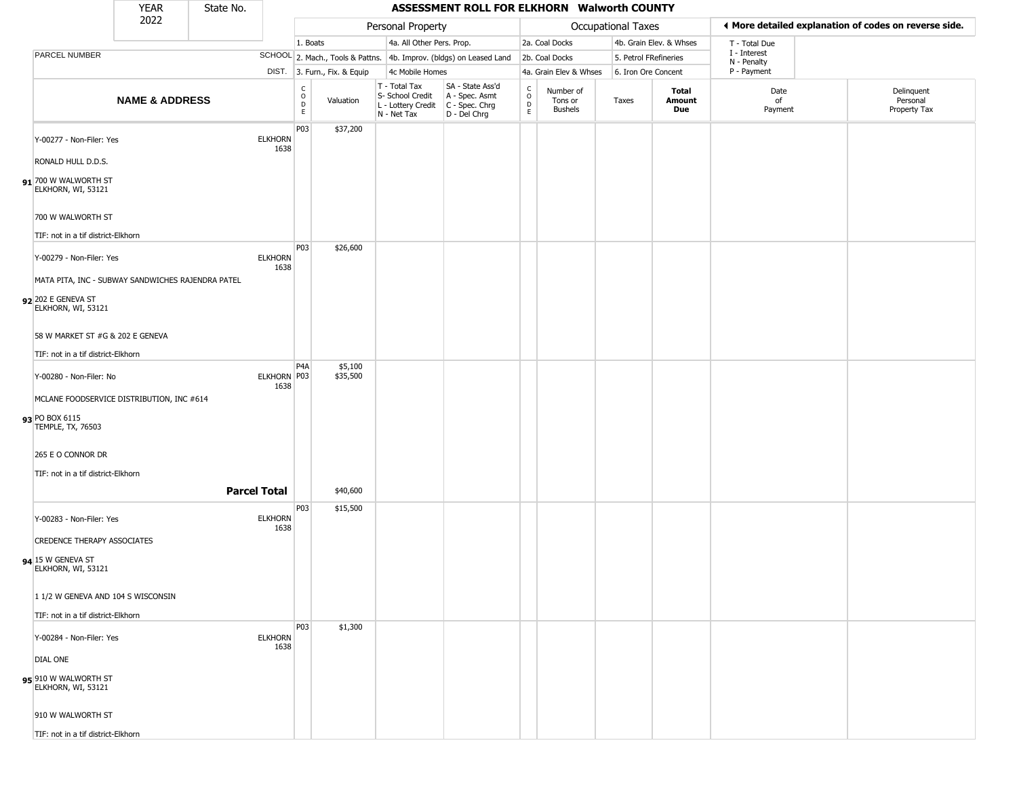|                                              | <b>YEAR</b>                                       | State No. |                        |                                                          |                              |                                                  | ASSESSMENT ROLL FOR ELKHORN Walworth COUNTY                                               |                                                          |                                        |                           |                         |                             |                                                       |
|----------------------------------------------|---------------------------------------------------|-----------|------------------------|----------------------------------------------------------|------------------------------|--------------------------------------------------|-------------------------------------------------------------------------------------------|----------------------------------------------------------|----------------------------------------|---------------------------|-------------------------|-----------------------------|-------------------------------------------------------|
|                                              | 2022                                              |           |                        |                                                          |                              | Personal Property                                |                                                                                           |                                                          |                                        | <b>Occupational Taxes</b> |                         |                             | ♦ More detailed explanation of codes on reverse side. |
|                                              |                                                   |           |                        | 1. Boats                                                 |                              |                                                  | 4a. All Other Pers. Prop.                                                                 |                                                          | 2a. Coal Docks                         |                           | 4b. Grain Elev. & Whses | T - Total Due               |                                                       |
| <b>PARCEL NUMBER</b>                         |                                                   |           |                        |                                                          |                              |                                                  | SCHOOL 2. Mach., Tools & Pattns. 4b. Improv. (bldgs) on Leased Land                       |                                                          | 2b. Coal Docks                         | 5. Petrol FRefineries     |                         | I - Interest<br>N - Penalty |                                                       |
|                                              |                                                   |           |                        |                                                          | DIST. 3. Furn., Fix. & Equip | 4c Mobile Homes                                  |                                                                                           |                                                          | 4a. Grain Elev & Whses                 | 6. Iron Ore Concent       |                         | P - Payment                 |                                                       |
|                                              | <b>NAME &amp; ADDRESS</b>                         |           |                        | $\begin{smallmatrix} C \\ O \\ D \end{smallmatrix}$<br>E | Valuation                    | T - Total Tax<br>S- School Credit<br>N - Net Tax | SA - State Ass'd<br>A - Spec. Asmt<br>L - Lottery Credit   C - Spec. Chrg<br>D - Del Chrg | $\begin{smallmatrix} C \\ 0 \\ D \end{smallmatrix}$<br>E | Number of<br>Tons or<br><b>Bushels</b> | Taxes                     | Total<br>Amount<br>Due  | Date<br>of<br>Payment       | Delinquent<br>Personal<br>Property Tax                |
| Y-00277 - Non-Filer: Yes                     |                                                   |           | <b>ELKHORN</b><br>1638 | P03                                                      | \$37,200                     |                                                  |                                                                                           |                                                          |                                        |                           |                         |                             |                                                       |
| RONALD HULL D.D.S.                           |                                                   |           |                        |                                                          |                              |                                                  |                                                                                           |                                                          |                                        |                           |                         |                             |                                                       |
| $91$ 700 W WALWORTH ST<br>ELKHORN, WI, 53121 |                                                   |           |                        |                                                          |                              |                                                  |                                                                                           |                                                          |                                        |                           |                         |                             |                                                       |
| 700 W WALWORTH ST                            |                                                   |           |                        |                                                          |                              |                                                  |                                                                                           |                                                          |                                        |                           |                         |                             |                                                       |
| TIF: not in a tif district-Elkhorn           |                                                   |           |                        |                                                          |                              |                                                  |                                                                                           |                                                          |                                        |                           |                         |                             |                                                       |
| Y-00279 - Non-Filer: Yes                     |                                                   |           | <b>ELKHORN</b><br>1638 | <b>P03</b>                                               | \$26,600                     |                                                  |                                                                                           |                                                          |                                        |                           |                         |                             |                                                       |
|                                              | MATA PITA, INC - SUBWAY SANDWICHES RAJENDRA PATEL |           |                        |                                                          |                              |                                                  |                                                                                           |                                                          |                                        |                           |                         |                             |                                                       |
| 92 202 E GENEVA ST<br>ELKHORN, WI, 53121     |                                                   |           |                        |                                                          |                              |                                                  |                                                                                           |                                                          |                                        |                           |                         |                             |                                                       |
| 58 W MARKET ST #G & 202 E GENEVA             |                                                   |           |                        |                                                          |                              |                                                  |                                                                                           |                                                          |                                        |                           |                         |                             |                                                       |
| TIF: not in a tif district-Elkhorn           |                                                   |           |                        |                                                          |                              |                                                  |                                                                                           |                                                          |                                        |                           |                         |                             |                                                       |
| Y-00280 - Non-Filer: No                      |                                                   |           | ELKHORN P03<br>1638    | P <sub>4</sub> A                                         | \$5,100<br>\$35,500          |                                                  |                                                                                           |                                                          |                                        |                           |                         |                             |                                                       |
|                                              | MCLANE FOODSERVICE DISTRIBUTION, INC #614         |           |                        |                                                          |                              |                                                  |                                                                                           |                                                          |                                        |                           |                         |                             |                                                       |
| 93 PO BOX 6115<br>TEMPLE, TX, 76503          |                                                   |           |                        |                                                          |                              |                                                  |                                                                                           |                                                          |                                        |                           |                         |                             |                                                       |
| 265 E O CONNOR DR                            |                                                   |           |                        |                                                          |                              |                                                  |                                                                                           |                                                          |                                        |                           |                         |                             |                                                       |
| TIF: not in a tif district-Elkhorn           |                                                   |           |                        |                                                          |                              |                                                  |                                                                                           |                                                          |                                        |                           |                         |                             |                                                       |
|                                              |                                                   |           | <b>Parcel Total</b>    |                                                          | \$40,600                     |                                                  |                                                                                           |                                                          |                                        |                           |                         |                             |                                                       |
| Y-00283 - Non-Filer: Yes                     |                                                   |           | <b>ELKHORN</b><br>1638 | P03                                                      | \$15,500                     |                                                  |                                                                                           |                                                          |                                        |                           |                         |                             |                                                       |
| <b>CREDENCE THERAPY ASSOCIATES</b>           |                                                   |           |                        |                                                          |                              |                                                  |                                                                                           |                                                          |                                        |                           |                         |                             |                                                       |
| 94 15 W GENEVA ST<br>ELKHORN, WI, 53121      |                                                   |           |                        |                                                          |                              |                                                  |                                                                                           |                                                          |                                        |                           |                         |                             |                                                       |
| 1 1/2 W GENEVA AND 104 S WISCONSIN           |                                                   |           |                        |                                                          |                              |                                                  |                                                                                           |                                                          |                                        |                           |                         |                             |                                                       |
| TIF: not in a tif district-Elkhorn           |                                                   |           |                        |                                                          |                              |                                                  |                                                                                           |                                                          |                                        |                           |                         |                             |                                                       |
| Y-00284 - Non-Filer: Yes                     |                                                   |           | <b>ELKHORN</b><br>1638 | <b>P03</b>                                               | \$1,300                      |                                                  |                                                                                           |                                                          |                                        |                           |                         |                             |                                                       |
| <b>DIAL ONE</b>                              |                                                   |           |                        |                                                          |                              |                                                  |                                                                                           |                                                          |                                        |                           |                         |                             |                                                       |
| 95 910 W WALWORTH ST<br>ELKHORN, WI, 53121   |                                                   |           |                        |                                                          |                              |                                                  |                                                                                           |                                                          |                                        |                           |                         |                             |                                                       |
| 910 W WALWORTH ST                            |                                                   |           |                        |                                                          |                              |                                                  |                                                                                           |                                                          |                                        |                           |                         |                             |                                                       |
| TIF: not in a tif district-Elkhorn           |                                                   |           |                        |                                                          |                              |                                                  |                                                                                           |                                                          |                                        |                           |                         |                             |                                                       |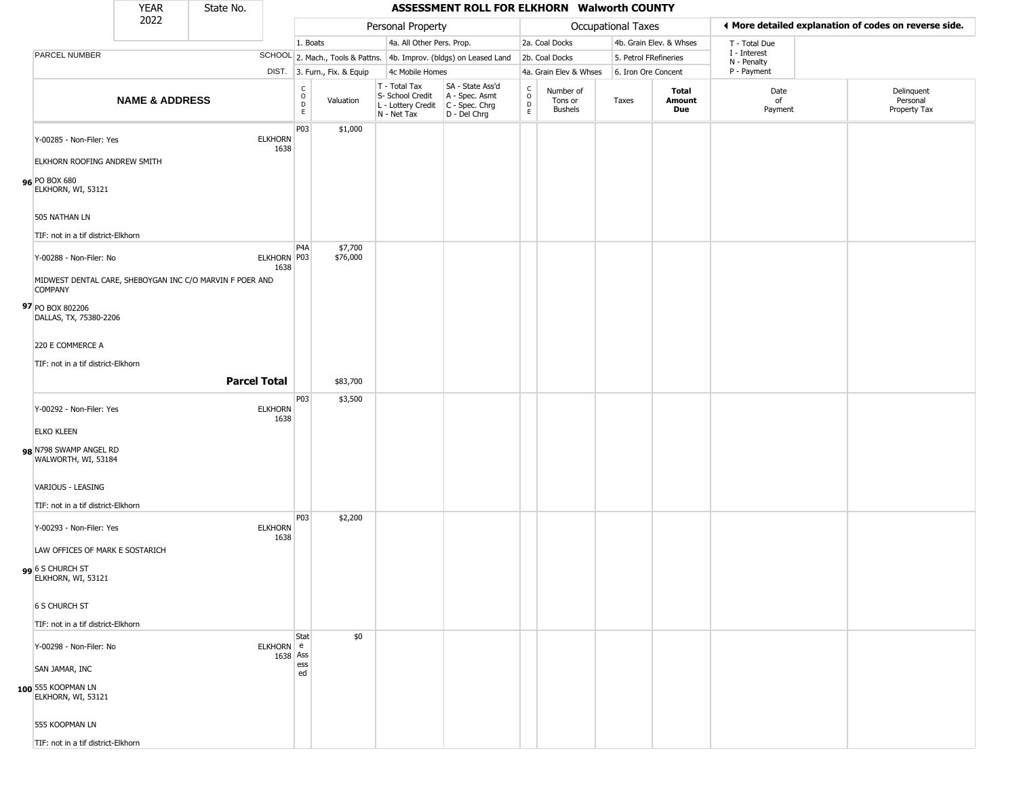|                                                                                                | <b>YEAR</b>               | State No.           |                        |                                |                              |                                                                        | ASSESSMENT ROLL FOR ELKHORN Walworth COUNTY                          |                                                   |                                 |                       |                         |                             |                                                       |
|------------------------------------------------------------------------------------------------|---------------------------|---------------------|------------------------|--------------------------------|------------------------------|------------------------------------------------------------------------|----------------------------------------------------------------------|---------------------------------------------------|---------------------------------|-----------------------|-------------------------|-----------------------------|-------------------------------------------------------|
|                                                                                                | 2022                      |                     |                        |                                |                              | Personal Property                                                      |                                                                      |                                                   |                                 | Occupational Taxes    |                         |                             | ♦ More detailed explanation of codes on reverse side. |
|                                                                                                |                           |                     |                        | 1. Boats                       |                              | 4a. All Other Pers. Prop.                                              |                                                                      |                                                   | 2a. Coal Docks                  |                       | 4b. Grain Elev. & Whses | T - Total Due               |                                                       |
| PARCEL NUMBER                                                                                  |                           |                     |                        |                                |                              |                                                                        | SCHOOL 2. Mach., Tools & Pattns. 4b. Improv. (bldgs) on Leased Land  |                                                   | 2b. Coal Docks                  | 5. Petrol FRefineries |                         | I - Interest<br>N - Penalty |                                                       |
|                                                                                                |                           |                     |                        |                                | DIST. 3. Furn., Fix. & Equip | 4c Mobile Homes                                                        |                                                                      |                                                   | 4a. Grain Elev & Whses          | 6. Iron Ore Concent   |                         | P - Payment                 |                                                       |
|                                                                                                | <b>NAME &amp; ADDRESS</b> |                     |                        | $\rm _o^C$<br>D<br>$\mathsf E$ | Valuation                    | T - Total Tax<br>S- School Credit<br>L - Lottery Credit<br>N - Net Tax | SA - State Ass'd<br>A - Spec. Asmt<br>C - Spec. Chrg<br>D - Del Chrg | $\begin{array}{c}\nC \\ O \\ D \\ E\n\end{array}$ | Number of<br>Tons or<br>Bushels | Taxes                 | Total<br>Amount<br>Due  | Date<br>of<br>Payment       | Delinquent<br>Personal<br>Property Tax                |
| Y-00285 - Non-Filer: Yes                                                                       |                           |                     | <b>ELKHORN</b><br>1638 | P03                            | \$1,000                      |                                                                        |                                                                      |                                                   |                                 |                       |                         |                             |                                                       |
| ELKHORN ROOFING ANDREW SMITH<br>96 PO BOX 680<br>ELKHORN, WI, 53121                            |                           |                     |                        |                                |                              |                                                                        |                                                                      |                                                   |                                 |                       |                         |                             |                                                       |
| 505 NATHAN LN                                                                                  |                           |                     |                        |                                |                              |                                                                        |                                                                      |                                                   |                                 |                       |                         |                             |                                                       |
| TIF: not in a tif district-Elkhorn                                                             |                           |                     |                        |                                |                              |                                                                        |                                                                      |                                                   |                                 |                       |                         |                             |                                                       |
| Y-00288 - Non-Filer: No                                                                        |                           |                     | ELKHORN P03<br>1638    | P <sub>4</sub> A               | \$7,700<br>\$76,000          |                                                                        |                                                                      |                                                   |                                 |                       |                         |                             |                                                       |
| MIDWEST DENTAL CARE, SHEBOYGAN INC C/O MARVIN F POER AND<br><b>COMPANY</b><br>97 PO BOX 802206 |                           |                     |                        |                                |                              |                                                                        |                                                                      |                                                   |                                 |                       |                         |                             |                                                       |
| DALLAS, TX, 75380-2206<br>220 E COMMERCE A                                                     |                           |                     |                        |                                |                              |                                                                        |                                                                      |                                                   |                                 |                       |                         |                             |                                                       |
| TIF: not in a tif district-Elkhorn                                                             |                           |                     |                        |                                |                              |                                                                        |                                                                      |                                                   |                                 |                       |                         |                             |                                                       |
|                                                                                                |                           | <b>Parcel Total</b> |                        |                                | \$83,700                     |                                                                        |                                                                      |                                                   |                                 |                       |                         |                             |                                                       |
| Y-00292 - Non-Filer: Yes<br><b>ELKO KLEEN</b>                                                  |                           |                     | <b>ELKHORN</b><br>1638 | P03                            | \$3,500                      |                                                                        |                                                                      |                                                   |                                 |                       |                         |                             |                                                       |
| 98 N798 SWAMP ANGEL RD<br>WALWORTH, WI, 53184                                                  |                           |                     |                        |                                |                              |                                                                        |                                                                      |                                                   |                                 |                       |                         |                             |                                                       |
| VARIOUS - LEASING<br>TIF: not in a tif district-Elkhorn                                        |                           |                     |                        |                                |                              |                                                                        |                                                                      |                                                   |                                 |                       |                         |                             |                                                       |
| Y-00293 - Non-Filer: Yes                                                                       |                           |                     | <b>ELKHORN</b><br>1638 | P03                            | \$2,200                      |                                                                        |                                                                      |                                                   |                                 |                       |                         |                             |                                                       |
| LAW OFFICES OF MARK E SOSTARICH<br>6 S CHURCH ST<br>ELKHORN, WI, 53121                         |                           |                     |                        |                                |                              |                                                                        |                                                                      |                                                   |                                 |                       |                         |                             |                                                       |
| <b>6 S CHURCH ST</b>                                                                           |                           |                     |                        |                                |                              |                                                                        |                                                                      |                                                   |                                 |                       |                         |                             |                                                       |
| TIF: not in a tif district-Elkhorn                                                             |                           |                     |                        |                                |                              |                                                                        |                                                                      |                                                   |                                 |                       |                         |                             |                                                       |
| Y-00298 - Non-Filer: No                                                                        |                           |                     | ELKHORN e<br>1638 Ass  | Stat                           | \$0                          |                                                                        |                                                                      |                                                   |                                 |                       |                         |                             |                                                       |
| SAN JAMAR, INC<br>100 555 KOOPMAN LN<br>ELKHORN, WI, 53121                                     |                           |                     |                        | ess<br>ed                      |                              |                                                                        |                                                                      |                                                   |                                 |                       |                         |                             |                                                       |
| 555 KOOPMAN LN                                                                                 |                           |                     |                        |                                |                              |                                                                        |                                                                      |                                                   |                                 |                       |                         |                             |                                                       |
| TIF: not in a tif district-Elkhorn                                                             |                           |                     |                        |                                |                              |                                                                        |                                                                      |                                                   |                                 |                       |                         |                             |                                                       |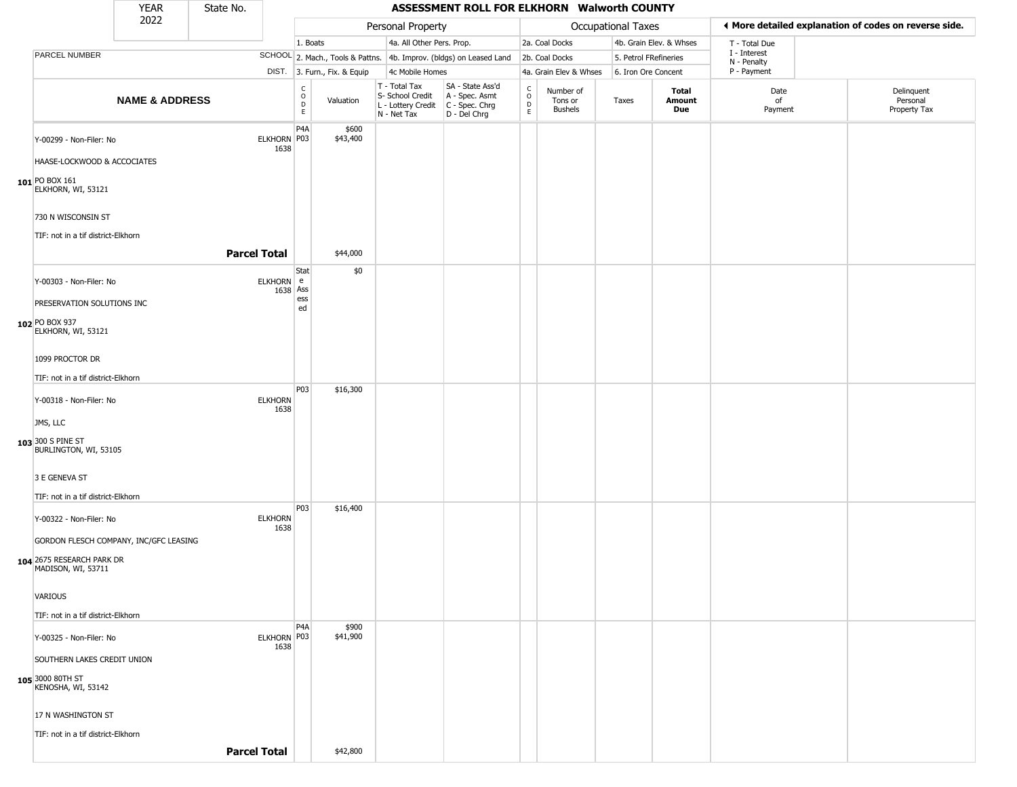|                                                          | <b>YEAR</b>               | State No. |                        |                                                           |                              |                                                                        | ASSESSMENT ROLL FOR ELKHORN Walworth COUNTY                          |                        |                                        |                       |                         |                             |                                                       |
|----------------------------------------------------------|---------------------------|-----------|------------------------|-----------------------------------------------------------|------------------------------|------------------------------------------------------------------------|----------------------------------------------------------------------|------------------------|----------------------------------------|-----------------------|-------------------------|-----------------------------|-------------------------------------------------------|
|                                                          | 2022                      |           |                        |                                                           |                              | Personal Property                                                      |                                                                      |                        |                                        | Occupational Taxes    |                         |                             | ♦ More detailed explanation of codes on reverse side. |
|                                                          |                           |           |                        | 1. Boats                                                  |                              | 4a. All Other Pers. Prop.                                              |                                                                      |                        | 2a. Coal Docks                         |                       | 4b. Grain Elev. & Whses | T - Total Due               |                                                       |
| PARCEL NUMBER                                            |                           |           |                        |                                                           |                              |                                                                        | SCHOOL 2. Mach., Tools & Pattns. 4b. Improv. (bldgs) on Leased Land  |                        | 2b. Coal Docks                         | 5. Petrol FRefineries |                         | I - Interest<br>N - Penalty |                                                       |
|                                                          |                           |           |                        |                                                           | DIST. 3. Furn., Fix. & Equip | 4c Mobile Homes                                                        |                                                                      |                        | 4a. Grain Elev & Whses                 | 6. Iron Ore Concent   |                         | P - Payment                 |                                                       |
|                                                          | <b>NAME &amp; ADDRESS</b> |           |                        | $\mathsf{C}$<br>$\mathsf O$<br>$\mathsf D$<br>$\mathsf E$ | Valuation                    | T - Total Tax<br>S- School Credit<br>L - Lottery Credit<br>N - Net Tax | SA - State Ass'd<br>A - Spec. Asmt<br>C - Spec. Chrg<br>D - Del Chrg | C<br>$\circ$<br>D<br>E | Number of<br>Tons or<br><b>Bushels</b> | Taxes                 | Total<br>Amount<br>Due  | Date<br>of<br>Payment       | Delinquent<br>Personal<br>Property Tax                |
| Y-00299 - Non-Filer: No                                  |                           |           | ELKHORN P03<br>1638    | P <sub>4</sub> A                                          | \$600<br>\$43,400            |                                                                        |                                                                      |                        |                                        |                       |                         |                             |                                                       |
| HAASE-LOCKWOOD & ACCOCIATES                              |                           |           |                        |                                                           |                              |                                                                        |                                                                      |                        |                                        |                       |                         |                             |                                                       |
| 101 PO BOX 161<br>ELKHORN, WI, 53121                     |                           |           |                        |                                                           |                              |                                                                        |                                                                      |                        |                                        |                       |                         |                             |                                                       |
| 730 N WISCONSIN ST<br>TIF: not in a tif district-Elkhorn |                           |           |                        |                                                           |                              |                                                                        |                                                                      |                        |                                        |                       |                         |                             |                                                       |
|                                                          |                           |           | <b>Parcel Total</b>    |                                                           | \$44,000                     |                                                                        |                                                                      |                        |                                        |                       |                         |                             |                                                       |
| Y-00303 - Non-Filer: No                                  |                           |           | ELKHORN e<br>1638 Ass  | Stat                                                      | \$0                          |                                                                        |                                                                      |                        |                                        |                       |                         |                             |                                                       |
| PRESERVATION SOLUTIONS INC                               |                           |           |                        | ess<br>ed                                                 |                              |                                                                        |                                                                      |                        |                                        |                       |                         |                             |                                                       |
| 102 PO BOX 937<br>ELKHORN, WI, 53121                     |                           |           |                        |                                                           |                              |                                                                        |                                                                      |                        |                                        |                       |                         |                             |                                                       |
| 1099 PROCTOR DR                                          |                           |           |                        |                                                           |                              |                                                                        |                                                                      |                        |                                        |                       |                         |                             |                                                       |
| TIF: not in a tif district-Elkhorn                       |                           |           |                        |                                                           |                              |                                                                        |                                                                      |                        |                                        |                       |                         |                             |                                                       |
| Y-00318 - Non-Filer: No                                  |                           |           | <b>ELKHORN</b><br>1638 | P03                                                       | \$16,300                     |                                                                        |                                                                      |                        |                                        |                       |                         |                             |                                                       |
| JMS, LLC                                                 |                           |           |                        |                                                           |                              |                                                                        |                                                                      |                        |                                        |                       |                         |                             |                                                       |
| 103 300 S PINE ST<br>BURLINGTON, WI, 53105               |                           |           |                        |                                                           |                              |                                                                        |                                                                      |                        |                                        |                       |                         |                             |                                                       |
| 3 E GENEVA ST                                            |                           |           |                        |                                                           |                              |                                                                        |                                                                      |                        |                                        |                       |                         |                             |                                                       |
| TIF: not in a tif district-Elkhorn                       |                           |           |                        |                                                           |                              |                                                                        |                                                                      |                        |                                        |                       |                         |                             |                                                       |
| Y-00322 - Non-Filer: No                                  |                           |           | <b>ELKHORN</b>         | P03                                                       | \$16,400                     |                                                                        |                                                                      |                        |                                        |                       |                         |                             |                                                       |
|                                                          |                           |           | 1638                   |                                                           |                              |                                                                        |                                                                      |                        |                                        |                       |                         |                             |                                                       |
| GORDON FLESCH COMPANY, INC/GFC LEASING                   |                           |           |                        |                                                           |                              |                                                                        |                                                                      |                        |                                        |                       |                         |                             |                                                       |
| 104 2675 RESEARCH PARK DR<br>MADISON, WI, 53711          |                           |           |                        |                                                           |                              |                                                                        |                                                                      |                        |                                        |                       |                         |                             |                                                       |
| <b>VARIOUS</b>                                           |                           |           |                        |                                                           |                              |                                                                        |                                                                      |                        |                                        |                       |                         |                             |                                                       |
| TIF: not in a tif district-Elkhorn                       |                           |           |                        |                                                           |                              |                                                                        |                                                                      |                        |                                        |                       |                         |                             |                                                       |
| Y-00325 - Non-Filer: No                                  |                           |           | ELKHORN P03<br>1638    | P <sub>4</sub> A                                          | \$900<br>\$41,900            |                                                                        |                                                                      |                        |                                        |                       |                         |                             |                                                       |
| SOUTHERN LAKES CREDIT UNION                              |                           |           |                        |                                                           |                              |                                                                        |                                                                      |                        |                                        |                       |                         |                             |                                                       |
| 105 3000 80TH ST<br>KENOSHA, WI, 53142                   |                           |           |                        |                                                           |                              |                                                                        |                                                                      |                        |                                        |                       |                         |                             |                                                       |
| 17 N WASHINGTON ST                                       |                           |           |                        |                                                           |                              |                                                                        |                                                                      |                        |                                        |                       |                         |                             |                                                       |
| TIF: not in a tif district-Elkhorn                       |                           |           |                        |                                                           |                              |                                                                        |                                                                      |                        |                                        |                       |                         |                             |                                                       |
|                                                          |                           |           | <b>Parcel Total</b>    |                                                           | \$42,800                     |                                                                        |                                                                      |                        |                                        |                       |                         |                             |                                                       |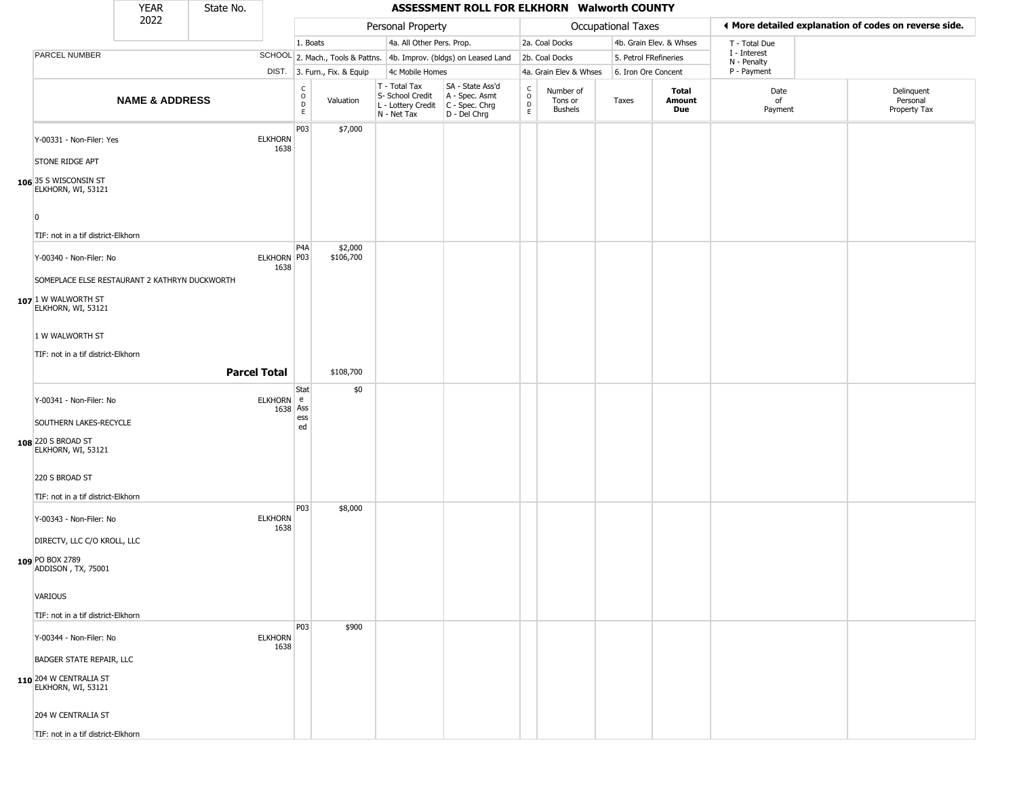|                                               | <b>YEAR</b>               | State No.           |                        |                                 |                              |                                                                          | ASSESSMENT ROLL FOR ELKHORN Walworth COUNTY                          |                                 |                                        |                       |                         |                             |                                                       |
|-----------------------------------------------|---------------------------|---------------------|------------------------|---------------------------------|------------------------------|--------------------------------------------------------------------------|----------------------------------------------------------------------|---------------------------------|----------------------------------------|-----------------------|-------------------------|-----------------------------|-------------------------------------------------------|
|                                               | 2022                      |                     |                        |                                 |                              | Personal Property                                                        |                                                                      |                                 |                                        | Occupational Taxes    |                         |                             | ◀ More detailed explanation of codes on reverse side. |
|                                               |                           |                     |                        | 1. Boats                        |                              | 4a. All Other Pers. Prop.                                                |                                                                      |                                 | 2a. Coal Docks                         |                       | 4b. Grain Elev. & Whses | T - Total Due               |                                                       |
| PARCEL NUMBER                                 |                           |                     |                        |                                 |                              |                                                                          | SCHOOL 2. Mach., Tools & Pattns. 4b. Improv. (bldgs) on Leased Land  |                                 | 2b. Coal Docks                         | 5. Petrol FRefineries |                         | I - Interest<br>N - Penalty |                                                       |
|                                               |                           |                     |                        |                                 | DIST. 3. Furn., Fix. & Equip | 4c Mobile Homes                                                          |                                                                      |                                 | 4a. Grain Elev & Whses                 | 6. Iron Ore Concent   |                         | P - Payment                 |                                                       |
|                                               | <b>NAME &amp; ADDRESS</b> |                     |                        | $\rm ^c_o$<br>$\mathsf{D}$<br>E | Valuation                    | $T - Total Tax$<br>S- School Credit<br>L - Lottery Credit<br>N - Net Tax | SA - State Ass'd<br>A - Spec. Asmt<br>C - Spec. Chrg<br>D - Del Chrg | $\rm _o^C$<br>$\mathsf D$<br>E. | Number of<br>Tons or<br><b>Bushels</b> | Taxes                 | Total<br>Amount<br>Due  | Date<br>of<br>Payment       | Delinquent<br>Personal<br>Property Tax                |
| Y-00331 - Non-Filer: Yes                      |                           |                     | <b>ELKHORN</b><br>1638 | P <sub>03</sub>                 | \$7,000                      |                                                                          |                                                                      |                                 |                                        |                       |                         |                             |                                                       |
| STONE RIDGE APT                               |                           |                     |                        |                                 |                              |                                                                          |                                                                      |                                 |                                        |                       |                         |                             |                                                       |
| 106 35 S WISCONSIN ST<br>ELKHORN, WI, 53121   |                           |                     |                        |                                 |                              |                                                                          |                                                                      |                                 |                                        |                       |                         |                             |                                                       |
| $\overline{0}$                                |                           |                     |                        |                                 |                              |                                                                          |                                                                      |                                 |                                        |                       |                         |                             |                                                       |
| TIF: not in a tif district-Elkhorn            |                           |                     |                        |                                 |                              |                                                                          |                                                                      |                                 |                                        |                       |                         |                             |                                                       |
| Y-00340 - Non-Filer: No                       |                           |                     | ELKHORN P03<br>1638    | P <sub>4</sub> A                | \$2,000<br>\$106,700         |                                                                          |                                                                      |                                 |                                        |                       |                         |                             |                                                       |
| SOMEPLACE ELSE RESTAURANT 2 KATHRYN DUCKWORTH |                           |                     |                        |                                 |                              |                                                                          |                                                                      |                                 |                                        |                       |                         |                             |                                                       |
| $107$ 1 W WALWORTH ST<br>ELKHORN, WI, 53121   |                           |                     |                        |                                 |                              |                                                                          |                                                                      |                                 |                                        |                       |                         |                             |                                                       |
| 1 W WALWORTH ST                               |                           |                     |                        |                                 |                              |                                                                          |                                                                      |                                 |                                        |                       |                         |                             |                                                       |
| TIF: not in a tif district-Elkhorn            |                           |                     |                        |                                 |                              |                                                                          |                                                                      |                                 |                                        |                       |                         |                             |                                                       |
|                                               |                           | <b>Parcel Total</b> |                        |                                 | \$108,700                    |                                                                          |                                                                      |                                 |                                        |                       |                         |                             |                                                       |
|                                               |                           |                     |                        |                                 |                              |                                                                          |                                                                      |                                 |                                        |                       |                         |                             |                                                       |
| Y-00341 - Non-Filer: No                       |                           |                     | ELKHORN e<br>1638 Ass  | Stat<br>ess                     | \$0                          |                                                                          |                                                                      |                                 |                                        |                       |                         |                             |                                                       |
| SOUTHERN LAKES-RECYCLE                        |                           |                     |                        | ed                              |                              |                                                                          |                                                                      |                                 |                                        |                       |                         |                             |                                                       |
| 108 220 S BROAD ST<br>ELKHORN, WI, 53121      |                           |                     |                        |                                 |                              |                                                                          |                                                                      |                                 |                                        |                       |                         |                             |                                                       |
| 220 S BROAD ST                                |                           |                     |                        |                                 |                              |                                                                          |                                                                      |                                 |                                        |                       |                         |                             |                                                       |
| TIF: not in a tif district-Elkhorn            |                           |                     |                        |                                 |                              |                                                                          |                                                                      |                                 |                                        |                       |                         |                             |                                                       |
| Y-00343 - Non-Filer: No                       |                           |                     | <b>ELKHORN</b><br>1638 | P03                             | \$8,000                      |                                                                          |                                                                      |                                 |                                        |                       |                         |                             |                                                       |
| DIRECTV, LLC C/O KROLL, LLC                   |                           |                     |                        |                                 |                              |                                                                          |                                                                      |                                 |                                        |                       |                         |                             |                                                       |
| 109 PO BOX 2789<br>ADDISON, TX, 75001         |                           |                     |                        |                                 |                              |                                                                          |                                                                      |                                 |                                        |                       |                         |                             |                                                       |
| <b>VARIOUS</b>                                |                           |                     |                        |                                 |                              |                                                                          |                                                                      |                                 |                                        |                       |                         |                             |                                                       |
| TIF: not in a tif district-Elkhorn            |                           |                     |                        |                                 |                              |                                                                          |                                                                      |                                 |                                        |                       |                         |                             |                                                       |
|                                               |                           |                     |                        | P03                             | \$900                        |                                                                          |                                                                      |                                 |                                        |                       |                         |                             |                                                       |
| Y-00344 - Non-Filer: No                       |                           |                     | <b>ELKHORN</b><br>1638 |                                 |                              |                                                                          |                                                                      |                                 |                                        |                       |                         |                             |                                                       |
| <b>BADGER STATE REPAIR, LLC</b>               |                           |                     |                        |                                 |                              |                                                                          |                                                                      |                                 |                                        |                       |                         |                             |                                                       |
| 110 204 W CENTRALIA ST<br>ELKHORN, WI, 53121  |                           |                     |                        |                                 |                              |                                                                          |                                                                      |                                 |                                        |                       |                         |                             |                                                       |
| 204 W CENTRALIA ST                            |                           |                     |                        |                                 |                              |                                                                          |                                                                      |                                 |                                        |                       |                         |                             |                                                       |
| TIF: not in a tif district-Elkhorn            |                           |                     |                        |                                 |                              |                                                                          |                                                                      |                                 |                                        |                       |                         |                             |                                                       |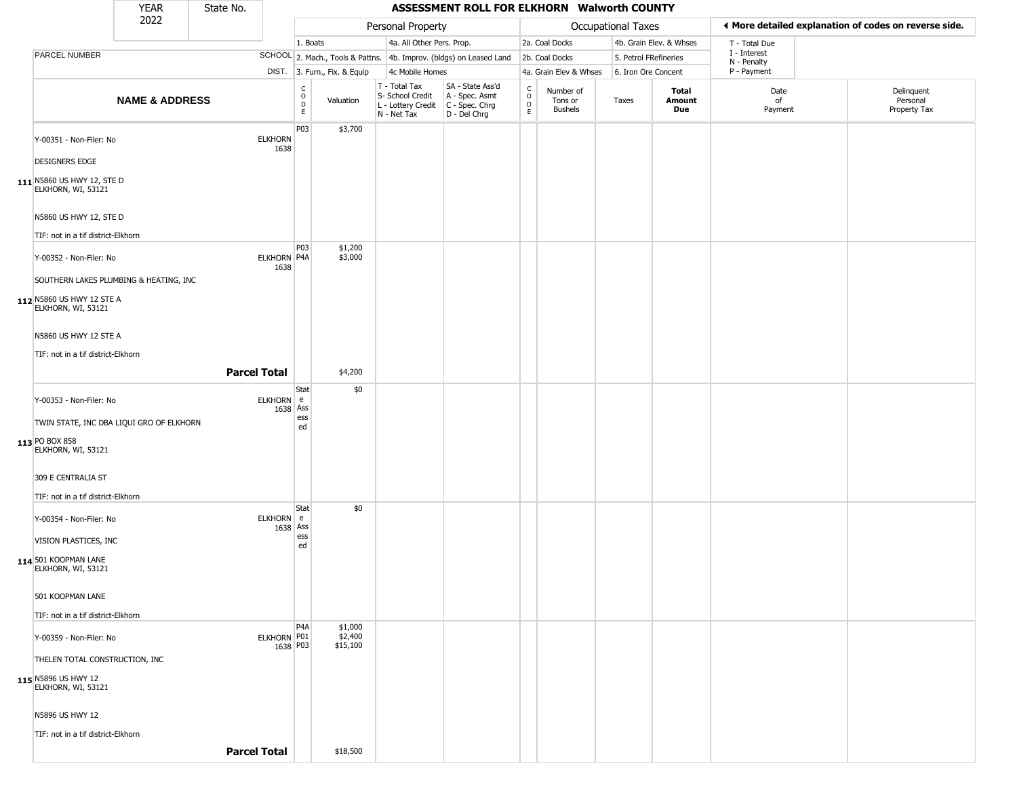|                                                  | YEAR                      | State No. |                         |                        |                                |                                                                        | ASSESSMENT ROLL FOR ELKHORN Walworth COUNTY                          |                        |                                        |                       |                         |                             |                                                       |
|--------------------------------------------------|---------------------------|-----------|-------------------------|------------------------|--------------------------------|------------------------------------------------------------------------|----------------------------------------------------------------------|------------------------|----------------------------------------|-----------------------|-------------------------|-----------------------------|-------------------------------------------------------|
|                                                  | 2022                      |           |                         |                        |                                | Personal Property                                                      |                                                                      |                        |                                        | Occupational Taxes    |                         |                             | ♦ More detailed explanation of codes on reverse side. |
|                                                  |                           |           |                         | 1. Boats               |                                | 4a. All Other Pers. Prop.                                              |                                                                      |                        | 2a. Coal Docks                         |                       | 4b. Grain Elev. & Whses | T - Total Due               |                                                       |
| PARCEL NUMBER                                    |                           |           |                         |                        |                                |                                                                        | SCHOOL 2. Mach., Tools & Pattns. 4b. Improv. (bldgs) on Leased Land  |                        | 2b. Coal Docks                         | 5. Petrol FRefineries |                         | I - Interest<br>N - Penalty |                                                       |
|                                                  |                           |           |                         |                        | DIST. 3. Furn., Fix. & Equip   | 4c Mobile Homes                                                        |                                                                      |                        | 4a. Grain Elev & Whses                 | 6. Iron Ore Concent   |                         | P - Payment                 |                                                       |
|                                                  | <b>NAME &amp; ADDRESS</b> |           |                         | C<br>$\circ$<br>D<br>E | Valuation                      | T - Total Tax<br>S- School Credit<br>L - Lottery Credit<br>N - Net Tax | SA - State Ass'd<br>A - Spec. Asmt<br>C - Spec. Chrg<br>D - Del Chrg | C<br>$\circ$<br>D<br>E | Number of<br>Tons or<br><b>Bushels</b> | Taxes                 | Total<br>Amount<br>Due  | Date<br>of<br>Payment       | Delinquent<br>Personal<br>Property Tax                |
| Y-00351 - Non-Filer: No                          |                           |           | <b>ELKHORN</b><br>1638  | P03                    | \$3,700                        |                                                                        |                                                                      |                        |                                        |                       |                         |                             |                                                       |
| <b>DESIGNERS EDGE</b>                            |                           |           |                         |                        |                                |                                                                        |                                                                      |                        |                                        |                       |                         |                             |                                                       |
| 111 N5860 US HWY 12, STE D<br>ELKHORN, WI, 53121 |                           |           |                         |                        |                                |                                                                        |                                                                      |                        |                                        |                       |                         |                             |                                                       |
| N5860 US HWY 12, STE D                           |                           |           |                         |                        |                                |                                                                        |                                                                      |                        |                                        |                       |                         |                             |                                                       |
| TIF: not in a tif district-Elkhorn               |                           |           |                         |                        |                                |                                                                        |                                                                      |                        |                                        |                       |                         |                             |                                                       |
| Y-00352 - Non-Filer: No                          |                           |           | ELKHORN P4A             | P <sub>0</sub> 3       | \$1,200<br>\$3,000             |                                                                        |                                                                      |                        |                                        |                       |                         |                             |                                                       |
| SOUTHERN LAKES PLUMBING & HEATING, INC           |                           |           | 1638                    |                        |                                |                                                                        |                                                                      |                        |                                        |                       |                         |                             |                                                       |
| 112 N5860 US HWY 12 STE A<br>ELKHORN, WI, 53121  |                           |           |                         |                        |                                |                                                                        |                                                                      |                        |                                        |                       |                         |                             |                                                       |
| N5860 US HWY 12 STE A                            |                           |           |                         |                        |                                |                                                                        |                                                                      |                        |                                        |                       |                         |                             |                                                       |
| TIF: not in a tif district-Elkhorn               |                           |           |                         |                        |                                |                                                                        |                                                                      |                        |                                        |                       |                         |                             |                                                       |
|                                                  |                           |           | <b>Parcel Total</b>     |                        | \$4,200                        |                                                                        |                                                                      |                        |                                        |                       |                         |                             |                                                       |
| Y-00353 - Non-Filer: No                          |                           |           | ELKHORN e<br>1638 Ass   | Stat                   | \$0                            |                                                                        |                                                                      |                        |                                        |                       |                         |                             |                                                       |
| TWIN STATE, INC DBA LIQUI GRO OF ELKHORN         |                           |           |                         | ess<br>ed              |                                |                                                                        |                                                                      |                        |                                        |                       |                         |                             |                                                       |
| 113 PO BOX 858<br>ELKHORN, WI, 53121             |                           |           |                         |                        |                                |                                                                        |                                                                      |                        |                                        |                       |                         |                             |                                                       |
| 309 E CENTRALIA ST                               |                           |           |                         |                        |                                |                                                                        |                                                                      |                        |                                        |                       |                         |                             |                                                       |
| TIF: not in a tif district-Elkhorn               |                           |           |                         |                        |                                |                                                                        |                                                                      |                        |                                        |                       |                         |                             |                                                       |
| Y-00354 - Non-Filer: No                          |                           |           | ELKHORN e<br>1638 Ass   | Stat                   | \$0                            |                                                                        |                                                                      |                        |                                        |                       |                         |                             |                                                       |
| VISION PLASTICES, INC                            |                           |           |                         | ess<br>ed              |                                |                                                                        |                                                                      |                        |                                        |                       |                         |                             |                                                       |
| 114 501 KOOPMAN LANE<br>ELKHORN, WI, 53121       |                           |           |                         |                        |                                |                                                                        |                                                                      |                        |                                        |                       |                         |                             |                                                       |
| 501 KOOPMAN LANE                                 |                           |           |                         |                        |                                |                                                                        |                                                                      |                        |                                        |                       |                         |                             |                                                       |
| TIF: not in a tif district-Elkhorn               |                           |           |                         |                        |                                |                                                                        |                                                                      |                        |                                        |                       |                         |                             |                                                       |
| Y-00359 - Non-Filer: No                          |                           |           | ELKHORN P01<br>1638 P03 | P <sub>4</sub> A       | \$1,000<br>\$2,400<br>\$15,100 |                                                                        |                                                                      |                        |                                        |                       |                         |                             |                                                       |
| THELEN TOTAL CONSTRUCTION, INC                   |                           |           |                         |                        |                                |                                                                        |                                                                      |                        |                                        |                       |                         |                             |                                                       |
| 115 N5896 US HWY 12<br>ELKHORN, WI, 53121        |                           |           |                         |                        |                                |                                                                        |                                                                      |                        |                                        |                       |                         |                             |                                                       |
| N5896 US HWY 12                                  |                           |           |                         |                        |                                |                                                                        |                                                                      |                        |                                        |                       |                         |                             |                                                       |
| TIF: not in a tif district-Elkhorn               |                           |           |                         |                        |                                |                                                                        |                                                                      |                        |                                        |                       |                         |                             |                                                       |
|                                                  |                           |           | <b>Parcel Total</b>     |                        | \$18,500                       |                                                                        |                                                                      |                        |                                        |                       |                         |                             |                                                       |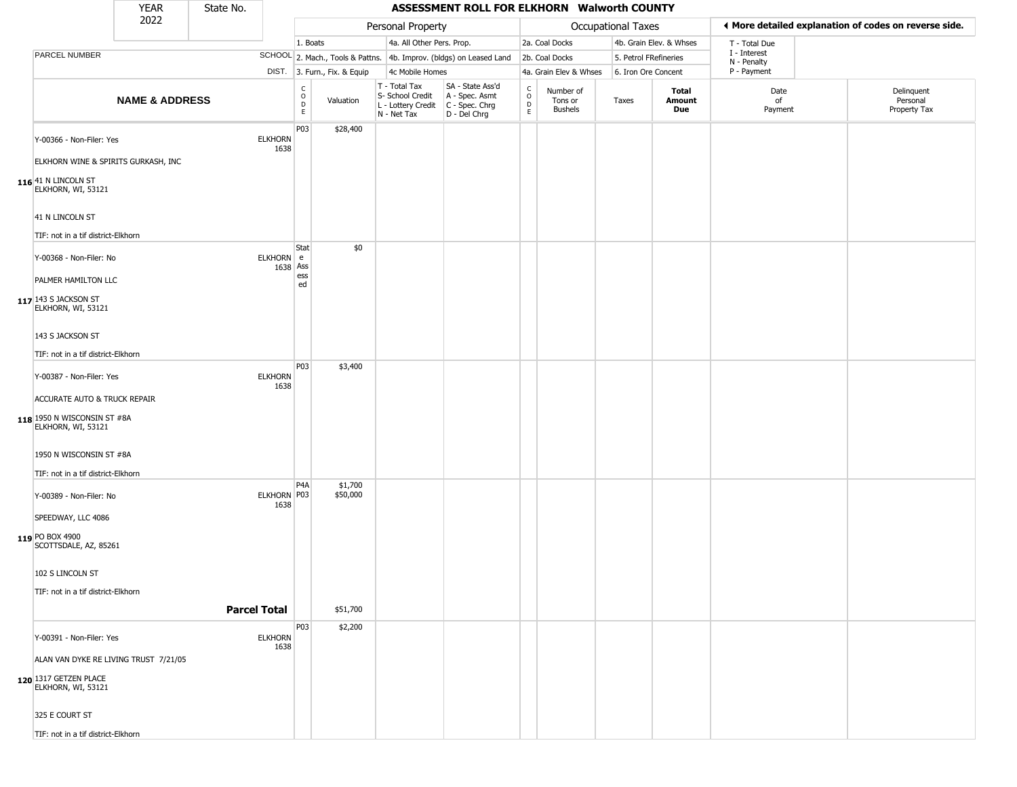|                                                                                    | <b>YEAR</b>               | State No. |                        |                                                          |                              |                                                                        | ASSESSMENT ROLL FOR ELKHORN Walworth COUNTY                          |                                 |                                 |                       |                         |                             |                                                       |
|------------------------------------------------------------------------------------|---------------------------|-----------|------------------------|----------------------------------------------------------|------------------------------|------------------------------------------------------------------------|----------------------------------------------------------------------|---------------------------------|---------------------------------|-----------------------|-------------------------|-----------------------------|-------------------------------------------------------|
|                                                                                    | 2022                      |           |                        |                                                          |                              | Personal Property                                                      |                                                                      |                                 |                                 | Occupational Taxes    |                         |                             | ◀ More detailed explanation of codes on reverse side. |
|                                                                                    |                           |           |                        | 1. Boats                                                 |                              | 4a. All Other Pers. Prop.                                              |                                                                      |                                 | 2a. Coal Docks                  |                       | 4b. Grain Elev. & Whses | T - Total Due               |                                                       |
| PARCEL NUMBER                                                                      |                           |           |                        |                                                          |                              |                                                                        | SCHOOL 2. Mach., Tools & Pattns. 4b. Improv. (bldgs) on Leased Land  |                                 | 2b. Coal Docks                  | 5. Petrol FRefineries |                         | I - Interest<br>N - Penalty |                                                       |
|                                                                                    |                           |           |                        |                                                          | DIST. 3. Furn., Fix. & Equip | 4c Mobile Homes                                                        |                                                                      |                                 | 4a. Grain Elev & Whses          | 6. Iron Ore Concent   |                         | P - Payment                 |                                                       |
|                                                                                    | <b>NAME &amp; ADDRESS</b> |           |                        | $\begin{matrix} C \\ O \\ D \end{matrix}$<br>$\mathsf E$ | Valuation                    | T - Total Tax<br>S- School Credit<br>L - Lottery Credit<br>N - Net Tax | SA - State Ass'd<br>A - Spec. Asmt<br>C - Spec. Chrg<br>D - Del Chrg | $\frac{C}{O}$<br>$\overline{D}$ | Number of<br>Tons or<br>Bushels | Taxes                 | Total<br>Amount<br>Due  | Date<br>of<br>Payment       | Delinquent<br>Personal<br>Property Tax                |
| Y-00366 - Non-Filer: Yes                                                           |                           |           | <b>ELKHORN</b><br>1638 | P03                                                      | \$28,400                     |                                                                        |                                                                      |                                 |                                 |                       |                         |                             |                                                       |
| ELKHORN WINE & SPIRITS GURKASH, INC<br>$116$ 41 N LINCOLN ST<br>ELKHORN, WI, 53121 |                           |           |                        |                                                          |                              |                                                                        |                                                                      |                                 |                                 |                       |                         |                             |                                                       |
| 41 N LINCOLN ST                                                                    |                           |           |                        |                                                          |                              |                                                                        |                                                                      |                                 |                                 |                       |                         |                             |                                                       |
| TIF: not in a tif district-Elkhorn                                                 |                           |           |                        |                                                          |                              |                                                                        |                                                                      |                                 |                                 |                       |                         |                             |                                                       |
| Y-00368 - Non-Filer: No                                                            |                           |           | ELKHORN e<br>1638 Ass  | Stat<br>ess                                              | \$0                          |                                                                        |                                                                      |                                 |                                 |                       |                         |                             |                                                       |
| PALMER HAMILTON LLC                                                                |                           |           |                        | ed                                                       |                              |                                                                        |                                                                      |                                 |                                 |                       |                         |                             |                                                       |
| $117$ 143 S JACKSON ST<br>ELKHORN, WI, 53121                                       |                           |           |                        |                                                          |                              |                                                                        |                                                                      |                                 |                                 |                       |                         |                             |                                                       |
| 143 S JACKSON ST                                                                   |                           |           |                        |                                                          |                              |                                                                        |                                                                      |                                 |                                 |                       |                         |                             |                                                       |
| TIF: not in a tif district-Elkhorn                                                 |                           |           |                        | P03                                                      | \$3,400                      |                                                                        |                                                                      |                                 |                                 |                       |                         |                             |                                                       |
| Y-00387 - Non-Filer: Yes                                                           |                           |           | <b>ELKHORN</b><br>1638 |                                                          |                              |                                                                        |                                                                      |                                 |                                 |                       |                         |                             |                                                       |
| ACCURATE AUTO & TRUCK REPAIR                                                       |                           |           |                        |                                                          |                              |                                                                        |                                                                      |                                 |                                 |                       |                         |                             |                                                       |
| 118 1950 N WISCONSIN ST #8A<br>ELKHORN, WI, 53121                                  |                           |           |                        |                                                          |                              |                                                                        |                                                                      |                                 |                                 |                       |                         |                             |                                                       |
| 1950 N WISCONSIN ST #8A                                                            |                           |           |                        |                                                          |                              |                                                                        |                                                                      |                                 |                                 |                       |                         |                             |                                                       |
| TIF: not in a tif district-Elkhorn                                                 |                           |           |                        | P4A                                                      | \$1,700                      |                                                                        |                                                                      |                                 |                                 |                       |                         |                             |                                                       |
| Y-00389 - Non-Filer: No<br>SPEEDWAY, LLC 4086                                      |                           |           | ELKHORN   P03<br>1638  |                                                          | \$50,000                     |                                                                        |                                                                      |                                 |                                 |                       |                         |                             |                                                       |
|                                                                                    |                           |           |                        |                                                          |                              |                                                                        |                                                                      |                                 |                                 |                       |                         |                             |                                                       |
| 119 PO BOX 4900<br>SCOTTSDALE, AZ, 85261                                           |                           |           |                        |                                                          |                              |                                                                        |                                                                      |                                 |                                 |                       |                         |                             |                                                       |
| 102 S LINCOLN ST                                                                   |                           |           |                        |                                                          |                              |                                                                        |                                                                      |                                 |                                 |                       |                         |                             |                                                       |
| TIF: not in a tif district-Elkhorn                                                 |                           |           |                        |                                                          |                              |                                                                        |                                                                      |                                 |                                 |                       |                         |                             |                                                       |
|                                                                                    |                           |           | <b>Parcel Total</b>    |                                                          | \$51,700                     |                                                                        |                                                                      |                                 |                                 |                       |                         |                             |                                                       |
| Y-00391 - Non-Filer: Yes                                                           |                           |           | <b>ELKHORN</b><br>1638 | P03                                                      | \$2,200                      |                                                                        |                                                                      |                                 |                                 |                       |                         |                             |                                                       |
| ALAN VAN DYKE RE LIVING TRUST 7/21/05                                              |                           |           |                        |                                                          |                              |                                                                        |                                                                      |                                 |                                 |                       |                         |                             |                                                       |
| 120 1317 GETZEN PLACE<br>ELKHORN, WI, 53121                                        |                           |           |                        |                                                          |                              |                                                                        |                                                                      |                                 |                                 |                       |                         |                             |                                                       |
| 325 E COURT ST                                                                     |                           |           |                        |                                                          |                              |                                                                        |                                                                      |                                 |                                 |                       |                         |                             |                                                       |
| TIF: not in a tif district-Elkhorn                                                 |                           |           |                        |                                                          |                              |                                                                        |                                                                      |                                 |                                 |                       |                         |                             |                                                       |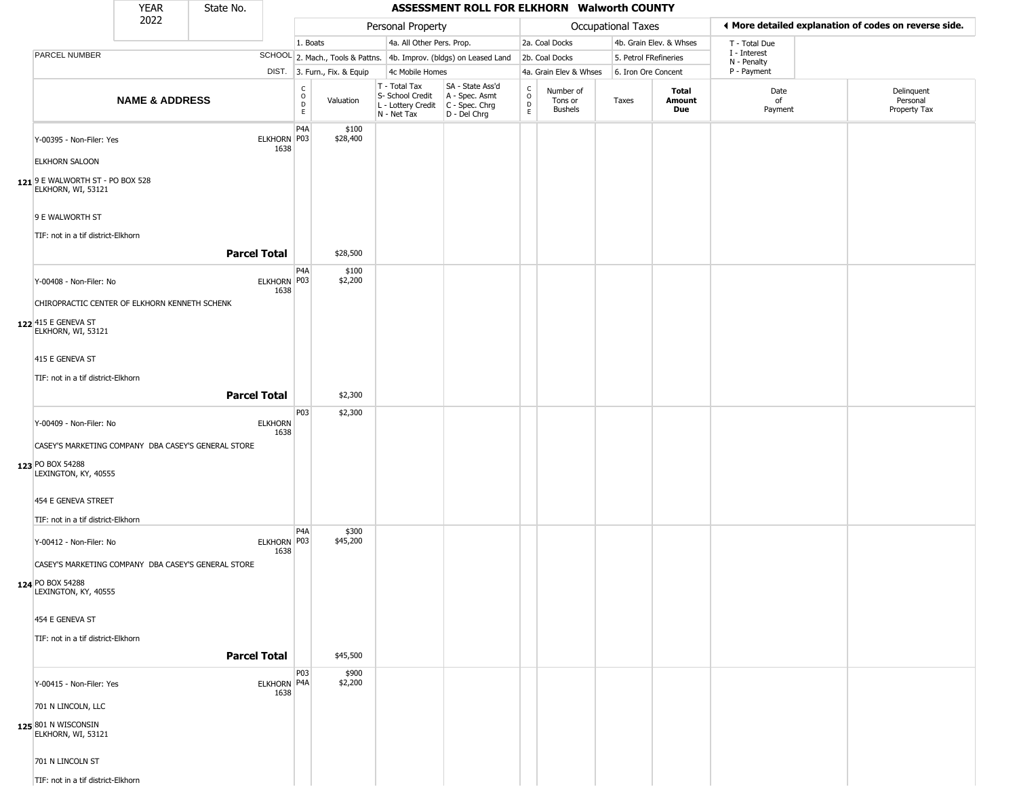|                                                        | <b>YEAR</b>               | State No.           |                        |                                                  |                              |                                                  | ASSESSMENT ROLL FOR ELKHORN Walworth COUNTY                                                 |                         |                                        |                           |                         |                            |                                                       |  |
|--------------------------------------------------------|---------------------------|---------------------|------------------------|--------------------------------------------------|------------------------------|--------------------------------------------------|---------------------------------------------------------------------------------------------|-------------------------|----------------------------------------|---------------------------|-------------------------|----------------------------|-------------------------------------------------------|--|
|                                                        | 2022                      |                     |                        |                                                  |                              | Personal Property                                |                                                                                             |                         |                                        | <b>Occupational Taxes</b> |                         |                            | ♦ More detailed explanation of codes on reverse side. |  |
|                                                        |                           |                     |                        | 1. Boats                                         |                              | 4a. All Other Pers. Prop.                        |                                                                                             |                         | 2a. Coal Docks                         |                           | 4b. Grain Elev. & Whses | T - Total Due              |                                                       |  |
| PARCEL NUMBER                                          |                           |                     |                        |                                                  |                              |                                                  | SCHOOL 2. Mach., Tools & Pattns. 4b. Improv. (bldgs) on Leased Land                         |                         | 2b. Coal Docks                         | 5. Petrol FRefineries     |                         | I - Interest               |                                                       |  |
|                                                        |                           |                     |                        |                                                  | DIST. 3. Furn., Fix. & Equip | 4c Mobile Homes                                  |                                                                                             |                         | 4a. Grain Elev & Whses                 | 6. Iron Ore Concent       |                         | N - Penalty<br>P - Payment |                                                       |  |
|                                                        | <b>NAME &amp; ADDRESS</b> |                     |                        | $_{\rm o}^{\rm c}$<br>$\mathsf D$<br>$\mathsf E$ | Valuation                    | T - Total Tax<br>S- School Credit<br>N - Net Tax | SA - State Ass'd<br>A - Spec. Asmt<br>L - Lottery Credit   C - Spec. Chrg<br>$D - Del Chrg$ | $\frac{c}{0}$<br>D<br>E | Number of<br>Tons or<br><b>Bushels</b> | Taxes                     | Total<br>Amount<br>Due  | Date<br>of<br>Payment      | Delinquent<br>Personal<br>Property Tax                |  |
| Y-00395 - Non-Filer: Yes<br><b>ELKHORN SALOON</b>      |                           |                     | ELKHORN P03<br>1638    | P4A                                              | \$100<br>\$28,400            |                                                  |                                                                                             |                         |                                        |                           |                         |                            |                                                       |  |
| 121 9 E WALWORTH ST - PO BOX 528<br>ELKHORN, WI, 53121 |                           |                     |                        |                                                  |                              |                                                  |                                                                                             |                         |                                        |                           |                         |                            |                                                       |  |
| 9 E WALWORTH ST<br>TIF: not in a tif district-Elkhorn  |                           |                     |                        |                                                  |                              |                                                  |                                                                                             |                         |                                        |                           |                         |                            |                                                       |  |
|                                                        |                           | <b>Parcel Total</b> |                        |                                                  | \$28,500                     |                                                  |                                                                                             |                         |                                        |                           |                         |                            |                                                       |  |
| Y-00408 - Non-Filer: No                                |                           |                     | ELKHORN P03<br>1638    | P4A                                              | \$100<br>\$2,200             |                                                  |                                                                                             |                         |                                        |                           |                         |                            |                                                       |  |
| CHIROPRACTIC CENTER OF ELKHORN KENNETH SCHENK          |                           |                     |                        |                                                  |                              |                                                  |                                                                                             |                         |                                        |                           |                         |                            |                                                       |  |
| 122 415 E GENEVA ST<br>ELKHORN, WI, 53121              |                           |                     |                        |                                                  |                              |                                                  |                                                                                             |                         |                                        |                           |                         |                            |                                                       |  |
| 415 E GENEVA ST                                        |                           |                     |                        |                                                  |                              |                                                  |                                                                                             |                         |                                        |                           |                         |                            |                                                       |  |
| TIF: not in a tif district-Elkhorn                     |                           |                     |                        |                                                  |                              |                                                  |                                                                                             |                         |                                        |                           |                         |                            |                                                       |  |
|                                                        |                           | <b>Parcel Total</b> |                        |                                                  | \$2,300                      |                                                  |                                                                                             |                         |                                        |                           |                         |                            |                                                       |  |
| Y-00409 - Non-Filer: No                                |                           |                     | <b>ELKHORN</b><br>1638 | P03                                              | \$2,300                      |                                                  |                                                                                             |                         |                                        |                           |                         |                            |                                                       |  |
| CASEY'S MARKETING COMPANY DBA CASEY'S GENERAL STORE    |                           |                     |                        |                                                  |                              |                                                  |                                                                                             |                         |                                        |                           |                         |                            |                                                       |  |
| 123 PO BOX 54288<br>LEXINGTON, KY, 40555               |                           |                     |                        |                                                  |                              |                                                  |                                                                                             |                         |                                        |                           |                         |                            |                                                       |  |
| 454 E GENEVA STREET                                    |                           |                     |                        |                                                  |                              |                                                  |                                                                                             |                         |                                        |                           |                         |                            |                                                       |  |
| TIF: not in a tif district-Elkhorn                     |                           |                     |                        |                                                  |                              |                                                  |                                                                                             |                         |                                        |                           |                         |                            |                                                       |  |
| Y-00412 - Non-Filer: No                                |                           |                     | ELKHORN P03<br>1638    | P <sub>4</sub> A                                 | \$300<br>\$45,200            |                                                  |                                                                                             |                         |                                        |                           |                         |                            |                                                       |  |
| CASEY'S MARKETING COMPANY DBA CASEY'S GENERAL STORE    |                           |                     |                        |                                                  |                              |                                                  |                                                                                             |                         |                                        |                           |                         |                            |                                                       |  |
| 124 PO BOX 54288<br>LEXINGTON, KY, 40555               |                           |                     |                        |                                                  |                              |                                                  |                                                                                             |                         |                                        |                           |                         |                            |                                                       |  |
| 454 E GENEVA ST                                        |                           |                     |                        |                                                  |                              |                                                  |                                                                                             |                         |                                        |                           |                         |                            |                                                       |  |
| TIF: not in a tif district-Elkhorn                     |                           |                     |                        |                                                  |                              |                                                  |                                                                                             |                         |                                        |                           |                         |                            |                                                       |  |
|                                                        |                           | <b>Parcel Total</b> |                        |                                                  | \$45,500                     |                                                  |                                                                                             |                         |                                        |                           |                         |                            |                                                       |  |
| Y-00415 - Non-Filer: Yes                               |                           |                     | ELKHORN P4A<br>1638    | P03                                              | \$900<br>\$2,200             |                                                  |                                                                                             |                         |                                        |                           |                         |                            |                                                       |  |
| 701 N LINCOLN, LLC                                     |                           |                     |                        |                                                  |                              |                                                  |                                                                                             |                         |                                        |                           |                         |                            |                                                       |  |
| 125 801 N WISCONSIN<br>ELKHORN, WI, 53121              |                           |                     |                        |                                                  |                              |                                                  |                                                                                             |                         |                                        |                           |                         |                            |                                                       |  |
| 701 N LINCOLN ST                                       |                           |                     |                        |                                                  |                              |                                                  |                                                                                             |                         |                                        |                           |                         |                            |                                                       |  |
| TIF: not in a tif district-Elkhorn                     |                           |                     |                        |                                                  |                              |                                                  |                                                                                             |                         |                                        |                           |                         |                            |                                                       |  |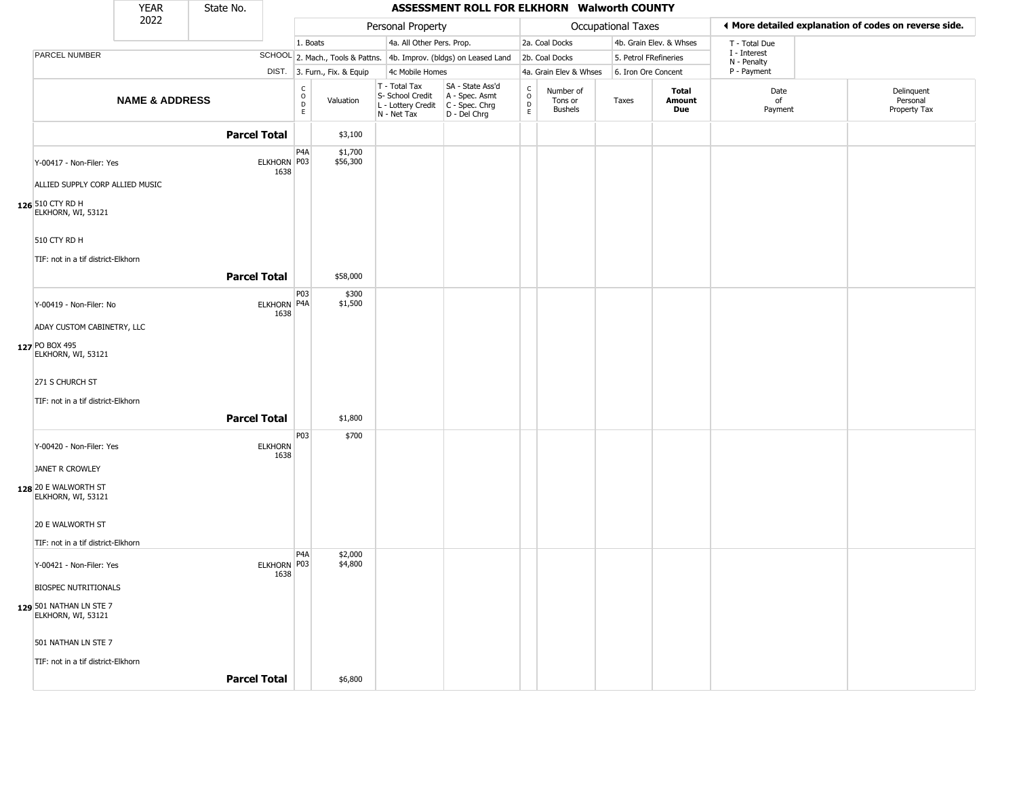|                                                               | <b>YEAR</b>               | State No.           |                        |                                  |                              |                                                                        | ASSESSMENT ROLL FOR ELKHORN Walworth COUNTY                          |                                              |                                        |                       |                         |                             |                                                       |
|---------------------------------------------------------------|---------------------------|---------------------|------------------------|----------------------------------|------------------------------|------------------------------------------------------------------------|----------------------------------------------------------------------|----------------------------------------------|----------------------------------------|-----------------------|-------------------------|-----------------------------|-------------------------------------------------------|
|                                                               | 2022                      |                     |                        |                                  |                              | Personal Property                                                      |                                                                      |                                              |                                        | Occupational Taxes    |                         |                             | ♦ More detailed explanation of codes on reverse side. |
|                                                               |                           |                     |                        | 1. Boats                         |                              | 4a. All Other Pers. Prop.                                              |                                                                      |                                              | 2a. Coal Docks                         |                       | 4b. Grain Elev. & Whses | T - Total Due               |                                                       |
| PARCEL NUMBER                                                 |                           |                     |                        |                                  |                              |                                                                        | SCHOOL 2. Mach., Tools & Pattns. 4b. Improv. (bldgs) on Leased Land  |                                              | 2b. Coal Docks                         | 5. Petrol FRefineries |                         | I - Interest<br>N - Penalty |                                                       |
|                                                               |                           |                     |                        |                                  | DIST. 3. Furn., Fix. & Equip | 4c Mobile Homes                                                        |                                                                      |                                              | 4a. Grain Elev & Whses                 | 6. Iron Ore Concent   |                         | P - Payment                 |                                                       |
|                                                               | <b>NAME &amp; ADDRESS</b> |                     |                        | C<br>$\circ$<br>D<br>$\mathsf E$ | Valuation                    | T - Total Tax<br>S- School Credit<br>L - Lottery Credit<br>N - Net Tax | SA - State Ass'd<br>A - Spec. Asmt<br>C - Spec. Chrg<br>D - Del Chrg | $\int_{0}^{c}$<br>$\mathsf D$<br>$\mathsf E$ | Number of<br>Tons or<br><b>Bushels</b> | Taxes                 | Total<br>Amount<br>Due  | Date<br>of<br>Payment       | Delinquent<br>Personal<br>Property Tax                |
|                                                               |                           | <b>Parcel Total</b> |                        |                                  | \$3,100                      |                                                                        |                                                                      |                                              |                                        |                       |                         |                             |                                                       |
| Y-00417 - Non-Filer: Yes<br>ALLIED SUPPLY CORP ALLIED MUSIC   |                           |                     | ELKHORN P03<br>1638    | P4A                              | \$1,700<br>\$56,300          |                                                                        |                                                                      |                                              |                                        |                       |                         |                             |                                                       |
| 126 510 CTY RD H<br>ELKHORN, WI, 53121                        |                           |                     |                        |                                  |                              |                                                                        |                                                                      |                                              |                                        |                       |                         |                             |                                                       |
| 510 CTY RD H<br>TIF: not in a tif district-Elkhorn            |                           | <b>Parcel Total</b> |                        |                                  |                              |                                                                        |                                                                      |                                              |                                        |                       |                         |                             |                                                       |
|                                                               |                           |                     |                        |                                  | \$58,000                     |                                                                        |                                                                      |                                              |                                        |                       |                         |                             |                                                       |
| Y-00419 - Non-Filer: No<br>ADAY CUSTOM CABINETRY, LLC         |                           |                     | ELKHORN P4A<br>1638    | P03                              | \$300<br>\$1,500             |                                                                        |                                                                      |                                              |                                        |                       |                         |                             |                                                       |
| 127 PO BOX 495<br>ELKHORN, WI, 53121                          |                           |                     |                        |                                  |                              |                                                                        |                                                                      |                                              |                                        |                       |                         |                             |                                                       |
| 271 S CHURCH ST<br>TIF: not in a tif district-Elkhorn         |                           |                     |                        |                                  |                              |                                                                        |                                                                      |                                              |                                        |                       |                         |                             |                                                       |
|                                                               |                           | <b>Parcel Total</b> |                        |                                  | \$1,800                      |                                                                        |                                                                      |                                              |                                        |                       |                         |                             |                                                       |
| Y-00420 - Non-Filer: Yes                                      |                           |                     | <b>ELKHORN</b><br>1638 | P03                              | \$700                        |                                                                        |                                                                      |                                              |                                        |                       |                         |                             |                                                       |
| JANET R CROWLEY<br>128 20 E WALWORTH ST<br>ELKHORN, WI, 53121 |                           |                     |                        |                                  |                              |                                                                        |                                                                      |                                              |                                        |                       |                         |                             |                                                       |
| 20 E WALWORTH ST<br>TIF: not in a tif district-Elkhorn        |                           |                     |                        |                                  |                              |                                                                        |                                                                      |                                              |                                        |                       |                         |                             |                                                       |
| Y-00421 - Non-Filer: Yes                                      |                           |                     | ELKHORN P03            | P <sub>4</sub> A                 | \$2,000<br>\$4,800           |                                                                        |                                                                      |                                              |                                        |                       |                         |                             |                                                       |
| <b>BIOSPEC NUTRITIONALS</b>                                   |                           |                     | 1638                   |                                  |                              |                                                                        |                                                                      |                                              |                                        |                       |                         |                             |                                                       |
| 129 501 NATHAN LN STE 7<br>ELKHORN, WI, 53121                 |                           |                     |                        |                                  |                              |                                                                        |                                                                      |                                              |                                        |                       |                         |                             |                                                       |
| 501 NATHAN LN STE 7<br>TIF: not in a tif district-Elkhorn     |                           |                     |                        |                                  |                              |                                                                        |                                                                      |                                              |                                        |                       |                         |                             |                                                       |
|                                                               |                           | <b>Parcel Total</b> |                        |                                  | \$6,800                      |                                                                        |                                                                      |                                              |                                        |                       |                         |                             |                                                       |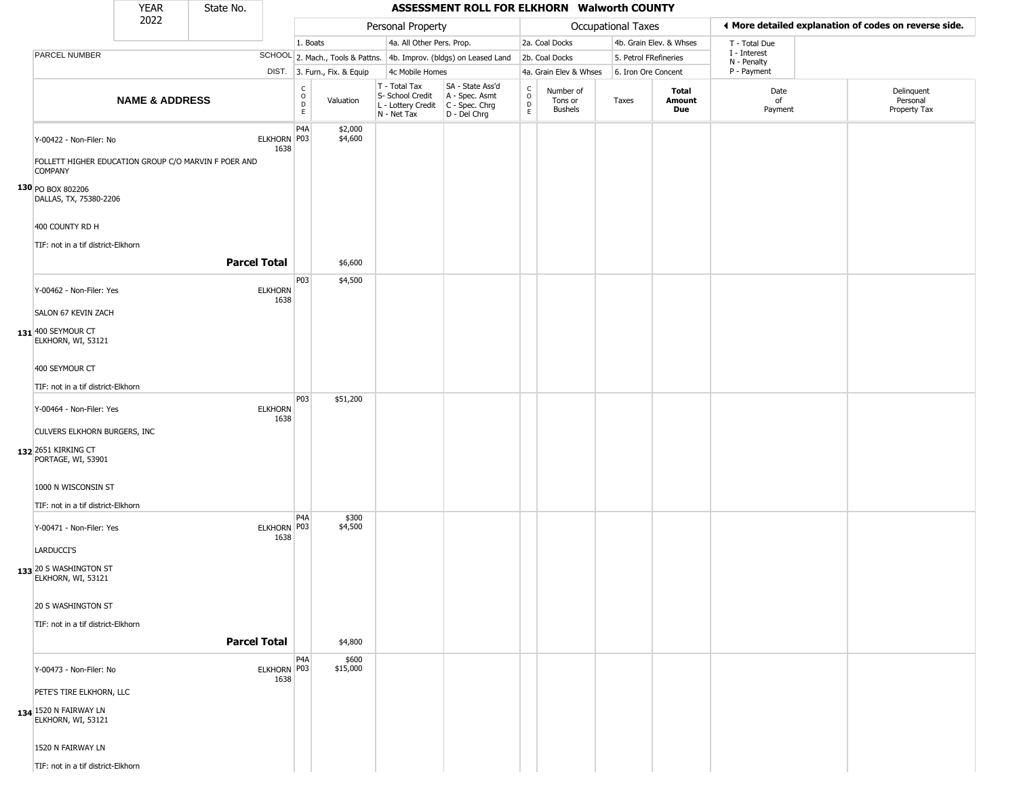|                                                                                                                                                                     | <b>YEAR</b>               | State No.           |                        |                              |                              |                                                                        | ASSESSMENT ROLL FOR ELKHORN Walworth COUNTY                          |                                   |                                        |                       |                         |                             |                                                       |
|---------------------------------------------------------------------------------------------------------------------------------------------------------------------|---------------------------|---------------------|------------------------|------------------------------|------------------------------|------------------------------------------------------------------------|----------------------------------------------------------------------|-----------------------------------|----------------------------------------|-----------------------|-------------------------|-----------------------------|-------------------------------------------------------|
|                                                                                                                                                                     | 2022                      |                     |                        |                              |                              | Personal Property                                                      |                                                                      |                                   |                                        | Occupational Taxes    |                         |                             | ♦ More detailed explanation of codes on reverse side. |
|                                                                                                                                                                     |                           |                     |                        | 1. Boats                     |                              | 4a. All Other Pers. Prop.                                              |                                                                      |                                   | 2a. Coal Docks                         |                       | 4b. Grain Elev. & Whses | T - Total Due               |                                                       |
| PARCEL NUMBER                                                                                                                                                       |                           |                     |                        |                              |                              |                                                                        | SCHOOL 2. Mach., Tools & Pattns. 4b. Improv. (bldgs) on Leased Land  |                                   | 2b. Coal Docks                         | 5. Petrol FRefineries |                         | I - Interest<br>N - Penalty |                                                       |
|                                                                                                                                                                     |                           |                     |                        |                              | DIST. 3. Furn., Fix. & Equip | 4c Mobile Homes                                                        |                                                                      |                                   | 4a. Grain Elev & Whses                 | 6. Iron Ore Concent   |                         | P - Payment                 |                                                       |
|                                                                                                                                                                     | <b>NAME &amp; ADDRESS</b> |                     |                        | $_{\rm o}^{\rm c}$<br>D<br>E | Valuation                    | T - Total Tax<br>S- School Credit<br>L - Lottery Credit<br>N - Net Tax | SA - State Ass'd<br>A - Spec. Asmt<br>C - Spec. Chrg<br>D - Del Chrg | $\mathsf{C}$<br>$\circ$<br>D<br>E | Number of<br>Tons or<br><b>Bushels</b> | Taxes                 | Total<br>Amount<br>Due  | Date<br>of<br>Payment       | Delinquent<br>Personal<br>Property Tax                |
| Y-00422 - Non-Filer: No<br>FOLLETT HIGHER EDUCATION GROUP C/O MARVIN F POER AND<br><b>COMPANY</b><br>130 PO BOX 802206<br>DALLAS, TX, 75380-2206<br>400 COUNTY RD H |                           |                     | ELKHORN P03<br>1638    | P4A                          | \$2,000<br>\$4,600           |                                                                        |                                                                      |                                   |                                        |                       |                         |                             |                                                       |
| TIF: not in a tif district-Elkhorn                                                                                                                                  |                           |                     |                        |                              |                              |                                                                        |                                                                      |                                   |                                        |                       |                         |                             |                                                       |
|                                                                                                                                                                     |                           | <b>Parcel Total</b> |                        |                              | \$6,600                      |                                                                        |                                                                      |                                   |                                        |                       |                         |                             |                                                       |
| Y-00462 - Non-Filer: Yes<br>SALON 67 KEVIN ZACH<br>131 400 SEYMOUR CT<br>ELKHORN, WI, 53121                                                                         |                           |                     | <b>ELKHORN</b><br>1638 | P03                          | \$4,500                      |                                                                        |                                                                      |                                   |                                        |                       |                         |                             |                                                       |
| 400 SEYMOUR CT<br>TIF: not in a tif district-Elkhorn                                                                                                                |                           |                     |                        | P03                          | \$51,200                     |                                                                        |                                                                      |                                   |                                        |                       |                         |                             |                                                       |
| Y-00464 - Non-Filer: Yes<br>CULVERS ELKHORN BURGERS, INC<br>132 2651 KIRKING CT<br>PORTAGE, WI, 53901                                                               |                           |                     | <b>ELKHORN</b><br>1638 |                              |                              |                                                                        |                                                                      |                                   |                                        |                       |                         |                             |                                                       |
| 1000 N WISCONSIN ST                                                                                                                                                 |                           |                     |                        |                              |                              |                                                                        |                                                                      |                                   |                                        |                       |                         |                             |                                                       |
| TIF: not in a tif district-Elkhorn                                                                                                                                  |                           |                     |                        |                              |                              |                                                                        |                                                                      |                                   |                                        |                       |                         |                             |                                                       |
| Y-00471 - Non-Filer: Yes<br>LARDUCCI'S<br>133 20 S WASHINGTON ST<br>ELKHORN, WI, 53121                                                                              |                           |                     | ELKHORN P03<br>1638    | P <sub>4</sub> A             | \$300<br>\$4,500             |                                                                        |                                                                      |                                   |                                        |                       |                         |                             |                                                       |
| 20 S WASHINGTON ST<br>TIF: not in a tif district-Elkhorn                                                                                                            |                           |                     |                        |                              |                              |                                                                        |                                                                      |                                   |                                        |                       |                         |                             |                                                       |
|                                                                                                                                                                     |                           | <b>Parcel Total</b> |                        |                              | \$4,800                      |                                                                        |                                                                      |                                   |                                        |                       |                         |                             |                                                       |
| Y-00473 - Non-Filer: No<br>PETE'S TIRE ELKHORN, LLC                                                                                                                 |                           |                     | ELKHORN P03<br>1638    | P4A                          | \$600<br>\$15,000            |                                                                        |                                                                      |                                   |                                        |                       |                         |                             |                                                       |
| 134 1520 N FAIRWAY LN<br>ELKHORN, WI, 53121<br>1520 N FAIRWAY LN<br>TIF: not in a tif district-Elkhorn                                                              |                           |                     |                        |                              |                              |                                                                        |                                                                      |                                   |                                        |                       |                         |                             |                                                       |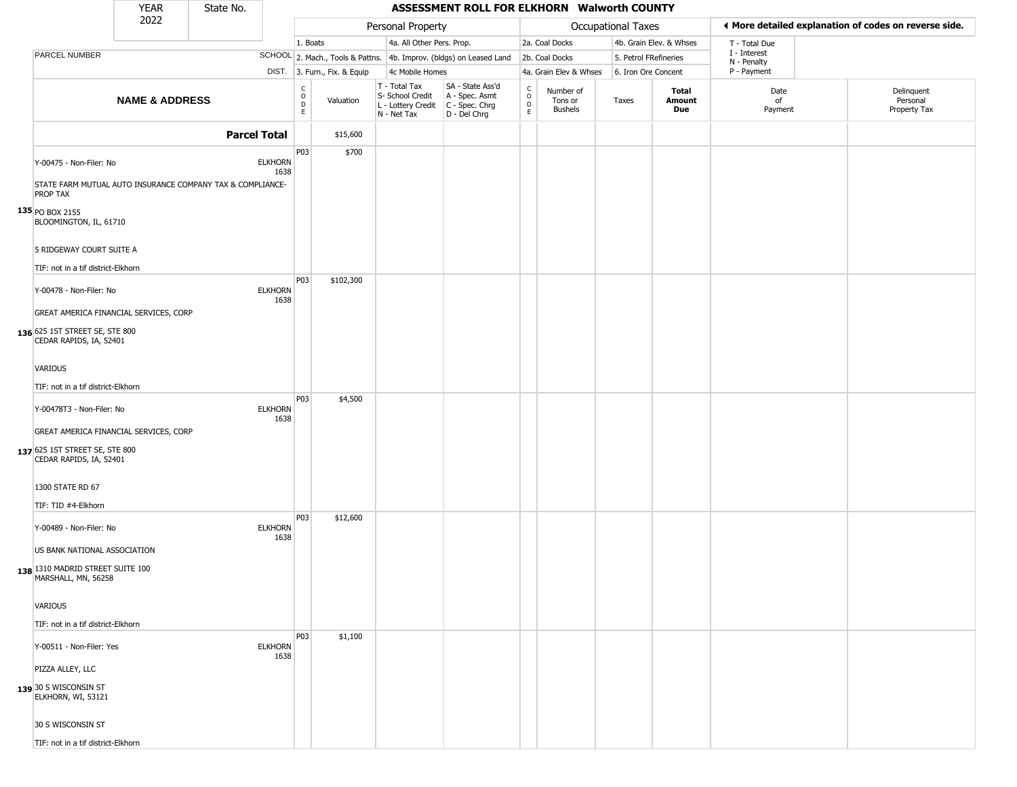|                                                                                                                    | <b>YEAR</b>               | State No.           |                        |                         |                              |                                                                        | ASSESSMENT ROLL FOR ELKHORN Walworth COUNTY                          |                                                |                                        |                       |                         |                             |                                                       |
|--------------------------------------------------------------------------------------------------------------------|---------------------------|---------------------|------------------------|-------------------------|------------------------------|------------------------------------------------------------------------|----------------------------------------------------------------------|------------------------------------------------|----------------------------------------|-----------------------|-------------------------|-----------------------------|-------------------------------------------------------|
|                                                                                                                    | 2022                      |                     |                        |                         |                              | Personal Property                                                      |                                                                      |                                                |                                        | Occupational Taxes    |                         |                             | ♦ More detailed explanation of codes on reverse side. |
|                                                                                                                    |                           |                     |                        | 1. Boats                |                              | 4a. All Other Pers. Prop.                                              |                                                                      |                                                | 2a. Coal Docks                         |                       | 4b. Grain Elev. & Whses | T - Total Due               |                                                       |
| PARCEL NUMBER                                                                                                      |                           |                     |                        |                         |                              |                                                                        | SCHOOL 2. Mach., Tools & Pattns. 4b. Improv. (bldgs) on Leased Land  |                                                | 2b. Coal Docks                         | 5. Petrol FRefineries |                         | I - Interest<br>N - Penalty |                                                       |
|                                                                                                                    |                           |                     |                        |                         | DIST. 3. Furn., Fix. & Equip | 4c Mobile Homes                                                        |                                                                      |                                                | 4a. Grain Elev & Whses                 | 6. Iron Ore Concent   |                         | P - Payment                 |                                                       |
|                                                                                                                    | <b>NAME &amp; ADDRESS</b> |                     |                        | $\frac{C}{O}$<br>D<br>E | Valuation                    | T - Total Tax<br>S- School Credit<br>L - Lottery Credit<br>N - Net Tax | SA - State Ass'd<br>A - Spec. Asmt<br>C - Spec. Chrg<br>D - Del Chrg | $\begin{matrix} 0 \\ 0 \\ D \end{matrix}$<br>E | Number of<br>Tons or<br><b>Bushels</b> | Taxes                 | Total<br>Amount<br>Due  | Date<br>of<br>Payment       | Delinquent<br>Personal<br>Property Tax                |
|                                                                                                                    |                           | <b>Parcel Total</b> |                        |                         | \$15,600                     |                                                                        |                                                                      |                                                |                                        |                       |                         |                             |                                                       |
| Y-00475 - Non-Filer: No<br>STATE FARM MUTUAL AUTO INSURANCE COMPANY TAX & COMPLIANCE-<br>PROP TAX                  |                           |                     | <b>ELKHORN</b><br>1638 | P03                     | \$700                        |                                                                        |                                                                      |                                                |                                        |                       |                         |                             |                                                       |
| 135 PO BOX 2155<br>BLOOMINGTON, IL, 61710<br>5 RIDGEWAY COURT SUITE A                                              |                           |                     |                        |                         |                              |                                                                        |                                                                      |                                                |                                        |                       |                         |                             |                                                       |
| TIF: not in a tif district-Elkhorn                                                                                 |                           |                     |                        |                         |                              |                                                                        |                                                                      |                                                |                                        |                       |                         |                             |                                                       |
| Y-00478 - Non-Filer: No<br>GREAT AMERICA FINANCIAL SERVICES, CORP                                                  |                           |                     | <b>ELKHORN</b><br>1638 | P03                     | \$102,300                    |                                                                        |                                                                      |                                                |                                        |                       |                         |                             |                                                       |
| 136 625 1ST STREET SE, STE 800<br>CEDAR RAPIDS, IA, 52401                                                          |                           |                     |                        |                         |                              |                                                                        |                                                                      |                                                |                                        |                       |                         |                             |                                                       |
| VARIOUS                                                                                                            |                           |                     |                        |                         |                              |                                                                        |                                                                      |                                                |                                        |                       |                         |                             |                                                       |
| TIF: not in a tif district-Elkhorn                                                                                 |                           |                     |                        |                         |                              |                                                                        |                                                                      |                                                |                                        |                       |                         |                             |                                                       |
| Y-00478T3 - Non-Filer: No<br>GREAT AMERICA FINANCIAL SERVICES, CORP                                                |                           |                     | <b>ELKHORN</b><br>1638 | P03                     | \$4,500                      |                                                                        |                                                                      |                                                |                                        |                       |                         |                             |                                                       |
| 137 625 1ST STREET SE, STE 800<br>CEDAR RAPIDS, IA, 52401                                                          |                           |                     |                        |                         |                              |                                                                        |                                                                      |                                                |                                        |                       |                         |                             |                                                       |
| 1300 STATE RD 67<br>TIF: TID #4-Elkhorn                                                                            |                           |                     |                        |                         |                              |                                                                        |                                                                      |                                                |                                        |                       |                         |                             |                                                       |
| Y-00489 - Non-Filer: No<br>US BANK NATIONAL ASSOCIATION<br>138 1310 MADRID STREET SUITE 100<br>MARSHALL, MN, 56258 |                           |                     | <b>ELKHORN</b><br>1638 | P03                     | \$12,600                     |                                                                        |                                                                      |                                                |                                        |                       |                         |                             |                                                       |
| VARIOUS<br>TIF: not in a tif district-Elkhorn                                                                      |                           |                     |                        |                         |                              |                                                                        |                                                                      |                                                |                                        |                       |                         |                             |                                                       |
| Y-00511 - Non-Filer: Yes                                                                                           |                           |                     | <b>ELKHORN</b><br>1638 | P03                     | \$1,100                      |                                                                        |                                                                      |                                                |                                        |                       |                         |                             |                                                       |
| PIZZA ALLEY, LLC<br>139 30 S WISCONSIN ST<br>ELKHORN, WI, 53121                                                    |                           |                     |                        |                         |                              |                                                                        |                                                                      |                                                |                                        |                       |                         |                             |                                                       |
| 30 S WISCONSIN ST                                                                                                  |                           |                     |                        |                         |                              |                                                                        |                                                                      |                                                |                                        |                       |                         |                             |                                                       |
| TIF: not in a tif district-Elkhorn                                                                                 |                           |                     |                        |                         |                              |                                                                        |                                                                      |                                                |                                        |                       |                         |                             |                                                       |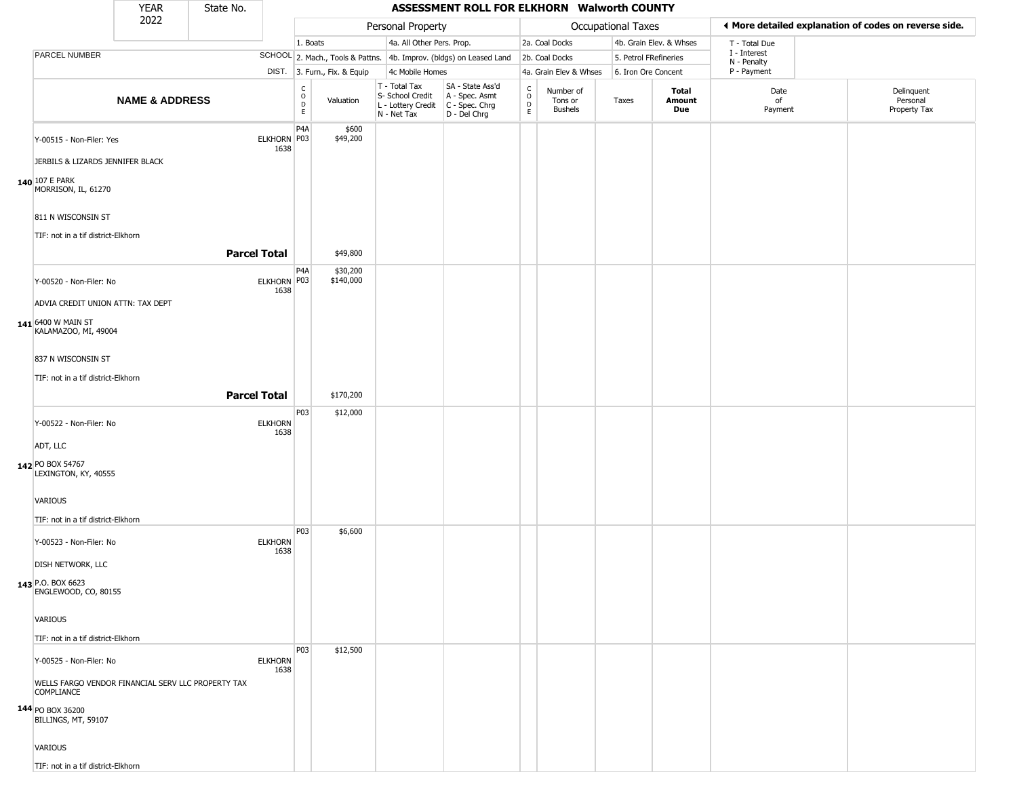|                                                                         | <b>YEAR</b>               | State No.           |                        |                                                   |                              |                                                                        | ASSESSMENT ROLL FOR ELKHORN Walworth COUNTY                          |                                            |                                        |                       |                         |                             |                                                       |
|-------------------------------------------------------------------------|---------------------------|---------------------|------------------------|---------------------------------------------------|------------------------------|------------------------------------------------------------------------|----------------------------------------------------------------------|--------------------------------------------|----------------------------------------|-----------------------|-------------------------|-----------------------------|-------------------------------------------------------|
|                                                                         | 2022                      |                     |                        |                                                   |                              | Personal Property                                                      |                                                                      |                                            |                                        | Occupational Taxes    |                         |                             | ♦ More detailed explanation of codes on reverse side. |
|                                                                         |                           |                     |                        | 1. Boats                                          |                              | 4a. All Other Pers. Prop.                                              |                                                                      |                                            | 2a. Coal Docks                         |                       | 4b. Grain Elev. & Whses | T - Total Due               |                                                       |
| PARCEL NUMBER                                                           |                           |                     |                        |                                                   |                              |                                                                        | SCHOOL 2. Mach., Tools & Pattns. 4b. Improv. (bldgs) on Leased Land  |                                            | 2b. Coal Docks                         | 5. Petrol FRefineries |                         | I - Interest<br>N - Penalty |                                                       |
|                                                                         |                           |                     |                        |                                                   | DIST. 3. Furn., Fix. & Equip | 4c Mobile Homes                                                        |                                                                      |                                            | 4a. Grain Elev & Whses                 | 6. Iron Ore Concent   |                         | P - Payment                 |                                                       |
|                                                                         | <b>NAME &amp; ADDRESS</b> |                     |                        | $\begin{array}{c}\nC \\ O \\ D \\ E\n\end{array}$ | Valuation                    | T - Total Tax<br>S- School Credit<br>L - Lottery Credit<br>N - Net Tax | SA - State Ass'd<br>A - Spec. Asmt<br>C - Spec. Chrg<br>D - Del Chrg | $\begin{array}{c} C \\ 0 \\ E \end{array}$ | Number of<br>Tons or<br><b>Bushels</b> | Taxes                 | Total<br>Amount<br>Due  | Date<br>of<br>Payment       | Delinquent<br>Personal<br>Property Tax                |
| Y-00515 - Non-Filer: Yes<br>JERBILS & LIZARDS JENNIFER BLACK            |                           |                     | ELKHORN P03<br>1638    | P <sub>4</sub> A                                  | \$600<br>\$49,200            |                                                                        |                                                                      |                                            |                                        |                       |                         |                             |                                                       |
| 140 107 E PARK<br>MORRISON, IL, 61270                                   |                           |                     |                        |                                                   |                              |                                                                        |                                                                      |                                            |                                        |                       |                         |                             |                                                       |
| 811 N WISCONSIN ST                                                      |                           |                     |                        |                                                   |                              |                                                                        |                                                                      |                                            |                                        |                       |                         |                             |                                                       |
| TIF: not in a tif district-Elkhorn                                      |                           | <b>Parcel Total</b> |                        |                                                   | \$49,800                     |                                                                        |                                                                      |                                            |                                        |                       |                         |                             |                                                       |
| Y-00520 - Non-Filer: No<br>ADVIA CREDIT UNION ATTN: TAX DEPT            |                           |                     | ELKHORN P03<br>1638    | P <sub>4</sub> A                                  | \$30,200<br>\$140,000        |                                                                        |                                                                      |                                            |                                        |                       |                         |                             |                                                       |
| 141 6400 W MAIN ST<br>KALAMAZOO, MI, 49004                              |                           |                     |                        |                                                   |                              |                                                                        |                                                                      |                                            |                                        |                       |                         |                             |                                                       |
| 837 N WISCONSIN ST<br>TIF: not in a tif district-Elkhorn                |                           |                     |                        |                                                   |                              |                                                                        |                                                                      |                                            |                                        |                       |                         |                             |                                                       |
|                                                                         |                           | <b>Parcel Total</b> |                        |                                                   | \$170,200                    |                                                                        |                                                                      |                                            |                                        |                       |                         |                             |                                                       |
| Y-00522 - Non-Filer: No                                                 |                           |                     | <b>ELKHORN</b>         | P03                                               | \$12,000                     |                                                                        |                                                                      |                                            |                                        |                       |                         |                             |                                                       |
| ADT, LLC                                                                |                           |                     | 1638                   |                                                   |                              |                                                                        |                                                                      |                                            |                                        |                       |                         |                             |                                                       |
| 142 PO BOX 54767<br>LEXINGTON, KY, 40555                                |                           |                     |                        |                                                   |                              |                                                                        |                                                                      |                                            |                                        |                       |                         |                             |                                                       |
| VARIOUS<br>TIF: not in a tif district-Elkhorn                           |                           |                     |                        |                                                   |                              |                                                                        |                                                                      |                                            |                                        |                       |                         |                             |                                                       |
| Y-00523 - Non-Filer: No                                                 |                           |                     | <b>ELKHORN</b>         | <b>P03</b>                                        | \$6,600                      |                                                                        |                                                                      |                                            |                                        |                       |                         |                             |                                                       |
| DISH NETWORK, LLC                                                       |                           |                     | 1638                   |                                                   |                              |                                                                        |                                                                      |                                            |                                        |                       |                         |                             |                                                       |
| 143 P.O. BOX 6623<br>ENGLEWOOD, CO, 80155                               |                           |                     |                        |                                                   |                              |                                                                        |                                                                      |                                            |                                        |                       |                         |                             |                                                       |
| VARIOUS<br>TIF: not in a tif district-Elkhorn                           |                           |                     |                        |                                                   |                              |                                                                        |                                                                      |                                            |                                        |                       |                         |                             |                                                       |
| Y-00525 - Non-Filer: No                                                 |                           |                     | <b>ELKHORN</b><br>1638 | P03                                               | \$12,500                     |                                                                        |                                                                      |                                            |                                        |                       |                         |                             |                                                       |
| WELLS FARGO VENDOR FINANCIAL SERV LLC PROPERTY TAX<br><b>COMPLIANCE</b> |                           |                     |                        |                                                   |                              |                                                                        |                                                                      |                                            |                                        |                       |                         |                             |                                                       |
| 144 PO BOX 36200<br>BILLINGS, MT, 59107                                 |                           |                     |                        |                                                   |                              |                                                                        |                                                                      |                                            |                                        |                       |                         |                             |                                                       |
| VARIOUS                                                                 |                           |                     |                        |                                                   |                              |                                                                        |                                                                      |                                            |                                        |                       |                         |                             |                                                       |
| TIF: not in a tif district-Elkhorn                                      |                           |                     |                        |                                                   |                              |                                                                        |                                                                      |                                            |                                        |                       |                         |                             |                                                       |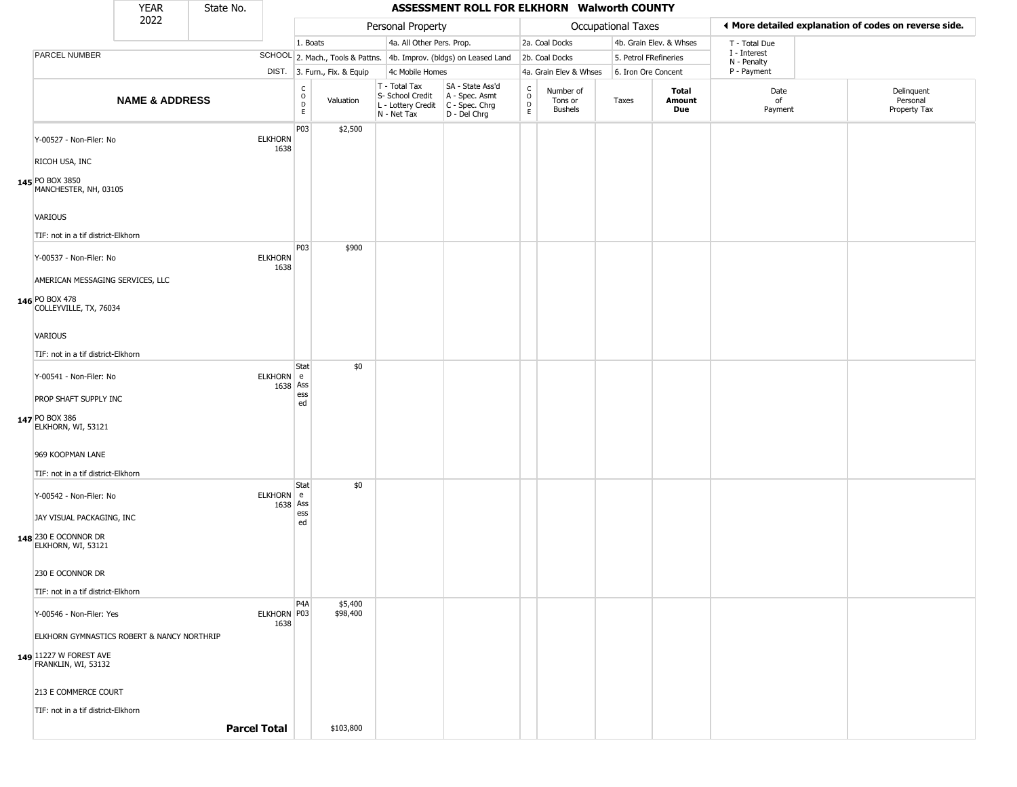|                                                            | <b>YEAR</b>               | State No. |                        |                                                          |                              |                                                                        | ASSESSMENT ROLL FOR ELKHORN Walworth COUNTY                            |                                              |                                        |                       |                         |                             |                                                       |
|------------------------------------------------------------|---------------------------|-----------|------------------------|----------------------------------------------------------|------------------------------|------------------------------------------------------------------------|------------------------------------------------------------------------|----------------------------------------------|----------------------------------------|-----------------------|-------------------------|-----------------------------|-------------------------------------------------------|
|                                                            | 2022                      |           |                        |                                                          |                              | Personal Property                                                      |                                                                        |                                              |                                        | Occupational Taxes    |                         |                             | ◀ More detailed explanation of codes on reverse side. |
|                                                            |                           |           |                        | 1. Boats                                                 |                              | 4a. All Other Pers. Prop.                                              |                                                                        |                                              | 2a. Coal Docks                         |                       | 4b. Grain Elev. & Whses | T - Total Due               |                                                       |
| PARCEL NUMBER                                              |                           |           |                        |                                                          |                              |                                                                        | SCHOOL 2. Mach., Tools & Pattns. 4b. Improv. (bldgs) on Leased Land    |                                              | 2b. Coal Docks                         | 5. Petrol FRefineries |                         | I - Interest<br>N - Penalty |                                                       |
|                                                            |                           |           |                        |                                                          | DIST. 3. Furn., Fix. & Equip | 4c Mobile Homes                                                        |                                                                        |                                              | 4a. Grain Elev & Whses                 | 6. Iron Ore Concent   |                         | P - Payment                 |                                                       |
|                                                            | <b>NAME &amp; ADDRESS</b> |           |                        | $\begin{smallmatrix} C \\ 0 \\ D \end{smallmatrix}$<br>E | Valuation                    | T - Total Tax<br>S- School Credit<br>L - Lottery Credit<br>N - Net Tax | SA - State Ass'd<br>A - Spec. Asmt<br>$C - Spec. Chrg$<br>D - Del Chrg | $\int_{0}^{c}$<br>$\mathsf D$<br>$\mathsf E$ | Number of<br>Tons or<br><b>Bushels</b> | Taxes                 | Total<br>Amount<br>Due  | Date<br>of<br>Payment       | Delinquent<br>Personal<br>Property Tax                |
| Y-00527 - Non-Filer: No                                    |                           |           | <b>ELKHORN</b><br>1638 | P03                                                      | \$2,500                      |                                                                        |                                                                        |                                              |                                        |                       |                         |                             |                                                       |
| RICOH USA, INC<br>145 PO BOX 3850<br>MANCHESTER, NH, 03105 |                           |           |                        |                                                          |                              |                                                                        |                                                                        |                                              |                                        |                       |                         |                             |                                                       |
| <b>VARIOUS</b>                                             |                           |           |                        |                                                          |                              |                                                                        |                                                                        |                                              |                                        |                       |                         |                             |                                                       |
| TIF: not in a tif district-Elkhorn                         |                           |           |                        |                                                          |                              |                                                                        |                                                                        |                                              |                                        |                       |                         |                             |                                                       |
| Y-00537 - Non-Filer: No                                    |                           |           | <b>ELKHORN</b><br>1638 | P03                                                      | \$900                        |                                                                        |                                                                        |                                              |                                        |                       |                         |                             |                                                       |
| AMERICAN MESSAGING SERVICES, LLC                           |                           |           |                        |                                                          |                              |                                                                        |                                                                        |                                              |                                        |                       |                         |                             |                                                       |
| 146 PO BOX 478<br>COLLEYVILLE, TX, 76034                   |                           |           |                        |                                                          |                              |                                                                        |                                                                        |                                              |                                        |                       |                         |                             |                                                       |
| <b>VARIOUS</b>                                             |                           |           |                        |                                                          |                              |                                                                        |                                                                        |                                              |                                        |                       |                         |                             |                                                       |
| TIF: not in a tif district-Elkhorn                         |                           |           |                        |                                                          |                              |                                                                        |                                                                        |                                              |                                        |                       |                         |                             |                                                       |
| Y-00541 - Non-Filer: No                                    |                           |           | ELKHORN e<br>1638 Ass  | <b>Stat</b><br>ess                                       | \$0                          |                                                                        |                                                                        |                                              |                                        |                       |                         |                             |                                                       |
| PROP SHAFT SUPPLY INC                                      |                           |           |                        | ed                                                       |                              |                                                                        |                                                                        |                                              |                                        |                       |                         |                             |                                                       |
| 147 PO BOX 386<br>ELKHORN, WI, 53121                       |                           |           |                        |                                                          |                              |                                                                        |                                                                        |                                              |                                        |                       |                         |                             |                                                       |
| 969 KOOPMAN LANE                                           |                           |           |                        |                                                          |                              |                                                                        |                                                                        |                                              |                                        |                       |                         |                             |                                                       |
| TIF: not in a tif district-Elkhorn                         |                           |           |                        |                                                          |                              |                                                                        |                                                                        |                                              |                                        |                       |                         |                             |                                                       |
| Y-00542 - Non-Filer: No                                    |                           |           | ELKHORN e              | <b>Stat</b>                                              | \$0                          |                                                                        |                                                                        |                                              |                                        |                       |                         |                             |                                                       |
| JAY VISUAL PACKAGING, INC                                  |                           |           | 1638 Ass               | ess<br>ed                                                |                              |                                                                        |                                                                        |                                              |                                        |                       |                         |                             |                                                       |
| 148 230 E OCONNOR DR<br>ELKHORN, WI, 53121                 |                           |           |                        |                                                          |                              |                                                                        |                                                                        |                                              |                                        |                       |                         |                             |                                                       |
| 230 E OCONNOR DR                                           |                           |           |                        |                                                          |                              |                                                                        |                                                                        |                                              |                                        |                       |                         |                             |                                                       |
| TIF: not in a tif district-Elkhorn                         |                           |           |                        |                                                          |                              |                                                                        |                                                                        |                                              |                                        |                       |                         |                             |                                                       |
| Y-00546 - Non-Filer: Yes                                   |                           |           | ELKHORN P03<br>1638    | P <sub>4</sub> A                                         | \$5,400<br>\$98,400          |                                                                        |                                                                        |                                              |                                        |                       |                         |                             |                                                       |
| ELKHORN GYMNASTICS ROBERT & NANCY NORTHRIP                 |                           |           |                        |                                                          |                              |                                                                        |                                                                        |                                              |                                        |                       |                         |                             |                                                       |
| 149 11227 W FOREST AVE<br>FRANKLIN, WI, 53132              |                           |           |                        |                                                          |                              |                                                                        |                                                                        |                                              |                                        |                       |                         |                             |                                                       |
| 213 E COMMERCE COURT                                       |                           |           |                        |                                                          |                              |                                                                        |                                                                        |                                              |                                        |                       |                         |                             |                                                       |
| TIF: not in a tif district-Elkhorn                         |                           |           |                        |                                                          |                              |                                                                        |                                                                        |                                              |                                        |                       |                         |                             |                                                       |
|                                                            |                           |           | <b>Parcel Total</b>    |                                                          | \$103,800                    |                                                                        |                                                                        |                                              |                                        |                       |                         |                             |                                                       |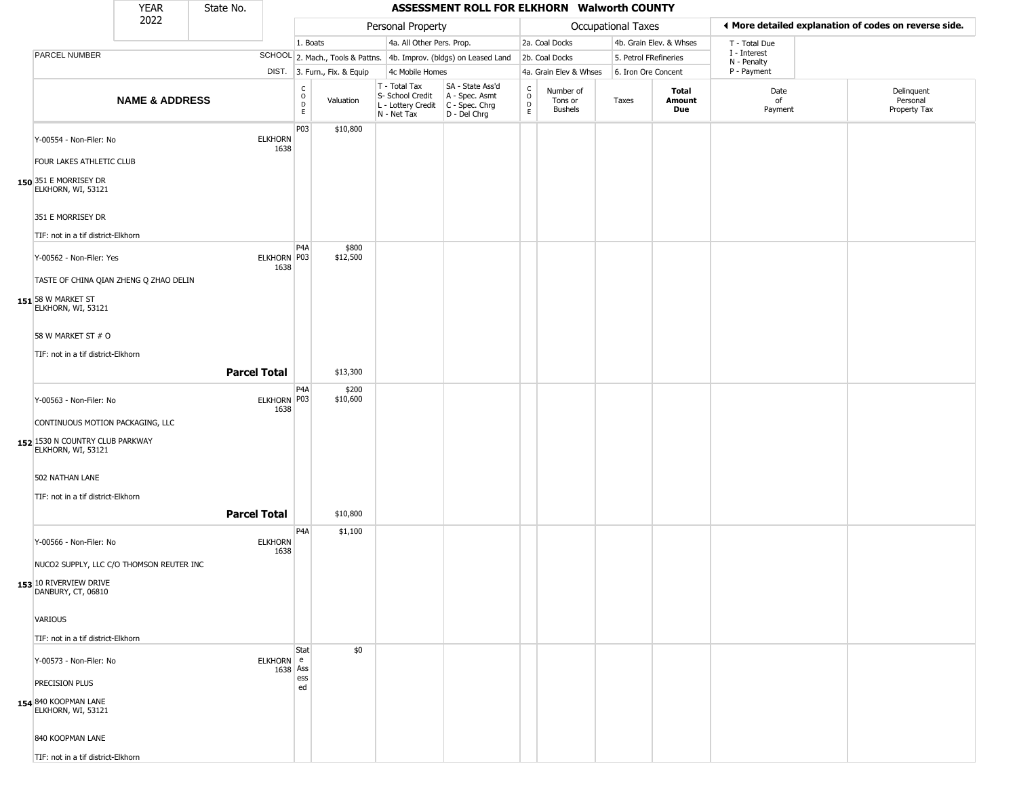|                                                                                           | <b>YEAR</b>               | State No.           |                        |                                                |                              |                                                                        | ASSESSMENT ROLL FOR ELKHORN Walworth COUNTY                          |                                                          |                                        |                       |                         |                                                       |                                        |
|-------------------------------------------------------------------------------------------|---------------------------|---------------------|------------------------|------------------------------------------------|------------------------------|------------------------------------------------------------------------|----------------------------------------------------------------------|----------------------------------------------------------|----------------------------------------|-----------------------|-------------------------|-------------------------------------------------------|----------------------------------------|
|                                                                                           | 2022                      |                     |                        |                                                |                              | Personal Property                                                      |                                                                      |                                                          |                                        | Occupational Taxes    |                         | ◀ More detailed explanation of codes on reverse side. |                                        |
|                                                                                           |                           |                     |                        | 1. Boats                                       |                              | 4a. All Other Pers. Prop.                                              |                                                                      |                                                          | 2a. Coal Docks                         |                       | 4b. Grain Elev. & Whses | T - Total Due                                         |                                        |
| PARCEL NUMBER                                                                             |                           |                     |                        |                                                |                              |                                                                        | SCHOOL 2. Mach., Tools & Pattns. 4b. Improv. (bldgs) on Leased Land  |                                                          | 2b. Coal Docks                         | 5. Petrol FRefineries |                         | I - Interest<br>N - Penalty                           |                                        |
|                                                                                           |                           |                     |                        |                                                | DIST. 3. Furn., Fix. & Equip | 4c Mobile Homes                                                        |                                                                      |                                                          | 4a. Grain Elev & Whses                 | 6. Iron Ore Concent   |                         | P - Payment                                           |                                        |
|                                                                                           | <b>NAME &amp; ADDRESS</b> |                     |                        | C<br>$\mathsf O$<br>$\mathsf D$<br>$\mathsf E$ | Valuation                    | T - Total Tax<br>S- School Credit<br>L - Lottery Credit<br>N - Net Tax | SA - State Ass'd<br>A - Spec. Asmt<br>C - Spec. Chrg<br>D - Del Chrg | $\begin{matrix} 0 \\ 0 \\ D \end{matrix}$<br>$\mathsf E$ | Number of<br>Tons or<br><b>Bushels</b> | Taxes                 | Total<br>Amount<br>Due  | Date<br>of<br>Payment                                 | Delinquent<br>Personal<br>Property Tax |
| Y-00554 - Non-Filer: No<br>FOUR LAKES ATHLETIC CLUB                                       |                           |                     | <b>ELKHORN</b><br>1638 | P03                                            | \$10,800                     |                                                                        |                                                                      |                                                          |                                        |                       |                         |                                                       |                                        |
| 150 351 E MORRISEY DR<br>ELKHORN, WI, 53121                                               |                           |                     |                        |                                                |                              |                                                                        |                                                                      |                                                          |                                        |                       |                         |                                                       |                                        |
| 351 E MORRISEY DR<br>TIF: not in a tif district-Elkhorn                                   |                           |                     |                        |                                                |                              |                                                                        |                                                                      |                                                          |                                        |                       |                         |                                                       |                                        |
|                                                                                           |                           |                     |                        | P <sub>4</sub> A                               | \$800                        |                                                                        |                                                                      |                                                          |                                        |                       |                         |                                                       |                                        |
| Y-00562 - Non-Filer: Yes<br>TASTE OF CHINA QIAN ZHENG Q ZHAO DELIN                        |                           |                     | ELKHORN P03<br>1638    |                                                | \$12,500                     |                                                                        |                                                                      |                                                          |                                        |                       |                         |                                                       |                                        |
| 151 58 W MARKET ST<br>ELKHORN, WI, 53121                                                  |                           |                     |                        |                                                |                              |                                                                        |                                                                      |                                                          |                                        |                       |                         |                                                       |                                        |
| 58 W MARKET ST # O                                                                        |                           |                     |                        |                                                |                              |                                                                        |                                                                      |                                                          |                                        |                       |                         |                                                       |                                        |
| TIF: not in a tif district-Elkhorn                                                        |                           | <b>Parcel Total</b> |                        |                                                | \$13,300                     |                                                                        |                                                                      |                                                          |                                        |                       |                         |                                                       |                                        |
| Y-00563 - Non-Filer: No                                                                   |                           |                     | ELKHORN P03<br>1638    | P <sub>4</sub> A                               | \$200<br>\$10,600            |                                                                        |                                                                      |                                                          |                                        |                       |                         |                                                       |                                        |
| CONTINUOUS MOTION PACKAGING, LLC<br>152 1530 N COUNTRY CLUB PARKWAY<br>ELKHORN, WI, 53121 |                           |                     |                        |                                                |                              |                                                                        |                                                                      |                                                          |                                        |                       |                         |                                                       |                                        |
| 502 NATHAN LANE<br>TIF: not in a tif district-Elkhorn                                     |                           |                     |                        |                                                |                              |                                                                        |                                                                      |                                                          |                                        |                       |                         |                                                       |                                        |
|                                                                                           |                           | <b>Parcel Total</b> |                        |                                                | \$10,800                     |                                                                        |                                                                      |                                                          |                                        |                       |                         |                                                       |                                        |
| Y-00566 - Non-Filer: No                                                                   |                           |                     | <b>ELKHORN</b><br>1638 | P <sub>4</sub> A                               | \$1,100                      |                                                                        |                                                                      |                                                          |                                        |                       |                         |                                                       |                                        |
| NUCO2 SUPPLY, LLC C/O THOMSON REUTER INC                                                  |                           |                     |                        |                                                |                              |                                                                        |                                                                      |                                                          |                                        |                       |                         |                                                       |                                        |
| 153 10 RIVERVIEW DRIVE<br>DANBURY, CT, 06810                                              |                           |                     |                        |                                                |                              |                                                                        |                                                                      |                                                          |                                        |                       |                         |                                                       |                                        |
| VARIOUS                                                                                   |                           |                     |                        |                                                |                              |                                                                        |                                                                      |                                                          |                                        |                       |                         |                                                       |                                        |
| TIF: not in a tif district-Elkhorn                                                        |                           |                     |                        |                                                |                              |                                                                        |                                                                      |                                                          |                                        |                       |                         |                                                       |                                        |
| Y-00573 - Non-Filer: No                                                                   |                           |                     | ELKHORN e<br>1638 Ass  | Stat                                           | \$0                          |                                                                        |                                                                      |                                                          |                                        |                       |                         |                                                       |                                        |
| PRECISION PLUS<br>154 840 KOOPMAN LANE<br>ELKHORN, WI, 53121                              |                           |                     |                        | ess<br>ed                                      |                              |                                                                        |                                                                      |                                                          |                                        |                       |                         |                                                       |                                        |
| 840 KOOPMAN LANE                                                                          |                           |                     |                        |                                                |                              |                                                                        |                                                                      |                                                          |                                        |                       |                         |                                                       |                                        |
| TIF: not in a tif district-Elkhorn                                                        |                           |                     |                        |                                                |                              |                                                                        |                                                                      |                                                          |                                        |                       |                         |                                                       |                                        |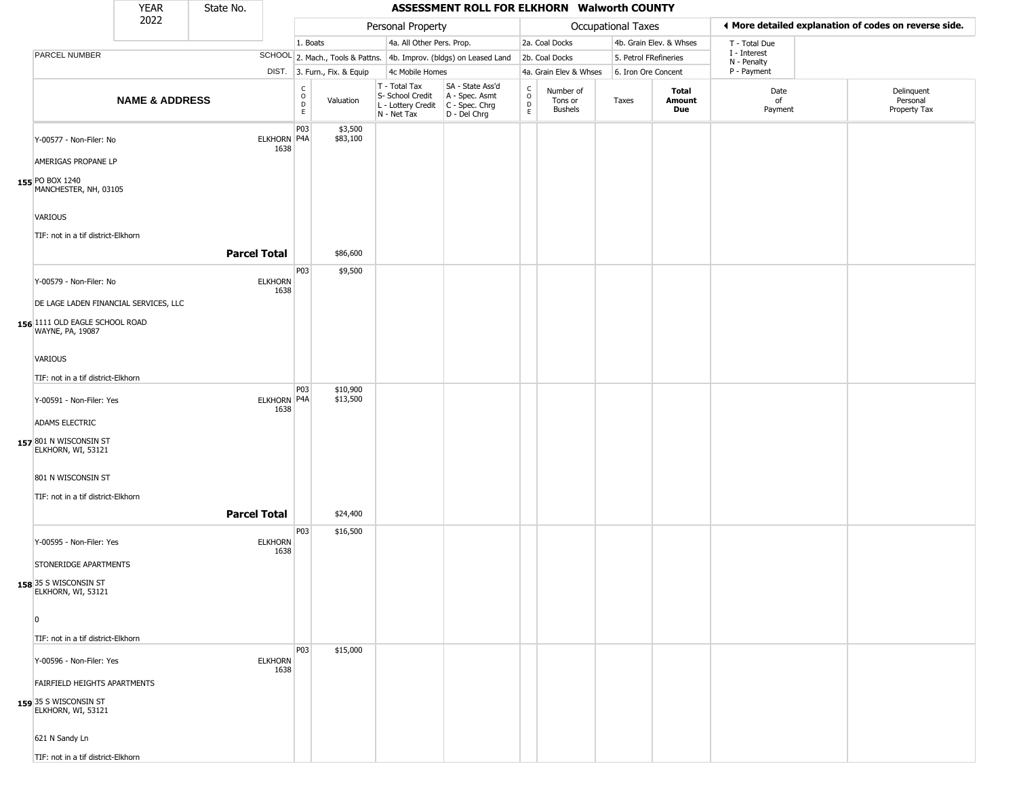|                                                                                                                           | <b>YEAR</b>               | State No.           |                        |                                              |                              |                                                                        | ASSESSMENT ROLL FOR ELKHORN Walworth COUNTY                          |                                                          |                                        |                       |                         |                             |                                                       |
|---------------------------------------------------------------------------------------------------------------------------|---------------------------|---------------------|------------------------|----------------------------------------------|------------------------------|------------------------------------------------------------------------|----------------------------------------------------------------------|----------------------------------------------------------|----------------------------------------|-----------------------|-------------------------|-----------------------------|-------------------------------------------------------|
|                                                                                                                           | 2022                      |                     |                        |                                              |                              | Personal Property                                                      |                                                                      |                                                          |                                        | Occupational Taxes    |                         |                             | ♦ More detailed explanation of codes on reverse side. |
|                                                                                                                           |                           |                     |                        | 1. Boats                                     |                              | 4a. All Other Pers. Prop.                                              |                                                                      |                                                          | 2a. Coal Docks                         |                       | 4b. Grain Elev. & Whses | T - Total Due               |                                                       |
| PARCEL NUMBER                                                                                                             |                           |                     |                        |                                              |                              |                                                                        | SCHOOL 2. Mach., Tools & Pattns. 4b. Improv. (bldgs) on Leased Land  |                                                          | 2b. Coal Docks                         | 5. Petrol FRefineries |                         | I - Interest<br>N - Penalty |                                                       |
|                                                                                                                           |                           |                     |                        |                                              | DIST. 3. Furn., Fix. & Equip | 4c Mobile Homes                                                        |                                                                      |                                                          | 4a. Grain Elev & Whses                 | 6. Iron Ore Concent   |                         | P - Payment                 |                                                       |
|                                                                                                                           | <b>NAME &amp; ADDRESS</b> |                     |                        | $\begin{array}{c}\nC \\ O \\ D\n\end{array}$ | Valuation                    | T - Total Tax<br>S- School Credit<br>L - Lottery Credit<br>N - Net Tax | SA - State Ass'd<br>A - Spec. Asmt<br>C - Spec. Chrg<br>D - Del Chrg | $\begin{smallmatrix} C \\ O \\ D \end{smallmatrix}$<br>E | Number of<br>Tons or<br><b>Bushels</b> | Taxes                 | Total<br>Amount<br>Due  | Date<br>of<br>Payment       | Delinquent<br>Personal<br>Property Tax                |
| Y-00577 - Non-Filer: No<br>AMERIGAS PROPANE LP<br>155 PO BOX 1240<br>MANCHESTER, NH, 03105                                |                           |                     | ELKHORN P4A<br>1638    | P03                                          | \$3,500<br>\$83,100          |                                                                        |                                                                      |                                                          |                                        |                       |                         |                             |                                                       |
| <b>VARIOUS</b>                                                                                                            |                           |                     |                        |                                              |                              |                                                                        |                                                                      |                                                          |                                        |                       |                         |                             |                                                       |
| TIF: not in a tif district-Elkhorn                                                                                        |                           | <b>Parcel Total</b> |                        |                                              | \$86,600                     |                                                                        |                                                                      |                                                          |                                        |                       |                         |                             |                                                       |
| Y-00579 - Non-Filer: No<br>DE LAGE LADEN FINANCIAL SERVICES, LLC<br>156 1111 OLD EAGLE SCHOOL ROAD<br>WAYNE, PA, 19087    |                           |                     | <b>ELKHORN</b><br>1638 | P03                                          | \$9,500                      |                                                                        |                                                                      |                                                          |                                        |                       |                         |                             |                                                       |
| VARIOUS<br>TIF: not in a tif district-Elkhorn                                                                             |                           |                     |                        |                                              |                              |                                                                        |                                                                      |                                                          |                                        |                       |                         |                             |                                                       |
| Y-00591 - Non-Filer: Yes<br>ADAMS ELECTRIC                                                                                |                           |                     | ELKHORN P4A<br>1638    | P03                                          | \$10,900<br>\$13,500         |                                                                        |                                                                      |                                                          |                                        |                       |                         |                             |                                                       |
| 157 801 N WISCONSIN ST<br>ELKHORN, WI, 53121<br>801 N WISCONSIN ST<br>TIF: not in a tif district-Elkhorn                  |                           | <b>Parcel Total</b> |                        |                                              | \$24,400                     |                                                                        |                                                                      |                                                          |                                        |                       |                         |                             |                                                       |
| Y-00595 - Non-Filer: Yes<br>STONERIDGE APARTMENTS                                                                         |                           |                     | <b>ELKHORN</b><br>1638 | P03                                          | \$16,500                     |                                                                        |                                                                      |                                                          |                                        |                       |                         |                             |                                                       |
| 158 35 S WISCONSIN ST<br>ELKHORN, WI, 53121<br>$\overline{0}$<br>TIF: not in a tif district-Elkhorn                       |                           |                     |                        |                                              |                              |                                                                        |                                                                      |                                                          |                                        |                       |                         |                             |                                                       |
| Y-00596 - Non-Filer: Yes<br>FAIRFIELD HEIGHTS APARTMENTS<br>159 35 S WISCONSIN ST<br>ELKHORN, WI, 53121<br>621 N Sandy Ln |                           |                     | <b>ELKHORN</b><br>1638 | P03                                          | \$15,000                     |                                                                        |                                                                      |                                                          |                                        |                       |                         |                             |                                                       |
| TIF: not in a tif district-Elkhorn                                                                                        |                           |                     |                        |                                              |                              |                                                                        |                                                                      |                                                          |                                        |                       |                         |                             |                                                       |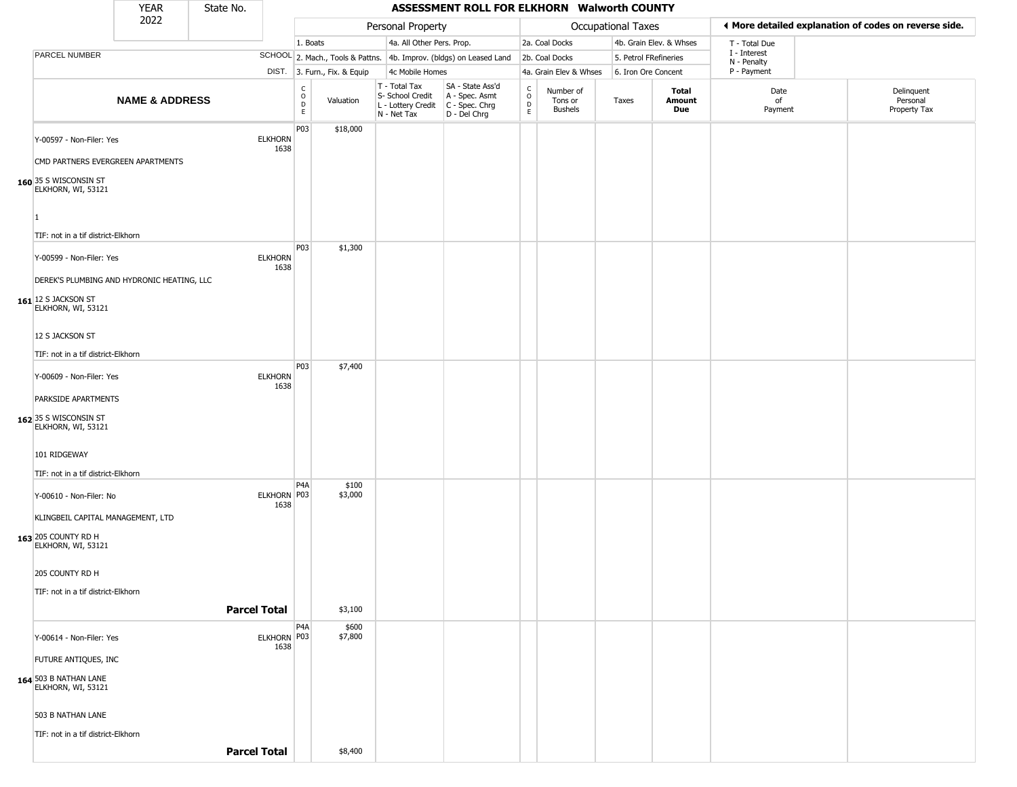|                                                                        | <b>YEAR</b>               | State No. |                        |                                   |                              |                                                                        | ASSESSMENT ROLL FOR ELKHORN Walworth COUNTY                            |                  |                                        |                       |                         |                             |                                                       |
|------------------------------------------------------------------------|---------------------------|-----------|------------------------|-----------------------------------|------------------------------|------------------------------------------------------------------------|------------------------------------------------------------------------|------------------|----------------------------------------|-----------------------|-------------------------|-----------------------------|-------------------------------------------------------|
|                                                                        | 2022                      |           |                        |                                   |                              | Personal Property                                                      |                                                                        |                  |                                        | Occupational Taxes    |                         |                             | ◀ More detailed explanation of codes on reverse side. |
|                                                                        |                           |           |                        | 1. Boats                          |                              | 4a. All Other Pers. Prop.                                              |                                                                        |                  | 2a. Coal Docks                         |                       | 4b. Grain Elev. & Whses | T - Total Due               |                                                       |
| PARCEL NUMBER                                                          |                           |           |                        |                                   |                              |                                                                        | SCHOOL 2. Mach., Tools & Pattns. 4b. Improv. (bldgs) on Leased Land    |                  | 2b. Coal Docks                         | 5. Petrol FRefineries |                         | I - Interest<br>N - Penalty |                                                       |
|                                                                        |                           |           |                        |                                   | DIST. 3. Furn., Fix. & Equip | 4c Mobile Homes                                                        |                                                                        |                  | 4a. Grain Elev & Whses                 | 6. Iron Ore Concent   |                         | P - Payment                 |                                                       |
|                                                                        | <b>NAME &amp; ADDRESS</b> |           |                        | $\frac{c}{0}$<br>$\mathsf D$<br>E | Valuation                    | T - Total Tax<br>S- School Credit<br>L - Lottery Credit<br>N - Net Tax | SA - State Ass'd<br>A - Spec. Asmt<br>$C - Spec. Chrg$<br>D - Del Chrg | C<br>D<br>D<br>E | Number of<br>Tons or<br><b>Bushels</b> | Taxes                 | Total<br>Amount<br>Due  | Date<br>of<br>Payment       | Delinquent<br>Personal<br>Property Tax                |
| Y-00597 - Non-Filer: Yes<br>CMD PARTNERS EVERGREEN APARTMENTS          |                           |           | <b>ELKHORN</b><br>1638 | P03                               | \$18,000                     |                                                                        |                                                                        |                  |                                        |                       |                         |                             |                                                       |
| 160 35 S WISCONSIN ST<br>ELKHORN, WI, 53121<br>$\vert$ 1               |                           |           |                        |                                   |                              |                                                                        |                                                                        |                  |                                        |                       |                         |                             |                                                       |
| TIF: not in a tif district-Elkhorn                                     |                           |           |                        | P03                               | \$1,300                      |                                                                        |                                                                        |                  |                                        |                       |                         |                             |                                                       |
| Y-00599 - Non-Filer: Yes<br>DEREK'S PLUMBING AND HYDRONIC HEATING, LLC |                           |           | <b>ELKHORN</b><br>1638 |                                   |                              |                                                                        |                                                                        |                  |                                        |                       |                         |                             |                                                       |
| 161 12 S JACKSON ST<br>ELKHORN, WI, 53121                              |                           |           |                        |                                   |                              |                                                                        |                                                                        |                  |                                        |                       |                         |                             |                                                       |
| 12 S JACKSON ST                                                        |                           |           |                        |                                   |                              |                                                                        |                                                                        |                  |                                        |                       |                         |                             |                                                       |
| TIF: not in a tif district-Elkhorn                                     |                           |           |                        | P03                               | \$7,400                      |                                                                        |                                                                        |                  |                                        |                       |                         |                             |                                                       |
| Y-00609 - Non-Filer: Yes                                               |                           |           | <b>ELKHORN</b><br>1638 |                                   |                              |                                                                        |                                                                        |                  |                                        |                       |                         |                             |                                                       |
| PARKSIDE APARTMENTS                                                    |                           |           |                        |                                   |                              |                                                                        |                                                                        |                  |                                        |                       |                         |                             |                                                       |
| 162 35 S WISCONSIN ST<br>ELKHORN, WI, 53121                            |                           |           |                        |                                   |                              |                                                                        |                                                                        |                  |                                        |                       |                         |                             |                                                       |
| 101 RIDGEWAY                                                           |                           |           |                        |                                   |                              |                                                                        |                                                                        |                  |                                        |                       |                         |                             |                                                       |
| TIF: not in a tif district-Elkhorn                                     |                           |           |                        |                                   |                              |                                                                        |                                                                        |                  |                                        |                       |                         |                             |                                                       |
| Y-00610 - Non-Filer: No                                                |                           |           | ELKHORN P03<br>1638    | P4A                               | \$100<br>\$3,000             |                                                                        |                                                                        |                  |                                        |                       |                         |                             |                                                       |
| KLINGBEIL CAPITAL MANAGEMENT, LTD                                      |                           |           |                        |                                   |                              |                                                                        |                                                                        |                  |                                        |                       |                         |                             |                                                       |
| 163 205 COUNTY RD H<br>ELKHORN, WI, 53121                              |                           |           |                        |                                   |                              |                                                                        |                                                                        |                  |                                        |                       |                         |                             |                                                       |
| 205 COUNTY RD H                                                        |                           |           |                        |                                   |                              |                                                                        |                                                                        |                  |                                        |                       |                         |                             |                                                       |
| TIF: not in a tif district-Elkhorn                                     |                           |           | <b>Parcel Total</b>    |                                   | \$3,100                      |                                                                        |                                                                        |                  |                                        |                       |                         |                             |                                                       |
|                                                                        |                           |           |                        |                                   |                              |                                                                        |                                                                        |                  |                                        |                       |                         |                             |                                                       |
| Y-00614 - Non-Filer: Yes                                               |                           |           | ELKHORN P03<br>1638    | P <sub>4</sub> A                  | \$600<br>\$7,800             |                                                                        |                                                                        |                  |                                        |                       |                         |                             |                                                       |
| FUTURE ANTIQUES, INC                                                   |                           |           |                        |                                   |                              |                                                                        |                                                                        |                  |                                        |                       |                         |                             |                                                       |
| 164 503 B NATHAN LANE<br>ELKHORN, WI, 53121                            |                           |           |                        |                                   |                              |                                                                        |                                                                        |                  |                                        |                       |                         |                             |                                                       |
| 503 B NATHAN LANE                                                      |                           |           |                        |                                   |                              |                                                                        |                                                                        |                  |                                        |                       |                         |                             |                                                       |
| TIF: not in a tif district-Elkhorn                                     |                           |           |                        |                                   |                              |                                                                        |                                                                        |                  |                                        |                       |                         |                             |                                                       |
|                                                                        |                           |           | <b>Parcel Total</b>    |                                   | \$8,400                      |                                                                        |                                                                        |                  |                                        |                       |                         |                             |                                                       |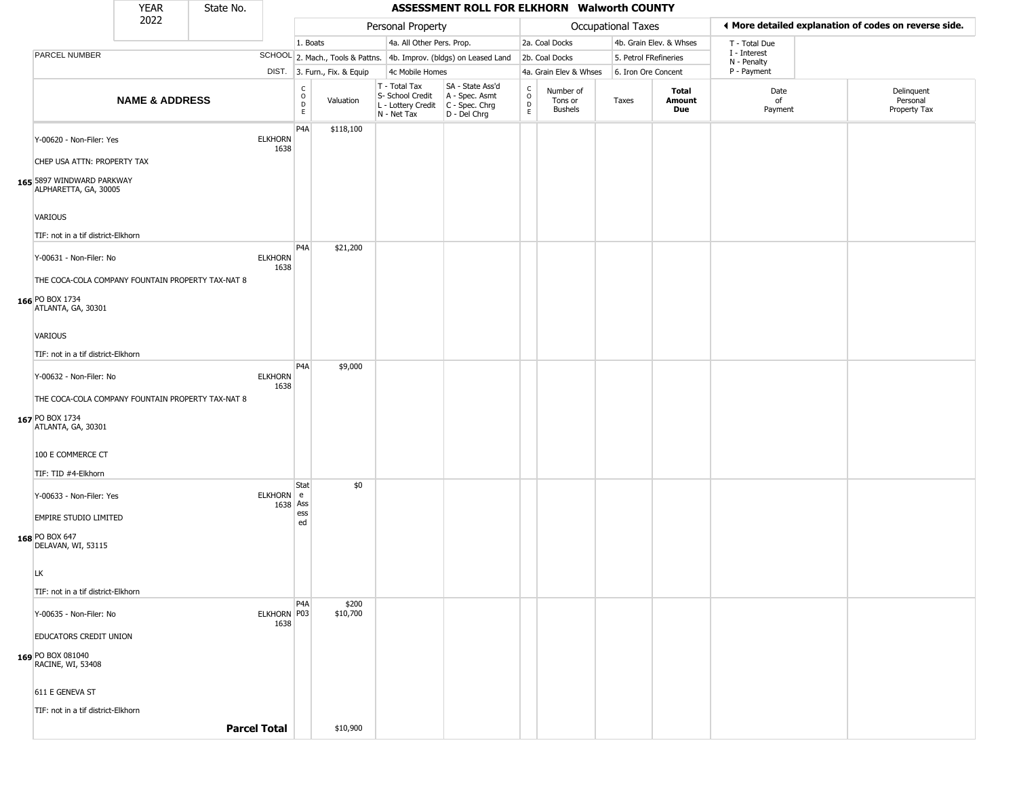|                                                                                   | <b>YEAR</b>               | State No. |                        |                                |                              |                                                                        | ASSESSMENT ROLL FOR ELKHORN Walworth COUNTY                            |                                             |                                        |                       |                         |                             |                                                       |
|-----------------------------------------------------------------------------------|---------------------------|-----------|------------------------|--------------------------------|------------------------------|------------------------------------------------------------------------|------------------------------------------------------------------------|---------------------------------------------|----------------------------------------|-----------------------|-------------------------|-----------------------------|-------------------------------------------------------|
|                                                                                   | 2022                      |           |                        |                                |                              | Personal Property                                                      |                                                                        |                                             |                                        | Occupational Taxes    |                         |                             | ◀ More detailed explanation of codes on reverse side. |
|                                                                                   |                           |           |                        | 1. Boats                       |                              | 4a. All Other Pers. Prop.                                              |                                                                        |                                             | 2a. Coal Docks                         |                       | 4b. Grain Elev. & Whses | T - Total Due               |                                                       |
| PARCEL NUMBER                                                                     |                           |           |                        |                                |                              |                                                                        | SCHOOL 2. Mach., Tools & Pattns. 4b. Improv. (bldgs) on Leased Land    |                                             | 2b. Coal Docks                         | 5. Petrol FRefineries |                         | I - Interest<br>N - Penalty |                                                       |
|                                                                                   |                           |           |                        |                                | DIST. 3. Furn., Fix. & Equip | 4c Mobile Homes                                                        |                                                                        |                                             | 4a. Grain Elev & Whses                 | 6. Iron Ore Concent   |                         | P - Payment                 |                                                       |
|                                                                                   | <b>NAME &amp; ADDRESS</b> |           |                        | $\rm _o^C$<br>D<br>$\mathsf E$ | Valuation                    | T - Total Tax<br>S- School Credit<br>L - Lottery Credit<br>N - Net Tax | SA - State Ass'd<br>A - Spec. Asmt<br>$C - Spec. Chrg$<br>D - Del Chrg | $\frac{C}{O}$<br>$\mathsf D$<br>$\mathsf E$ | Number of<br>Tons or<br><b>Bushels</b> | Taxes                 | Total<br>Amount<br>Due  | Date<br>of<br>Payment       | Delinquent<br>Personal<br>Property Tax                |
| Y-00620 - Non-Filer: Yes                                                          |                           |           | <b>ELKHORN</b><br>1638 | P4A                            | \$118,100                    |                                                                        |                                                                        |                                             |                                        |                       |                         |                             |                                                       |
| CHEP USA ATTN: PROPERTY TAX<br>165 5897 WINDWARD PARKWAY<br>ALPHARETTA, GA, 30005 |                           |           |                        |                                |                              |                                                                        |                                                                        |                                             |                                        |                       |                         |                             |                                                       |
| <b>VARIOUS</b>                                                                    |                           |           |                        |                                |                              |                                                                        |                                                                        |                                             |                                        |                       |                         |                             |                                                       |
| TIF: not in a tif district-Elkhorn                                                |                           |           |                        |                                |                              |                                                                        |                                                                        |                                             |                                        |                       |                         |                             |                                                       |
| Y-00631 - Non-Filer: No                                                           |                           |           | <b>ELKHORN</b><br>1638 | P <sub>4</sub> A               | \$21,200                     |                                                                        |                                                                        |                                             |                                        |                       |                         |                             |                                                       |
| THE COCA-COLA COMPANY FOUNTAIN PROPERTY TAX-NAT 8                                 |                           |           |                        |                                |                              |                                                                        |                                                                        |                                             |                                        |                       |                         |                             |                                                       |
| 166 PO BOX 1734<br>ATLANTA, GA, 30301                                             |                           |           |                        |                                |                              |                                                                        |                                                                        |                                             |                                        |                       |                         |                             |                                                       |
| <b>VARIOUS</b>                                                                    |                           |           |                        |                                |                              |                                                                        |                                                                        |                                             |                                        |                       |                         |                             |                                                       |
| TIF: not in a tif district-Elkhorn                                                |                           |           |                        |                                |                              |                                                                        |                                                                        |                                             |                                        |                       |                         |                             |                                                       |
| Y-00632 - Non-Filer: No                                                           |                           |           | <b>ELKHORN</b><br>1638 | P <sub>4</sub> A               | \$9,000                      |                                                                        |                                                                        |                                             |                                        |                       |                         |                             |                                                       |
| THE COCA-COLA COMPANY FOUNTAIN PROPERTY TAX-NAT 8                                 |                           |           |                        |                                |                              |                                                                        |                                                                        |                                             |                                        |                       |                         |                             |                                                       |
| 167 PO BOX 1734<br>ATLANTA, GA, 30301                                             |                           |           |                        |                                |                              |                                                                        |                                                                        |                                             |                                        |                       |                         |                             |                                                       |
| 100 E COMMERCE CT                                                                 |                           |           |                        |                                |                              |                                                                        |                                                                        |                                             |                                        |                       |                         |                             |                                                       |
| TIF: TID #4-Elkhorn                                                               |                           |           |                        |                                |                              |                                                                        |                                                                        |                                             |                                        |                       |                         |                             |                                                       |
| Y-00633 - Non-Filer: Yes                                                          |                           |           | ELKHORN e<br>1638 Ass  | Stat<br>ess                    | \$0                          |                                                                        |                                                                        |                                             |                                        |                       |                         |                             |                                                       |
| <b>EMPIRE STUDIO LIMITED</b>                                                      |                           |           |                        | ed                             |                              |                                                                        |                                                                        |                                             |                                        |                       |                         |                             |                                                       |
| 168 PO BOX 647<br>DELAVAN, WI, 53115                                              |                           |           |                        |                                |                              |                                                                        |                                                                        |                                             |                                        |                       |                         |                             |                                                       |
| <b>LK</b>                                                                         |                           |           |                        |                                |                              |                                                                        |                                                                        |                                             |                                        |                       |                         |                             |                                                       |
| TIF: not in a tif district-Elkhorn                                                |                           |           |                        |                                |                              |                                                                        |                                                                        |                                             |                                        |                       |                         |                             |                                                       |
| Y-00635 - Non-Filer: No                                                           |                           |           | ELKHORN P03<br>1638    | P4A                            | \$200<br>\$10,700            |                                                                        |                                                                        |                                             |                                        |                       |                         |                             |                                                       |
| EDUCATORS CREDIT UNION                                                            |                           |           |                        |                                |                              |                                                                        |                                                                        |                                             |                                        |                       |                         |                             |                                                       |
| 169 PO BOX 081040<br>RACINE, WI, 53408                                            |                           |           |                        |                                |                              |                                                                        |                                                                        |                                             |                                        |                       |                         |                             |                                                       |
| 611 E GENEVA ST                                                                   |                           |           |                        |                                |                              |                                                                        |                                                                        |                                             |                                        |                       |                         |                             |                                                       |
| TIF: not in a tif district-Elkhorn                                                |                           |           |                        |                                |                              |                                                                        |                                                                        |                                             |                                        |                       |                         |                             |                                                       |
|                                                                                   |                           |           | <b>Parcel Total</b>    |                                | \$10,900                     |                                                                        |                                                                        |                                             |                                        |                       |                         |                             |                                                       |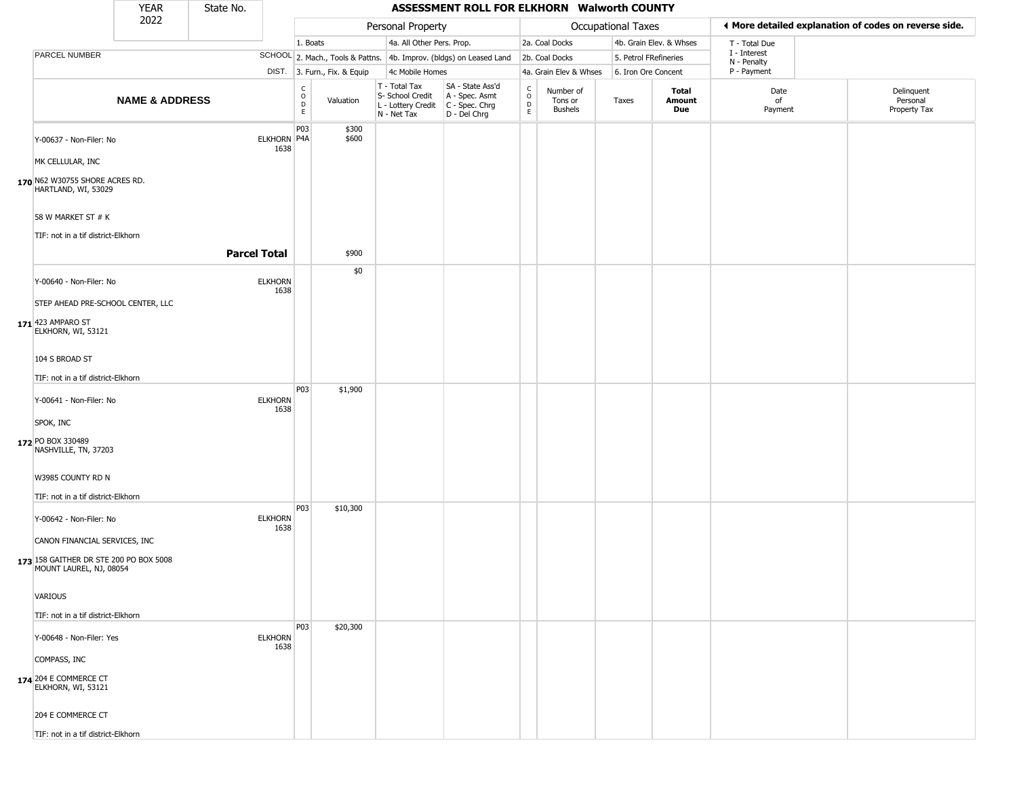|                                                                           | <b>YEAR</b>               | State No.           |                            |                                     |                              |                                                                        | ASSESSMENT ROLL FOR ELKHORN Walworth COUNTY                          |                                                 |                                 |                       |                               |                             |                                                       |
|---------------------------------------------------------------------------|---------------------------|---------------------|----------------------------|-------------------------------------|------------------------------|------------------------------------------------------------------------|----------------------------------------------------------------------|-------------------------------------------------|---------------------------------|-----------------------|-------------------------------|-----------------------------|-------------------------------------------------------|
|                                                                           | 2022                      |                     |                            |                                     |                              | Personal Property                                                      |                                                                      |                                                 |                                 | Occupational Taxes    |                               |                             | ◀ More detailed explanation of codes on reverse side. |
|                                                                           |                           |                     |                            | 1. Boats                            |                              | 4a. All Other Pers. Prop.                                              |                                                                      |                                                 | 2a. Coal Docks                  |                       | 4b. Grain Elev. & Whses       | T - Total Due               |                                                       |
| PARCEL NUMBER                                                             |                           |                     |                            |                                     |                              |                                                                        | SCHOOL 2. Mach., Tools & Pattns. 4b. Improv. (bldgs) on Leased Land  |                                                 | 2b. Coal Docks                  | 5. Petrol FRefineries |                               | I - Interest<br>N - Penalty |                                                       |
|                                                                           |                           |                     |                            |                                     | DIST. 3. Furn., Fix. & Equip | 4c Mobile Homes                                                        |                                                                      |                                                 | 4a. Grain Elev & Whses          | 6. Iron Ore Concent   |                               | P - Payment                 |                                                       |
|                                                                           | <b>NAME &amp; ADDRESS</b> |                     |                            | $\rm _o^C$<br>$\mathsf D$<br>$\,$ E | Valuation                    | T - Total Tax<br>S- School Credit<br>L - Lottery Credit<br>N - Net Tax | SA - State Ass'd<br>A - Spec. Asmt<br>C - Spec. Chrg<br>D - Del Chrg | $\begin{array}{c} C \\ O \\ D \\ E \end{array}$ | Number of<br>Tons or<br>Bushels | Taxes                 | Total<br><b>Amount</b><br>Due | Date<br>of<br>Payment       | Delinquent<br>Personal<br>Property Tax                |
| Y-00637 - Non-Filer: No                                                   |                           |                     | <b>ELKHORN P4A</b><br>1638 | P03                                 | \$300<br>\$600               |                                                                        |                                                                      |                                                 |                                 |                       |                               |                             |                                                       |
| MK CELLULAR, INC<br>170 N62 W30755 SHORE ACRES RD.<br>HARTLAND, WI, 53029 |                           |                     |                            |                                     |                              |                                                                        |                                                                      |                                                 |                                 |                       |                               |                             |                                                       |
| 58 W MARKET ST # K                                                        |                           |                     |                            |                                     |                              |                                                                        |                                                                      |                                                 |                                 |                       |                               |                             |                                                       |
| TIF: not in a tif district-Elkhorn                                        |                           |                     |                            |                                     |                              |                                                                        |                                                                      |                                                 |                                 |                       |                               |                             |                                                       |
|                                                                           |                           | <b>Parcel Total</b> |                            |                                     | \$900                        |                                                                        |                                                                      |                                                 |                                 |                       |                               |                             |                                                       |
| Y-00640 - Non-Filer: No                                                   |                           |                     | <b>ELKHORN</b><br>1638     |                                     | \$0                          |                                                                        |                                                                      |                                                 |                                 |                       |                               |                             |                                                       |
| STEP AHEAD PRE-SCHOOL CENTER, LLC                                         |                           |                     |                            |                                     |                              |                                                                        |                                                                      |                                                 |                                 |                       |                               |                             |                                                       |
| 171 423 AMPARO ST<br>ELKHORN, WI, 53121                                   |                           |                     |                            |                                     |                              |                                                                        |                                                                      |                                                 |                                 |                       |                               |                             |                                                       |
| 104 S BROAD ST                                                            |                           |                     |                            |                                     |                              |                                                                        |                                                                      |                                                 |                                 |                       |                               |                             |                                                       |
| TIF: not in a tif district-Elkhorn                                        |                           |                     |                            |                                     |                              |                                                                        |                                                                      |                                                 |                                 |                       |                               |                             |                                                       |
| Y-00641 - Non-Filer: No                                                   |                           |                     | <b>ELKHORN</b><br>1638     | P03                                 | \$1,900                      |                                                                        |                                                                      |                                                 |                                 |                       |                               |                             |                                                       |
| SPOK, INC                                                                 |                           |                     |                            |                                     |                              |                                                                        |                                                                      |                                                 |                                 |                       |                               |                             |                                                       |
| 172 PO BOX 330489<br>NASHVILLE, TN, 37203                                 |                           |                     |                            |                                     |                              |                                                                        |                                                                      |                                                 |                                 |                       |                               |                             |                                                       |
| W3985 COUNTY RD N                                                         |                           |                     |                            |                                     |                              |                                                                        |                                                                      |                                                 |                                 |                       |                               |                             |                                                       |
| TIF: not in a tif district-Elkhorn                                        |                           |                     |                            | P <sub>0</sub> 3                    | \$10,300                     |                                                                        |                                                                      |                                                 |                                 |                       |                               |                             |                                                       |
| Y-00642 - Non-Filer: No                                                   |                           |                     | <b>ELKHORN</b><br>1638     |                                     |                              |                                                                        |                                                                      |                                                 |                                 |                       |                               |                             |                                                       |
| CANON FINANCIAL SERVICES, INC                                             |                           |                     |                            |                                     |                              |                                                                        |                                                                      |                                                 |                                 |                       |                               |                             |                                                       |
| 173 158 GAITHER DR STE 200 PO BOX 5008<br>MOUNT LAUREL, NJ, 08054         |                           |                     |                            |                                     |                              |                                                                        |                                                                      |                                                 |                                 |                       |                               |                             |                                                       |
| VARIOUS                                                                   |                           |                     |                            |                                     |                              |                                                                        |                                                                      |                                                 |                                 |                       |                               |                             |                                                       |
| TIF: not in a tif district-Elkhorn                                        |                           |                     |                            |                                     |                              |                                                                        |                                                                      |                                                 |                                 |                       |                               |                             |                                                       |
| Y-00648 - Non-Filer: Yes                                                  |                           |                     | <b>ELKHORN</b>             | P03                                 | \$20,300                     |                                                                        |                                                                      |                                                 |                                 |                       |                               |                             |                                                       |
|                                                                           |                           |                     | 1638                       |                                     |                              |                                                                        |                                                                      |                                                 |                                 |                       |                               |                             |                                                       |
| COMPASS, INC<br>174 204 E COMMERCE CT<br>ELKHORN, WI, 53121               |                           |                     |                            |                                     |                              |                                                                        |                                                                      |                                                 |                                 |                       |                               |                             |                                                       |
| 204 E COMMERCE CT                                                         |                           |                     |                            |                                     |                              |                                                                        |                                                                      |                                                 |                                 |                       |                               |                             |                                                       |
| TIF: not in a tif district-Elkhorn                                        |                           |                     |                            |                                     |                              |                                                                        |                                                                      |                                                 |                                 |                       |                               |                             |                                                       |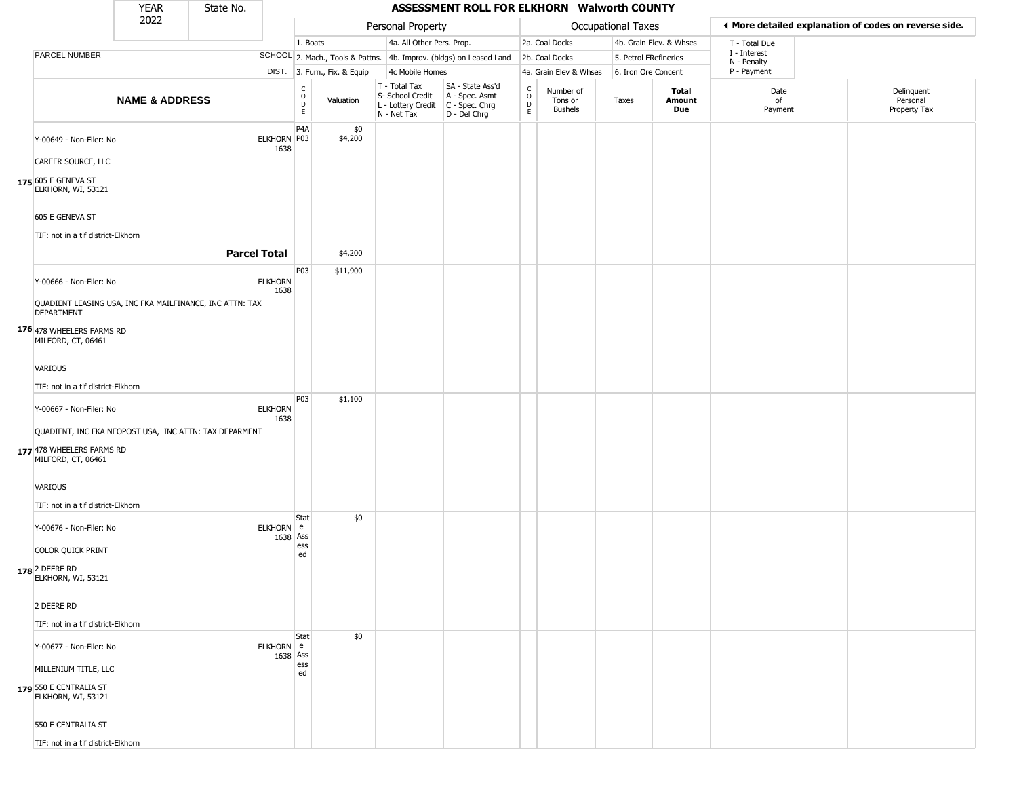|                                                                               | <b>YEAR</b>               | State No.           |                        |                                            |                              |                                                                        | ASSESSMENT ROLL FOR ELKHORN Walworth COUNTY                          |                                                  |                                        |                       |                         |                             |                                                       |
|-------------------------------------------------------------------------------|---------------------------|---------------------|------------------------|--------------------------------------------|------------------------------|------------------------------------------------------------------------|----------------------------------------------------------------------|--------------------------------------------------|----------------------------------------|-----------------------|-------------------------|-----------------------------|-------------------------------------------------------|
|                                                                               | 2022                      |                     |                        |                                            |                              | Personal Property                                                      |                                                                      |                                                  |                                        | Occupational Taxes    |                         |                             | ♦ More detailed explanation of codes on reverse side. |
|                                                                               |                           |                     |                        | 1. Boats                                   |                              | 4a. All Other Pers. Prop.                                              |                                                                      |                                                  | 2a. Coal Docks                         |                       | 4b. Grain Elev. & Whses | T - Total Due               |                                                       |
| PARCEL NUMBER                                                                 |                           |                     |                        |                                            |                              |                                                                        | SCHOOL 2. Mach., Tools & Pattns. 4b. Improv. (bldgs) on Leased Land  |                                                  | 2b. Coal Docks                         | 5. Petrol FRefineries |                         | I - Interest<br>N - Penalty |                                                       |
|                                                                               |                           |                     |                        |                                            | DIST. 3. Furn., Fix. & Equip | 4c Mobile Homes                                                        |                                                                      |                                                  | 4a. Grain Elev & Whses                 | 6. Iron Ore Concent   |                         | P - Payment                 |                                                       |
|                                                                               | <b>NAME &amp; ADDRESS</b> |                     |                        | C<br>$\circ$<br>$\mathsf D$<br>$\mathsf E$ | Valuation                    | T - Total Tax<br>S- School Credit<br>L - Lottery Credit<br>N - Net Tax | SA - State Ass'd<br>A - Spec. Asmt<br>C - Spec. Chrg<br>D - Del Chrg | $_{\rm o}^{\rm c}$<br>$\mathsf D$<br>$\mathsf E$ | Number of<br>Tons or<br><b>Bushels</b> | Taxes                 | Total<br>Amount<br>Due  | Date<br>of<br>Payment       | Delinquent<br>Personal<br>Property Tax                |
| Y-00649 - Non-Filer: No                                                       |                           |                     | ELKHORN P03<br>1638    | P <sub>4</sub> A                           | \$0<br>\$4,200               |                                                                        |                                                                      |                                                  |                                        |                       |                         |                             |                                                       |
| CAREER SOURCE, LLC                                                            |                           |                     |                        |                                            |                              |                                                                        |                                                                      |                                                  |                                        |                       |                         |                             |                                                       |
| 175 605 E GENEVA ST<br>ELKHORN, WI, 53121                                     |                           |                     |                        |                                            |                              |                                                                        |                                                                      |                                                  |                                        |                       |                         |                             |                                                       |
| 605 E GENEVA ST                                                               |                           |                     |                        |                                            |                              |                                                                        |                                                                      |                                                  |                                        |                       |                         |                             |                                                       |
| TIF: not in a tif district-Elkhorn                                            |                           |                     |                        |                                            |                              |                                                                        |                                                                      |                                                  |                                        |                       |                         |                             |                                                       |
|                                                                               |                           | <b>Parcel Total</b> |                        |                                            | \$4,200                      |                                                                        |                                                                      |                                                  |                                        |                       |                         |                             |                                                       |
|                                                                               |                           |                     |                        | P03                                        | \$11,900                     |                                                                        |                                                                      |                                                  |                                        |                       |                         |                             |                                                       |
| Y-00666 - Non-Filer: No                                                       |                           |                     | <b>ELKHORN</b><br>1638 |                                            |                              |                                                                        |                                                                      |                                                  |                                        |                       |                         |                             |                                                       |
| QUADIENT LEASING USA, INC FKA MAILFINANCE, INC ATTN: TAX<br><b>DEPARTMENT</b> |                           |                     |                        |                                            |                              |                                                                        |                                                                      |                                                  |                                        |                       |                         |                             |                                                       |
| 176 478 WHEELERS FARMS RD<br>MILFORD, CT, 06461                               |                           |                     |                        |                                            |                              |                                                                        |                                                                      |                                                  |                                        |                       |                         |                             |                                                       |
| VARIOUS                                                                       |                           |                     |                        |                                            |                              |                                                                        |                                                                      |                                                  |                                        |                       |                         |                             |                                                       |
| TIF: not in a tif district-Elkhorn                                            |                           |                     |                        |                                            |                              |                                                                        |                                                                      |                                                  |                                        |                       |                         |                             |                                                       |
|                                                                               |                           |                     |                        | P03                                        | \$1,100                      |                                                                        |                                                                      |                                                  |                                        |                       |                         |                             |                                                       |
| Y-00667 - Non-Filer: No                                                       |                           |                     | <b>ELKHORN</b><br>1638 |                                            |                              |                                                                        |                                                                      |                                                  |                                        |                       |                         |                             |                                                       |
| QUADIENT, INC FKA NEOPOST USA, INC ATTN: TAX DEPARMENT                        |                           |                     |                        |                                            |                              |                                                                        |                                                                      |                                                  |                                        |                       |                         |                             |                                                       |
| 177 478 WHEELERS FARMS RD<br>MILFORD, CT, 06461                               |                           |                     |                        |                                            |                              |                                                                        |                                                                      |                                                  |                                        |                       |                         |                             |                                                       |
| VARIOUS                                                                       |                           |                     |                        |                                            |                              |                                                                        |                                                                      |                                                  |                                        |                       |                         |                             |                                                       |
| TIF: not in a tif district-Elkhorn                                            |                           |                     |                        |                                            |                              |                                                                        |                                                                      |                                                  |                                        |                       |                         |                             |                                                       |
| Y-00676 - Non-Filer: No                                                       |                           |                     | ELKHORN e<br>1638 Ass  | Stat                                       | \$0                          |                                                                        |                                                                      |                                                  |                                        |                       |                         |                             |                                                       |
| COLOR QUICK PRINT                                                             |                           |                     |                        | ess<br>ed                                  |                              |                                                                        |                                                                      |                                                  |                                        |                       |                         |                             |                                                       |
| 178 2 DEERE RD<br>ELKHORN, WI, 53121                                          |                           |                     |                        |                                            |                              |                                                                        |                                                                      |                                                  |                                        |                       |                         |                             |                                                       |
| 2 DEERE RD                                                                    |                           |                     |                        |                                            |                              |                                                                        |                                                                      |                                                  |                                        |                       |                         |                             |                                                       |
| TIF: not in a tif district-Elkhorn                                            |                           |                     |                        |                                            |                              |                                                                        |                                                                      |                                                  |                                        |                       |                         |                             |                                                       |
|                                                                               |                           |                     |                        | Stat                                       | \$0                          |                                                                        |                                                                      |                                                  |                                        |                       |                         |                             |                                                       |
| Y-00677 - Non-Filer: No                                                       |                           |                     | ELKHORN e<br>1638 Ass  |                                            |                              |                                                                        |                                                                      |                                                  |                                        |                       |                         |                             |                                                       |
| MILLENIUM TITLE, LLC                                                          |                           |                     |                        | ess<br>ed                                  |                              |                                                                        |                                                                      |                                                  |                                        |                       |                         |                             |                                                       |
| 179 550 E CENTRALIA ST<br>ELKHORN, WI, 53121                                  |                           |                     |                        |                                            |                              |                                                                        |                                                                      |                                                  |                                        |                       |                         |                             |                                                       |
| 550 E CENTRALIA ST                                                            |                           |                     |                        |                                            |                              |                                                                        |                                                                      |                                                  |                                        |                       |                         |                             |                                                       |
| TIF: not in a tif district-Elkhorn                                            |                           |                     |                        |                                            |                              |                                                                        |                                                                      |                                                  |                                        |                       |                         |                             |                                                       |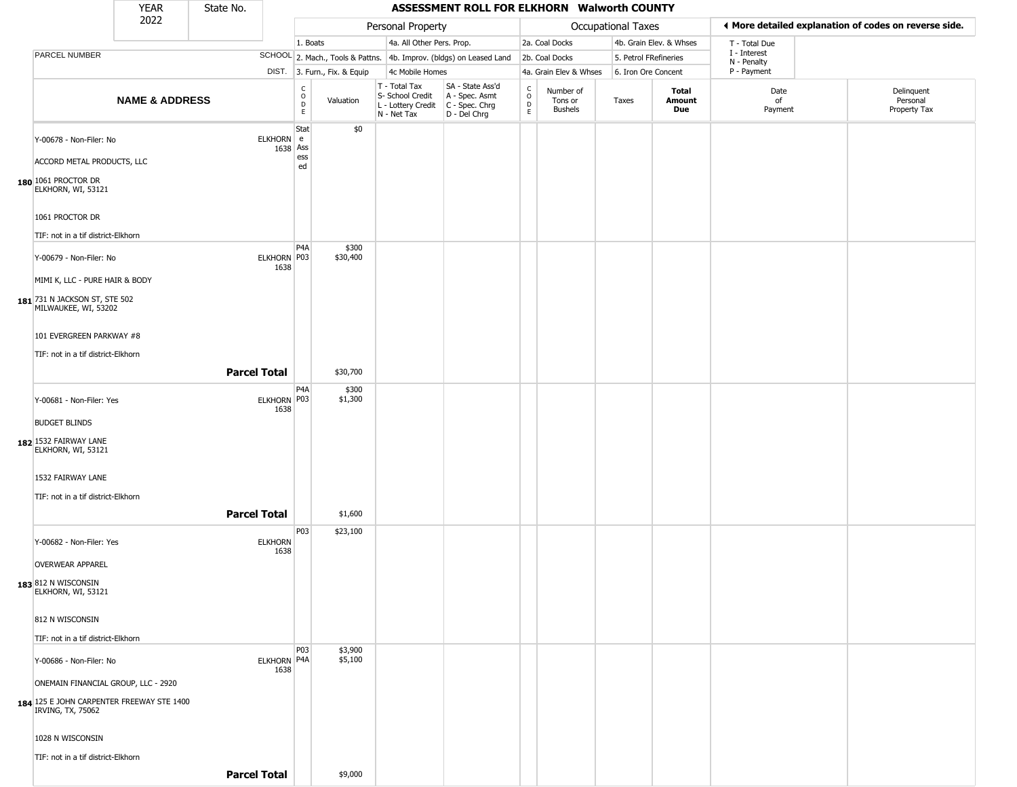|                                                                | <b>YEAR</b>               | State No.           |                                         |                              |                                                                        | ASSESSMENT ROLL FOR ELKHORN Walworth COUNTY                          |                                            |                                        |                       |                         |                             |                                                       |
|----------------------------------------------------------------|---------------------------|---------------------|-----------------------------------------|------------------------------|------------------------------------------------------------------------|----------------------------------------------------------------------|--------------------------------------------|----------------------------------------|-----------------------|-------------------------|-----------------------------|-------------------------------------------------------|
|                                                                | 2022                      |                     |                                         |                              | Personal Property                                                      |                                                                      |                                            |                                        | Occupational Taxes    |                         |                             | ◀ More detailed explanation of codes on reverse side. |
|                                                                |                           |                     |                                         | 1. Boats                     | 4a. All Other Pers. Prop.                                              |                                                                      |                                            | 2a. Coal Docks                         |                       | 4b. Grain Elev. & Whses | T - Total Due               |                                                       |
| PARCEL NUMBER                                                  |                           |                     |                                         |                              |                                                                        | SCHOOL 2. Mach., Tools & Pattns. 4b. Improv. (bldgs) on Leased Land  |                                            | 2b. Coal Docks                         | 5. Petrol FRefineries |                         | I - Interest<br>N - Penalty |                                                       |
|                                                                |                           |                     |                                         | DIST. 3. Furn., Fix. & Equip | 4c Mobile Homes                                                        |                                                                      |                                            | 4a. Grain Elev & Whses                 | 6. Iron Ore Concent   |                         | P - Payment                 |                                                       |
|                                                                | <b>NAME &amp; ADDRESS</b> |                     | c<br>$\circ$<br>$\mathsf{D}$<br>E       | Valuation                    | T - Total Tax<br>S- School Credit<br>L - Lottery Credit<br>N - Net Tax | SA - State Ass'd<br>A - Spec. Asmt<br>C - Spec. Chrg<br>D - Del Chrg | $\begin{array}{c} C \\ 0 \\ E \end{array}$ | Number of<br>Tons or<br><b>Bushels</b> | Taxes                 | Total<br>Amount<br>Due  | Date<br>of<br>Payment       | Delinquent<br>Personal<br>Property Tax                |
| Y-00678 - Non-Filer: No<br>ACCORD METAL PRODUCTS, LLC          |                           |                     | Stat<br>ELKHORN e<br>1638 Ass<br>ess    | \$0                          |                                                                        |                                                                      |                                            |                                        |                       |                         |                             |                                                       |
| 180 1061 PROCTOR DR<br>ELKHORN, WI, 53121                      |                           |                     | ed                                      |                              |                                                                        |                                                                      |                                            |                                        |                       |                         |                             |                                                       |
| 1061 PROCTOR DR                                                |                           |                     |                                         |                              |                                                                        |                                                                      |                                            |                                        |                       |                         |                             |                                                       |
| TIF: not in a tif district-Elkhorn                             |                           |                     |                                         |                              |                                                                        |                                                                      |                                            |                                        |                       |                         |                             |                                                       |
| Y-00679 - Non-Filer: No                                        |                           |                     | P <sub>4</sub> A<br>ELKHORN P03<br>1638 | \$300<br>\$30,400            |                                                                        |                                                                      |                                            |                                        |                       |                         |                             |                                                       |
| MIMI K, LLC - PURE HAIR & BODY                                 |                           |                     |                                         |                              |                                                                        |                                                                      |                                            |                                        |                       |                         |                             |                                                       |
| 181 731 N JACKSON ST, STE 502<br>MILWAUKEE, WI, 53202          |                           |                     |                                         |                              |                                                                        |                                                                      |                                            |                                        |                       |                         |                             |                                                       |
| 101 EVERGREEN PARKWAY #8                                       |                           |                     |                                         |                              |                                                                        |                                                                      |                                            |                                        |                       |                         |                             |                                                       |
| TIF: not in a tif district-Elkhorn                             |                           |                     |                                         |                              |                                                                        |                                                                      |                                            |                                        |                       |                         |                             |                                                       |
|                                                                |                           | <b>Parcel Total</b> |                                         | \$30,700                     |                                                                        |                                                                      |                                            |                                        |                       |                         |                             |                                                       |
| Y-00681 - Non-Filer: Yes                                       |                           |                     | P4A<br>ELKHORN P03<br>1638              | \$300<br>\$1,300             |                                                                        |                                                                      |                                            |                                        |                       |                         |                             |                                                       |
| <b>BUDGET BLINDS</b>                                           |                           |                     |                                         |                              |                                                                        |                                                                      |                                            |                                        |                       |                         |                             |                                                       |
| 182 1532 FAIRWAY LANE<br>ELKHORN, WI, 53121                    |                           |                     |                                         |                              |                                                                        |                                                                      |                                            |                                        |                       |                         |                             |                                                       |
| 1532 FAIRWAY LANE                                              |                           |                     |                                         |                              |                                                                        |                                                                      |                                            |                                        |                       |                         |                             |                                                       |
| TIF: not in a tif district-Elkhorn                             |                           |                     |                                         |                              |                                                                        |                                                                      |                                            |                                        |                       |                         |                             |                                                       |
|                                                                |                           | <b>Parcel Total</b> |                                         | \$1,600                      |                                                                        |                                                                      |                                            |                                        |                       |                         |                             |                                                       |
| Y-00682 - Non-Filer: Yes                                       |                           | <b>ELKHORN</b>      | P03<br>1638                             | \$23,100                     |                                                                        |                                                                      |                                            |                                        |                       |                         |                             |                                                       |
| <b>OVERWEAR APPAREL</b>                                        |                           |                     |                                         |                              |                                                                        |                                                                      |                                            |                                        |                       |                         |                             |                                                       |
| <b>183</b> 812 N WISCONSIN<br>ELKHORN, WI, 53121               |                           |                     |                                         |                              |                                                                        |                                                                      |                                            |                                        |                       |                         |                             |                                                       |
| 812 N WISCONSIN                                                |                           |                     |                                         |                              |                                                                        |                                                                      |                                            |                                        |                       |                         |                             |                                                       |
| TIF: not in a tif district-Elkhorn                             |                           |                     | P03                                     | \$3,900                      |                                                                        |                                                                      |                                            |                                        |                       |                         |                             |                                                       |
| Y-00686 - Non-Filer: No                                        |                           |                     | ELKHORN P4A<br>1638                     | \$5,100                      |                                                                        |                                                                      |                                            |                                        |                       |                         |                             |                                                       |
| ONEMAIN FINANCIAL GROUP, LLC - 2920                            |                           |                     |                                         |                              |                                                                        |                                                                      |                                            |                                        |                       |                         |                             |                                                       |
| 184 125 E JOHN CARPENTER FREEWAY STE 1400<br>IRVING, TX, 75062 |                           |                     |                                         |                              |                                                                        |                                                                      |                                            |                                        |                       |                         |                             |                                                       |
| 1028 N WISCONSIN                                               |                           |                     |                                         |                              |                                                                        |                                                                      |                                            |                                        |                       |                         |                             |                                                       |
| TIF: not in a tif district-Elkhorn                             |                           |                     |                                         |                              |                                                                        |                                                                      |                                            |                                        |                       |                         |                             |                                                       |
|                                                                |                           | <b>Parcel Total</b> |                                         | \$9,000                      |                                                                        |                                                                      |                                            |                                        |                       |                         |                             |                                                       |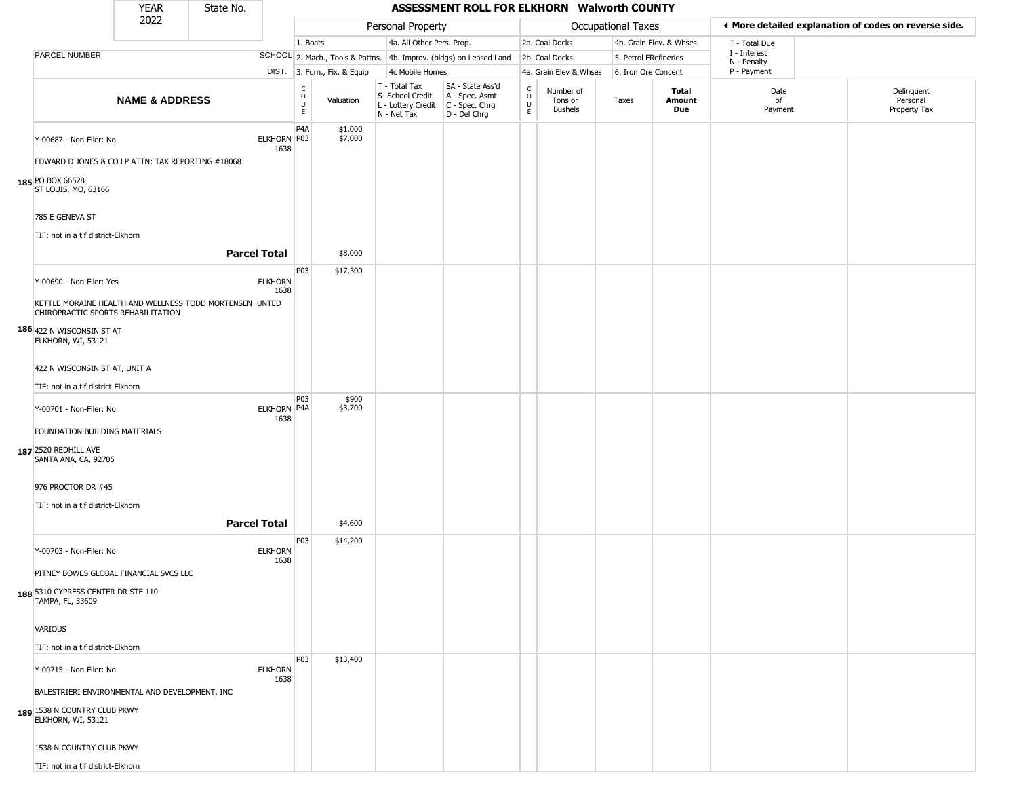|                                                                                                                                                                                                                                                                                                                                                                                       | <b>YEAR</b>               | State No.           |                                               |                        |                              |                                                                        | ASSESSMENT ROLL FOR ELKHORN Walworth COUNTY                          |                             |                                        |                           |                         |                             |                                                       |
|---------------------------------------------------------------------------------------------------------------------------------------------------------------------------------------------------------------------------------------------------------------------------------------------------------------------------------------------------------------------------------------|---------------------------|---------------------|-----------------------------------------------|------------------------|------------------------------|------------------------------------------------------------------------|----------------------------------------------------------------------|-----------------------------|----------------------------------------|---------------------------|-------------------------|-----------------------------|-------------------------------------------------------|
|                                                                                                                                                                                                                                                                                                                                                                                       | 2022                      |                     |                                               |                        |                              | Personal Property                                                      |                                                                      |                             |                                        | <b>Occupational Taxes</b> |                         |                             | ◀ More detailed explanation of codes on reverse side. |
|                                                                                                                                                                                                                                                                                                                                                                                       |                           |                     |                                               | 1. Boats               |                              | 4a. All Other Pers. Prop.                                              |                                                                      |                             | 2a. Coal Docks                         |                           | 4b. Grain Elev. & Whses | T - Total Due               |                                                       |
| PARCEL NUMBER                                                                                                                                                                                                                                                                                                                                                                         |                           |                     |                                               |                        |                              |                                                                        | SCHOOL 2. Mach., Tools & Pattns. 4b. Improv. (bldgs) on Leased Land  |                             | 2b. Coal Docks                         | 5. Petrol FRefineries     |                         | I - Interest<br>N - Penalty |                                                       |
|                                                                                                                                                                                                                                                                                                                                                                                       |                           |                     |                                               |                        | DIST. 3. Furn., Fix. & Equip | 4c Mobile Homes                                                        |                                                                      |                             | 4a. Grain Elev & Whses                 | 6. Iron Ore Concent       |                         | P - Payment                 |                                                       |
|                                                                                                                                                                                                                                                                                                                                                                                       | <b>NAME &amp; ADDRESS</b> |                     |                                               | C<br>$\circ$<br>D<br>E | Valuation                    | T - Total Tax<br>S- School Credit<br>L - Lottery Credit<br>N - Net Tax | SA - State Ass'd<br>A - Spec. Asmt<br>C - Spec. Chrg<br>D - Del Chrg | $\rm _o^C$<br>$\frac{D}{E}$ | Number of<br>Tons or<br><b>Bushels</b> | Taxes                     | Total<br>Amount<br>Due  | Date<br>of<br>Payment       | Delinquent<br>Personal<br>Property Tax                |
| Y-00687 - Non-Filer: No<br>EDWARD D JONES & CO LP ATTN: TAX REPORTING #18068<br>185 PO BOX 66528                                                                                                                                                                                                                                                                                      |                           |                     | ELKHORN P03<br>1638                           | P <sub>4</sub> A       | \$1,000<br>\$7,000           |                                                                        |                                                                      |                             |                                        |                           |                         |                             |                                                       |
| ST LOUIS, MO, 63166<br>785 E GENEVA ST<br>TIF: not in a tif district-Elkhorn                                                                                                                                                                                                                                                                                                          |                           |                     |                                               |                        |                              |                                                                        |                                                                      |                             |                                        |                           |                         |                             |                                                       |
|                                                                                                                                                                                                                                                                                                                                                                                       |                           | <b>Parcel Total</b> |                                               |                        | \$8,000                      |                                                                        |                                                                      |                             |                                        |                           |                         |                             |                                                       |
| Y-00690 - Non-Filer: Yes<br>KETTLE MORAINE HEALTH AND WELLNESS TODD MORTENSEN UNTED<br>CHIROPRACTIC SPORTS REHABILITATION<br>186 422 N WISCONSIN ST AT<br>ELKHORN, WI, 53121<br>422 N WISCONSIN ST AT, UNIT A<br>TIF: not in a tif district-Elkhorn<br>Y-00701 - Non-Filer: No<br>FOUNDATION BUILDING MATERIALS<br>187 2520 REDHILL AVE<br>SANTA ANA, CA, 92705<br>976 PROCTOR DR #45 |                           |                     | <b>ELKHORN</b><br>1638<br>ELKHORN P4A<br>1638 | P03<br>P03             | \$17,300<br>\$900<br>\$3,700 |                                                                        |                                                                      |                             |                                        |                           |                         |                             |                                                       |
| TIF: not in a tif district-Elkhorn                                                                                                                                                                                                                                                                                                                                                    |                           |                     |                                               |                        |                              |                                                                        |                                                                      |                             |                                        |                           |                         |                             |                                                       |
|                                                                                                                                                                                                                                                                                                                                                                                       |                           | <b>Parcel Total</b> |                                               |                        | \$4,600                      |                                                                        |                                                                      |                             |                                        |                           |                         |                             |                                                       |
| Y-00703 - Non-Filer: No<br>PITNEY BOWES GLOBAL FINANCIAL SVCS LLC<br>188 5310 CYPRESS CENTER DR STE 110<br>TAMPA, FL, 33609                                                                                                                                                                                                                                                           |                           |                     | <b>ELKHORN</b><br>1638                        | P03                    | \$14,200                     |                                                                        |                                                                      |                             |                                        |                           |                         |                             |                                                       |
| VARIOUS                                                                                                                                                                                                                                                                                                                                                                               |                           |                     |                                               |                        |                              |                                                                        |                                                                      |                             |                                        |                           |                         |                             |                                                       |
| TIF: not in a tif district-Elkhorn                                                                                                                                                                                                                                                                                                                                                    |                           |                     |                                               |                        |                              |                                                                        |                                                                      |                             |                                        |                           |                         |                             |                                                       |
| Y-00715 - Non-Filer: No<br>BALESTRIERI ENVIRONMENTAL AND DEVELOPMENT, INC<br>189 1538 N COUNTRY CLUB PKWY<br>ELKHORN, WI, 53121<br>1538 N COUNTRY CLUB PKWY                                                                                                                                                                                                                           |                           |                     | <b>ELKHORN</b><br>1638                        | P03                    | \$13,400                     |                                                                        |                                                                      |                             |                                        |                           |                         |                             |                                                       |
| TIF: not in a tif district-Elkhorn                                                                                                                                                                                                                                                                                                                                                    |                           |                     |                                               |                        |                              |                                                                        |                                                                      |                             |                                        |                           |                         |                             |                                                       |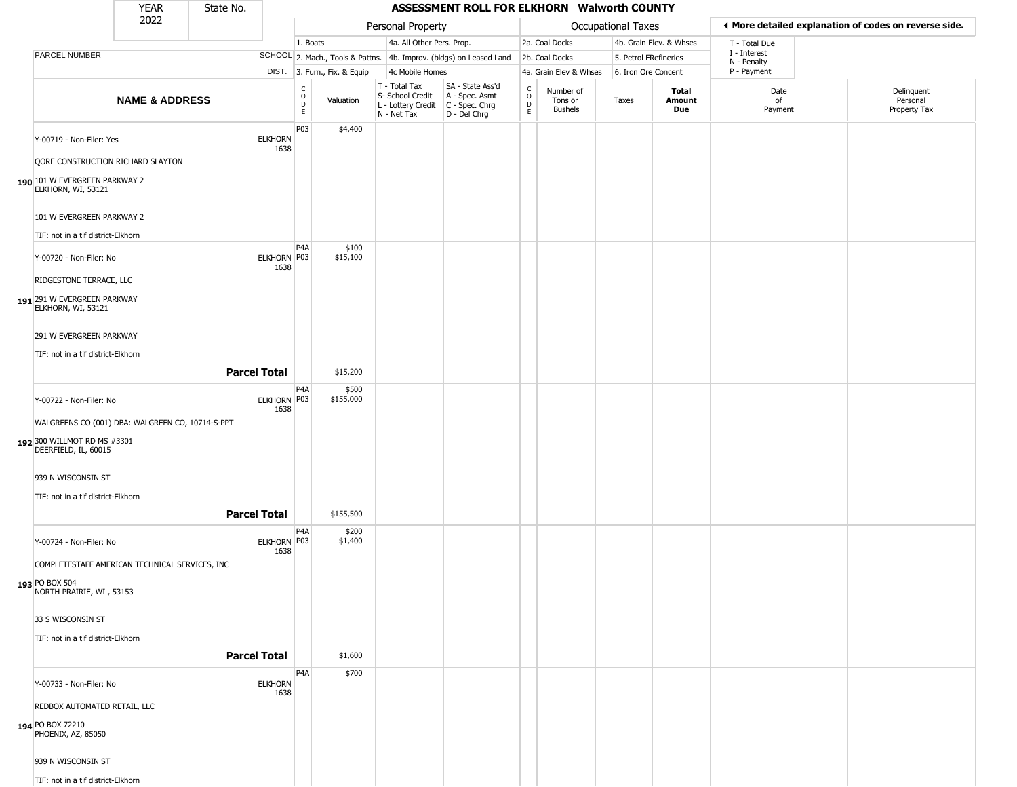|                                                     | YEAR                      | State No.           |                        |                        |                              |                                                  | ASSESSMENT ROLL FOR ELKHORN Walworth COUNTY                                               |                                   |                                        |                           |                         |                             |                                                       |
|-----------------------------------------------------|---------------------------|---------------------|------------------------|------------------------|------------------------------|--------------------------------------------------|-------------------------------------------------------------------------------------------|-----------------------------------|----------------------------------------|---------------------------|-------------------------|-----------------------------|-------------------------------------------------------|
|                                                     | 2022                      |                     |                        |                        |                              | Personal Property                                |                                                                                           |                                   |                                        | <b>Occupational Taxes</b> |                         |                             | ♦ More detailed explanation of codes on reverse side. |
|                                                     |                           |                     |                        | 1. Boats               |                              | 4a. All Other Pers. Prop.                        |                                                                                           |                                   | 2a. Coal Docks                         |                           | 4b. Grain Elev. & Whses | T - Total Due               |                                                       |
| PARCEL NUMBER                                       |                           |                     |                        |                        |                              |                                                  | SCHOOL 2. Mach., Tools & Pattns. 4b. Improv. (bldgs) on Leased Land                       |                                   | 2b. Coal Docks                         | 5. Petrol FRefineries     |                         | I - Interest<br>N - Penalty |                                                       |
|                                                     |                           |                     |                        |                        | DIST. 3. Furn., Fix. & Equip | 4c Mobile Homes                                  |                                                                                           |                                   | 4a. Grain Elev & Whses                 | 6. Iron Ore Concent       |                         | P - Payment                 |                                                       |
|                                                     | <b>NAME &amp; ADDRESS</b> |                     |                        | C<br>$\circ$<br>D<br>E | Valuation                    | T - Total Tax<br>S- School Credit<br>N - Net Tax | SA - State Ass'd<br>A - Spec. Asmt<br>L - Lottery Credit   C - Spec. Chrg<br>D - Del Chrg | $\frac{c}{0}$<br>$\mathsf D$<br>E | Number of<br>Tons or<br><b>Bushels</b> | Taxes                     | Total<br>Amount<br>Due  | Date<br>of<br>Payment       | Delinquent<br>Personal<br>Property Tax                |
| Y-00719 - Non-Filer: Yes                            |                           |                     | <b>ELKHORN</b><br>1638 | P03                    | \$4,400                      |                                                  |                                                                                           |                                   |                                        |                           |                         |                             |                                                       |
| QORE CONSTRUCTION RICHARD SLAYTON                   |                           |                     |                        |                        |                              |                                                  |                                                                                           |                                   |                                        |                           |                         |                             |                                                       |
| 190 101 W EVERGREEN PARKWAY 2<br>ELKHORN, WI, 53121 |                           |                     |                        |                        |                              |                                                  |                                                                                           |                                   |                                        |                           |                         |                             |                                                       |
| 101 W EVERGREEN PARKWAY 2                           |                           |                     |                        |                        |                              |                                                  |                                                                                           |                                   |                                        |                           |                         |                             |                                                       |
| TIF: not in a tif district-Elkhorn                  |                           |                     |                        | P <sub>4</sub> A       | \$100                        |                                                  |                                                                                           |                                   |                                        |                           |                         |                             |                                                       |
| Y-00720 - Non-Filer: No                             |                           |                     | ELKHORN P03<br>1638    |                        | \$15,100                     |                                                  |                                                                                           |                                   |                                        |                           |                         |                             |                                                       |
| RIDGESTONE TERRACE, LLC                             |                           |                     |                        |                        |                              |                                                  |                                                                                           |                                   |                                        |                           |                         |                             |                                                       |
| 191 291 W EVERGREEN PARKWAY<br>ELKHORN, WI, 53121   |                           |                     |                        |                        |                              |                                                  |                                                                                           |                                   |                                        |                           |                         |                             |                                                       |
| 291 W EVERGREEN PARKWAY                             |                           |                     |                        |                        |                              |                                                  |                                                                                           |                                   |                                        |                           |                         |                             |                                                       |
| TIF: not in a tif district-Elkhorn                  |                           |                     |                        |                        |                              |                                                  |                                                                                           |                                   |                                        |                           |                         |                             |                                                       |
|                                                     |                           | <b>Parcel Total</b> |                        | P <sub>4</sub> A       | \$15,200<br>\$500            |                                                  |                                                                                           |                                   |                                        |                           |                         |                             |                                                       |
| Y-00722 - Non-Filer: No                             |                           |                     | ELKHORN P03<br>1638    |                        | \$155,000                    |                                                  |                                                                                           |                                   |                                        |                           |                         |                             |                                                       |
| WALGREENS CO (001) DBA: WALGREEN CO, 10714-S-PPT    |                           |                     |                        |                        |                              |                                                  |                                                                                           |                                   |                                        |                           |                         |                             |                                                       |
| 192 300 WILLMOT RD MS #3301<br>DEERFIELD, IL, 60015 |                           |                     |                        |                        |                              |                                                  |                                                                                           |                                   |                                        |                           |                         |                             |                                                       |
| 939 N WISCONSIN ST                                  |                           |                     |                        |                        |                              |                                                  |                                                                                           |                                   |                                        |                           |                         |                             |                                                       |
| TIF: not in a tif district-Elkhorn                  |                           |                     |                        |                        |                              |                                                  |                                                                                           |                                   |                                        |                           |                         |                             |                                                       |
|                                                     |                           | <b>Parcel Total</b> |                        |                        | \$155,500                    |                                                  |                                                                                           |                                   |                                        |                           |                         |                             |                                                       |
| Y-00724 - Non-Filer: No                             |                           |                     | ELKHORN P03<br>1638    | P4A                    | \$200<br>\$1,400             |                                                  |                                                                                           |                                   |                                        |                           |                         |                             |                                                       |
| COMPLETESTAFF AMERICAN TECHNICAL SERVICES, INC      |                           |                     |                        |                        |                              |                                                  |                                                                                           |                                   |                                        |                           |                         |                             |                                                       |
| 193 PO BOX 504<br>NORTH PRAIRIE, WI, 53153          |                           |                     |                        |                        |                              |                                                  |                                                                                           |                                   |                                        |                           |                         |                             |                                                       |
| 33 S WISCONSIN ST                                   |                           |                     |                        |                        |                              |                                                  |                                                                                           |                                   |                                        |                           |                         |                             |                                                       |
| TIF: not in a tif district-Elkhorn                  |                           |                     |                        |                        |                              |                                                  |                                                                                           |                                   |                                        |                           |                         |                             |                                                       |
|                                                     |                           | <b>Parcel Total</b> |                        |                        | \$1,600                      |                                                  |                                                                                           |                                   |                                        |                           |                         |                             |                                                       |
| Y-00733 - Non-Filer: No                             |                           |                     | <b>ELKHORN</b><br>1638 | P <sub>4</sub> A       | \$700                        |                                                  |                                                                                           |                                   |                                        |                           |                         |                             |                                                       |
| REDBOX AUTOMATED RETAIL, LLC                        |                           |                     |                        |                        |                              |                                                  |                                                                                           |                                   |                                        |                           |                         |                             |                                                       |
| 194 PO BOX 72210<br>PHOENIX, AZ, 85050              |                           |                     |                        |                        |                              |                                                  |                                                                                           |                                   |                                        |                           |                         |                             |                                                       |
| 939 N WISCONSIN ST                                  |                           |                     |                        |                        |                              |                                                  |                                                                                           |                                   |                                        |                           |                         |                             |                                                       |
| TIF: not in a tif district-Elkhorn                  |                           |                     |                        |                        |                              |                                                  |                                                                                           |                                   |                                        |                           |                         |                             |                                                       |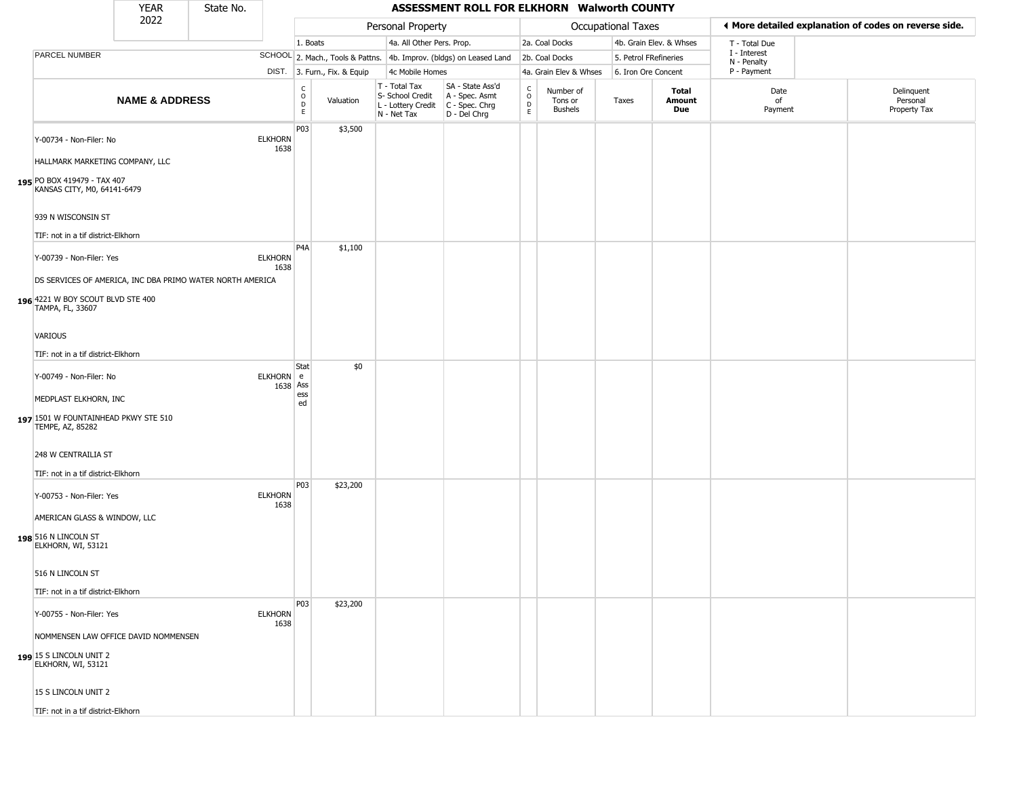|                                                                                       | <b>YEAR</b>               | State No. |                        |                        |                              |                                                                        | ASSESSMENT ROLL FOR ELKHORN Walworth COUNTY                          |                                |                                 |                       |                         |                             |                                                       |
|---------------------------------------------------------------------------------------|---------------------------|-----------|------------------------|------------------------|------------------------------|------------------------------------------------------------------------|----------------------------------------------------------------------|--------------------------------|---------------------------------|-----------------------|-------------------------|-----------------------------|-------------------------------------------------------|
|                                                                                       | 2022                      |           |                        |                        |                              | Personal Property                                                      |                                                                      |                                |                                 | Occupational Taxes    |                         |                             | ◀ More detailed explanation of codes on reverse side. |
|                                                                                       |                           |           |                        | 1. Boats               |                              | 4a. All Other Pers. Prop.                                              |                                                                      |                                | 2a. Coal Docks                  |                       | 4b. Grain Elev. & Whses | T - Total Due               |                                                       |
| PARCEL NUMBER                                                                         |                           |           |                        |                        |                              |                                                                        | SCHOOL 2. Mach., Tools & Pattns. 4b. Improv. (bldgs) on Leased Land  |                                | 2b. Coal Docks                  | 5. Petrol FRefineries |                         | I - Interest<br>N - Penalty |                                                       |
|                                                                                       |                           |           |                        |                        | DIST. 3. Furn., Fix. & Equip | 4c Mobile Homes                                                        |                                                                      |                                | 4a. Grain Elev & Whses          | 6. Iron Ore Concent   |                         | P - Payment                 |                                                       |
|                                                                                       | <b>NAME &amp; ADDRESS</b> |           |                        | C<br>$\circ$<br>D<br>E | Valuation                    | T - Total Tax<br>S- School Credit<br>L - Lottery Credit<br>N - Net Tax | SA - State Ass'd<br>A - Spec. Asmt<br>C - Spec. Chrg<br>D - Del Chrg | $\frac{C}{O}$<br>$\frac{D}{E}$ | Number of<br>Tons or<br>Bushels | Taxes                 | Total<br>Amount<br>Due  | Date<br>of<br>Payment       | Delinquent<br>Personal<br>Property Tax                |
| Y-00734 - Non-Filer: No<br>HALLMARK MARKETING COMPANY, LLC                            |                           |           | <b>ELKHORN</b><br>1638 | P03                    | \$3,500                      |                                                                        |                                                                      |                                |                                 |                       |                         |                             |                                                       |
| 195 PO BOX 419479 - TAX 407<br>KANSAS CITY, M0, 64141-6479                            |                           |           |                        |                        |                              |                                                                        |                                                                      |                                |                                 |                       |                         |                             |                                                       |
| 939 N WISCONSIN ST<br>TIF: not in a tif district-Elkhorn                              |                           |           |                        |                        |                              |                                                                        |                                                                      |                                |                                 |                       |                         |                             |                                                       |
| Y-00739 - Non-Filer: Yes<br>DS SERVICES OF AMERICA, INC DBA PRIMO WATER NORTH AMERICA |                           |           | <b>ELKHORN</b><br>1638 | P <sub>4</sub> A       | \$1,100                      |                                                                        |                                                                      |                                |                                 |                       |                         |                             |                                                       |
| 196 4221 W BOY SCOUT BLVD STE 400<br>TAMPA, FL, 33607                                 |                           |           |                        |                        |                              |                                                                        |                                                                      |                                |                                 |                       |                         |                             |                                                       |
| <b>VARIOUS</b>                                                                        |                           |           |                        |                        |                              |                                                                        |                                                                      |                                |                                 |                       |                         |                             |                                                       |
| TIF: not in a tif district-Elkhorn                                                    |                           |           |                        |                        |                              |                                                                        |                                                                      |                                |                                 |                       |                         |                             |                                                       |
| Y-00749 - Non-Filer: No                                                               |                           |           | ELKHORN e<br>1638 Ass  | Stat                   | \$0                          |                                                                        |                                                                      |                                |                                 |                       |                         |                             |                                                       |
| MEDPLAST ELKHORN, INC<br>197 1501 W FOUNTAINHEAD PKWY STE 510<br>TEMPE, AZ, 85282     |                           |           |                        | ess<br>ed              |                              |                                                                        |                                                                      |                                |                                 |                       |                         |                             |                                                       |
| 248 W CENTRAILIA ST                                                                   |                           |           |                        |                        |                              |                                                                        |                                                                      |                                |                                 |                       |                         |                             |                                                       |
| TIF: not in a tif district-Elkhorn<br>Y-00753 - Non-Filer: Yes                        |                           |           | <b>ELKHORN</b>         | P03                    | \$23,200                     |                                                                        |                                                                      |                                |                                 |                       |                         |                             |                                                       |
| AMERICAN GLASS & WINDOW, LLC<br>198 516 N LINCOLN ST                                  |                           |           | 1638                   |                        |                              |                                                                        |                                                                      |                                |                                 |                       |                         |                             |                                                       |
| ELKHORN, WI, 53121<br>516 N LINCOLN ST                                                |                           |           |                        |                        |                              |                                                                        |                                                                      |                                |                                 |                       |                         |                             |                                                       |
|                                                                                       |                           |           |                        |                        |                              |                                                                        |                                                                      |                                |                                 |                       |                         |                             |                                                       |
| TIF: not in a tif district-Elkhorn                                                    |                           |           |                        | P03                    |                              |                                                                        |                                                                      |                                |                                 |                       |                         |                             |                                                       |
| Y-00755 - Non-Filer: Yes                                                              |                           |           | <b>ELKHORN</b><br>1638 |                        | \$23,200                     |                                                                        |                                                                      |                                |                                 |                       |                         |                             |                                                       |
| NOMMENSEN LAW OFFICE DAVID NOMMENSEN                                                  |                           |           |                        |                        |                              |                                                                        |                                                                      |                                |                                 |                       |                         |                             |                                                       |
| 199 15 S LINCOLN UNIT 2<br>ELKHORN, WI, 53121                                         |                           |           |                        |                        |                              |                                                                        |                                                                      |                                |                                 |                       |                         |                             |                                                       |
| 15 S LINCOLN UNIT 2                                                                   |                           |           |                        |                        |                              |                                                                        |                                                                      |                                |                                 |                       |                         |                             |                                                       |
| TIF: not in a tif district-Elkhorn                                                    |                           |           |                        |                        |                              |                                                                        |                                                                      |                                |                                 |                       |                         |                             |                                                       |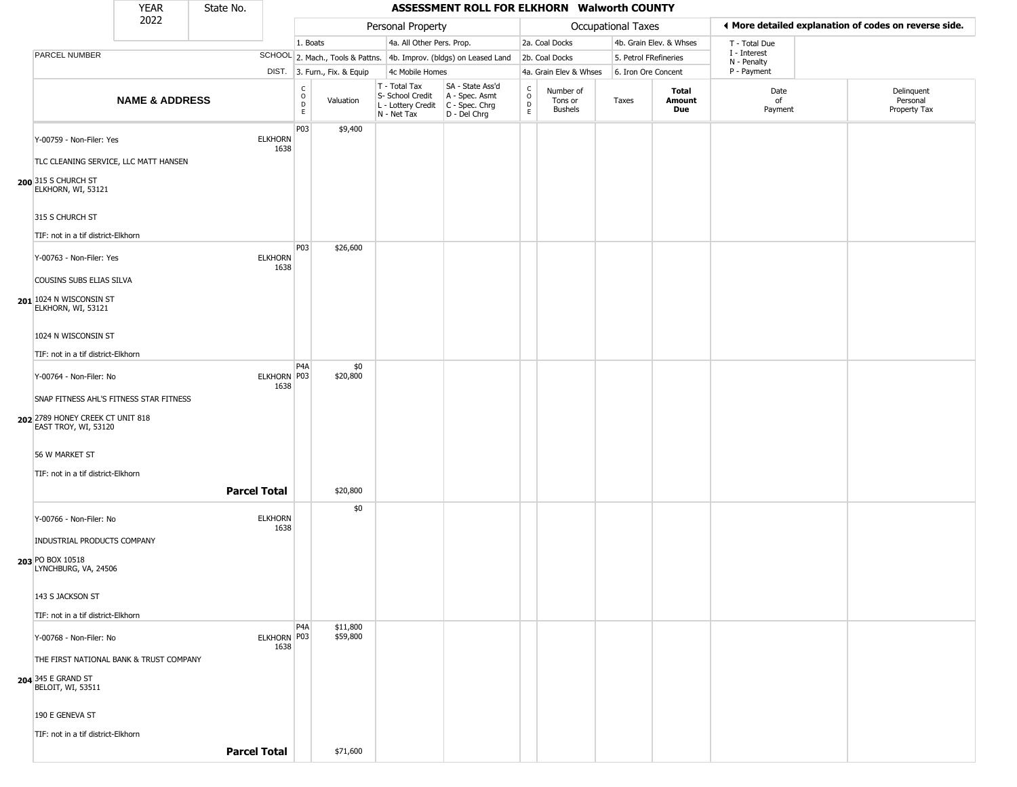|                                                                    | <b>YEAR</b>               | State No. |                        |                                            |                              |                                                                        | ASSESSMENT ROLL FOR ELKHORN Walworth COUNTY                          |                                              |                                        |                       |                         |                             |                                                       |
|--------------------------------------------------------------------|---------------------------|-----------|------------------------|--------------------------------------------|------------------------------|------------------------------------------------------------------------|----------------------------------------------------------------------|----------------------------------------------|----------------------------------------|-----------------------|-------------------------|-----------------------------|-------------------------------------------------------|
|                                                                    | 2022                      |           |                        |                                            |                              | Personal Property                                                      |                                                                      |                                              |                                        | Occupational Taxes    |                         |                             | ◀ More detailed explanation of codes on reverse side. |
|                                                                    |                           |           |                        | 1. Boats                                   |                              | 4a. All Other Pers. Prop.                                              |                                                                      |                                              | 2a. Coal Docks                         |                       | 4b. Grain Elev. & Whses | T - Total Due               |                                                       |
| PARCEL NUMBER                                                      |                           |           |                        |                                            |                              |                                                                        | SCHOOL 2. Mach., Tools & Pattns. 4b. Improv. (bldgs) on Leased Land  |                                              | 2b. Coal Docks                         | 5. Petrol FRefineries |                         | I - Interest<br>N - Penalty |                                                       |
|                                                                    |                           |           |                        |                                            | DIST. 3. Furn., Fix. & Equip | 4c Mobile Homes                                                        |                                                                      |                                              | 4a. Grain Elev & Whses                 | 6. Iron Ore Concent   |                         | P - Payment                 |                                                       |
|                                                                    | <b>NAME &amp; ADDRESS</b> |           |                        | C<br>$\circ$<br>$\mathsf D$<br>$\mathsf E$ | Valuation                    | T - Total Tax<br>S- School Credit<br>L - Lottery Credit<br>N - Net Tax | SA - State Ass'd<br>A - Spec. Asmt<br>C - Spec. Chrg<br>D - Del Chrg | $\int_{0}^{c}$<br>$\mathsf D$<br>$\mathsf E$ | Number of<br>Tons or<br><b>Bushels</b> | Taxes                 | Total<br>Amount<br>Due  | Date<br>of<br>Payment       | Delinquent<br>Personal<br>Property Tax                |
| Y-00759 - Non-Filer: Yes<br>TLC CLEANING SERVICE, LLC MATT HANSEN  |                           |           | <b>ELKHORN</b><br>1638 | P03                                        | \$9,400                      |                                                                        |                                                                      |                                              |                                        |                       |                         |                             |                                                       |
| 200 315 S CHURCH ST<br>ELKHORN, WI, 53121                          |                           |           |                        |                                            |                              |                                                                        |                                                                      |                                              |                                        |                       |                         |                             |                                                       |
| 315 S CHURCH ST                                                    |                           |           |                        |                                            |                              |                                                                        |                                                                      |                                              |                                        |                       |                         |                             |                                                       |
| TIF: not in a tif district-Elkhorn                                 |                           |           |                        | P03                                        | \$26,600                     |                                                                        |                                                                      |                                              |                                        |                       |                         |                             |                                                       |
| Y-00763 - Non-Filer: Yes<br>COUSINS SUBS ELIAS SILVA               |                           |           | <b>ELKHORN</b><br>1638 |                                            |                              |                                                                        |                                                                      |                                              |                                        |                       |                         |                             |                                                       |
| 201 1024 N WISCONSIN ST<br>ELKHORN, WI, 53121                      |                           |           |                        |                                            |                              |                                                                        |                                                                      |                                              |                                        |                       |                         |                             |                                                       |
| 1024 N WISCONSIN ST<br>TIF: not in a tif district-Elkhorn          |                           |           |                        |                                            |                              |                                                                        |                                                                      |                                              |                                        |                       |                         |                             |                                                       |
|                                                                    |                           |           |                        | P <sub>4</sub> A                           | \$0                          |                                                                        |                                                                      |                                              |                                        |                       |                         |                             |                                                       |
| Y-00764 - Non-Filer: No<br>SNAP FITNESS AHL'S FITNESS STAR FITNESS |                           |           | ELKHORN P03<br>1638    |                                            | \$20,800                     |                                                                        |                                                                      |                                              |                                        |                       |                         |                             |                                                       |
| 202 2789 HONEY CREEK CT UNIT 818<br>EAST TROY, WI, 53120           |                           |           |                        |                                            |                              |                                                                        |                                                                      |                                              |                                        |                       |                         |                             |                                                       |
| 56 W MARKET ST                                                     |                           |           |                        |                                            |                              |                                                                        |                                                                      |                                              |                                        |                       |                         |                             |                                                       |
| TIF: not in a tif district-Elkhorn                                 |                           |           |                        |                                            |                              |                                                                        |                                                                      |                                              |                                        |                       |                         |                             |                                                       |
|                                                                    |                           |           | <b>Parcel Total</b>    |                                            | \$20,800                     |                                                                        |                                                                      |                                              |                                        |                       |                         |                             |                                                       |
| Y-00766 - Non-Filer: No                                            |                           |           | <b>ELKHORN</b><br>1638 |                                            | \$0                          |                                                                        |                                                                      |                                              |                                        |                       |                         |                             |                                                       |
| INDUSTRIAL PRODUCTS COMPANY<br>203 PO BOX 10518                    |                           |           |                        |                                            |                              |                                                                        |                                                                      |                                              |                                        |                       |                         |                             |                                                       |
| LYNCHBURG, VA, 24506<br>143 S JACKSON ST                           |                           |           |                        |                                            |                              |                                                                        |                                                                      |                                              |                                        |                       |                         |                             |                                                       |
|                                                                    |                           |           |                        |                                            |                              |                                                                        |                                                                      |                                              |                                        |                       |                         |                             |                                                       |
| TIF: not in a tif district-Elkhorn                                 |                           |           |                        | P4A                                        | \$11,800                     |                                                                        |                                                                      |                                              |                                        |                       |                         |                             |                                                       |
| Y-00768 - Non-Filer: No                                            |                           |           | ELKHORN P03<br>1638    |                                            | \$59,800                     |                                                                        |                                                                      |                                              |                                        |                       |                         |                             |                                                       |
| THE FIRST NATIONAL BANK & TRUST COMPANY                            |                           |           |                        |                                            |                              |                                                                        |                                                                      |                                              |                                        |                       |                         |                             |                                                       |
| 204 345 E GRAND ST<br>BELOIT, WI, 53511                            |                           |           |                        |                                            |                              |                                                                        |                                                                      |                                              |                                        |                       |                         |                             |                                                       |
| 190 E GENEVA ST                                                    |                           |           |                        |                                            |                              |                                                                        |                                                                      |                                              |                                        |                       |                         |                             |                                                       |
| TIF: not in a tif district-Elkhorn                                 |                           |           |                        |                                            |                              |                                                                        |                                                                      |                                              |                                        |                       |                         |                             |                                                       |
|                                                                    |                           |           | <b>Parcel Total</b>    |                                            | \$71,600                     |                                                                        |                                                                      |                                              |                                        |                       |                         |                             |                                                       |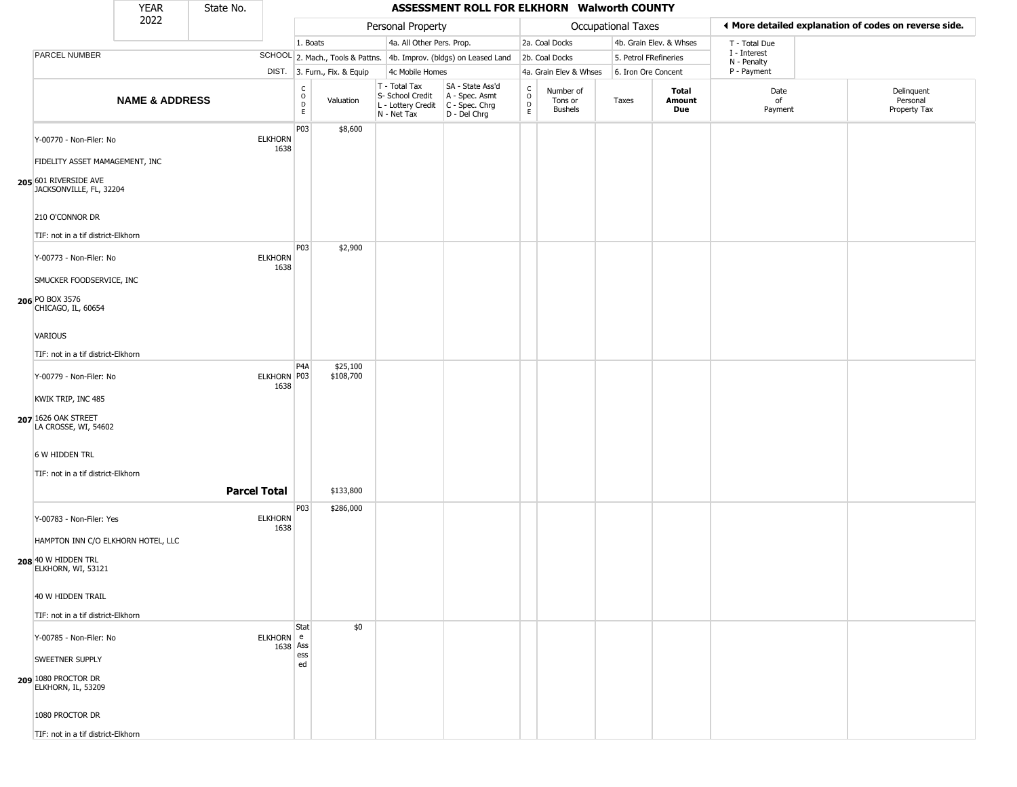|                                                              | <b>YEAR</b>               | State No.           |                        |                        |                              |                                                                        | ASSESSMENT ROLL FOR ELKHORN Walworth COUNTY                          |                                    |                                        |                       |                         |                             |                                                       |
|--------------------------------------------------------------|---------------------------|---------------------|------------------------|------------------------|------------------------------|------------------------------------------------------------------------|----------------------------------------------------------------------|------------------------------------|----------------------------------------|-----------------------|-------------------------|-----------------------------|-------------------------------------------------------|
|                                                              | 2022                      |                     |                        |                        |                              | Personal Property                                                      |                                                                      |                                    |                                        | Occupational Taxes    |                         |                             | ♦ More detailed explanation of codes on reverse side. |
|                                                              |                           |                     |                        | 1. Boats               |                              | 4a. All Other Pers. Prop.                                              |                                                                      |                                    | 2a. Coal Docks                         |                       | 4b. Grain Elev. & Whses | T - Total Due               |                                                       |
| PARCEL NUMBER                                                |                           |                     |                        |                        |                              |                                                                        | SCHOOL 2. Mach., Tools & Pattns. 4b. Improv. (bldgs) on Leased Land  |                                    | 2b. Coal Docks                         | 5. Petrol FRefineries |                         | I - Interest<br>N - Penalty |                                                       |
|                                                              |                           |                     |                        |                        | DIST. 3. Furn., Fix. & Equip | 4c Mobile Homes                                                        |                                                                      |                                    | 4a. Grain Elev & Whses                 | 6. Iron Ore Concent   |                         | P - Payment                 |                                                       |
|                                                              | <b>NAME &amp; ADDRESS</b> |                     |                        | C<br>$\circ$<br>D<br>E | Valuation                    | T - Total Tax<br>S- School Credit<br>L - Lottery Credit<br>N - Net Tax | SA - State Ass'd<br>A - Spec. Asmt<br>C - Spec. Chrg<br>D - Del Chrg | C.<br>$\circ$<br>$\mathsf{D}$<br>E | Number of<br>Tons or<br><b>Bushels</b> | Taxes                 | Total<br>Amount<br>Due  | Date<br>of<br>Payment       | Delinquent<br>Personal<br>Property Tax                |
| Y-00770 - Non-Filer: No                                      |                           |                     | <b>ELKHORN</b><br>1638 | P03                    | \$8,600                      |                                                                        |                                                                      |                                    |                                        |                       |                         |                             |                                                       |
| FIDELITY ASSET MAMAGEMENT, INC                               |                           |                     |                        |                        |                              |                                                                        |                                                                      |                                    |                                        |                       |                         |                             |                                                       |
| 205 601 RIVERSIDE AVE<br>JACKSONVILLE, FL, 32204             |                           |                     |                        |                        |                              |                                                                        |                                                                      |                                    |                                        |                       |                         |                             |                                                       |
| 210 O'CONNOR DR                                              |                           |                     |                        |                        |                              |                                                                        |                                                                      |                                    |                                        |                       |                         |                             |                                                       |
| TIF: not in a tif district-Elkhorn                           |                           |                     |                        |                        |                              |                                                                        |                                                                      |                                    |                                        |                       |                         |                             |                                                       |
| Y-00773 - Non-Filer: No                                      |                           |                     | <b>ELKHORN</b><br>1638 | P03                    | \$2,900                      |                                                                        |                                                                      |                                    |                                        |                       |                         |                             |                                                       |
| SMUCKER FOODSERVICE, INC                                     |                           |                     |                        |                        |                              |                                                                        |                                                                      |                                    |                                        |                       |                         |                             |                                                       |
| 206 PO BOX 3576<br>CHICAGO, IL, 60654                        |                           |                     |                        |                        |                              |                                                                        |                                                                      |                                    |                                        |                       |                         |                             |                                                       |
| <b>VARIOUS</b>                                               |                           |                     |                        |                        |                              |                                                                        |                                                                      |                                    |                                        |                       |                         |                             |                                                       |
| TIF: not in a tif district-Elkhorn                           |                           |                     |                        |                        |                              |                                                                        |                                                                      |                                    |                                        |                       |                         |                             |                                                       |
| Y-00779 - Non-Filer: No                                      |                           |                     | ELKHORN P03<br>1638    | P4A                    | \$25,100<br>\$108,700        |                                                                        |                                                                      |                                    |                                        |                       |                         |                             |                                                       |
| KWIK TRIP, INC 485                                           |                           |                     |                        |                        |                              |                                                                        |                                                                      |                                    |                                        |                       |                         |                             |                                                       |
| 207 1626 OAK STREET<br>LA CROSSE, WI, 54602                  |                           |                     |                        |                        |                              |                                                                        |                                                                      |                                    |                                        |                       |                         |                             |                                                       |
| 6 W HIDDEN TRL                                               |                           |                     |                        |                        |                              |                                                                        |                                                                      |                                    |                                        |                       |                         |                             |                                                       |
| TIF: not in a tif district-Elkhorn                           |                           |                     |                        |                        |                              |                                                                        |                                                                      |                                    |                                        |                       |                         |                             |                                                       |
|                                                              |                           | <b>Parcel Total</b> |                        |                        | \$133,800                    |                                                                        |                                                                      |                                    |                                        |                       |                         |                             |                                                       |
| Y-00783 - Non-Filer: Yes                                     |                           |                     | <b>ELKHORN</b><br>1638 | P03                    | \$286,000                    |                                                                        |                                                                      |                                    |                                        |                       |                         |                             |                                                       |
| HAMPTON INN C/O ELKHORN HOTEL, LLC                           |                           |                     |                        |                        |                              |                                                                        |                                                                      |                                    |                                        |                       |                         |                             |                                                       |
| 208 40 W HIDDEN TRL<br>ELKHORN, WI, 53121                    |                           |                     |                        |                        |                              |                                                                        |                                                                      |                                    |                                        |                       |                         |                             |                                                       |
| 40 W HIDDEN TRAIL                                            |                           |                     |                        |                        |                              |                                                                        |                                                                      |                                    |                                        |                       |                         |                             |                                                       |
| TIF: not in a tif district-Elkhorn                           |                           |                     |                        |                        |                              |                                                                        |                                                                      |                                    |                                        |                       |                         |                             |                                                       |
| Y-00785 - Non-Filer: No                                      |                           |                     | ELKHORN e              | Stat                   | \$0                          |                                                                        |                                                                      |                                    |                                        |                       |                         |                             |                                                       |
|                                                              |                           |                     | 1638 Ass               | ess                    |                              |                                                                        |                                                                      |                                    |                                        |                       |                         |                             |                                                       |
| SWEETNER SUPPLY<br>209 1080 PROCTOR DR<br>ELKHORN, IL, 53209 |                           |                     |                        | ed                     |                              |                                                                        |                                                                      |                                    |                                        |                       |                         |                             |                                                       |
| 1080 PROCTOR DR                                              |                           |                     |                        |                        |                              |                                                                        |                                                                      |                                    |                                        |                       |                         |                             |                                                       |
| TIF: not in a tif district-Elkhorn                           |                           |                     |                        |                        |                              |                                                                        |                                                                      |                                    |                                        |                       |                         |                             |                                                       |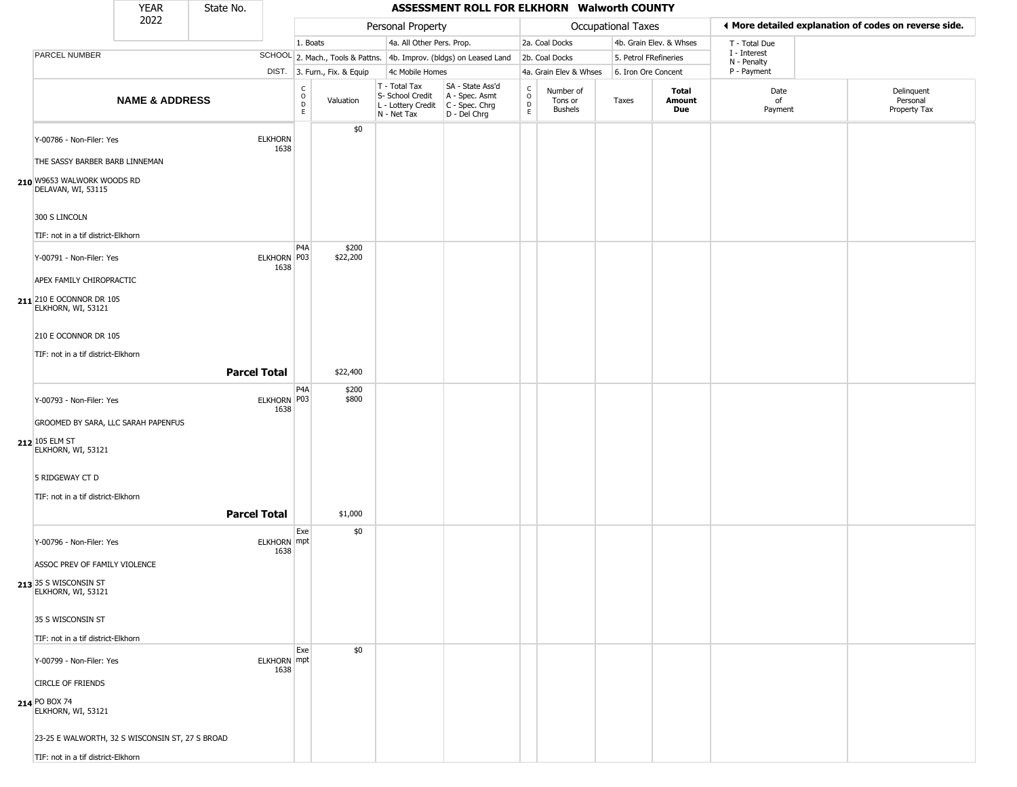|                                                                            | <b>YEAR</b>               | State No.           |                        |                                              |                              |                                                                        | ASSESSMENT ROLL FOR ELKHORN Walworth COUNTY                          |                                                              |                                        |                       |                         |                             |                                                       |
|----------------------------------------------------------------------------|---------------------------|---------------------|------------------------|----------------------------------------------|------------------------------|------------------------------------------------------------------------|----------------------------------------------------------------------|--------------------------------------------------------------|----------------------------------------|-----------------------|-------------------------|-----------------------------|-------------------------------------------------------|
|                                                                            | 2022                      |                     |                        |                                              |                              | Personal Property                                                      |                                                                      |                                                              |                                        | Occupational Taxes    |                         |                             | ♦ More detailed explanation of codes on reverse side. |
|                                                                            |                           |                     |                        | 1. Boats                                     |                              | 4a. All Other Pers. Prop.                                              |                                                                      |                                                              | 2a. Coal Docks                         |                       | 4b. Grain Elev. & Whses | T - Total Due               |                                                       |
| PARCEL NUMBER                                                              |                           |                     |                        |                                              |                              |                                                                        | SCHOOL 2. Mach., Tools & Pattns. 4b. Improv. (bldgs) on Leased Land  |                                                              | 2b. Coal Docks                         | 5. Petrol FRefineries |                         | I - Interest<br>N - Penalty |                                                       |
|                                                                            |                           |                     |                        |                                              | DIST. 3. Furn., Fix. & Equip | 4c Mobile Homes                                                        |                                                                      |                                                              | 4a. Grain Elev & Whses                 | 6. Iron Ore Concent   |                         | P - Payment                 |                                                       |
|                                                                            | <b>NAME &amp; ADDRESS</b> |                     |                        | $\mathsf{C}$<br>$\circ$<br>$\mathsf{D}$<br>E | Valuation                    | T - Total Tax<br>S- School Credit<br>L - Lottery Credit<br>N - Net Tax | SA - State Ass'd<br>A - Spec. Asmt<br>C - Spec. Chrg<br>D - Del Chrg | $\mathsf{C}$<br>$\begin{array}{c}\n0 \\ D \\ E\n\end{array}$ | Number of<br>Tons or<br><b>Bushels</b> | Taxes                 | Total<br>Amount<br>Due  | Date<br>of<br>Payment       | Delinquent<br>Personal<br>Property Tax                |
| Y-00786 - Non-Filer: Yes<br>THE SASSY BARBER BARB LINNEMAN                 |                           |                     | <b>ELKHORN</b><br>1638 |                                              | \$0                          |                                                                        |                                                                      |                                                              |                                        |                       |                         |                             |                                                       |
| 210 W9653 WALWORK WOODS RD<br>DELAVAN, WI, 53115                           |                           |                     |                        |                                              |                              |                                                                        |                                                                      |                                                              |                                        |                       |                         |                             |                                                       |
| 300 S LINCOLN                                                              |                           |                     |                        |                                              |                              |                                                                        |                                                                      |                                                              |                                        |                       |                         |                             |                                                       |
| TIF: not in a tif district-Elkhorn                                         |                           |                     |                        | P <sub>4</sub> A                             | \$200                        |                                                                        |                                                                      |                                                              |                                        |                       |                         |                             |                                                       |
| Y-00791 - Non-Filer: Yes                                                   |                           |                     | ELKHORN P03<br>1638    |                                              | \$22,200                     |                                                                        |                                                                      |                                                              |                                        |                       |                         |                             |                                                       |
| APEX FAMILY CHIROPRACTIC<br>211 210 E OCONNOR DR 105<br>ELKHORN, WI, 53121 |                           |                     |                        |                                              |                              |                                                                        |                                                                      |                                                              |                                        |                       |                         |                             |                                                       |
| 210 E OCONNOR DR 105                                                       |                           |                     |                        |                                              |                              |                                                                        |                                                                      |                                                              |                                        |                       |                         |                             |                                                       |
| TIF: not in a tif district-Elkhorn                                         |                           | <b>Parcel Total</b> |                        |                                              | \$22,400                     |                                                                        |                                                                      |                                                              |                                        |                       |                         |                             |                                                       |
| Y-00793 - Non-Filer: Yes                                                   |                           |                     | ELKHORN P03<br>1638    | P <sub>4</sub> A                             | \$200<br>\$800               |                                                                        |                                                                      |                                                              |                                        |                       |                         |                             |                                                       |
| GROOMED BY SARA, LLC SARAH PAPENFUS                                        |                           |                     |                        |                                              |                              |                                                                        |                                                                      |                                                              |                                        |                       |                         |                             |                                                       |
| 212 105 ELM ST<br>ELKHORN, WI, 53121                                       |                           |                     |                        |                                              |                              |                                                                        |                                                                      |                                                              |                                        |                       |                         |                             |                                                       |
| 5 RIDGEWAY CT D                                                            |                           |                     |                        |                                              |                              |                                                                        |                                                                      |                                                              |                                        |                       |                         |                             |                                                       |
| TIF: not in a tif district-Elkhorn                                         |                           |                     |                        |                                              |                              |                                                                        |                                                                      |                                                              |                                        |                       |                         |                             |                                                       |
|                                                                            |                           | <b>Parcel Total</b> |                        |                                              | \$1,000                      |                                                                        |                                                                      |                                                              |                                        |                       |                         |                             |                                                       |
| Y-00796 - Non-Filer: Yes                                                   |                           |                     | ELKHORN mpt<br>1638    | Exe                                          | \$0                          |                                                                        |                                                                      |                                                              |                                        |                       |                         |                             |                                                       |
| ASSOC PREV OF FAMILY VIOLENCE                                              |                           |                     |                        |                                              |                              |                                                                        |                                                                      |                                                              |                                        |                       |                         |                             |                                                       |
| 213 35 S WISCONSIN ST<br>ELKHORN, WI, 53121                                |                           |                     |                        |                                              |                              |                                                                        |                                                                      |                                                              |                                        |                       |                         |                             |                                                       |
| 35 S WISCONSIN ST                                                          |                           |                     |                        |                                              |                              |                                                                        |                                                                      |                                                              |                                        |                       |                         |                             |                                                       |
| TIF: not in a tif district-Elkhorn                                         |                           |                     |                        |                                              |                              |                                                                        |                                                                      |                                                              |                                        |                       |                         |                             |                                                       |
| Y-00799 - Non-Filer: Yes                                                   |                           |                     | ELKHORN mpt<br>1638    | Exe                                          | \$0                          |                                                                        |                                                                      |                                                              |                                        |                       |                         |                             |                                                       |
| <b>CIRCLE OF FRIENDS</b>                                                   |                           |                     |                        |                                              |                              |                                                                        |                                                                      |                                                              |                                        |                       |                         |                             |                                                       |
| 214 PO BOX 74<br>ELKHORN, WI, 53121                                        |                           |                     |                        |                                              |                              |                                                                        |                                                                      |                                                              |                                        |                       |                         |                             |                                                       |
| 23-25 E WALWORTH, 32 S WISCONSIN ST, 27 S BROAD                            |                           |                     |                        |                                              |                              |                                                                        |                                                                      |                                                              |                                        |                       |                         |                             |                                                       |
| TIF: not in a tif district-Elkhorn                                         |                           |                     |                        |                                              |                              |                                                                        |                                                                      |                                                              |                                        |                       |                         |                             |                                                       |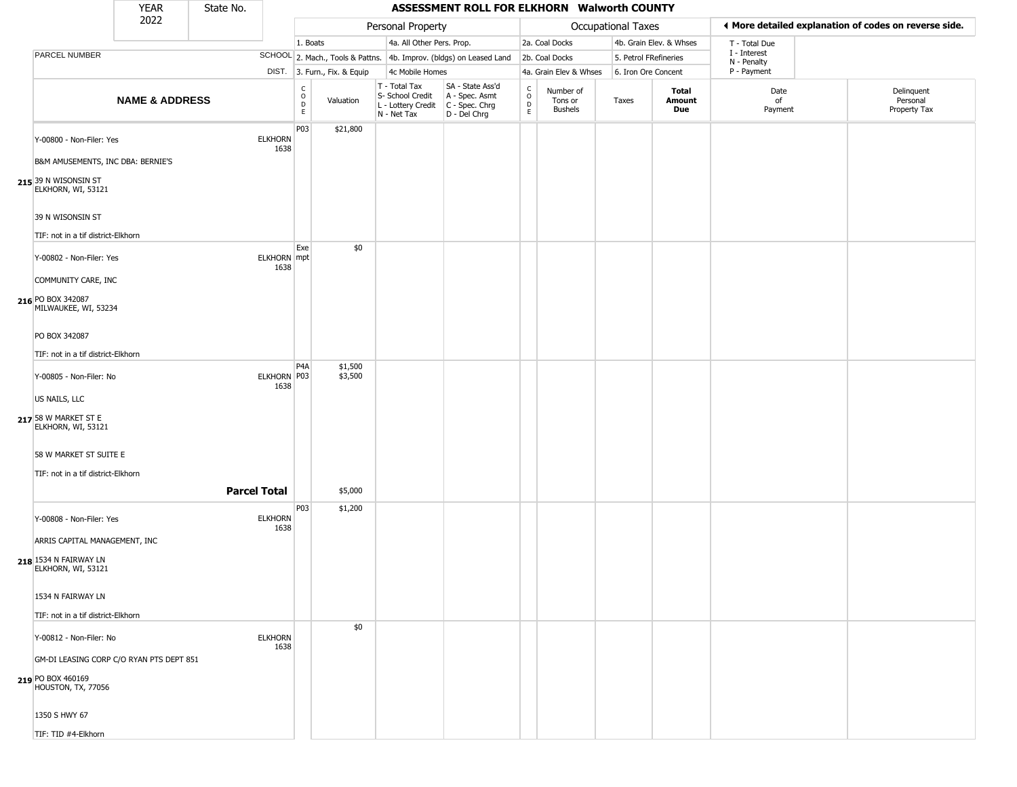|                                             | <b>YEAR</b>               | State No.           |                            |                  |                              |                                                                        | ASSESSMENT ROLL FOR ELKHORN Walworth COUNTY                          |                      |                                 |                       |                               |                             |                                                       |
|---------------------------------------------|---------------------------|---------------------|----------------------------|------------------|------------------------------|------------------------------------------------------------------------|----------------------------------------------------------------------|----------------------|---------------------------------|-----------------------|-------------------------------|-----------------------------|-------------------------------------------------------|
|                                             | 2022                      |                     |                            |                  |                              | Personal Property                                                      |                                                                      |                      |                                 | Occupational Taxes    |                               |                             | ♦ More detailed explanation of codes on reverse side. |
|                                             |                           |                     |                            | 1. Boats         |                              | 4a. All Other Pers. Prop.                                              |                                                                      |                      | 2a. Coal Docks                  |                       | 4b. Grain Elev. & Whses       | T - Total Due               |                                                       |
| PARCEL NUMBER                               |                           |                     |                            |                  |                              |                                                                        | SCHOOL 2. Mach., Tools & Pattns. 4b. Improv. (bldgs) on Leased Land  |                      | 2b. Coal Docks                  | 5. Petrol FRefineries |                               | I - Interest<br>N - Penalty |                                                       |
|                                             |                           |                     |                            |                  | DIST. 3. Furn., Fix. & Equip | 4c Mobile Homes                                                        |                                                                      |                      | 4a. Grain Elev & Whses          | 6. Iron Ore Concent   |                               | P - Payment                 |                                                       |
|                                             | <b>NAME &amp; ADDRESS</b> |                     |                            | C<br>O<br>D<br>E | Valuation                    | T - Total Tax<br>S- School Credit<br>L - Lottery Credit<br>N - Net Tax | SA - State Ass'd<br>A - Spec. Asmt<br>C - Spec. Chrg<br>D - Del Chrg | $\rm ^c_o$<br>D<br>E | Number of<br>Tons or<br>Bushels | Taxes                 | <b>Total</b><br>Amount<br>Due | Date<br>of<br>Payment       | Delinquent<br>Personal<br>Property Tax                |
| Y-00800 - Non-Filer: Yes                    |                           |                     | <b>ELKHORN</b><br>1638     | P03              | \$21,800                     |                                                                        |                                                                      |                      |                                 |                       |                               |                             |                                                       |
| B&M AMUSEMENTS, INC DBA: BERNIE'S           |                           |                     |                            |                  |                              |                                                                        |                                                                      |                      |                                 |                       |                               |                             |                                                       |
| 215 39 N WISONSIN ST<br>ELKHORN, WI, 53121  |                           |                     |                            |                  |                              |                                                                        |                                                                      |                      |                                 |                       |                               |                             |                                                       |
| 39 N WISONSIN ST                            |                           |                     |                            |                  |                              |                                                                        |                                                                      |                      |                                 |                       |                               |                             |                                                       |
| TIF: not in a tif district-Elkhorn          |                           |                     |                            |                  |                              |                                                                        |                                                                      |                      |                                 |                       |                               |                             |                                                       |
| Y-00802 - Non-Filer: Yes                    |                           |                     | <b>ELKHORN</b> mpt<br>1638 | Exe              | \$0                          |                                                                        |                                                                      |                      |                                 |                       |                               |                             |                                                       |
| COMMUNITY CARE, INC                         |                           |                     |                            |                  |                              |                                                                        |                                                                      |                      |                                 |                       |                               |                             |                                                       |
| 216 PO BOX 342087<br>MILWAUKEE, WI, 53234   |                           |                     |                            |                  |                              |                                                                        |                                                                      |                      |                                 |                       |                               |                             |                                                       |
| PO BOX 342087                               |                           |                     |                            |                  |                              |                                                                        |                                                                      |                      |                                 |                       |                               |                             |                                                       |
| TIF: not in a tif district-Elkhorn          |                           |                     |                            |                  |                              |                                                                        |                                                                      |                      |                                 |                       |                               |                             |                                                       |
| Y-00805 - Non-Filer: No                     |                           |                     | ELKHORN P03<br>1638        | P4A              | \$1,500<br>\$3,500           |                                                                        |                                                                      |                      |                                 |                       |                               |                             |                                                       |
| US NAILS, LLC                               |                           |                     |                            |                  |                              |                                                                        |                                                                      |                      |                                 |                       |                               |                             |                                                       |
| 217 58 W MARKET ST E<br>ELKHORN, WI, 53121  |                           |                     |                            |                  |                              |                                                                        |                                                                      |                      |                                 |                       |                               |                             |                                                       |
| 58 W MARKET ST SUITE E                      |                           |                     |                            |                  |                              |                                                                        |                                                                      |                      |                                 |                       |                               |                             |                                                       |
| TIF: not in a tif district-Elkhorn          |                           |                     |                            |                  |                              |                                                                        |                                                                      |                      |                                 |                       |                               |                             |                                                       |
|                                             |                           | <b>Parcel Total</b> |                            |                  | \$5,000                      |                                                                        |                                                                      |                      |                                 |                       |                               |                             |                                                       |
| Y-00808 - Non-Filer: Yes                    |                           |                     | <b>ELKHORN</b><br>1638     | P03              | \$1,200                      |                                                                        |                                                                      |                      |                                 |                       |                               |                             |                                                       |
| ARRIS CAPITAL MANAGEMENT, INC               |                           |                     |                            |                  |                              |                                                                        |                                                                      |                      |                                 |                       |                               |                             |                                                       |
| 218 1534 N FAIRWAY LN<br>ELKHORN, WI, 53121 |                           |                     |                            |                  |                              |                                                                        |                                                                      |                      |                                 |                       |                               |                             |                                                       |
| 1534 N FAIRWAY LN                           |                           |                     |                            |                  |                              |                                                                        |                                                                      |                      |                                 |                       |                               |                             |                                                       |
| TIF: not in a tif district-Elkhorn          |                           |                     |                            |                  |                              |                                                                        |                                                                      |                      |                                 |                       |                               |                             |                                                       |
| Y-00812 - Non-Filer: No                     |                           |                     | <b>ELKHORN</b><br>1638     |                  | \$0                          |                                                                        |                                                                      |                      |                                 |                       |                               |                             |                                                       |
| GM-DI LEASING CORP C/O RYAN PTS DEPT 851    |                           |                     |                            |                  |                              |                                                                        |                                                                      |                      |                                 |                       |                               |                             |                                                       |
| 219 PO BOX 460169<br>HOUSTON, TX, 77056     |                           |                     |                            |                  |                              |                                                                        |                                                                      |                      |                                 |                       |                               |                             |                                                       |
| 1350 S HWY 67                               |                           |                     |                            |                  |                              |                                                                        |                                                                      |                      |                                 |                       |                               |                             |                                                       |
| TIF: TID #4-Elkhorn                         |                           |                     |                            |                  |                              |                                                                        |                                                                      |                      |                                 |                       |                               |                             |                                                       |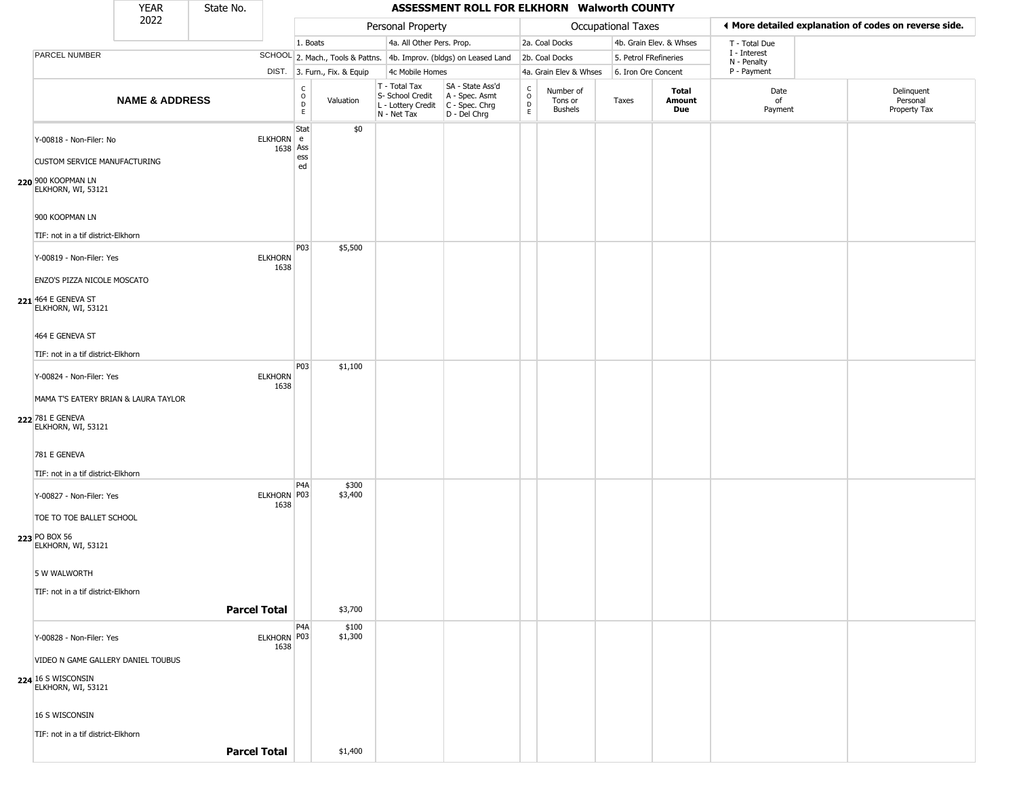|                                                                                                            | YEAR                      | State No.           |                        |                                        |                              |                                                                        | ASSESSMENT ROLL FOR ELKHORN Walworth COUNTY                          |                                                 |                                        |                       |                         |                             |                                                       |
|------------------------------------------------------------------------------------------------------------|---------------------------|---------------------|------------------------|----------------------------------------|------------------------------|------------------------------------------------------------------------|----------------------------------------------------------------------|-------------------------------------------------|----------------------------------------|-----------------------|-------------------------|-----------------------------|-------------------------------------------------------|
|                                                                                                            | 2022                      |                     |                        |                                        |                              | Personal Property                                                      |                                                                      |                                                 |                                        | Occupational Taxes    |                         |                             | ◀ More detailed explanation of codes on reverse side. |
|                                                                                                            |                           |                     |                        | 1. Boats                               |                              | 4a. All Other Pers. Prop.                                              |                                                                      |                                                 | 2a. Coal Docks                         |                       | 4b. Grain Elev. & Whses | T - Total Due               |                                                       |
| PARCEL NUMBER                                                                                              |                           |                     |                        |                                        |                              |                                                                        | SCHOOL 2. Mach., Tools & Pattns. 4b. Improv. (bldgs) on Leased Land  |                                                 | 2b. Coal Docks                         | 5. Petrol FRefineries |                         | I - Interest<br>N - Penalty |                                                       |
|                                                                                                            |                           |                     |                        |                                        | DIST. 3. Furn., Fix. & Equip | 4c Mobile Homes                                                        |                                                                      |                                                 | 4a. Grain Elev & Whses                 | 6. Iron Ore Concent   |                         | P - Payment                 |                                                       |
|                                                                                                            | <b>NAME &amp; ADDRESS</b> |                     |                        | $_{\rm o}^{\rm c}$<br>D<br>$\mathsf E$ | Valuation                    | T - Total Tax<br>S- School Credit<br>L - Lottery Credit<br>N - Net Tax | SA - State Ass'd<br>A - Spec. Asmt<br>C - Spec. Chrg<br>D - Del Chrg | $\begin{array}{c} C \\ O \\ D \\ E \end{array}$ | Number of<br>Tons or<br><b>Bushels</b> | Taxes                 | Total<br>Amount<br>Due  | Date<br>of<br>Payment       | Delinquent<br>Personal<br>Property Tax                |
| Y-00818 - Non-Filer: No<br><b>CUSTOM SERVICE MANUFACTURING</b><br>220 900 KOOPMAN LN<br>ELKHORN, WI, 53121 |                           |                     | ELKHORN e<br>1638 Ass  | Stat<br>ess<br>ed                      | \$0                          |                                                                        |                                                                      |                                                 |                                        |                       |                         |                             |                                                       |
| 900 KOOPMAN LN<br>TIF: not in a tif district-Elkhorn                                                       |                           |                     |                        |                                        |                              |                                                                        |                                                                      |                                                 |                                        |                       |                         |                             |                                                       |
| Y-00819 - Non-Filer: Yes<br>ENZO'S PIZZA NICOLE MOSCATO                                                    |                           |                     | <b>ELKHORN</b><br>1638 | P03                                    | \$5,500                      |                                                                        |                                                                      |                                                 |                                        |                       |                         |                             |                                                       |
| 221 464 E GENEVA ST<br>ELKHORN, WI, 53121<br>464 E GENEVA ST                                               |                           |                     |                        |                                        |                              |                                                                        |                                                                      |                                                 |                                        |                       |                         |                             |                                                       |
| TIF: not in a tif district-Elkhorn                                                                         |                           |                     |                        |                                        |                              |                                                                        |                                                                      |                                                 |                                        |                       |                         |                             |                                                       |
| Y-00824 - Non-Filer: Yes                                                                                   |                           |                     | <b>ELKHORN</b><br>1638 | P <sub>03</sub>                        | \$1,100                      |                                                                        |                                                                      |                                                 |                                        |                       |                         |                             |                                                       |
| MAMA T'S EATERY BRIAN & LAURA TAYLOR<br>222 781 E GENEVA<br>ELKHORN, WI, 53121                             |                           |                     |                        |                                        |                              |                                                                        |                                                                      |                                                 |                                        |                       |                         |                             |                                                       |
| 781 E GENEVA<br>TIF: not in a tif district-Elkhorn                                                         |                           |                     |                        |                                        |                              |                                                                        |                                                                      |                                                 |                                        |                       |                         |                             |                                                       |
| Y-00827 - Non-Filer: Yes                                                                                   |                           |                     | ELKHORN P03<br>1638    | P <sub>4</sub> A                       | \$300<br>\$3,400             |                                                                        |                                                                      |                                                 |                                        |                       |                         |                             |                                                       |
| TOE TO TOE BALLET SCHOOL<br>223 PO BOX 56<br>ELKHORN, WI, 53121                                            |                           |                     |                        |                                        |                              |                                                                        |                                                                      |                                                 |                                        |                       |                         |                             |                                                       |
| 5 W WALWORTH<br>TIF: not in a tif district-Elkhorn                                                         |                           |                     |                        |                                        |                              |                                                                        |                                                                      |                                                 |                                        |                       |                         |                             |                                                       |
|                                                                                                            |                           | <b>Parcel Total</b> |                        |                                        | \$3,700                      |                                                                        |                                                                      |                                                 |                                        |                       |                         |                             |                                                       |
| Y-00828 - Non-Filer: Yes                                                                                   |                           |                     | ELKHORN P03<br>1638    | P4A                                    | \$100<br>\$1,300             |                                                                        |                                                                      |                                                 |                                        |                       |                         |                             |                                                       |
| VIDEO N GAME GALLERY DANIEL TOUBUS                                                                         |                           |                     |                        |                                        |                              |                                                                        |                                                                      |                                                 |                                        |                       |                         |                             |                                                       |
| 224 16 S WISCONSIN<br>ELKHORN, WI, 53121                                                                   |                           |                     |                        |                                        |                              |                                                                        |                                                                      |                                                 |                                        |                       |                         |                             |                                                       |
| 16 S WISCONSIN                                                                                             |                           |                     |                        |                                        |                              |                                                                        |                                                                      |                                                 |                                        |                       |                         |                             |                                                       |
| TIF: not in a tif district-Elkhorn                                                                         |                           |                     |                        |                                        |                              |                                                                        |                                                                      |                                                 |                                        |                       |                         |                             |                                                       |
|                                                                                                            |                           | <b>Parcel Total</b> |                        |                                        | \$1,400                      |                                                                        |                                                                      |                                                 |                                        |                       |                         |                             |                                                       |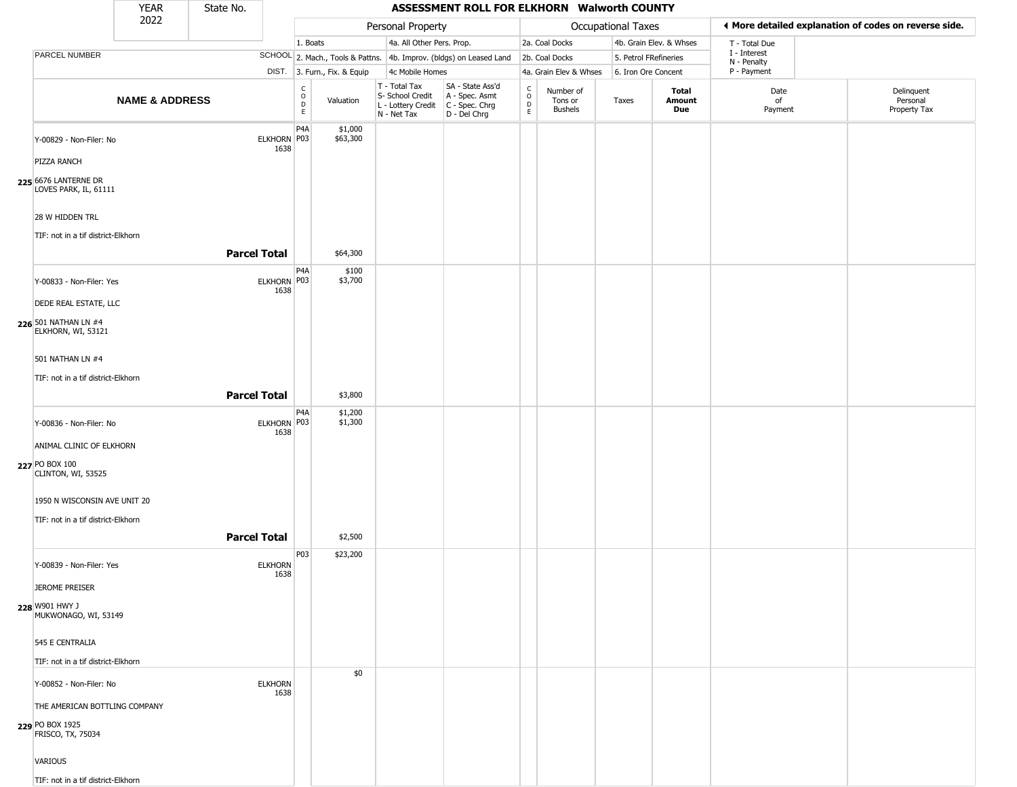|                                               | <b>YEAR</b>               | State No.           |                        |                                            |                              |                                                                                         | ASSESSMENT ROLL FOR ELKHORN Walworth COUNTY                         |                                   |                                        |                       |                         |                             |                                                       |
|-----------------------------------------------|---------------------------|---------------------|------------------------|--------------------------------------------|------------------------------|-----------------------------------------------------------------------------------------|---------------------------------------------------------------------|-----------------------------------|----------------------------------------|-----------------------|-------------------------|-----------------------------|-------------------------------------------------------|
|                                               | 2022                      |                     |                        |                                            |                              | Personal Property                                                                       |                                                                     |                                   |                                        | Occupational Taxes    |                         |                             | ◀ More detailed explanation of codes on reverse side. |
|                                               |                           |                     |                        | 1. Boats                                   |                              | 4a. All Other Pers. Prop.                                                               |                                                                     |                                   | 2a. Coal Docks                         |                       | 4b. Grain Elev. & Whses | T - Total Due               |                                                       |
| PARCEL NUMBER                                 |                           |                     |                        |                                            |                              |                                                                                         | SCHOOL 2. Mach., Tools & Pattns. 4b. Improv. (bldgs) on Leased Land |                                   | 2b. Coal Docks                         | 5. Petrol FRefineries |                         | I - Interest<br>N - Penalty |                                                       |
|                                               |                           |                     |                        |                                            | DIST. 3. Furn., Fix. & Equip | 4c Mobile Homes                                                                         |                                                                     |                                   | 4a. Grain Elev & Whses                 | 6. Iron Ore Concent   |                         | P - Payment                 |                                                       |
|                                               | <b>NAME &amp; ADDRESS</b> |                     |                        | $\frac{c}{0}$<br>$\mathsf{D}_{\mathsf{E}}$ | Valuation                    | T - Total Tax<br>S- School Credit<br>L - Lottery Credit   C - Spec. Chrg<br>N - Net Tax | SA - State Ass'd<br>A - Spec. Asmt<br>D - Del Chrg                  | $\mathsf{C}$<br>$\circ$<br>D<br>E | Number of<br>Tons or<br><b>Bushels</b> | Taxes                 | Total<br>Amount<br>Due  | Date<br>of<br>Payment       | Delinquent<br>Personal<br>Property Tax                |
| Y-00829 - Non-Filer: No                       |                           |                     | ELKHORN P03<br>1638    | P4A                                        | \$1,000<br>\$63,300          |                                                                                         |                                                                     |                                   |                                        |                       |                         |                             |                                                       |
| PIZZA RANCH                                   |                           |                     |                        |                                            |                              |                                                                                         |                                                                     |                                   |                                        |                       |                         |                             |                                                       |
| 225 6676 LANTERNE DR<br>LOVES PARK, IL, 61111 |                           |                     |                        |                                            |                              |                                                                                         |                                                                     |                                   |                                        |                       |                         |                             |                                                       |
| 28 W HIDDEN TRL                               |                           |                     |                        |                                            |                              |                                                                                         |                                                                     |                                   |                                        |                       |                         |                             |                                                       |
| TIF: not in a tif district-Elkhorn            |                           | <b>Parcel Total</b> |                        |                                            | \$64,300                     |                                                                                         |                                                                     |                                   |                                        |                       |                         |                             |                                                       |
|                                               |                           |                     |                        | P4A                                        | \$100                        |                                                                                         |                                                                     |                                   |                                        |                       |                         |                             |                                                       |
| Y-00833 - Non-Filer: Yes                      |                           |                     | ELKHORN P03<br>1638    |                                            | \$3,700                      |                                                                                         |                                                                     |                                   |                                        |                       |                         |                             |                                                       |
| DEDE REAL ESTATE, LLC                         |                           |                     |                        |                                            |                              |                                                                                         |                                                                     |                                   |                                        |                       |                         |                             |                                                       |
| 226 501 NATHAN LN #4<br>ELKHORN, WI, 53121    |                           |                     |                        |                                            |                              |                                                                                         |                                                                     |                                   |                                        |                       |                         |                             |                                                       |
| 501 NATHAN LN #4                              |                           |                     |                        |                                            |                              |                                                                                         |                                                                     |                                   |                                        |                       |                         |                             |                                                       |
| TIF: not in a tif district-Elkhorn            |                           |                     |                        |                                            |                              |                                                                                         |                                                                     |                                   |                                        |                       |                         |                             |                                                       |
|                                               |                           | <b>Parcel Total</b> |                        |                                            | \$3,800                      |                                                                                         |                                                                     |                                   |                                        |                       |                         |                             |                                                       |
| Y-00836 - Non-Filer: No                       |                           |                     | ELKHORN P03<br>1638    | P4A                                        | \$1,200<br>\$1,300           |                                                                                         |                                                                     |                                   |                                        |                       |                         |                             |                                                       |
| ANIMAL CLINIC OF ELKHORN                      |                           |                     |                        |                                            |                              |                                                                                         |                                                                     |                                   |                                        |                       |                         |                             |                                                       |
| 227 PO BOX 100<br>CLINTON, WI, 53525          |                           |                     |                        |                                            |                              |                                                                                         |                                                                     |                                   |                                        |                       |                         |                             |                                                       |
| 1950 N WISCONSIN AVE UNIT 20                  |                           |                     |                        |                                            |                              |                                                                                         |                                                                     |                                   |                                        |                       |                         |                             |                                                       |
| TIF: not in a tif district-Elkhorn            |                           |                     |                        |                                            |                              |                                                                                         |                                                                     |                                   |                                        |                       |                         |                             |                                                       |
|                                               |                           | <b>Parcel Total</b> |                        |                                            | \$2,500                      |                                                                                         |                                                                     |                                   |                                        |                       |                         |                             |                                                       |
| Y-00839 - Non-Filer: Yes                      |                           |                     | <b>ELKHORN</b>         | P03                                        | \$23,200                     |                                                                                         |                                                                     |                                   |                                        |                       |                         |                             |                                                       |
| <b>JEROME PREISER</b>                         |                           |                     | 1638                   |                                            |                              |                                                                                         |                                                                     |                                   |                                        |                       |                         |                             |                                                       |
| 228 W901 HWY J<br>MUKWONAGO, WI, 53149        |                           |                     |                        |                                            |                              |                                                                                         |                                                                     |                                   |                                        |                       |                         |                             |                                                       |
| 545 E CENTRALIA                               |                           |                     |                        |                                            |                              |                                                                                         |                                                                     |                                   |                                        |                       |                         |                             |                                                       |
| TIF: not in a tif district-Elkhorn            |                           |                     |                        |                                            |                              |                                                                                         |                                                                     |                                   |                                        |                       |                         |                             |                                                       |
| Y-00852 - Non-Filer: No                       |                           |                     | <b>ELKHORN</b><br>1638 |                                            | \$0                          |                                                                                         |                                                                     |                                   |                                        |                       |                         |                             |                                                       |
| THE AMERICAN BOTTLING COMPANY                 |                           |                     |                        |                                            |                              |                                                                                         |                                                                     |                                   |                                        |                       |                         |                             |                                                       |
| 229 PO BOX 1925<br>FRISCO, TX, 75034          |                           |                     |                        |                                            |                              |                                                                                         |                                                                     |                                   |                                        |                       |                         |                             |                                                       |
| VARIOUS                                       |                           |                     |                        |                                            |                              |                                                                                         |                                                                     |                                   |                                        |                       |                         |                             |                                                       |
| TIF: not in a tif district-Elkhorn            |                           |                     |                        |                                            |                              |                                                                                         |                                                                     |                                   |                                        |                       |                         |                             |                                                       |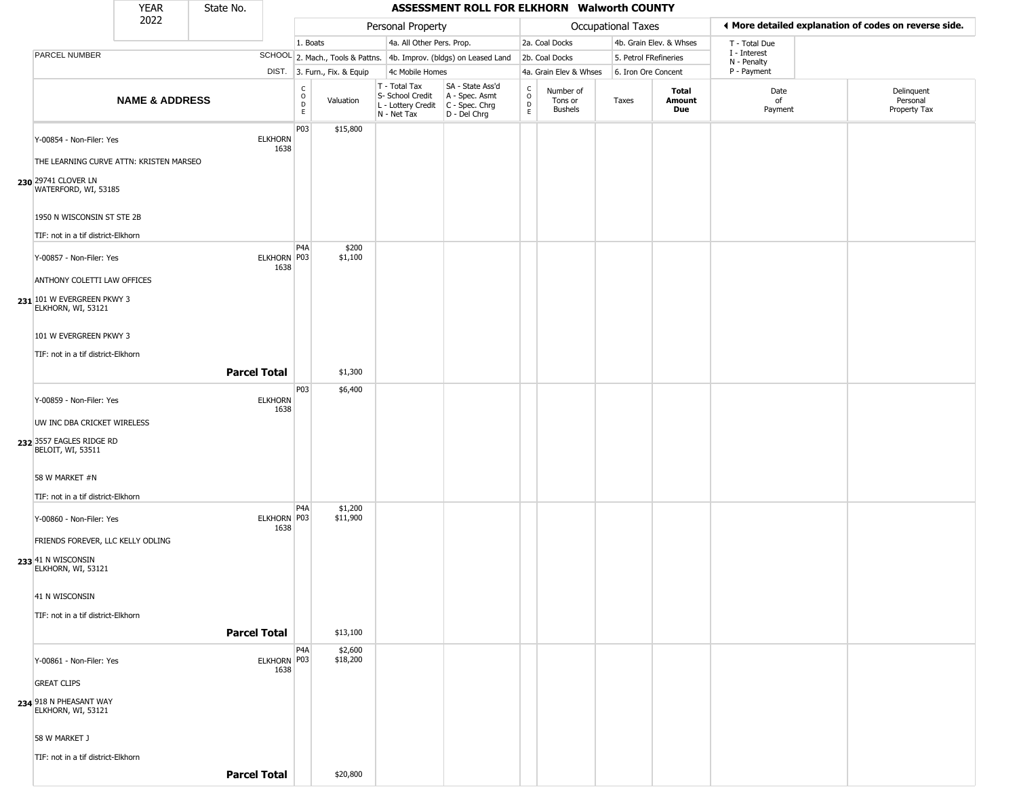|                                                                                 | <b>YEAR</b>                             | State No. |                        |                                             |                              |                                                                                         | ASSESSMENT ROLL FOR ELKHORN Walworth COUNTY                         |                                                |                                        |                           |                         |                             |                                                       |
|---------------------------------------------------------------------------------|-----------------------------------------|-----------|------------------------|---------------------------------------------|------------------------------|-----------------------------------------------------------------------------------------|---------------------------------------------------------------------|------------------------------------------------|----------------------------------------|---------------------------|-------------------------|-----------------------------|-------------------------------------------------------|
|                                                                                 | 2022                                    |           |                        |                                             |                              | Personal Property                                                                       |                                                                     |                                                |                                        | <b>Occupational Taxes</b> |                         |                             | ◀ More detailed explanation of codes on reverse side. |
|                                                                                 |                                         |           |                        | 1. Boats                                    |                              | 4a. All Other Pers. Prop.                                                               |                                                                     |                                                | 2a. Coal Docks                         |                           | 4b. Grain Elev. & Whses | T - Total Due               |                                                       |
| PARCEL NUMBER                                                                   |                                         |           |                        |                                             |                              |                                                                                         | SCHOOL 2. Mach., Tools & Pattns. 4b. Improv. (bldgs) on Leased Land |                                                | 2b. Coal Docks                         | 5. Petrol FRefineries     |                         | I - Interest<br>N - Penalty |                                                       |
|                                                                                 |                                         |           |                        |                                             | DIST. 3. Furn., Fix. & Equip | 4c Mobile Homes                                                                         |                                                                     |                                                | 4a. Grain Elev & Whses                 | 6. Iron Ore Concent       |                         | P - Payment                 |                                                       |
|                                                                                 | <b>NAME &amp; ADDRESS</b>               |           |                        | C<br>$\circ$<br>$\mathsf{D}$<br>$\mathsf E$ | Valuation                    | T - Total Tax<br>S- School Credit<br>L - Lottery Credit   C - Spec. Chrg<br>N - Net Tax | SA - State Ass'd<br>A - Spec. Asmt<br>D - Del Chrg                  | $\begin{matrix} 0 \\ 0 \\ D \end{matrix}$<br>E | Number of<br>Tons or<br><b>Bushels</b> | Taxes                     | Total<br>Amount<br>Due  | Date<br>of<br>Payment       | Delinquent<br>Personal<br>Property Tax                |
| Y-00854 - Non-Filer: Yes                                                        |                                         |           | <b>ELKHORN</b><br>1638 | P03                                         | \$15,800                     |                                                                                         |                                                                     |                                                |                                        |                           |                         |                             |                                                       |
| 230 29741 CLOVER LN<br>WATERFORD, WI, 53185                                     | THE LEARNING CURVE ATTN: KRISTEN MARSEO |           |                        |                                             |                              |                                                                                         |                                                                     |                                                |                                        |                           |                         |                             |                                                       |
| 1950 N WISCONSIN ST STE 2B                                                      |                                         |           |                        |                                             |                              |                                                                                         |                                                                     |                                                |                                        |                           |                         |                             |                                                       |
| TIF: not in a tif district-Elkhorn                                              |                                         |           |                        |                                             |                              |                                                                                         |                                                                     |                                                |                                        |                           |                         |                             |                                                       |
| Y-00857 - Non-Filer: Yes                                                        |                                         |           | ELKHORN P03<br>1638    | P <sub>4</sub> A                            | \$200<br>\$1,100             |                                                                                         |                                                                     |                                                |                                        |                           |                         |                             |                                                       |
| ANTHONY COLETTI LAW OFFICES<br>231 101 W EVERGREEN PKWY 3<br>ELKHORN, WI, 53121 |                                         |           |                        |                                             |                              |                                                                                         |                                                                     |                                                |                                        |                           |                         |                             |                                                       |
| 101 W EVERGREEN PKWY 3                                                          |                                         |           |                        |                                             |                              |                                                                                         |                                                                     |                                                |                                        |                           |                         |                             |                                                       |
| TIF: not in a tif district-Elkhorn                                              |                                         |           | <b>Parcel Total</b>    |                                             | \$1,300                      |                                                                                         |                                                                     |                                                |                                        |                           |                         |                             |                                                       |
| Y-00859 - Non-Filer: Yes                                                        |                                         |           | <b>ELKHORN</b>         | P03                                         | \$6,400                      |                                                                                         |                                                                     |                                                |                                        |                           |                         |                             |                                                       |
| UW INC DBA CRICKET WIRELESS                                                     |                                         |           | 1638                   |                                             |                              |                                                                                         |                                                                     |                                                |                                        |                           |                         |                             |                                                       |
| 232 3557 EAGLES RIDGE RD<br>BELOIT, WI, 53511                                   |                                         |           |                        |                                             |                              |                                                                                         |                                                                     |                                                |                                        |                           |                         |                             |                                                       |
| 58 W MARKET #N                                                                  |                                         |           |                        |                                             |                              |                                                                                         |                                                                     |                                                |                                        |                           |                         |                             |                                                       |
| TIF: not in a tif district-Elkhorn                                              |                                         |           |                        | P <sub>4</sub> A                            | \$1,200                      |                                                                                         |                                                                     |                                                |                                        |                           |                         |                             |                                                       |
| Y-00860 - Non-Filer: Yes                                                        |                                         |           | ELKHORN P03<br>1638    |                                             | \$11,900                     |                                                                                         |                                                                     |                                                |                                        |                           |                         |                             |                                                       |
| FRIENDS FOREVER, LLC KELLY ODLING<br>233 41 N WISCONSIN<br>ELKHORN, WI, 53121   |                                         |           |                        |                                             |                              |                                                                                         |                                                                     |                                                |                                        |                           |                         |                             |                                                       |
| 41 N WISCONSIN                                                                  |                                         |           |                        |                                             |                              |                                                                                         |                                                                     |                                                |                                        |                           |                         |                             |                                                       |
| TIF: not in a tif district-Elkhorn                                              |                                         |           | <b>Parcel Total</b>    |                                             | \$13,100                     |                                                                                         |                                                                     |                                                |                                        |                           |                         |                             |                                                       |
| Y-00861 - Non-Filer: Yes                                                        |                                         |           | ELKHORN P03            | P <sub>4</sub> A                            | \$2,600<br>\$18,200          |                                                                                         |                                                                     |                                                |                                        |                           |                         |                             |                                                       |
| <b>GREAT CLIPS</b>                                                              |                                         |           | 1638                   |                                             |                              |                                                                                         |                                                                     |                                                |                                        |                           |                         |                             |                                                       |
| 234 918 N PHEASANT WAY<br>ELKHORN, WI, 53121                                    |                                         |           |                        |                                             |                              |                                                                                         |                                                                     |                                                |                                        |                           |                         |                             |                                                       |
| 58 W MARKET J                                                                   |                                         |           |                        |                                             |                              |                                                                                         |                                                                     |                                                |                                        |                           |                         |                             |                                                       |
| TIF: not in a tif district-Elkhorn                                              |                                         |           | <b>Parcel Total</b>    |                                             | \$20,800                     |                                                                                         |                                                                     |                                                |                                        |                           |                         |                             |                                                       |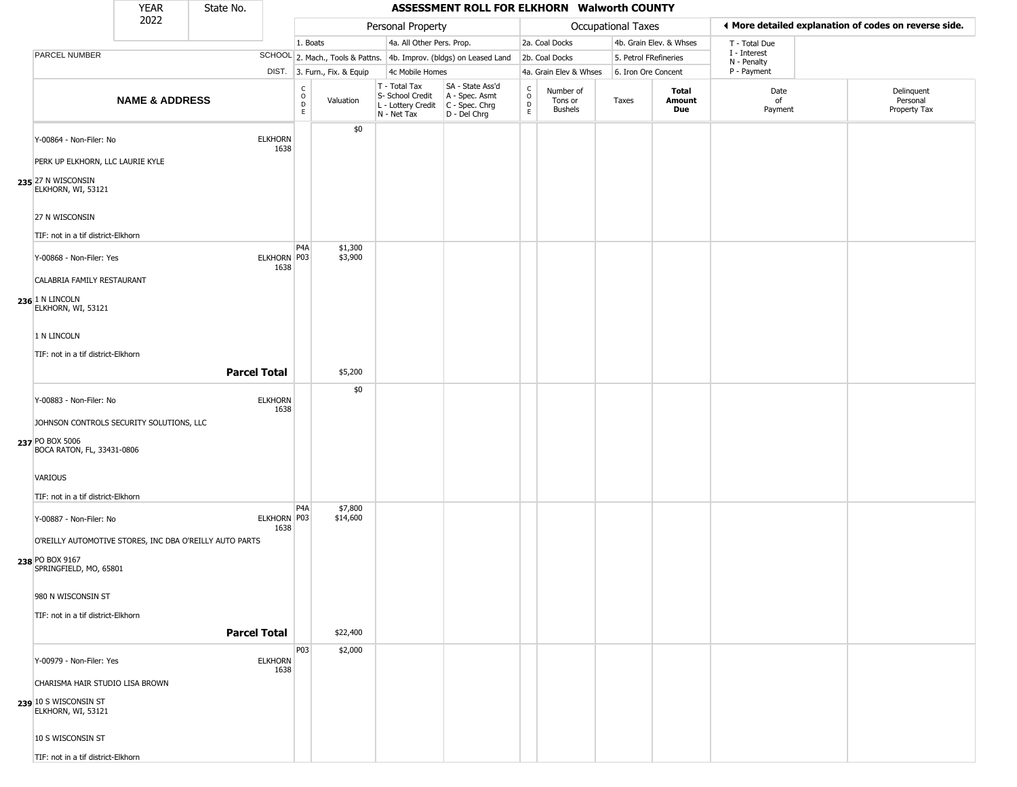|                                                                                                                                                                                             | <b>YEAR</b>               | State No.           |                        |                                                 |                                 |                                                                        | ASSESSMENT ROLL FOR ELKHORN Walworth COUNTY                          |                                 |                                        |                       |                         |                             |                                                       |
|---------------------------------------------------------------------------------------------------------------------------------------------------------------------------------------------|---------------------------|---------------------|------------------------|-------------------------------------------------|---------------------------------|------------------------------------------------------------------------|----------------------------------------------------------------------|---------------------------------|----------------------------------------|-----------------------|-------------------------|-----------------------------|-------------------------------------------------------|
|                                                                                                                                                                                             | 2022                      |                     |                        |                                                 |                                 | Personal Property                                                      |                                                                      |                                 |                                        | Occupational Taxes    |                         |                             | ♦ More detailed explanation of codes on reverse side. |
|                                                                                                                                                                                             |                           |                     |                        | 1. Boats                                        |                                 | 4a. All Other Pers. Prop.                                              |                                                                      |                                 | 2a. Coal Docks                         |                       | 4b. Grain Elev. & Whses | T - Total Due               |                                                       |
| PARCEL NUMBER                                                                                                                                                                               |                           |                     |                        |                                                 |                                 |                                                                        | SCHOOL 2. Mach., Tools & Pattns. 4b. Improv. (bldgs) on Leased Land  |                                 | 2b. Coal Docks                         | 5. Petrol FRefineries |                         | I - Interest<br>N - Penalty |                                                       |
|                                                                                                                                                                                             |                           |                     |                        |                                                 | DIST. 3. Furn., Fix. & Equip    | 4c Mobile Homes                                                        |                                                                      |                                 | 4a. Grain Elev & Whses                 | 6. Iron Ore Concent   |                         | P - Payment                 |                                                       |
|                                                                                                                                                                                             | <b>NAME &amp; ADDRESS</b> |                     |                        | $\mathsf{C}$<br>$\mathsf O$<br>$\mathsf D$<br>E | Valuation                       | T - Total Tax<br>S- School Credit<br>L - Lottery Credit<br>N - Net Tax | SA - State Ass'd<br>A - Spec. Asmt<br>C - Spec. Chrg<br>D - Del Chrg | $\rm ^c_o$<br>$\mathsf{D}$<br>E | Number of<br>Tons or<br><b>Bushels</b> | Taxes                 | Total<br>Amount<br>Due  | Date<br>of<br>Payment       | Delinquent<br>Personal<br>Property Tax                |
| Y-00864 - Non-Filer: No<br>PERK UP ELKHORN, LLC LAURIE KYLE<br>235 27 N WISCONSIN                                                                                                           |                           |                     | <b>ELKHORN</b><br>1638 |                                                 | \$0                             |                                                                        |                                                                      |                                 |                                        |                       |                         |                             |                                                       |
| ELKHORN, WI, 53121<br>27 N WISCONSIN<br>TIF: not in a tif district-Elkhorn                                                                                                                  |                           |                     |                        |                                                 |                                 |                                                                        |                                                                      |                                 |                                        |                       |                         |                             |                                                       |
| Y-00868 - Non-Filer: Yes<br>CALABRIA FAMILY RESTAURANT<br>$236$ 1 N LINCOLN<br>ELKHORN, WI, 53121                                                                                           |                           |                     | ELKHORN P03<br>1638    | P4A                                             | \$1,300<br>\$3,900              |                                                                        |                                                                      |                                 |                                        |                       |                         |                             |                                                       |
| 1 N LINCOLN<br>TIF: not in a tif district-Elkhorn                                                                                                                                           |                           | <b>Parcel Total</b> |                        |                                                 | \$5,200                         |                                                                        |                                                                      |                                 |                                        |                       |                         |                             |                                                       |
| Y-00883 - Non-Filer: No<br>JOHNSON CONTROLS SECURITY SOLUTIONS, LLC<br>237 PO BOX 5006<br>BOCA RATON, FL, 33431-0806<br>VARIOUS<br>TIF: not in a tif district-Elkhorn                       |                           |                     | <b>ELKHORN</b><br>1638 |                                                 | \$0                             |                                                                        |                                                                      |                                 |                                        |                       |                         |                             |                                                       |
| Y-00887 - Non-Filer: No<br>O'REILLY AUTOMOTIVE STORES, INC DBA O'REILLY AUTO PARTS<br>238 PO BOX 9167<br>SPRINGFIELD, MO, 65801<br>980 N WISCONSIN ST<br>TIF: not in a tif district-Elkhorn |                           | <b>Parcel Total</b> | ELKHORN P03<br>1638    | P4A                                             | \$7,800<br>\$14,600<br>\$22,400 |                                                                        |                                                                      |                                 |                                        |                       |                         |                             |                                                       |
| Y-00979 - Non-Filer: Yes<br>CHARISMA HAIR STUDIO LISA BROWN<br>239 10 S WISCONSIN ST<br>ELKHORN, WI, 53121<br>10 S WISCONSIN ST<br>TIF: not in a tif district-Elkhorn                       |                           |                     | <b>ELKHORN</b><br>1638 | <b>P03</b>                                      | \$2,000                         |                                                                        |                                                                      |                                 |                                        |                       |                         |                             |                                                       |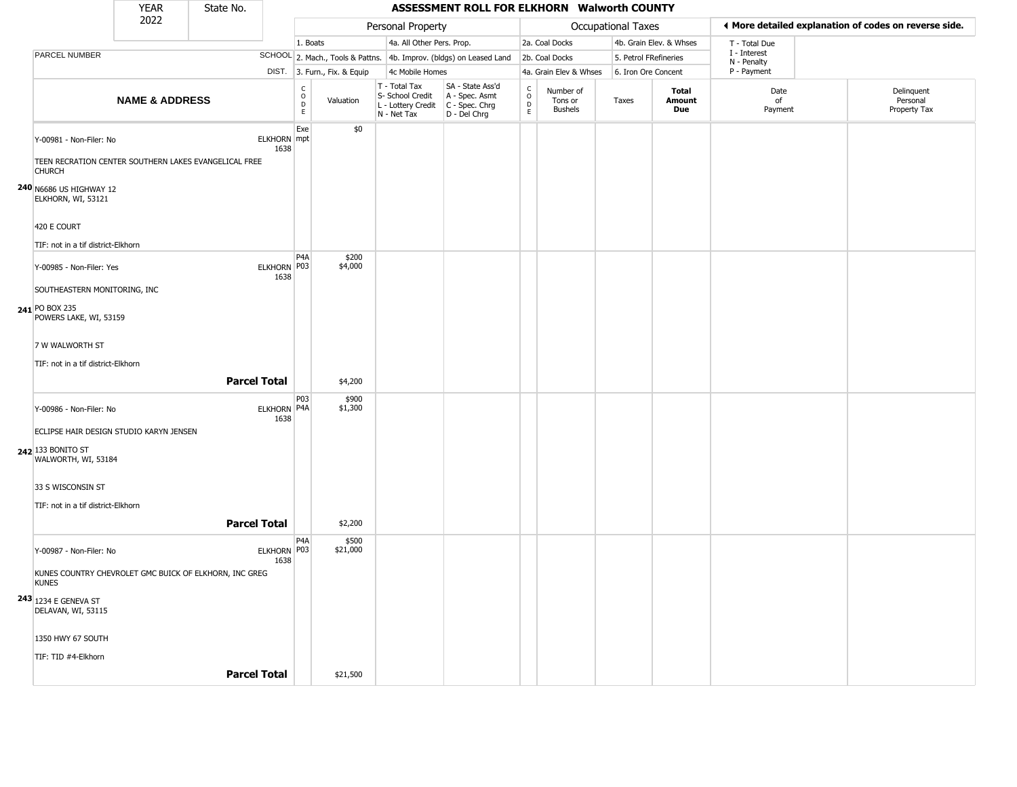| <b>YEAR</b><br>State No.<br>2022                                       |                           |                                                       |                       |                                                          |                              |                                                                        | ASSESSMENT ROLL FOR ELKHORN Walworth COUNTY                          |                                                 |                                        |                       |                         |                             |                                                       |
|------------------------------------------------------------------------|---------------------------|-------------------------------------------------------|-----------------------|----------------------------------------------------------|------------------------------|------------------------------------------------------------------------|----------------------------------------------------------------------|-------------------------------------------------|----------------------------------------|-----------------------|-------------------------|-----------------------------|-------------------------------------------------------|
|                                                                        |                           |                                                       |                       |                                                          |                              | Personal Property                                                      |                                                                      |                                                 |                                        | Occupational Taxes    |                         |                             | ◀ More detailed explanation of codes on reverse side. |
|                                                                        |                           |                                                       |                       | 1. Boats                                                 |                              | 4a. All Other Pers. Prop.                                              |                                                                      |                                                 | 2a. Coal Docks                         |                       | 4b. Grain Elev. & Whses | T - Total Due               |                                                       |
| PARCEL NUMBER                                                          |                           |                                                       |                       |                                                          |                              |                                                                        | SCHOOL 2. Mach., Tools & Pattns. 4b. Improv. (bldgs) on Leased Land  |                                                 | 2b. Coal Docks                         | 5. Petrol FRefineries |                         | I - Interest<br>N - Penalty |                                                       |
|                                                                        |                           |                                                       |                       |                                                          | DIST. 3. Furn., Fix. & Equip | 4c Mobile Homes                                                        |                                                                      |                                                 | 4a. Grain Elev & Whses                 | 6. Iron Ore Concent   |                         | P - Payment                 |                                                       |
|                                                                        | <b>NAME &amp; ADDRESS</b> |                                                       |                       | $\begin{matrix} C \\ O \\ D \end{matrix}$<br>$\mathsf E$ | Valuation                    | T - Total Tax<br>S- School Credit<br>L - Lottery Credit<br>N - Net Tax | SA - State Ass'd<br>A - Spec. Asmt<br>C - Spec. Chrg<br>D - Del Chrg | $\begin{array}{c} C \\ O \\ D \\ E \end{array}$ | Number of<br>Tons or<br><b>Bushels</b> | Taxes                 | Total<br>Amount<br>Due  | Date<br>of<br>Payment       | Delinquent<br>Personal<br>Property Tax                |
| Y-00981 - Non-Filer: No                                                |                           |                                                       | ELKHORN mpt<br>1638   | Exe                                                      | \$0                          |                                                                        |                                                                      |                                                 |                                        |                       |                         |                             |                                                       |
| <b>CHURCH</b>                                                          |                           | TEEN RECRATION CENTER SOUTHERN LAKES EVANGELICAL FREE |                       |                                                          |                              |                                                                        |                                                                      |                                                 |                                        |                       |                         |                             |                                                       |
| 240 N6686 US HIGHWAY 12<br>ELKHORN, WI, 53121<br>420 E COURT           |                           |                                                       |                       |                                                          |                              |                                                                        |                                                                      |                                                 |                                        |                       |                         |                             |                                                       |
| TIF: not in a tif district-Elkhorn                                     |                           |                                                       |                       |                                                          |                              |                                                                        |                                                                      |                                                 |                                        |                       |                         |                             |                                                       |
| Y-00985 - Non-Filer: Yes                                               |                           |                                                       | ELKHORN P03<br>1638   | P4A                                                      | \$200<br>\$4,000             |                                                                        |                                                                      |                                                 |                                        |                       |                         |                             |                                                       |
| SOUTHEASTERN MONITORING, INC                                           |                           |                                                       |                       |                                                          |                              |                                                                        |                                                                      |                                                 |                                        |                       |                         |                             |                                                       |
| 241 PO BOX 235<br>POWERS LAKE, WI, 53159                               |                           |                                                       |                       |                                                          |                              |                                                                        |                                                                      |                                                 |                                        |                       |                         |                             |                                                       |
| 7 W WALWORTH ST                                                        |                           |                                                       |                       |                                                          |                              |                                                                        |                                                                      |                                                 |                                        |                       |                         |                             |                                                       |
| TIF: not in a tif district-Elkhorn                                     |                           |                                                       |                       |                                                          |                              |                                                                        |                                                                      |                                                 |                                        |                       |                         |                             |                                                       |
|                                                                        |                           | <b>Parcel Total</b>                                   |                       |                                                          | \$4,200                      |                                                                        |                                                                      |                                                 |                                        |                       |                         |                             |                                                       |
|                                                                        |                           |                                                       |                       |                                                          |                              |                                                                        |                                                                      |                                                 |                                        |                       |                         |                             |                                                       |
| Y-00986 - Non-Filer: No                                                |                           |                                                       | ELKHORN P4A<br>1638   | P03                                                      | \$900<br>\$1,300             |                                                                        |                                                                      |                                                 |                                        |                       |                         |                             |                                                       |
| ECLIPSE HAIR DESIGN STUDIO KARYN JENSEN                                |                           |                                                       |                       |                                                          |                              |                                                                        |                                                                      |                                                 |                                        |                       |                         |                             |                                                       |
| 242 133 BONITO ST<br>WALWORTH, WI, 53184                               |                           |                                                       |                       |                                                          |                              |                                                                        |                                                                      |                                                 |                                        |                       |                         |                             |                                                       |
| 33 S WISCONSIN ST                                                      |                           |                                                       |                       |                                                          |                              |                                                                        |                                                                      |                                                 |                                        |                       |                         |                             |                                                       |
| TIF: not in a tif district-Elkhorn                                     |                           |                                                       |                       |                                                          |                              |                                                                        |                                                                      |                                                 |                                        |                       |                         |                             |                                                       |
|                                                                        |                           | <b>Parcel Total</b>                                   |                       |                                                          | \$2,200                      |                                                                        |                                                                      |                                                 |                                        |                       |                         |                             |                                                       |
| Y-00987 - Non-Filer: No                                                |                           |                                                       | ELKHORN   P03<br>1638 | P4A                                                      | \$500<br>\$21,000            |                                                                        |                                                                      |                                                 |                                        |                       |                         |                             |                                                       |
| KUNES COUNTRY CHEVROLET GMC BUICK OF ELKHORN, INC GREG<br><b>KUNES</b> |                           |                                                       |                       |                                                          |                              |                                                                        |                                                                      |                                                 |                                        |                       |                         |                             |                                                       |
| <b>243</b> 1234 E GENEVA ST<br>DELAVAN, WI, 53115                      |                           |                                                       |                       |                                                          |                              |                                                                        |                                                                      |                                                 |                                        |                       |                         |                             |                                                       |
| 1350 HWY 67 SOUTH                                                      |                           |                                                       |                       |                                                          |                              |                                                                        |                                                                      |                                                 |                                        |                       |                         |                             |                                                       |
| TIF: TID #4-Elkhorn                                                    |                           |                                                       |                       |                                                          |                              |                                                                        |                                                                      |                                                 |                                        |                       |                         |                             |                                                       |
|                                                                        |                           | <b>Parcel Total</b>                                   |                       |                                                          | \$21,500                     |                                                                        |                                                                      |                                                 |                                        |                       |                         |                             |                                                       |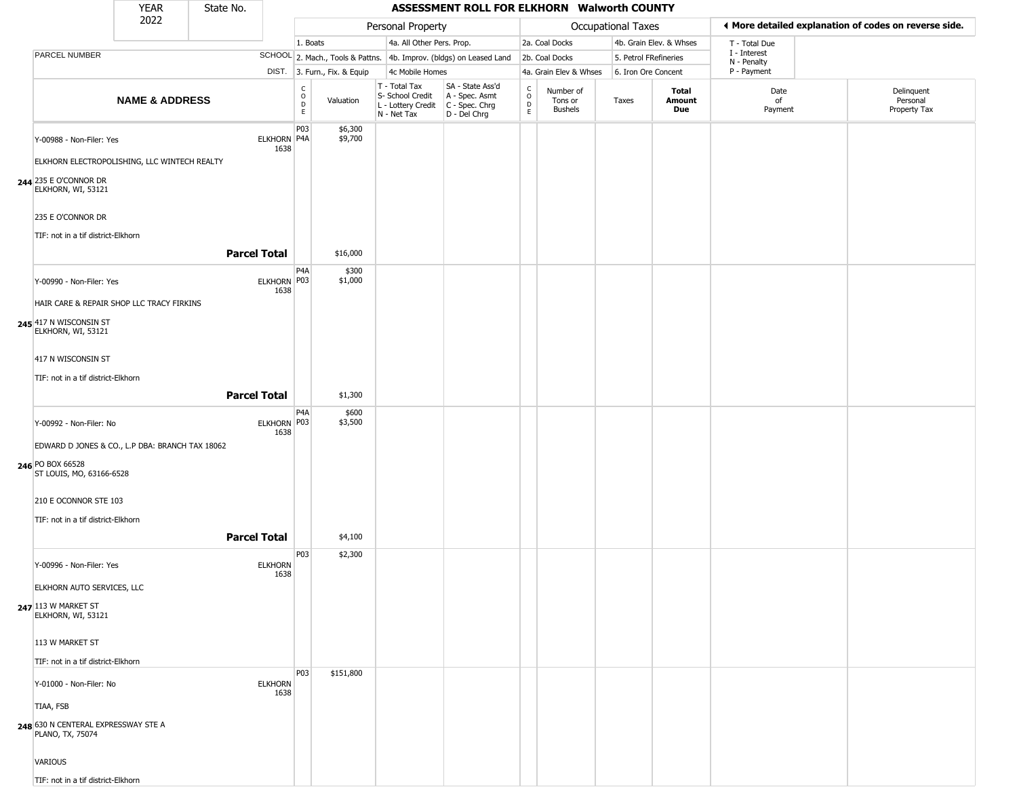|                                                                                                                                                                                           | <b>YEAR</b>               | State No.           |                        |                      |                              |                                                                        | ASSESSMENT ROLL FOR ELKHORN Walworth COUNTY                          |                                                          |                                 |                       |                         |                            |                                                       |
|-------------------------------------------------------------------------------------------------------------------------------------------------------------------------------------------|---------------------------|---------------------|------------------------|----------------------|------------------------------|------------------------------------------------------------------------|----------------------------------------------------------------------|----------------------------------------------------------|---------------------------------|-----------------------|-------------------------|----------------------------|-------------------------------------------------------|
|                                                                                                                                                                                           | 2022                      |                     |                        |                      |                              | Personal Property                                                      |                                                                      |                                                          |                                 | Occupational Taxes    |                         |                            | ◀ More detailed explanation of codes on reverse side. |
|                                                                                                                                                                                           |                           |                     |                        | 1. Boats             |                              | 4a. All Other Pers. Prop.                                              |                                                                      |                                                          | 2a. Coal Docks                  |                       | 4b. Grain Elev. & Whses | T - Total Due              |                                                       |
| <b>PARCEL NUMBER</b>                                                                                                                                                                      |                           |                     |                        |                      |                              |                                                                        | SCHOOL 2. Mach., Tools & Pattns. 4b. Improv. (bldgs) on Leased Land  |                                                          | 2b. Coal Docks                  | 5. Petrol FRefineries |                         | I - Interest               |                                                       |
|                                                                                                                                                                                           |                           |                     |                        |                      | DIST. 3. Furn., Fix. & Equip | 4c Mobile Homes                                                        |                                                                      |                                                          | 4a. Grain Elev & Whses          | 6. Iron Ore Concent   |                         | N - Penalty<br>P - Payment |                                                       |
|                                                                                                                                                                                           | <b>NAME &amp; ADDRESS</b> |                     |                        | $\rm _o^C$<br>D<br>E | Valuation                    | T - Total Tax<br>S- School Credit<br>L - Lottery Credit<br>N - Net Tax | SA - State Ass'd<br>A - Spec. Asmt<br>C - Spec. Chrg<br>D - Del Chrg | $\begin{smallmatrix} C \\ O \\ D \end{smallmatrix}$<br>E | Number of<br>Tons or<br>Bushels | Taxes                 | Total<br>Amount<br>Due  | Date<br>of<br>Payment      | Delinquent<br>Personal<br>Property Tax                |
| Y-00988 - Non-Filer: Yes<br>ELKHORN ELECTROPOLISHING, LLC WINTECH REALTY<br>244 235 E O'CONNOR DR<br>ELKHORN, WI, 53121<br>235 E O'CONNOR DR<br>TIF: not in a tif district-Elkhorn        |                           |                     | ELKHORN P4A<br>1638    | P03                  | \$6,300<br>\$9,700           |                                                                        |                                                                      |                                                          |                                 |                       |                         |                            |                                                       |
|                                                                                                                                                                                           |                           | <b>Parcel Total</b> |                        |                      | \$16,000                     |                                                                        |                                                                      |                                                          |                                 |                       |                         |                            |                                                       |
| Y-00990 - Non-Filer: Yes<br>HAIR CARE & REPAIR SHOP LLC TRACY FIRKINS<br>245 417 N WISCONSIN ST<br>ELKHORN, WI, 53121<br>417 N WISCONSIN ST<br>TIF: not in a tif district-Elkhorn         |                           | <b>Parcel Total</b> | ELKHORN P03<br>1638    | P4A                  | \$300<br>\$1,000<br>\$1,300  |                                                                        |                                                                      |                                                          |                                 |                       |                         |                            |                                                       |
| Y-00992 - Non-Filer: No<br>EDWARD D JONES & CO., L.P DBA: BRANCH TAX 18062<br>246 PO BOX 66528<br>ST LOUIS, MO, 63166-6528<br>210 E OCONNOR STE 103<br>TIF: not in a tif district-Elkhorn |                           | <b>Parcel Total</b> | ELKHORN P03<br>1638    | P4A                  | \$600<br>\$3,500<br>\$4,100  |                                                                        |                                                                      |                                                          |                                 |                       |                         |                            |                                                       |
| Y-00996 - Non-Filer: Yes<br>ELKHORN AUTO SERVICES, LLC<br>247 113 W MARKET ST<br>ELKHORN, WI, 53121<br>113 W MARKET ST<br>TIF: not in a tif district-Elkhorn                              |                           |                     | <b>ELKHORN</b><br>1638 | P03                  | \$2,300                      |                                                                        |                                                                      |                                                          |                                 |                       |                         |                            |                                                       |
| Y-01000 - Non-Filer: No<br>TIAA, FSB<br>248 630 N CENTERAL EXPRESSWAY STE A<br>PLANO, TX, 75074<br>VARIOUS<br>TIF: not in a tif district-Elkhorn                                          |                           |                     | <b>ELKHORN</b><br>1638 | P03                  | \$151,800                    |                                                                        |                                                                      |                                                          |                                 |                       |                         |                            |                                                       |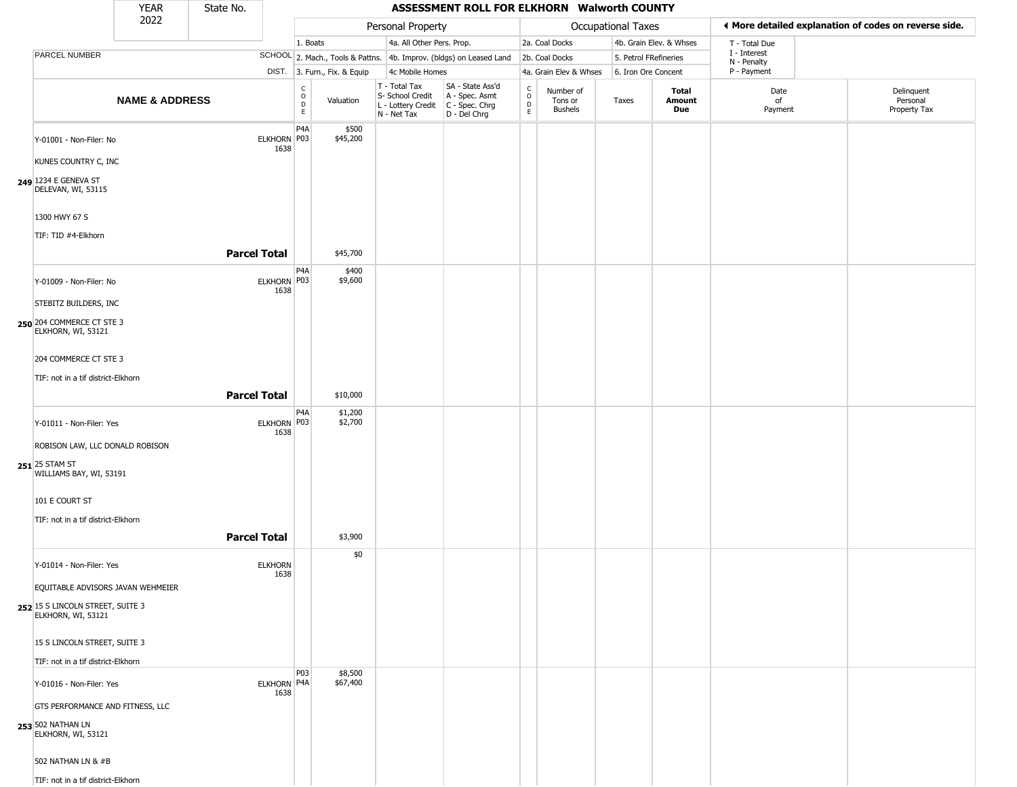|                                                                              | <b>YEAR</b>               | State No.           |                        |                                                |                              |                                                                                         | ASSESSMENT ROLL FOR ELKHORN Walworth COUNTY                         |                                 |                                        |                       |                         |                            |                                                       |
|------------------------------------------------------------------------------|---------------------------|---------------------|------------------------|------------------------------------------------|------------------------------|-----------------------------------------------------------------------------------------|---------------------------------------------------------------------|---------------------------------|----------------------------------------|-----------------------|-------------------------|----------------------------|-------------------------------------------------------|
|                                                                              | 2022                      |                     |                        |                                                |                              | Personal Property                                                                       |                                                                     |                                 |                                        | Occupational Taxes    |                         |                            | ◀ More detailed explanation of codes on reverse side. |
|                                                                              |                           |                     |                        | 1. Boats                                       |                              | 4a. All Other Pers. Prop.                                                               |                                                                     |                                 | 2a. Coal Docks                         |                       | 4b. Grain Elev. & Whses | T - Total Due              |                                                       |
| <b>PARCEL NUMBER</b>                                                         |                           |                     |                        |                                                |                              |                                                                                         | SCHOOL 2. Mach., Tools & Pattns. 4b. Improv. (bldgs) on Leased Land |                                 | 2b. Coal Docks                         | 5. Petrol FRefineries |                         | I - Interest               |                                                       |
|                                                                              |                           |                     |                        |                                                | DIST. 3. Furn., Fix. & Equip | 4c Mobile Homes                                                                         |                                                                     |                                 | 4a. Grain Elev & Whses                 | 6. Iron Ore Concent   |                         | N - Penalty<br>P - Payment |                                                       |
|                                                                              | <b>NAME &amp; ADDRESS</b> |                     |                        | $\begin{matrix} 0 \\ 0 \\ D \end{matrix}$<br>E | Valuation                    | T - Total Tax<br>S- School Credit<br>L - Lottery Credit   C - Spec. Chrg<br>N - Net Tax | SA - State Ass'd<br>A - Spec. Asmt<br>D - Del Chrg                  | $\rm _o^C$<br>$\mathsf{D}$<br>E | Number of<br>Tons or<br><b>Bushels</b> | Taxes                 | Total<br>Amount<br>Due  | Date<br>of<br>Payment      | Delinquent<br>Personal<br>Property Tax                |
| Y-01001 - Non-Filer: No                                                      |                           |                     | ELKHORN P03<br>1638    | P4A                                            | \$500<br>\$45,200            |                                                                                         |                                                                     |                                 |                                        |                       |                         |                            |                                                       |
| KUNES COUNTRY C, INC<br>249 1234 E GENEVA ST<br>DELEVAN, WI, 53115           |                           |                     |                        |                                                |                              |                                                                                         |                                                                     |                                 |                                        |                       |                         |                            |                                                       |
| 1300 HWY 67 S                                                                |                           |                     |                        |                                                |                              |                                                                                         |                                                                     |                                 |                                        |                       |                         |                            |                                                       |
| TIF: TID #4-Elkhorn                                                          |                           | <b>Parcel Total</b> |                        |                                                | \$45,700                     |                                                                                         |                                                                     |                                 |                                        |                       |                         |                            |                                                       |
| Y-01009 - Non-Filer: No                                                      |                           |                     | ELKHORN P03<br>1638    | P <sub>4</sub> A                               | \$400<br>\$9,600             |                                                                                         |                                                                     |                                 |                                        |                       |                         |                            |                                                       |
| STEBITZ BUILDERS, INC                                                        |                           |                     |                        |                                                |                              |                                                                                         |                                                                     |                                 |                                        |                       |                         |                            |                                                       |
| 250 204 COMMERCE CT STE 3<br>ELKHORN, WI, 53121                              |                           |                     |                        |                                                |                              |                                                                                         |                                                                     |                                 |                                        |                       |                         |                            |                                                       |
| 204 COMMERCE CT STE 3                                                        |                           |                     |                        |                                                |                              |                                                                                         |                                                                     |                                 |                                        |                       |                         |                            |                                                       |
| TIF: not in a tif district-Elkhorn                                           |                           |                     |                        |                                                |                              |                                                                                         |                                                                     |                                 |                                        |                       |                         |                            |                                                       |
|                                                                              |                           | <b>Parcel Total</b> |                        |                                                | \$10,000                     |                                                                                         |                                                                     |                                 |                                        |                       |                         |                            |                                                       |
| Y-01011 - Non-Filer: Yes                                                     |                           |                     | ELKHORN P03<br>1638    | P4A                                            | \$1,200<br>\$2,700           |                                                                                         |                                                                     |                                 |                                        |                       |                         |                            |                                                       |
| ROBISON LAW, LLC DONALD ROBISON<br>251 25 STAM ST<br>WILLIAMS BAY, WI, 53191 |                           |                     |                        |                                                |                              |                                                                                         |                                                                     |                                 |                                        |                       |                         |                            |                                                       |
| 101 E COURT ST                                                               |                           |                     |                        |                                                |                              |                                                                                         |                                                                     |                                 |                                        |                       |                         |                            |                                                       |
| TIF: not in a tif district-Elkhorn                                           |                           |                     |                        |                                                |                              |                                                                                         |                                                                     |                                 |                                        |                       |                         |                            |                                                       |
|                                                                              |                           | <b>Parcel Total</b> |                        |                                                | \$3,900                      |                                                                                         |                                                                     |                                 |                                        |                       |                         |                            |                                                       |
| Y-01014 - Non-Filer: Yes                                                     |                           |                     | <b>ELKHORN</b><br>1638 |                                                | \$0                          |                                                                                         |                                                                     |                                 |                                        |                       |                         |                            |                                                       |
| EQUITABLE ADVISORS JAVAN WEHMEIER                                            |                           |                     |                        |                                                |                              |                                                                                         |                                                                     |                                 |                                        |                       |                         |                            |                                                       |
| 252 15 S LINCOLN STREET, SUITE 3<br>ELKHORN, WI, 53121                       |                           |                     |                        |                                                |                              |                                                                                         |                                                                     |                                 |                                        |                       |                         |                            |                                                       |
| 15 S LINCOLN STREET, SUITE 3                                                 |                           |                     |                        |                                                |                              |                                                                                         |                                                                     |                                 |                                        |                       |                         |                            |                                                       |
| TIF: not in a tif district-Elkhorn                                           |                           |                     |                        | P03                                            |                              |                                                                                         |                                                                     |                                 |                                        |                       |                         |                            |                                                       |
| Y-01016 - Non-Filer: Yes                                                     |                           |                     | ELKHORN P4A<br>1638    |                                                | \$8,500<br>\$67,400          |                                                                                         |                                                                     |                                 |                                        |                       |                         |                            |                                                       |
| GTS PERFORMANCE AND FITNESS, LLC                                             |                           |                     |                        |                                                |                              |                                                                                         |                                                                     |                                 |                                        |                       |                         |                            |                                                       |
| 253 502 NATHAN LN<br>ELKHORN, WI, 53121                                      |                           |                     |                        |                                                |                              |                                                                                         |                                                                     |                                 |                                        |                       |                         |                            |                                                       |
| 502 NATHAN LN & #B                                                           |                           |                     |                        |                                                |                              |                                                                                         |                                                                     |                                 |                                        |                       |                         |                            |                                                       |
| TIF: not in a tif district-Elkhorn                                           |                           |                     |                        |                                                |                              |                                                                                         |                                                                     |                                 |                                        |                       |                         |                            |                                                       |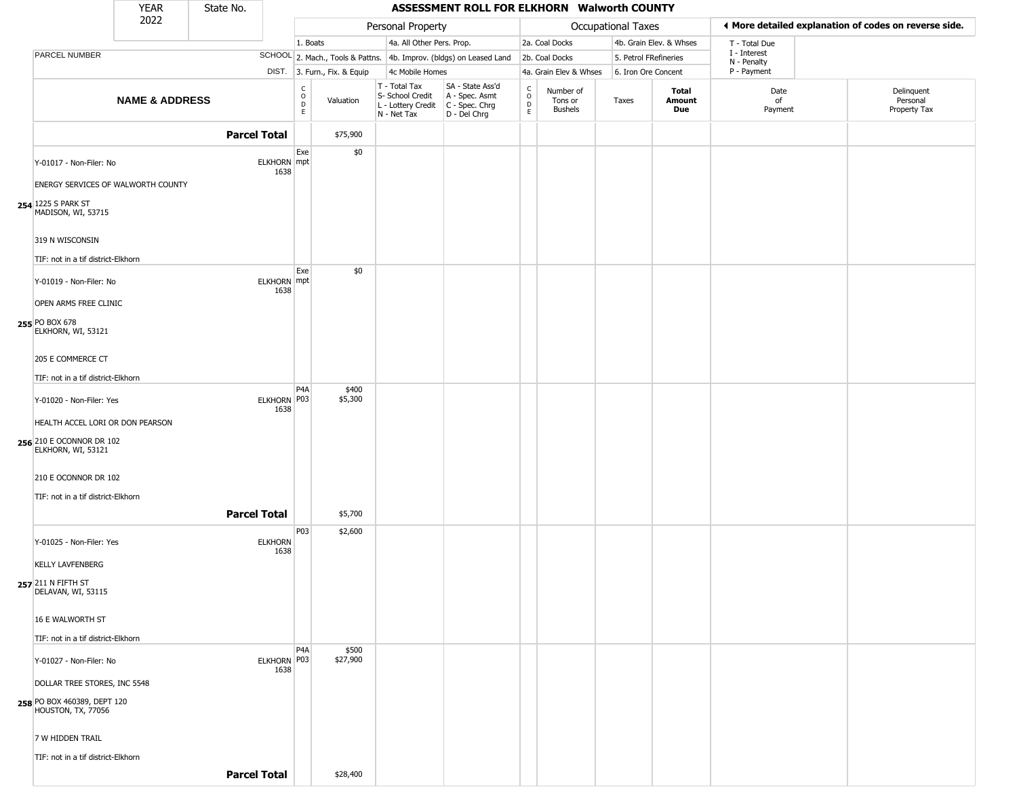|                                                   | <b>YEAR</b>               | State No.           |                            |                         |                              |                                                                                         | ASSESSMENT ROLL FOR ELKHORN Walworth COUNTY                         |                                            |                                 |                       |                         |                             |                                                       |
|---------------------------------------------------|---------------------------|---------------------|----------------------------|-------------------------|------------------------------|-----------------------------------------------------------------------------------------|---------------------------------------------------------------------|--------------------------------------------|---------------------------------|-----------------------|-------------------------|-----------------------------|-------------------------------------------------------|
|                                                   | 2022                      |                     |                            |                         |                              | Personal Property                                                                       |                                                                     |                                            |                                 | Occupational Taxes    |                         |                             | ♦ More detailed explanation of codes on reverse side. |
|                                                   |                           |                     |                            | 1. Boats                |                              | 4a. All Other Pers. Prop.                                                               |                                                                     |                                            | 2a. Coal Docks                  |                       | 4b. Grain Elev. & Whses | T - Total Due               |                                                       |
| PARCEL NUMBER                                     |                           |                     |                            |                         |                              |                                                                                         | SCHOOL 2. Mach., Tools & Pattns. 4b. Improv. (bldgs) on Leased Land |                                            | 2b. Coal Docks                  | 5. Petrol FRefineries |                         | I - Interest<br>N - Penalty |                                                       |
|                                                   |                           |                     |                            |                         | DIST. 3. Furn., Fix. & Equip | 4c Mobile Homes                                                                         |                                                                     |                                            | 4a. Grain Elev & Whses          | 6. Iron Ore Concent   |                         | P - Payment                 |                                                       |
|                                                   | <b>NAME &amp; ADDRESS</b> |                     |                            | c<br>$\circ$<br>D<br>E. | Valuation                    | T - Total Tax<br>S- School Credit<br>L - Lottery Credit   C - Spec. Chrg<br>N - Net Tax | SA - State Ass'd<br>A - Spec. Asmt<br>D - Del Chrg                  | $\begin{array}{c} C \\ 0 \\ E \end{array}$ | Number of<br>Tons or<br>Bushels | Taxes                 | Total<br>Amount<br>Due  | Date<br>of<br>Payment       | Delinquent<br>Personal<br>Property Tax                |
|                                                   |                           | <b>Parcel Total</b> |                            |                         | \$75,900                     |                                                                                         |                                                                     |                                            |                                 |                       |                         |                             |                                                       |
| Y-01017 - Non-Filer: No                           |                           |                     | ELKHORN mpt<br>1638        | Exe                     | \$0                          |                                                                                         |                                                                     |                                            |                                 |                       |                         |                             |                                                       |
| ENERGY SERVICES OF WALWORTH COUNTY                |                           |                     |                            |                         |                              |                                                                                         |                                                                     |                                            |                                 |                       |                         |                             |                                                       |
| 254 1225 S PARK ST<br>MADISON, WI, 53715          |                           |                     |                            |                         |                              |                                                                                         |                                                                     |                                            |                                 |                       |                         |                             |                                                       |
| 319 N WISCONSIN                                   |                           |                     |                            |                         |                              |                                                                                         |                                                                     |                                            |                                 |                       |                         |                             |                                                       |
| TIF: not in a tif district-Elkhorn                |                           |                     |                            |                         |                              |                                                                                         |                                                                     |                                            |                                 |                       |                         |                             |                                                       |
| Y-01019 - Non-Filer: No                           |                           |                     | <b>ELKHORN</b> mpt<br>1638 | Exe                     | \$0                          |                                                                                         |                                                                     |                                            |                                 |                       |                         |                             |                                                       |
| OPEN ARMS FREE CLINIC                             |                           |                     |                            |                         |                              |                                                                                         |                                                                     |                                            |                                 |                       |                         |                             |                                                       |
| 255 PO BOX 678<br>ELKHORN, WI, 53121              |                           |                     |                            |                         |                              |                                                                                         |                                                                     |                                            |                                 |                       |                         |                             |                                                       |
| 205 E COMMERCE CT                                 |                           |                     |                            |                         |                              |                                                                                         |                                                                     |                                            |                                 |                       |                         |                             |                                                       |
| TIF: not in a tif district-Elkhorn                |                           |                     |                            | P <sub>4</sub> A        | \$400                        |                                                                                         |                                                                     |                                            |                                 |                       |                         |                             |                                                       |
| Y-01020 - Non-Filer: Yes                          |                           |                     | ELKHORN P03<br>1638        |                         | \$5,300                      |                                                                                         |                                                                     |                                            |                                 |                       |                         |                             |                                                       |
| HEALTH ACCEL LORI OR DON PEARSON                  |                           |                     |                            |                         |                              |                                                                                         |                                                                     |                                            |                                 |                       |                         |                             |                                                       |
| 256 210 E OCONNOR DR 102<br>ELKHORN, WI, 53121    |                           |                     |                            |                         |                              |                                                                                         |                                                                     |                                            |                                 |                       |                         |                             |                                                       |
| 210 E OCONNOR DR 102                              |                           |                     |                            |                         |                              |                                                                                         |                                                                     |                                            |                                 |                       |                         |                             |                                                       |
| TIF: not in a tif district-Elkhorn                |                           |                     |                            |                         |                              |                                                                                         |                                                                     |                                            |                                 |                       |                         |                             |                                                       |
|                                                   |                           | <b>Parcel Total</b> |                            |                         | \$5,700                      |                                                                                         |                                                                     |                                            |                                 |                       |                         |                             |                                                       |
| Y-01025 - Non-Filer: Yes                          |                           |                     | <b>ELKHORN</b><br>1638     | P03                     | \$2,600                      |                                                                                         |                                                                     |                                            |                                 |                       |                         |                             |                                                       |
| <b>KELLY LAVFENBERG</b>                           |                           |                     |                            |                         |                              |                                                                                         |                                                                     |                                            |                                 |                       |                         |                             |                                                       |
| 257 211 N FIFTH ST<br>DELAVAN, WI, 53115          |                           |                     |                            |                         |                              |                                                                                         |                                                                     |                                            |                                 |                       |                         |                             |                                                       |
| 16 E WALWORTH ST                                  |                           |                     |                            |                         |                              |                                                                                         |                                                                     |                                            |                                 |                       |                         |                             |                                                       |
| TIF: not in a tif district-Elkhorn                |                           |                     |                            |                         |                              |                                                                                         |                                                                     |                                            |                                 |                       |                         |                             |                                                       |
| Y-01027 - Non-Filer: No                           |                           |                     | ELKHORN P03                | P <sub>4</sub> A        | \$500<br>\$27,900            |                                                                                         |                                                                     |                                            |                                 |                       |                         |                             |                                                       |
| DOLLAR TREE STORES, INC 5548                      |                           |                     | 1638                       |                         |                              |                                                                                         |                                                                     |                                            |                                 |                       |                         |                             |                                                       |
| 258 PO BOX 460389, DEPT 120<br>HOUSTON, TX, 77056 |                           |                     |                            |                         |                              |                                                                                         |                                                                     |                                            |                                 |                       |                         |                             |                                                       |
| 7 W HIDDEN TRAIL                                  |                           |                     |                            |                         |                              |                                                                                         |                                                                     |                                            |                                 |                       |                         |                             |                                                       |
| TIF: not in a tif district-Elkhorn                |                           |                     |                            |                         |                              |                                                                                         |                                                                     |                                            |                                 |                       |                         |                             |                                                       |
|                                                   |                           | <b>Parcel Total</b> |                            |                         | \$28,400                     |                                                                                         |                                                                     |                                            |                                 |                       |                         |                             |                                                       |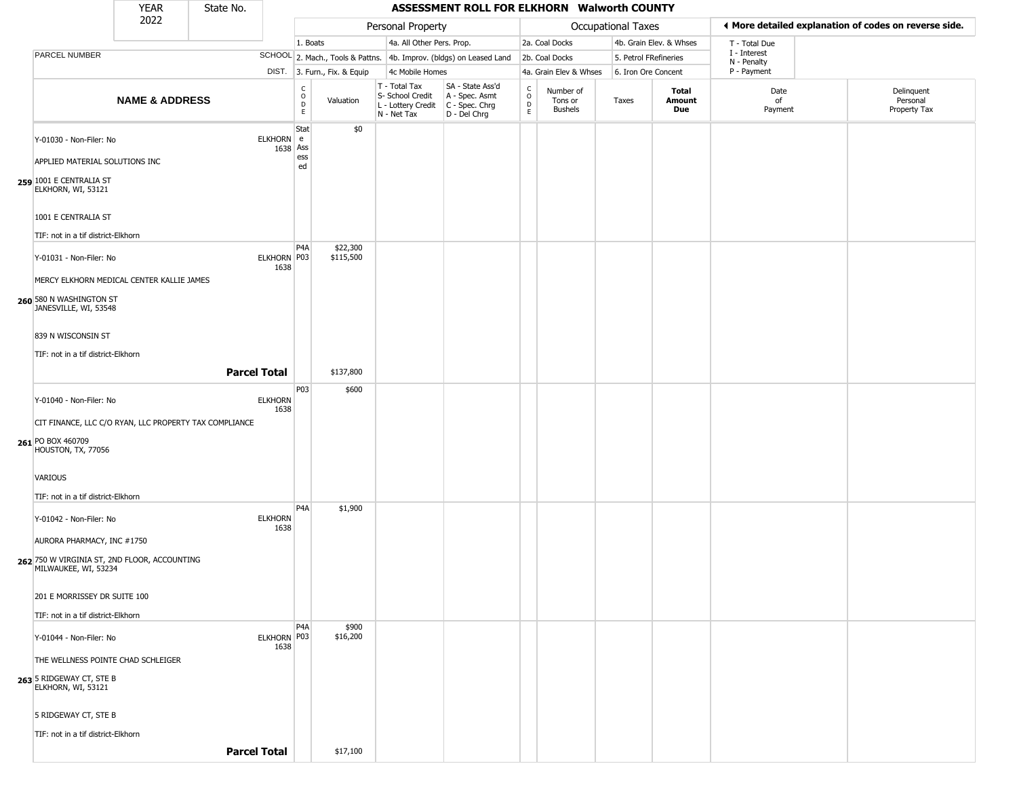|                                                                                                            | <b>YEAR</b>               | State No.           |                        |                                   |                              |                                                                        | ASSESSMENT ROLL FOR ELKHORN Walworth COUNTY                            |                                                 |                                        |                           |                               |                             |                                                       |
|------------------------------------------------------------------------------------------------------------|---------------------------|---------------------|------------------------|-----------------------------------|------------------------------|------------------------------------------------------------------------|------------------------------------------------------------------------|-------------------------------------------------|----------------------------------------|---------------------------|-------------------------------|-----------------------------|-------------------------------------------------------|
|                                                                                                            | 2022                      |                     |                        |                                   |                              | Personal Property                                                      |                                                                        |                                                 |                                        | <b>Occupational Taxes</b> |                               |                             | ♦ More detailed explanation of codes on reverse side. |
|                                                                                                            |                           |                     |                        | 1. Boats                          |                              | 4a. All Other Pers. Prop.                                              |                                                                        |                                                 | 2a. Coal Docks                         |                           | 4b. Grain Elev. & Whses       | T - Total Due               |                                                       |
| PARCEL NUMBER                                                                                              |                           |                     |                        |                                   |                              |                                                                        | SCHOOL 2. Mach., Tools & Pattns. 4b. Improv. (bldgs) on Leased Land    |                                                 | 2b. Coal Docks                         | 5. Petrol FRefineries     |                               | I - Interest<br>N - Penalty |                                                       |
|                                                                                                            |                           |                     |                        |                                   | DIST. 3. Furn., Fix. & Equip | 4c Mobile Homes                                                        |                                                                        |                                                 | 4a. Grain Elev & Whses                 | 6. Iron Ore Concent       |                               | P - Payment                 |                                                       |
|                                                                                                            | <b>NAME &amp; ADDRESS</b> |                     |                        | $\frac{c}{0}$<br>$\mathsf D$<br>E | Valuation                    | T - Total Tax<br>S- School Credit<br>L - Lottery Credit<br>N - Net Tax | SA - State Ass'd<br>A - Spec. Asmt<br>$C - Spec. Chrg$<br>D - Del Chrg | $\begin{array}{c} C \\ O \\ D \\ E \end{array}$ | Number of<br>Tons or<br><b>Bushels</b> | Taxes                     | Total<br>Amount<br><b>Due</b> | Date<br>of<br>Payment       | Delinquent<br>Personal<br>Property Tax                |
| Y-01030 - Non-Filer: No<br>APPLIED MATERIAL SOLUTIONS INC<br>259 1001 E CENTRALIA ST<br>ELKHORN, WI, 53121 |                           |                     | ELKHORN e<br>1638 Ass  | Stat<br>ess<br>ed                 | \$0                          |                                                                        |                                                                        |                                                 |                                        |                           |                               |                             |                                                       |
| 1001 E CENTRALIA ST<br>TIF: not in a tif district-Elkhorn                                                  |                           |                     |                        |                                   |                              |                                                                        |                                                                        |                                                 |                                        |                           |                               |                             |                                                       |
| Y-01031 - Non-Filer: No<br>MERCY ELKHORN MEDICAL CENTER KALLIE JAMES                                       |                           |                     | ELKHORN P03<br>1638    | P <sub>4</sub> A                  | \$22,300<br>\$115,500        |                                                                        |                                                                        |                                                 |                                        |                           |                               |                             |                                                       |
| 260 580 N WASHINGTON ST<br>JANESVILLE, WI, 53548                                                           |                           |                     |                        |                                   |                              |                                                                        |                                                                        |                                                 |                                        |                           |                               |                             |                                                       |
| 839 N WISCONSIN ST<br>TIF: not in a tif district-Elkhorn                                                   |                           |                     |                        |                                   |                              |                                                                        |                                                                        |                                                 |                                        |                           |                               |                             |                                                       |
|                                                                                                            |                           | <b>Parcel Total</b> |                        |                                   | \$137,800                    |                                                                        |                                                                        |                                                 |                                        |                           |                               |                             |                                                       |
| Y-01040 - Non-Filer: No<br>CIT FINANCE, LLC C/O RYAN, LLC PROPERTY TAX COMPLIANCE                          |                           |                     | <b>ELKHORN</b><br>1638 | P03                               | \$600                        |                                                                        |                                                                        |                                                 |                                        |                           |                               |                             |                                                       |
| 261 PO BOX 460709<br>HOUSTON, TX, 77056<br>VARIOUS                                                         |                           |                     |                        |                                   |                              |                                                                        |                                                                        |                                                 |                                        |                           |                               |                             |                                                       |
| TIF: not in a tif district-Elkhorn                                                                         |                           |                     |                        |                                   |                              |                                                                        |                                                                        |                                                 |                                        |                           |                               |                             |                                                       |
| Y-01042 - Non-Filer: No<br>AURORA PHARMACY, INC #1750<br>262 750 W VIRGINIA ST, 2ND FLOOR, ACCOUNTING      |                           |                     | <b>ELKHORN</b><br>1638 | P <sub>4</sub> A                  | \$1,900                      |                                                                        |                                                                        |                                                 |                                        |                           |                               |                             |                                                       |
| MILWAUKEE, WI, 53234<br>201 E MORRISSEY DR SUITE 100                                                       |                           |                     |                        |                                   |                              |                                                                        |                                                                        |                                                 |                                        |                           |                               |                             |                                                       |
| TIF: not in a tif district-Elkhorn                                                                         |                           |                     |                        |                                   |                              |                                                                        |                                                                        |                                                 |                                        |                           |                               |                             |                                                       |
| Y-01044 - Non-Filer: No                                                                                    |                           |                     | ELKHORN P03<br>1638    | P <sub>4</sub> A                  | \$900<br>\$16,200            |                                                                        |                                                                        |                                                 |                                        |                           |                               |                             |                                                       |
| THE WELLNESS POINTE CHAD SCHLEIGER                                                                         |                           |                     |                        |                                   |                              |                                                                        |                                                                        |                                                 |                                        |                           |                               |                             |                                                       |
| 263 5 RIDGEWAY CT, STE B<br>ELKHORN, WI, 53121                                                             |                           |                     |                        |                                   |                              |                                                                        |                                                                        |                                                 |                                        |                           |                               |                             |                                                       |
| 5 RIDGEWAY CT, STE B                                                                                       |                           |                     |                        |                                   |                              |                                                                        |                                                                        |                                                 |                                        |                           |                               |                             |                                                       |
| TIF: not in a tif district-Elkhorn                                                                         |                           |                     |                        |                                   |                              |                                                                        |                                                                        |                                                 |                                        |                           |                               |                             |                                                       |
|                                                                                                            |                           | <b>Parcel Total</b> |                        |                                   | \$17,100                     |                                                                        |                                                                        |                                                 |                                        |                           |                               |                             |                                                       |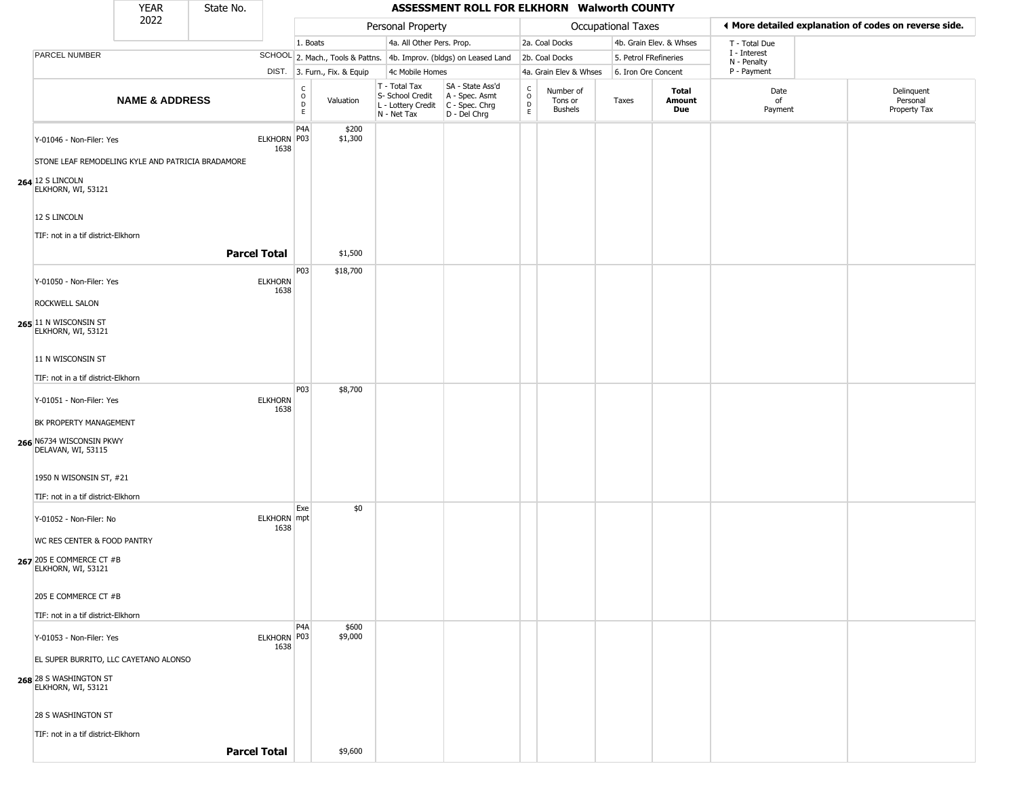|                                                                               | <b>YEAR</b>               | State No.           |                        |                                     |                              |                                                                                         | ASSESSMENT ROLL FOR ELKHORN Walworth COUNTY                         |                         |                                        |                       |                         |                             |                                                       |
|-------------------------------------------------------------------------------|---------------------------|---------------------|------------------------|-------------------------------------|------------------------------|-----------------------------------------------------------------------------------------|---------------------------------------------------------------------|-------------------------|----------------------------------------|-----------------------|-------------------------|-----------------------------|-------------------------------------------------------|
|                                                                               | 2022                      |                     |                        |                                     |                              | Personal Property                                                                       |                                                                     |                         |                                        | Occupational Taxes    |                         |                             | ♦ More detailed explanation of codes on reverse side. |
|                                                                               |                           |                     |                        | 1. Boats                            |                              | 4a. All Other Pers. Prop.                                                               |                                                                     |                         | 2a. Coal Docks                         |                       | 4b. Grain Elev. & Whses | T - Total Due               |                                                       |
| PARCEL NUMBER                                                                 |                           |                     |                        |                                     |                              |                                                                                         | SCHOOL 2. Mach., Tools & Pattns. 4b. Improv. (bldgs) on Leased Land |                         | 2b. Coal Docks                         | 5. Petrol FRefineries |                         | I - Interest<br>N - Penalty |                                                       |
|                                                                               |                           |                     |                        |                                     | DIST. 3. Furn., Fix. & Equip | 4c Mobile Homes                                                                         |                                                                     |                         | 4a. Grain Elev & Whses                 | 6. Iron Ore Concent   |                         | P - Payment                 |                                                       |
|                                                                               | <b>NAME &amp; ADDRESS</b> |                     |                        | $\mathsf{C}$<br>$\overline{D}$<br>E | Valuation                    | T - Total Tax<br>S- School Credit<br>L - Lottery Credit   C - Spec. Chrg<br>N - Net Tax | SA - State Ass'd<br>A - Spec. Asmt<br>D - Del Chrg                  | C<br>$\circ$<br>D<br>E. | Number of<br>Tons or<br><b>Bushels</b> | Taxes                 | Total<br>Amount<br>Due  | Date<br>of<br>Payment       | Delinquent<br>Personal<br>Property Tax                |
| Y-01046 - Non-Filer: Yes<br>STONE LEAF REMODELING KYLE AND PATRICIA BRADAMORE |                           |                     | ELKHORN P03<br>1638    | P <sub>4</sub> A                    | \$200<br>\$1,300             |                                                                                         |                                                                     |                         |                                        |                       |                         |                             |                                                       |
| 264 12 S LINCOLN<br>ELKHORN, WI, 53121                                        |                           |                     |                        |                                     |                              |                                                                                         |                                                                     |                         |                                        |                       |                         |                             |                                                       |
| 12 S LINCOLN<br>TIF: not in a tif district-Elkhorn                            |                           | <b>Parcel Total</b> |                        |                                     | \$1,500                      |                                                                                         |                                                                     |                         |                                        |                       |                         |                             |                                                       |
|                                                                               |                           |                     |                        | P03                                 | \$18,700                     |                                                                                         |                                                                     |                         |                                        |                       |                         |                             |                                                       |
| Y-01050 - Non-Filer: Yes<br>ROCKWELL SALON                                    |                           |                     | <b>ELKHORN</b><br>1638 |                                     |                              |                                                                                         |                                                                     |                         |                                        |                       |                         |                             |                                                       |
| 265 11 N WISCONSIN ST<br>ELKHORN, WI, 53121                                   |                           |                     |                        |                                     |                              |                                                                                         |                                                                     |                         |                                        |                       |                         |                             |                                                       |
| 11 N WISCONSIN ST                                                             |                           |                     |                        |                                     |                              |                                                                                         |                                                                     |                         |                                        |                       |                         |                             |                                                       |
| TIF: not in a tif district-Elkhorn                                            |                           |                     |                        |                                     |                              |                                                                                         |                                                                     |                         |                                        |                       |                         |                             |                                                       |
| Y-01051 - Non-Filer: Yes                                                      |                           |                     | <b>ELKHORN</b><br>1638 | P03                                 | \$8,700                      |                                                                                         |                                                                     |                         |                                        |                       |                         |                             |                                                       |
| BK PROPERTY MANAGEMENT<br>266 N6734 WISCONSIN PKWY<br>DELAVAN, WI, 53115      |                           |                     |                        |                                     |                              |                                                                                         |                                                                     |                         |                                        |                       |                         |                             |                                                       |
| 1950 N WISONSIN ST, #21<br>TIF: not in a tif district-Elkhorn                 |                           |                     |                        |                                     |                              |                                                                                         |                                                                     |                         |                                        |                       |                         |                             |                                                       |
| Y-01052 - Non-Filer: No                                                       |                           |                     | ELKHORN mpt<br>1638    | Exe                                 | \$0                          |                                                                                         |                                                                     |                         |                                        |                       |                         |                             |                                                       |
| WC RES CENTER & FOOD PANTRY<br>267 205 E COMMERCE CT #B<br>ELKHORN, WI, 53121 |                           |                     |                        |                                     |                              |                                                                                         |                                                                     |                         |                                        |                       |                         |                             |                                                       |
| 205 E COMMERCE CT #B<br>TIF: not in a tif district-Elkhorn                    |                           |                     |                        |                                     |                              |                                                                                         |                                                                     |                         |                                        |                       |                         |                             |                                                       |
|                                                                               |                           |                     |                        | P4A                                 | \$600                        |                                                                                         |                                                                     |                         |                                        |                       |                         |                             |                                                       |
| Y-01053 - Non-Filer: Yes<br>EL SUPER BURRITO, LLC CAYETANO ALONSO             |                           |                     | ELKHORN P03<br>1638    |                                     | \$9,000                      |                                                                                         |                                                                     |                         |                                        |                       |                         |                             |                                                       |
| 268 28 S WASHINGTON ST<br>ELKHORN, WI, 53121                                  |                           |                     |                        |                                     |                              |                                                                                         |                                                                     |                         |                                        |                       |                         |                             |                                                       |
| 28 S WASHINGTON ST<br>TIF: not in a tif district-Elkhorn                      |                           |                     |                        |                                     |                              |                                                                                         |                                                                     |                         |                                        |                       |                         |                             |                                                       |
|                                                                               |                           | <b>Parcel Total</b> |                        |                                     | \$9,600                      |                                                                                         |                                                                     |                         |                                        |                       |                         |                             |                                                       |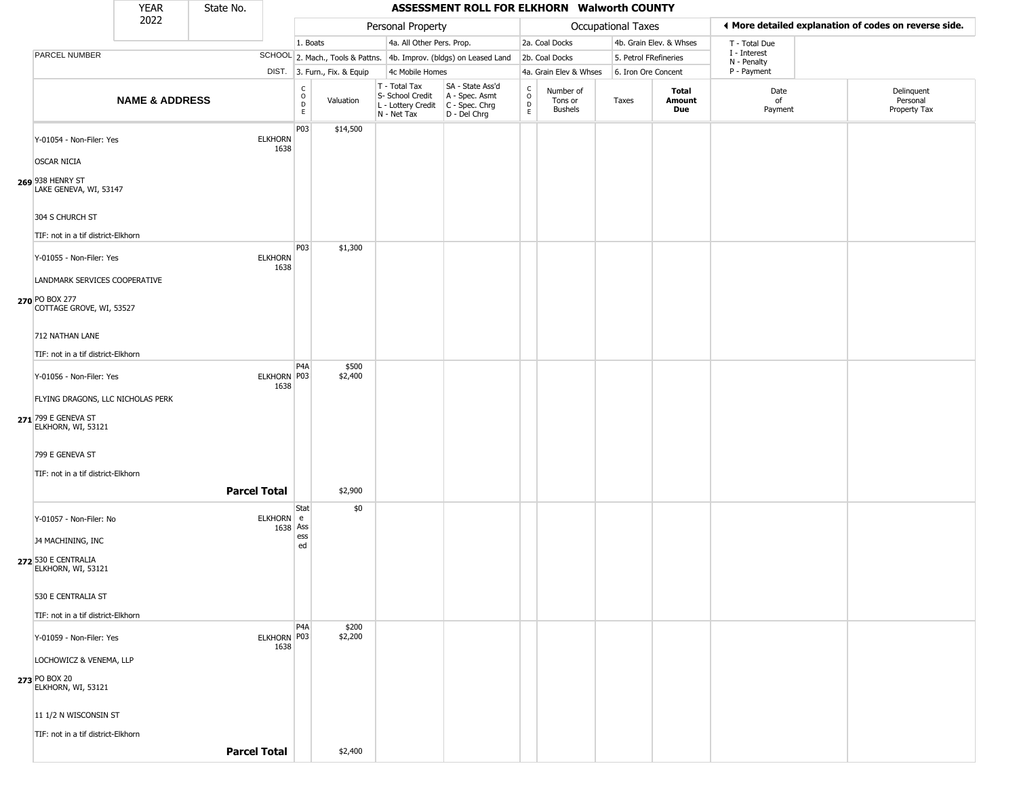|                                            | <b>YEAR</b>               | State No.           |                        |                                            |                              |                                                                        | ASSESSMENT ROLL FOR ELKHORN Walworth COUNTY                          |                                   |                                        |                       |                         |                             |                                                       |
|--------------------------------------------|---------------------------|---------------------|------------------------|--------------------------------------------|------------------------------|------------------------------------------------------------------------|----------------------------------------------------------------------|-----------------------------------|----------------------------------------|-----------------------|-------------------------|-----------------------------|-------------------------------------------------------|
|                                            | 2022                      |                     |                        |                                            |                              | Personal Property                                                      |                                                                      |                                   |                                        | Occupational Taxes    |                         |                             | ♦ More detailed explanation of codes on reverse side. |
|                                            |                           |                     |                        | 1. Boats                                   |                              | 4a. All Other Pers. Prop.                                              |                                                                      |                                   | 2a. Coal Docks                         |                       | 4b. Grain Elev. & Whses | T - Total Due               |                                                       |
| PARCEL NUMBER                              |                           |                     |                        |                                            |                              |                                                                        | SCHOOL 2. Mach., Tools & Pattns. 4b. Improv. (bldgs) on Leased Land  |                                   | 2b. Coal Docks                         | 5. Petrol FRefineries |                         | I - Interest<br>N - Penalty |                                                       |
|                                            |                           |                     |                        |                                            | DIST. 3. Furn., Fix. & Equip | 4c Mobile Homes                                                        |                                                                      |                                   | 4a. Grain Elev & Whses                 | 6. Iron Ore Concent   |                         | P - Payment                 |                                                       |
|                                            | <b>NAME &amp; ADDRESS</b> |                     |                        | C<br>$\circ$<br>$\mathsf D$<br>$\mathsf E$ | Valuation                    | T - Total Tax<br>S- School Credit<br>L - Lottery Credit<br>N - Net Tax | SA - State Ass'd<br>A - Spec. Asmt<br>C - Spec. Chrg<br>D - Del Chrg | $\mathsf{C}$<br>$\circ$<br>D<br>E | Number of<br>Tons or<br><b>Bushels</b> | Taxes                 | Total<br>Amount<br>Due  | Date<br>of<br>Payment       | Delinquent<br>Personal<br>Property Tax                |
| Y-01054 - Non-Filer: Yes                   |                           |                     | <b>ELKHORN</b><br>1638 | P03                                        | \$14,500                     |                                                                        |                                                                      |                                   |                                        |                       |                         |                             |                                                       |
| <b>OSCAR NICIA</b>                         |                           |                     |                        |                                            |                              |                                                                        |                                                                      |                                   |                                        |                       |                         |                             |                                                       |
| 269 938 HENRY ST<br>LAKE GENEVA, WI, 53147 |                           |                     |                        |                                            |                              |                                                                        |                                                                      |                                   |                                        |                       |                         |                             |                                                       |
| 304 S CHURCH ST                            |                           |                     |                        |                                            |                              |                                                                        |                                                                      |                                   |                                        |                       |                         |                             |                                                       |
| TIF: not in a tif district-Elkhorn         |                           |                     |                        | P03                                        | \$1,300                      |                                                                        |                                                                      |                                   |                                        |                       |                         |                             |                                                       |
| Y-01055 - Non-Filer: Yes                   |                           |                     | <b>ELKHORN</b><br>1638 |                                            |                              |                                                                        |                                                                      |                                   |                                        |                       |                         |                             |                                                       |
| LANDMARK SERVICES COOPERATIVE              |                           |                     |                        |                                            |                              |                                                                        |                                                                      |                                   |                                        |                       |                         |                             |                                                       |
| 270 PO BOX 277<br>COTTAGE GROVE, WI, 53527 |                           |                     |                        |                                            |                              |                                                                        |                                                                      |                                   |                                        |                       |                         |                             |                                                       |
| 712 NATHAN LANE                            |                           |                     |                        |                                            |                              |                                                                        |                                                                      |                                   |                                        |                       |                         |                             |                                                       |
| TIF: not in a tif district-Elkhorn         |                           |                     |                        |                                            |                              |                                                                        |                                                                      |                                   |                                        |                       |                         |                             |                                                       |
| Y-01056 - Non-Filer: Yes                   |                           |                     | ELKHORN P03<br>1638    | P4A                                        | \$500<br>\$2,400             |                                                                        |                                                                      |                                   |                                        |                       |                         |                             |                                                       |
| FLYING DRAGONS, LLC NICHOLAS PERK          |                           |                     |                        |                                            |                              |                                                                        |                                                                      |                                   |                                        |                       |                         |                             |                                                       |
| 271 799 E GENEVA ST<br>ELKHORN, WI, 53121  |                           |                     |                        |                                            |                              |                                                                        |                                                                      |                                   |                                        |                       |                         |                             |                                                       |
| 799 E GENEVA ST                            |                           |                     |                        |                                            |                              |                                                                        |                                                                      |                                   |                                        |                       |                         |                             |                                                       |
| TIF: not in a tif district-Elkhorn         |                           |                     |                        |                                            |                              |                                                                        |                                                                      |                                   |                                        |                       |                         |                             |                                                       |
|                                            |                           | <b>Parcel Total</b> |                        |                                            | \$2,900                      |                                                                        |                                                                      |                                   |                                        |                       |                         |                             |                                                       |
| Y-01057 - Non-Filer: No                    |                           |                     | ELKHORN e              | Stat                                       | \$0                          |                                                                        |                                                                      |                                   |                                        |                       |                         |                             |                                                       |
| <b>J4 MACHINING, INC</b>                   |                           |                     | 1638 Ass               | ess<br>ed                                  |                              |                                                                        |                                                                      |                                   |                                        |                       |                         |                             |                                                       |
| 272 530 E CENTRALIA<br>ELKHORN, WI, 53121  |                           |                     |                        |                                            |                              |                                                                        |                                                                      |                                   |                                        |                       |                         |                             |                                                       |
| 530 E CENTRALIA ST                         |                           |                     |                        |                                            |                              |                                                                        |                                                                      |                                   |                                        |                       |                         |                             |                                                       |
| TIF: not in a tif district-Elkhorn         |                           |                     |                        |                                            |                              |                                                                        |                                                                      |                                   |                                        |                       |                         |                             |                                                       |
| Y-01059 - Non-Filer: Yes                   |                           |                     | ELKHORN P03<br>1638    | P <sub>4</sub> A                           | \$200<br>\$2,200             |                                                                        |                                                                      |                                   |                                        |                       |                         |                             |                                                       |
| LOCHOWICZ & VENEMA, LLP                    |                           |                     |                        |                                            |                              |                                                                        |                                                                      |                                   |                                        |                       |                         |                             |                                                       |
| 273 PO BOX 20<br>ELKHORN, WI, 53121        |                           |                     |                        |                                            |                              |                                                                        |                                                                      |                                   |                                        |                       |                         |                             |                                                       |
| 11 1/2 N WISCONSIN ST                      |                           |                     |                        |                                            |                              |                                                                        |                                                                      |                                   |                                        |                       |                         |                             |                                                       |
| TIF: not in a tif district-Elkhorn         |                           |                     |                        |                                            |                              |                                                                        |                                                                      |                                   |                                        |                       |                         |                             |                                                       |
|                                            |                           | <b>Parcel Total</b> |                        |                                            | \$2,400                      |                                                                        |                                                                      |                                   |                                        |                       |                         |                             |                                                       |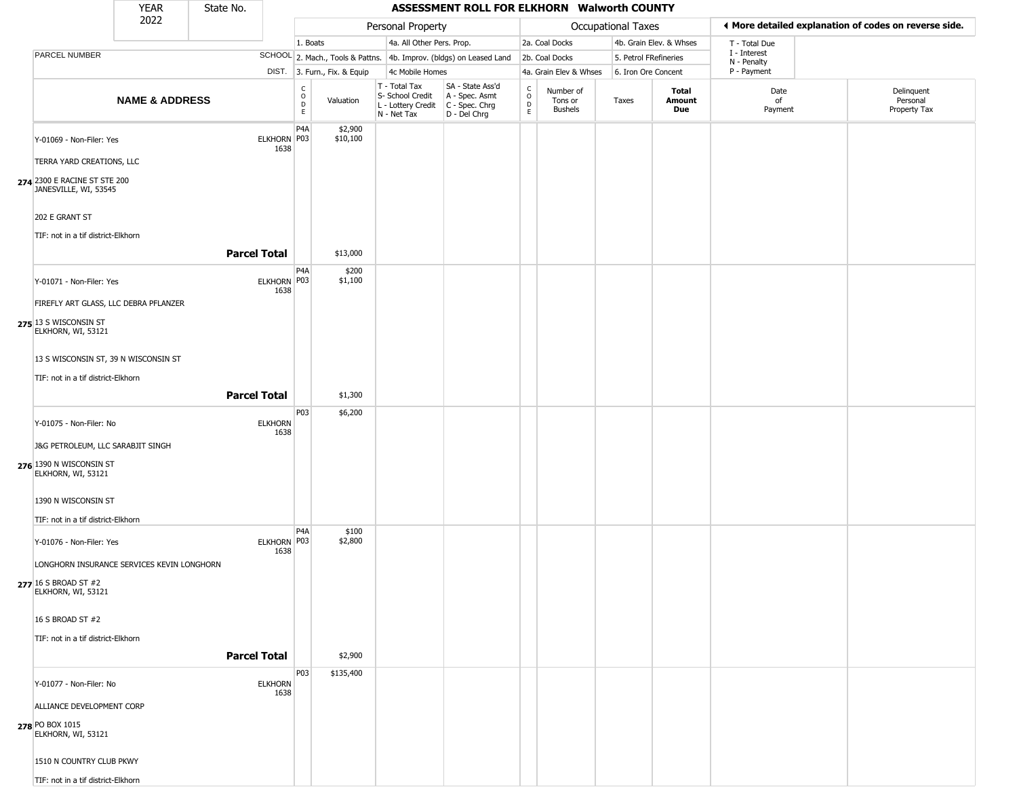|                                                       | <b>YEAR</b>               | State No.           |                        |                                  |                              |                                                                                         | ASSESSMENT ROLL FOR ELKHORN Walworth COUNTY                         |                                                |                                        |                           |                         |                             |                                                       |  |
|-------------------------------------------------------|---------------------------|---------------------|------------------------|----------------------------------|------------------------------|-----------------------------------------------------------------------------------------|---------------------------------------------------------------------|------------------------------------------------|----------------------------------------|---------------------------|-------------------------|-----------------------------|-------------------------------------------------------|--|
|                                                       | 2022                      |                     |                        |                                  |                              | Personal Property                                                                       |                                                                     |                                                |                                        | <b>Occupational Taxes</b> |                         |                             | ♦ More detailed explanation of codes on reverse side. |  |
|                                                       |                           |                     |                        | 1. Boats                         |                              | 4a. All Other Pers. Prop.                                                               |                                                                     |                                                | 2a. Coal Docks                         |                           | 4b. Grain Elev. & Whses | T - Total Due               |                                                       |  |
| PARCEL NUMBER                                         |                           |                     |                        |                                  |                              |                                                                                         | SCHOOL 2. Mach., Tools & Pattns. 4b. Improv. (bldgs) on Leased Land |                                                | 2b. Coal Docks                         | 5. Petrol FRefineries     |                         | I - Interest<br>N - Penalty |                                                       |  |
|                                                       |                           |                     |                        |                                  | DIST. 3. Furn., Fix. & Equip | 4c Mobile Homes                                                                         |                                                                     |                                                | 4a. Grain Elev & Whses                 | 6. Iron Ore Concent       |                         | P - Payment                 |                                                       |  |
|                                                       | <b>NAME &amp; ADDRESS</b> |                     |                        | C<br>$\circ$<br>$\mathsf D$<br>E | Valuation                    | T - Total Tax<br>S- School Credit<br>L - Lottery Credit   C - Spec. Chrg<br>N - Net Tax | SA - State Ass'd<br>A - Spec. Asmt<br>D - Del Chrg                  | $\begin{matrix} 0 \\ 0 \\ D \end{matrix}$<br>E | Number of<br>Tons or<br><b>Bushels</b> | Taxes                     | Total<br>Amount<br>Due  | Date<br>of<br>Payment       | Delinquent<br>Personal<br>Property Tax                |  |
| Y-01069 - Non-Filer: Yes                              |                           |                     | ELKHORN P03<br>1638    | P <sub>4</sub> A                 | \$2,900<br>\$10,100          |                                                                                         |                                                                     |                                                |                                        |                           |                         |                             |                                                       |  |
| TERRA YARD CREATIONS, LLC                             |                           |                     |                        |                                  |                              |                                                                                         |                                                                     |                                                |                                        |                           |                         |                             |                                                       |  |
| 274 2300 E RACINE ST STE 200<br>JANESVILLE, WI, 53545 |                           |                     |                        |                                  |                              |                                                                                         |                                                                     |                                                |                                        |                           |                         |                             |                                                       |  |
| 202 E GRANT ST                                        |                           |                     |                        |                                  |                              |                                                                                         |                                                                     |                                                |                                        |                           |                         |                             |                                                       |  |
| TIF: not in a tif district-Elkhorn                    |                           | <b>Parcel Total</b> |                        |                                  | \$13,000                     |                                                                                         |                                                                     |                                                |                                        |                           |                         |                             |                                                       |  |
| Y-01071 - Non-Filer: Yes                              |                           |                     | ELKHORN P03<br>1638    | P <sub>4</sub> A                 | \$200<br>\$1,100             |                                                                                         |                                                                     |                                                |                                        |                           |                         |                             |                                                       |  |
| FIREFLY ART GLASS, LLC DEBRA PFLANZER                 |                           |                     |                        |                                  |                              |                                                                                         |                                                                     |                                                |                                        |                           |                         |                             |                                                       |  |
| 275 13 S WISCONSIN ST<br>ELKHORN, WI, 53121           |                           |                     |                        |                                  |                              |                                                                                         |                                                                     |                                                |                                        |                           |                         |                             |                                                       |  |
| 13 S WISCONSIN ST, 39 N WISCONSIN ST                  |                           |                     |                        |                                  |                              |                                                                                         |                                                                     |                                                |                                        |                           |                         |                             |                                                       |  |
| TIF: not in a tif district-Elkhorn                    |                           |                     |                        |                                  |                              |                                                                                         |                                                                     |                                                |                                        |                           |                         |                             |                                                       |  |
|                                                       |                           | <b>Parcel Total</b> |                        |                                  | \$1,300                      |                                                                                         |                                                                     |                                                |                                        |                           |                         |                             |                                                       |  |
|                                                       |                           |                     |                        | P03                              | \$6,200                      |                                                                                         |                                                                     |                                                |                                        |                           |                         |                             |                                                       |  |
| Y-01075 - Non-Filer: No                               |                           |                     | <b>ELKHORN</b>         |                                  |                              |                                                                                         |                                                                     |                                                |                                        |                           |                         |                             |                                                       |  |
| J&G PETROLEUM, LLC SARABJIT SINGH                     |                           |                     | 1638                   |                                  |                              |                                                                                         |                                                                     |                                                |                                        |                           |                         |                             |                                                       |  |
| 276 1390 N WISCONSIN ST<br>ELKHORN, WI, 53121         |                           |                     |                        |                                  |                              |                                                                                         |                                                                     |                                                |                                        |                           |                         |                             |                                                       |  |
| 1390 N WISCONSIN ST                                   |                           |                     |                        |                                  |                              |                                                                                         |                                                                     |                                                |                                        |                           |                         |                             |                                                       |  |
| TIF: not in a tif district-Elkhorn                    |                           |                     |                        |                                  |                              |                                                                                         |                                                                     |                                                |                                        |                           |                         |                             |                                                       |  |
| Y-01076 - Non-Filer: Yes                              |                           |                     | ELKHORN P03<br>1638    | P <sub>4</sub> A                 | \$100<br>\$2,800             |                                                                                         |                                                                     |                                                |                                        |                           |                         |                             |                                                       |  |
| LONGHORN INSURANCE SERVICES KEVIN LONGHORN            |                           |                     |                        |                                  |                              |                                                                                         |                                                                     |                                                |                                        |                           |                         |                             |                                                       |  |
| <b>277</b> 16 S BROAD ST #2<br>ELKHORN, WI, 53121     |                           |                     |                        |                                  |                              |                                                                                         |                                                                     |                                                |                                        |                           |                         |                             |                                                       |  |
| 16 S BROAD ST #2                                      |                           |                     |                        |                                  |                              |                                                                                         |                                                                     |                                                |                                        |                           |                         |                             |                                                       |  |
| TIF: not in a tif district-Elkhorn                    |                           |                     |                        |                                  |                              |                                                                                         |                                                                     |                                                |                                        |                           |                         |                             |                                                       |  |
|                                                       |                           | <b>Parcel Total</b> |                        |                                  | \$2,900                      |                                                                                         |                                                                     |                                                |                                        |                           |                         |                             |                                                       |  |
| Y-01077 - Non-Filer: No                               |                           |                     | <b>ELKHORN</b><br>1638 | P03                              | \$135,400                    |                                                                                         |                                                                     |                                                |                                        |                           |                         |                             |                                                       |  |
| ALLIANCE DEVELOPMENT CORP                             |                           |                     |                        |                                  |                              |                                                                                         |                                                                     |                                                |                                        |                           |                         |                             |                                                       |  |
| 278 PO BOX 1015<br>ELKHORN, WI, 53121                 |                           |                     |                        |                                  |                              |                                                                                         |                                                                     |                                                |                                        |                           |                         |                             |                                                       |  |
| 1510 N COUNTRY CLUB PKWY                              |                           |                     |                        |                                  |                              |                                                                                         |                                                                     |                                                |                                        |                           |                         |                             |                                                       |  |
| TIF: not in a tif district-Elkhorn                    |                           |                     |                        |                                  |                              |                                                                                         |                                                                     |                                                |                                        |                           |                         |                             |                                                       |  |

\_\_\_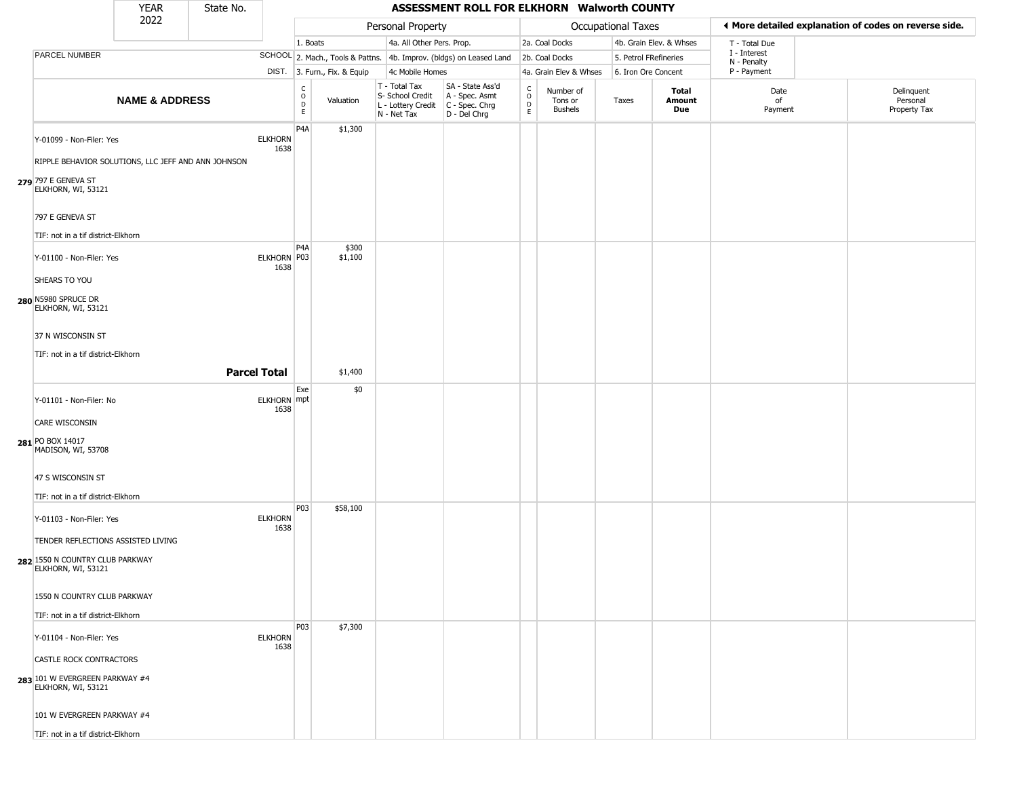|                                                                                                                                                  | <b>YEAR</b>               | State No. |                            |                        |                              |                                                                        | ASSESSMENT ROLL FOR ELKHORN Walworth COUNTY                          |                                  |                                        |                       |                         |                                                       |                                        |
|--------------------------------------------------------------------------------------------------------------------------------------------------|---------------------------|-----------|----------------------------|------------------------|------------------------------|------------------------------------------------------------------------|----------------------------------------------------------------------|----------------------------------|----------------------------------------|-----------------------|-------------------------|-------------------------------------------------------|----------------------------------------|
|                                                                                                                                                  | 2022                      |           |                            |                        |                              | Personal Property                                                      |                                                                      |                                  |                                        | Occupational Taxes    |                         | ♦ More detailed explanation of codes on reverse side. |                                        |
|                                                                                                                                                  |                           |           |                            | 1. Boats               |                              | 4a. All Other Pers. Prop.                                              |                                                                      |                                  | 2a. Coal Docks                         |                       | 4b. Grain Elev. & Whses | T - Total Due                                         |                                        |
| PARCEL NUMBER                                                                                                                                    |                           |           |                            |                        |                              |                                                                        | SCHOOL 2. Mach., Tools & Pattns. 4b. Improv. (bldgs) on Leased Land  |                                  | 2b. Coal Docks                         | 5. Petrol FRefineries |                         | I - Interest<br>N - Penalty                           |                                        |
|                                                                                                                                                  |                           |           |                            |                        | DIST. 3. Furn., Fix. & Equip | 4c Mobile Homes                                                        |                                                                      |                                  | 4a. Grain Elev & Whses                 | 6. Iron Ore Concent   |                         | P - Payment                                           |                                        |
|                                                                                                                                                  | <b>NAME &amp; ADDRESS</b> |           |                            | C<br>$\circ$<br>D<br>E | Valuation                    | T - Total Tax<br>S- School Credit<br>L - Lottery Credit<br>N - Net Tax | SA - State Ass'd<br>A - Spec. Asmt<br>C - Spec. Chrg<br>D - Del Chrg | C<br>$\circ$<br>$\mathsf D$<br>E | Number of<br>Tons or<br><b>Bushels</b> | Taxes                 | Total<br>Amount<br>Due  | Date<br>of<br>Payment                                 | Delinquent<br>Personal<br>Property Tax |
| Y-01099 - Non-Filer: Yes<br>RIPPLE BEHAVIOR SOLUTIONS, LLC JEFF AND ANN JOHNSON<br>279 797 E GENEVA ST<br>ELKHORN, WI, 53121<br>797 E GENEVA ST  |                           |           | <b>ELKHORN</b><br>1638     | P <sub>4</sub> A       | \$1,300                      |                                                                        |                                                                      |                                  |                                        |                       |                         |                                                       |                                        |
| TIF: not in a tif district-Elkhorn                                                                                                               |                           |           |                            |                        |                              |                                                                        |                                                                      |                                  |                                        |                       |                         |                                                       |                                        |
| Y-01100 - Non-Filer: Yes<br>SHEARS TO YOU<br>280 N5980 SPRUCE DR                                                                                 |                           |           | ELKHORN P03<br>1638        | P4A                    | \$300<br>\$1,100             |                                                                        |                                                                      |                                  |                                        |                       |                         |                                                       |                                        |
| ELKHORN, WI, 53121<br>37 N WISCONSIN ST<br>TIF: not in a tif district-Elkhorn                                                                    |                           |           | <b>Parcel Total</b>        |                        | \$1,400                      |                                                                        |                                                                      |                                  |                                        |                       |                         |                                                       |                                        |
| Y-01101 - Non-Filer: No<br><b>CARE WISCONSIN</b>                                                                                                 |                           |           | <b>ELKHORN</b> mpt<br>1638 | Exe                    | \$0                          |                                                                        |                                                                      |                                  |                                        |                       |                         |                                                       |                                        |
| 281 PO BOX 14017<br>MADISON, WI, 53708                                                                                                           |                           |           |                            |                        |                              |                                                                        |                                                                      |                                  |                                        |                       |                         |                                                       |                                        |
| 47 S WISCONSIN ST<br>TIF: not in a tif district-Elkhorn                                                                                          |                           |           |                            |                        |                              |                                                                        |                                                                      |                                  |                                        |                       |                         |                                                       |                                        |
| Y-01103 - Non-Filer: Yes<br>TENDER REFLECTIONS ASSISTED LIVING<br>282 1550 N COUNTRY CLUB PARKWAY<br>ELKHORN, WI, 53121                          |                           |           | <b>ELKHORN</b><br>1638     | P03                    | \$58,100                     |                                                                        |                                                                      |                                  |                                        |                       |                         |                                                       |                                        |
| 1550 N COUNTRY CLUB PARKWAY<br>TIF: not in a tif district-Elkhorn                                                                                |                           |           |                            |                        |                              |                                                                        |                                                                      |                                  |                                        |                       |                         |                                                       |                                        |
| Y-01104 - Non-Filer: Yes<br><b>CASTLE ROCK CONTRACTORS</b><br>283 101 W EVERGREEN PARKWAY #4<br>ELKHORN, WI, 53121<br>101 W EVERGREEN PARKWAY #4 |                           |           | <b>ELKHORN</b><br>1638     | P03                    | \$7,300                      |                                                                        |                                                                      |                                  |                                        |                       |                         |                                                       |                                        |
| TIF: not in a tif district-Elkhorn                                                                                                               |                           |           |                            |                        |                              |                                                                        |                                                                      |                                  |                                        |                       |                         |                                                       |                                        |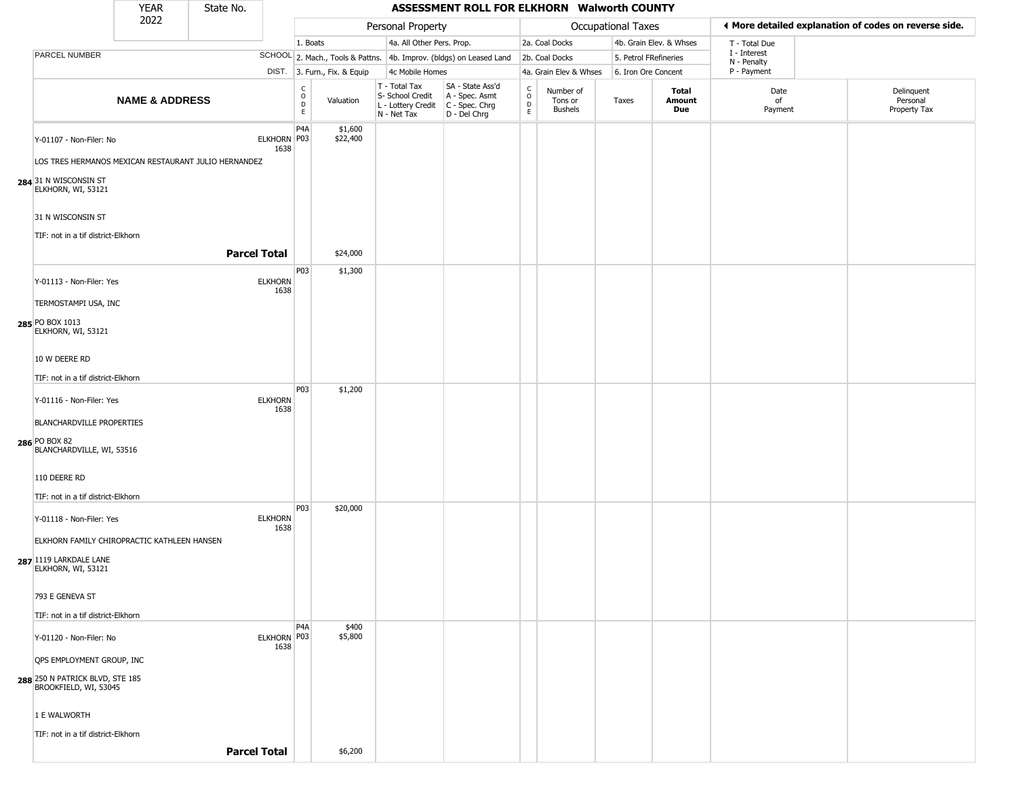|                                                                                             | <b>YEAR</b>               | State No.           |                        |                                        |                              |                                                                        | ASSESSMENT ROLL FOR ELKHORN Walworth COUNTY                          |                                            |                                 |                       |                         |                             |                                                       |
|---------------------------------------------------------------------------------------------|---------------------------|---------------------|------------------------|----------------------------------------|------------------------------|------------------------------------------------------------------------|----------------------------------------------------------------------|--------------------------------------------|---------------------------------|-----------------------|-------------------------|-----------------------------|-------------------------------------------------------|
|                                                                                             | 2022                      |                     |                        |                                        |                              | Personal Property                                                      |                                                                      |                                            |                                 | Occupational Taxes    |                         |                             | ◀ More detailed explanation of codes on reverse side. |
|                                                                                             |                           |                     |                        | 1. Boats                               |                              | 4a. All Other Pers. Prop.                                              |                                                                      |                                            | 2a. Coal Docks                  |                       | 4b. Grain Elev. & Whses | T - Total Due               |                                                       |
| PARCEL NUMBER                                                                               |                           |                     |                        |                                        |                              |                                                                        | SCHOOL 2. Mach., Tools & Pattns. 4b. Improv. (bldgs) on Leased Land  |                                            | 2b. Coal Docks                  | 5. Petrol FRefineries |                         | I - Interest<br>N - Penalty |                                                       |
|                                                                                             |                           |                     |                        |                                        | DIST. 3. Furn., Fix. & Equip | 4c Mobile Homes                                                        |                                                                      |                                            | 4a. Grain Elev & Whses          | 6. Iron Ore Concent   |                         | P - Payment                 |                                                       |
|                                                                                             | <b>NAME &amp; ADDRESS</b> |                     |                        | C<br>$_{\rm D}^{\rm O}$<br>$\mathsf E$ | Valuation                    | T - Total Tax<br>S- School Credit<br>L - Lottery Credit<br>N - Net Tax | SA - State Ass'd<br>A - Spec. Asmt<br>C - Spec. Chrg<br>D - Del Chrg | $\begin{array}{c} C \\ 0 \\ E \end{array}$ | Number of<br>Tons or<br>Bushels | Taxes                 | Total<br>Amount<br>Due  | Date<br>of<br>Payment       | Delinquent<br>Personal<br>Property Tax                |
| Y-01107 - Non-Filer: No<br>LOS TRES HERMANOS MEXICAN RESTAURANT JULIO HERNANDEZ             |                           |                     | ELKHORN P03<br>1638    | P4A                                    | \$1,600<br>\$22,400          |                                                                        |                                                                      |                                            |                                 |                       |                         |                             |                                                       |
| 284 31 N WISCONSIN ST<br>ELKHORN, WI, 53121                                                 |                           |                     |                        |                                        |                              |                                                                        |                                                                      |                                            |                                 |                       |                         |                             |                                                       |
| 31 N WISCONSIN ST<br>TIF: not in a tif district-Elkhorn                                     |                           |                     |                        |                                        |                              |                                                                        |                                                                      |                                            |                                 |                       |                         |                             |                                                       |
|                                                                                             |                           | <b>Parcel Total</b> |                        |                                        | \$24,000                     |                                                                        |                                                                      |                                            |                                 |                       |                         |                             |                                                       |
| Y-01113 - Non-Filer: Yes<br>TERMOSTAMPI USA, INC                                            |                           |                     | <b>ELKHORN</b><br>1638 | P03                                    | \$1,300                      |                                                                        |                                                                      |                                            |                                 |                       |                         |                             |                                                       |
| 285 PO BOX 1013<br>ELKHORN, WI, 53121                                                       |                           |                     |                        |                                        |                              |                                                                        |                                                                      |                                            |                                 |                       |                         |                             |                                                       |
| 10 W DEERE RD                                                                               |                           |                     |                        |                                        |                              |                                                                        |                                                                      |                                            |                                 |                       |                         |                             |                                                       |
| TIF: not in a tif district-Elkhorn                                                          |                           |                     |                        |                                        |                              |                                                                        |                                                                      |                                            |                                 |                       |                         |                             |                                                       |
| Y-01116 - Non-Filer: Yes                                                                    |                           |                     | <b>ELKHORN</b><br>1638 | P03                                    | \$1,200                      |                                                                        |                                                                      |                                            |                                 |                       |                         |                             |                                                       |
| <b>BLANCHARDVILLE PROPERTIES</b>                                                            |                           |                     |                        |                                        |                              |                                                                        |                                                                      |                                            |                                 |                       |                         |                             |                                                       |
| 286 PO BOX 82<br>BLANCHARDVILLE, WI, 53516                                                  |                           |                     |                        |                                        |                              |                                                                        |                                                                      |                                            |                                 |                       |                         |                             |                                                       |
| 110 DEERE RD                                                                                |                           |                     |                        |                                        |                              |                                                                        |                                                                      |                                            |                                 |                       |                         |                             |                                                       |
| TIF: not in a tif district-Elkhorn                                                          |                           |                     |                        |                                        |                              |                                                                        |                                                                      |                                            |                                 |                       |                         |                             |                                                       |
| Y-01118 - Non-Filer: Yes                                                                    |                           |                     | <b>ELKHORN</b><br>1638 | P03                                    | \$20,000                     |                                                                        |                                                                      |                                            |                                 |                       |                         |                             |                                                       |
| ELKHORN FAMILY CHIROPRACTIC KATHLEEN HANSEN<br>287 1119 LARKDALE LANE<br>ELKHORN, WI, 53121 |                           |                     |                        |                                        |                              |                                                                        |                                                                      |                                            |                                 |                       |                         |                             |                                                       |
| 793 E GENEVA ST                                                                             |                           |                     |                        |                                        |                              |                                                                        |                                                                      |                                            |                                 |                       |                         |                             |                                                       |
| TIF: not in a tif district-Elkhorn                                                          |                           |                     |                        | P <sub>4</sub> A                       | \$400                        |                                                                        |                                                                      |                                            |                                 |                       |                         |                             |                                                       |
| Y-01120 - Non-Filer: No<br>QPS EMPLOYMENT GROUP, INC                                        |                           |                     | ELKHORN P03<br>1638    |                                        | \$5,800                      |                                                                        |                                                                      |                                            |                                 |                       |                         |                             |                                                       |
| 288 250 N PATRICK BLVD, STE 185<br>BROOKFIELD, WI, 53045                                    |                           |                     |                        |                                        |                              |                                                                        |                                                                      |                                            |                                 |                       |                         |                             |                                                       |
| 1 E WALWORTH                                                                                |                           |                     |                        |                                        |                              |                                                                        |                                                                      |                                            |                                 |                       |                         |                             |                                                       |
| TIF: not in a tif district-Elkhorn                                                          |                           |                     |                        |                                        |                              |                                                                        |                                                                      |                                            |                                 |                       |                         |                             |                                                       |
|                                                                                             |                           | <b>Parcel Total</b> |                        |                                        | \$6,200                      |                                                                        |                                                                      |                                            |                                 |                       |                         |                             |                                                       |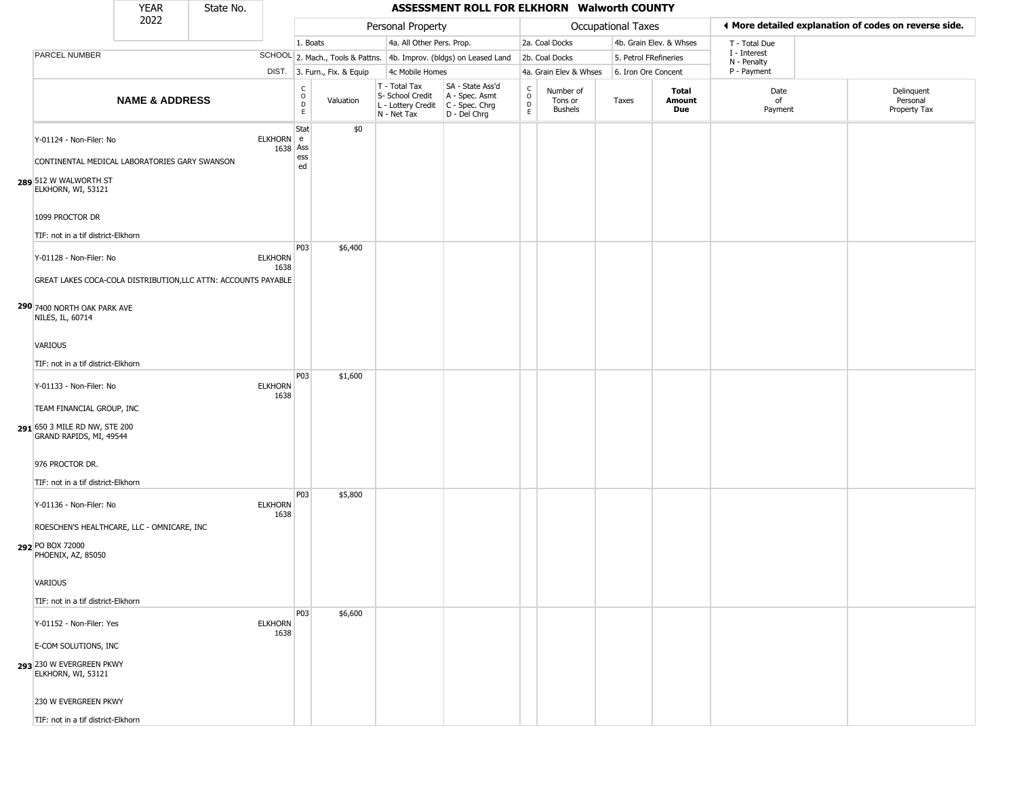|                                                                                                                                                                                  | <b>YEAR</b>               | State No. |                        |                                                  |                              |                                                                        | ASSESSMENT ROLL FOR ELKHORN Walworth COUNTY                          |                                         |                                        |                    |                         |                             |                                                       |
|----------------------------------------------------------------------------------------------------------------------------------------------------------------------------------|---------------------------|-----------|------------------------|--------------------------------------------------|------------------------------|------------------------------------------------------------------------|----------------------------------------------------------------------|-----------------------------------------|----------------------------------------|--------------------|-------------------------|-----------------------------|-------------------------------------------------------|
|                                                                                                                                                                                  | 2022                      |           |                        |                                                  |                              | Personal Property                                                      |                                                                      |                                         |                                        | Occupational Taxes |                         |                             | ◀ More detailed explanation of codes on reverse side. |
|                                                                                                                                                                                  |                           |           |                        | 1. Boats                                         |                              | 4a. All Other Pers. Prop.                                              |                                                                      |                                         | 2a. Coal Docks                         |                    | 4b. Grain Elev. & Whses | T - Total Due               |                                                       |
| PARCEL NUMBER                                                                                                                                                                    |                           |           |                        |                                                  |                              |                                                                        | SCHOOL 2. Mach., Tools & Pattns. 4b. Improv. (bldgs) on Leased Land  |                                         | 2b. Coal Docks                         |                    | 5. Petrol FRefineries   | I - Interest<br>N - Penalty |                                                       |
|                                                                                                                                                                                  |                           |           |                        |                                                  | DIST. 3. Furn., Fix. & Equip | 4c Mobile Homes                                                        |                                                                      |                                         | 4a. Grain Elev & Whses                 |                    | 6. Iron Ore Concent     | P - Payment                 |                                                       |
|                                                                                                                                                                                  | <b>NAME &amp; ADDRESS</b> |           |                        | $_{\rm o}^{\rm c}$<br>$\mathsf D$<br>$\mathsf E$ | Valuation                    | T - Total Tax<br>S- School Credit<br>L - Lottery Credit<br>N - Net Tax | SA - State Ass'd<br>A - Spec. Asmt<br>C - Spec. Chrg<br>D - Del Chrg | $_{\rm o}^{\rm c}$<br>$\mathsf{D}$<br>E | Number of<br>Tons or<br><b>Bushels</b> | Taxes              | Total<br>Amount<br>Due  | Date<br>of<br>Payment       | Delinquent<br>Personal<br>Property Tax                |
| Y-01124 - Non-Filer: No<br>CONTINENTAL MEDICAL LABORATORIES GARY SWANSON<br>289 512 W WALWORTH ST<br>ELKHORN, WI, 53121<br>1099 PROCTOR DR<br>TIF: not in a tif district-Elkhorn |                           |           | ELKHORN e<br>1638 Ass  | Stat<br>ess<br>ed                                | \$0                          |                                                                        |                                                                      |                                         |                                        |                    |                         |                             |                                                       |
| Y-01128 - Non-Filer: No<br>GREAT LAKES COCA-COLA DISTRIBUTION, LLC ATTN: ACCOUNTS PAYABLE<br>290 7400 NORTH OAK PARK AVE<br>NILES, IL, 60714                                     |                           |           | <b>ELKHORN</b><br>1638 | P03                                              | \$6,400                      |                                                                        |                                                                      |                                         |                                        |                    |                         |                             |                                                       |
| <b>VARIOUS</b><br>TIF: not in a tif district-Elkhorn                                                                                                                             |                           |           |                        | P03                                              | \$1,600                      |                                                                        |                                                                      |                                         |                                        |                    |                         |                             |                                                       |
| Y-01133 - Non-Filer: No<br>TEAM FINANCIAL GROUP, INC<br>291 650 3 MILE RD NW, STE 200<br>GRAND RAPIDS, MI, 49544<br>976 PROCTOR DR.                                              |                           |           | <b>ELKHORN</b><br>1638 |                                                  |                              |                                                                        |                                                                      |                                         |                                        |                    |                         |                             |                                                       |
| TIF: not in a tif district-Elkhorn                                                                                                                                               |                           |           |                        | P03                                              |                              |                                                                        |                                                                      |                                         |                                        |                    |                         |                             |                                                       |
| Y-01136 - Non-Filer: No<br>ROESCHEN'S HEALTHCARE, LLC - OMNICARE, INC<br>292 PO BOX 72000<br>PHOENIX, AZ, 85050                                                                  |                           |           | <b>ELKHORN</b><br>1638 |                                                  | \$5,800                      |                                                                        |                                                                      |                                         |                                        |                    |                         |                             |                                                       |
| VARIOUS<br>TIF: not in a tif district-Elkhorn                                                                                                                                    |                           |           |                        |                                                  |                              |                                                                        |                                                                      |                                         |                                        |                    |                         |                             |                                                       |
| Y-01152 - Non-Filer: Yes<br>E-COM SOLUTIONS, INC                                                                                                                                 |                           |           | <b>ELKHORN</b><br>1638 | P03                                              | \$6,600                      |                                                                        |                                                                      |                                         |                                        |                    |                         |                             |                                                       |
| 293 230 W EVERGREEN PKWY<br>ELKHORN, WI, 53121                                                                                                                                   |                           |           |                        |                                                  |                              |                                                                        |                                                                      |                                         |                                        |                    |                         |                             |                                                       |
| 230 W EVERGREEN PKWY                                                                                                                                                             |                           |           |                        |                                                  |                              |                                                                        |                                                                      |                                         |                                        |                    |                         |                             |                                                       |
| TIF: not in a tif district-Elkhorn                                                                                                                                               |                           |           |                        |                                                  |                              |                                                                        |                                                                      |                                         |                                        |                    |                         |                             |                                                       |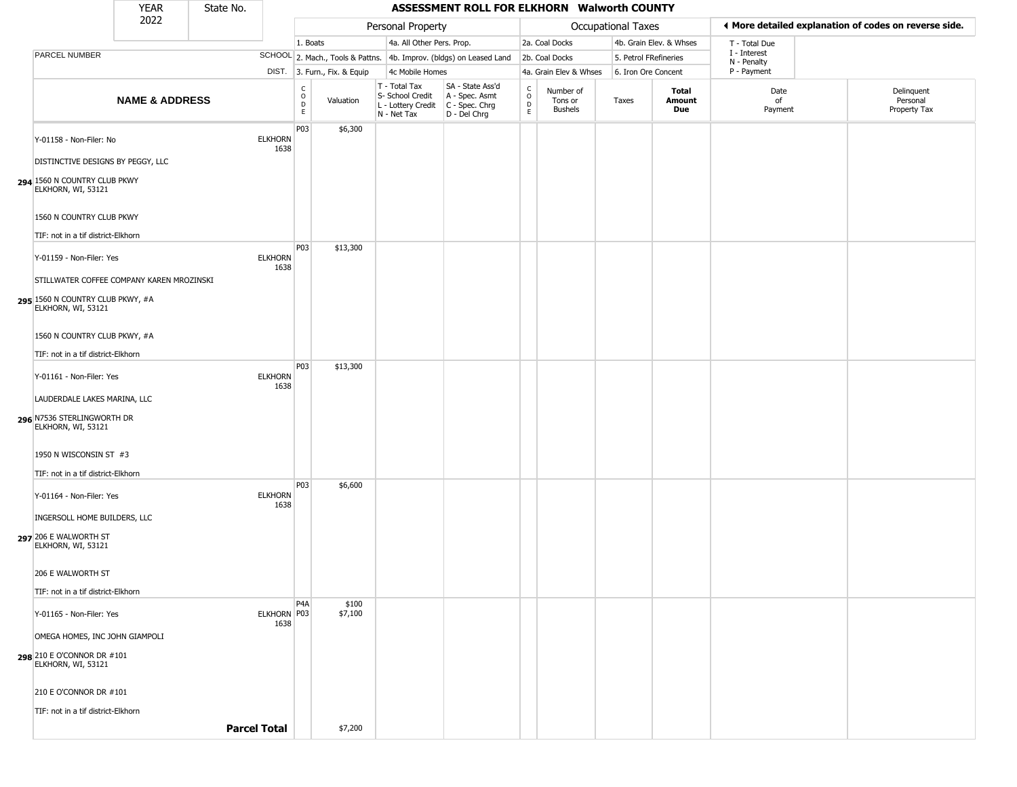|                                                                                         | <b>YEAR</b>               | State No. |                        |                                   |                              |                                                                        | ASSESSMENT ROLL FOR ELKHORN Walworth COUNTY                          |                                            |                                 |                       |                         |                             |                                                       |
|-----------------------------------------------------------------------------------------|---------------------------|-----------|------------------------|-----------------------------------|------------------------------|------------------------------------------------------------------------|----------------------------------------------------------------------|--------------------------------------------|---------------------------------|-----------------------|-------------------------|-----------------------------|-------------------------------------------------------|
|                                                                                         | 2022                      |           |                        |                                   |                              | Personal Property                                                      |                                                                      |                                            |                                 | Occupational Taxes    |                         |                             | ♦ More detailed explanation of codes on reverse side. |
|                                                                                         |                           |           |                        | 1. Boats                          |                              | 4a. All Other Pers. Prop.                                              |                                                                      |                                            | 2a. Coal Docks                  |                       | 4b. Grain Elev. & Whses | T - Total Due               |                                                       |
| PARCEL NUMBER                                                                           |                           |           |                        |                                   |                              |                                                                        | SCHOOL 2. Mach., Tools & Pattns. 4b. Improv. (bldgs) on Leased Land  |                                            | 2b. Coal Docks                  | 5. Petrol FRefineries |                         | I - Interest<br>N - Penalty |                                                       |
|                                                                                         |                           |           |                        |                                   | DIST. 3. Furn., Fix. & Equip | 4c Mobile Homes                                                        |                                                                      |                                            | 4a. Grain Elev & Whses          | 6. Iron Ore Concent   |                         | P - Payment                 |                                                       |
|                                                                                         | <b>NAME &amp; ADDRESS</b> |           |                        | $\frac{c}{0}$<br>$\mathsf D$<br>E | Valuation                    | T - Total Tax<br>S- School Credit<br>L - Lottery Credit<br>N - Net Tax | SA - State Ass'd<br>A - Spec. Asmt<br>C - Spec. Chrg<br>D - Del Chrg | $\frac{C}{O}$<br>$\mathsf{D}_{\mathsf{E}}$ | Number of<br>Tons or<br>Bushels | Taxes                 | Total<br>Amount<br>Due  | Date<br>of<br>Payment       | Delinquent<br>Personal<br>Property Tax                |
| Y-01158 - Non-Filer: No                                                                 |                           |           | <b>ELKHORN</b><br>1638 | P03                               | \$6,300                      |                                                                        |                                                                      |                                            |                                 |                       |                         |                             |                                                       |
| DISTINCTIVE DESIGNS BY PEGGY, LLC<br>294 1560 N COUNTRY CLUB PKWY<br>ELKHORN, WI, 53121 |                           |           |                        |                                   |                              |                                                                        |                                                                      |                                            |                                 |                       |                         |                             |                                                       |
| 1560 N COUNTRY CLUB PKWY                                                                |                           |           |                        |                                   |                              |                                                                        |                                                                      |                                            |                                 |                       |                         |                             |                                                       |
| TIF: not in a tif district-Elkhorn                                                      |                           |           |                        |                                   |                              |                                                                        |                                                                      |                                            |                                 |                       |                         |                             |                                                       |
| Y-01159 - Non-Filer: Yes                                                                |                           |           | <b>ELKHORN</b><br>1638 | P03                               | \$13,300                     |                                                                        |                                                                      |                                            |                                 |                       |                         |                             |                                                       |
| STILLWATER COFFEE COMPANY KAREN MROZINSKI                                               |                           |           |                        |                                   |                              |                                                                        |                                                                      |                                            |                                 |                       |                         |                             |                                                       |
| 295 1560 N COUNTRY CLUB PKWY, #A<br>ELKHORN, WI, 53121                                  |                           |           |                        |                                   |                              |                                                                        |                                                                      |                                            |                                 |                       |                         |                             |                                                       |
| 1560 N COUNTRY CLUB PKWY, #A                                                            |                           |           |                        |                                   |                              |                                                                        |                                                                      |                                            |                                 |                       |                         |                             |                                                       |
| TIF: not in a tif district-Elkhorn                                                      |                           |           |                        |                                   |                              |                                                                        |                                                                      |                                            |                                 |                       |                         |                             |                                                       |
| Y-01161 - Non-Filer: Yes                                                                |                           |           | <b>ELKHORN</b><br>1638 | P03                               | \$13,300                     |                                                                        |                                                                      |                                            |                                 |                       |                         |                             |                                                       |
| LAUDERDALE LAKES MARINA, LLC                                                            |                           |           |                        |                                   |                              |                                                                        |                                                                      |                                            |                                 |                       |                         |                             |                                                       |
| 296 N7536 STERLINGWORTH DR<br>ELKHORN, WI, 53121                                        |                           |           |                        |                                   |                              |                                                                        |                                                                      |                                            |                                 |                       |                         |                             |                                                       |
| 1950 N WISCONSIN ST #3                                                                  |                           |           |                        |                                   |                              |                                                                        |                                                                      |                                            |                                 |                       |                         |                             |                                                       |
| TIF: not in a tif district-Elkhorn                                                      |                           |           |                        |                                   |                              |                                                                        |                                                                      |                                            |                                 |                       |                         |                             |                                                       |
| Y-01164 - Non-Filer: Yes                                                                |                           |           | <b>ELKHORN</b><br>1638 | P03                               | \$6,600                      |                                                                        |                                                                      |                                            |                                 |                       |                         |                             |                                                       |
| INGERSOLL HOME BUILDERS, LLC                                                            |                           |           |                        |                                   |                              |                                                                        |                                                                      |                                            |                                 |                       |                         |                             |                                                       |
| 297 206 E WALWORTH ST<br>ELKHORN, WI, 53121                                             |                           |           |                        |                                   |                              |                                                                        |                                                                      |                                            |                                 |                       |                         |                             |                                                       |
| 206 E WALWORTH ST                                                                       |                           |           |                        |                                   |                              |                                                                        |                                                                      |                                            |                                 |                       |                         |                             |                                                       |
| TIF: not in a tif district-Elkhorn                                                      |                           |           |                        |                                   |                              |                                                                        |                                                                      |                                            |                                 |                       |                         |                             |                                                       |
| Y-01165 - Non-Filer: Yes                                                                |                           |           | ELKHORN P03<br>1638    | P <sub>4</sub> A                  | \$100<br>\$7,100             |                                                                        |                                                                      |                                            |                                 |                       |                         |                             |                                                       |
| OMEGA HOMES, INC JOHN GIAMPOLI                                                          |                           |           |                        |                                   |                              |                                                                        |                                                                      |                                            |                                 |                       |                         |                             |                                                       |
| <b>298</b> 210 E O'CONNOR DR #101<br>ELKHORN, WI, 53121                                 |                           |           |                        |                                   |                              |                                                                        |                                                                      |                                            |                                 |                       |                         |                             |                                                       |
| 210 E O'CONNOR DR #101                                                                  |                           |           |                        |                                   |                              |                                                                        |                                                                      |                                            |                                 |                       |                         |                             |                                                       |
| TIF: not in a tif district-Elkhorn                                                      |                           |           |                        |                                   |                              |                                                                        |                                                                      |                                            |                                 |                       |                         |                             |                                                       |
|                                                                                         |                           |           | <b>Parcel Total</b>    |                                   | \$7,200                      |                                                                        |                                                                      |                                            |                                 |                       |                         |                             |                                                       |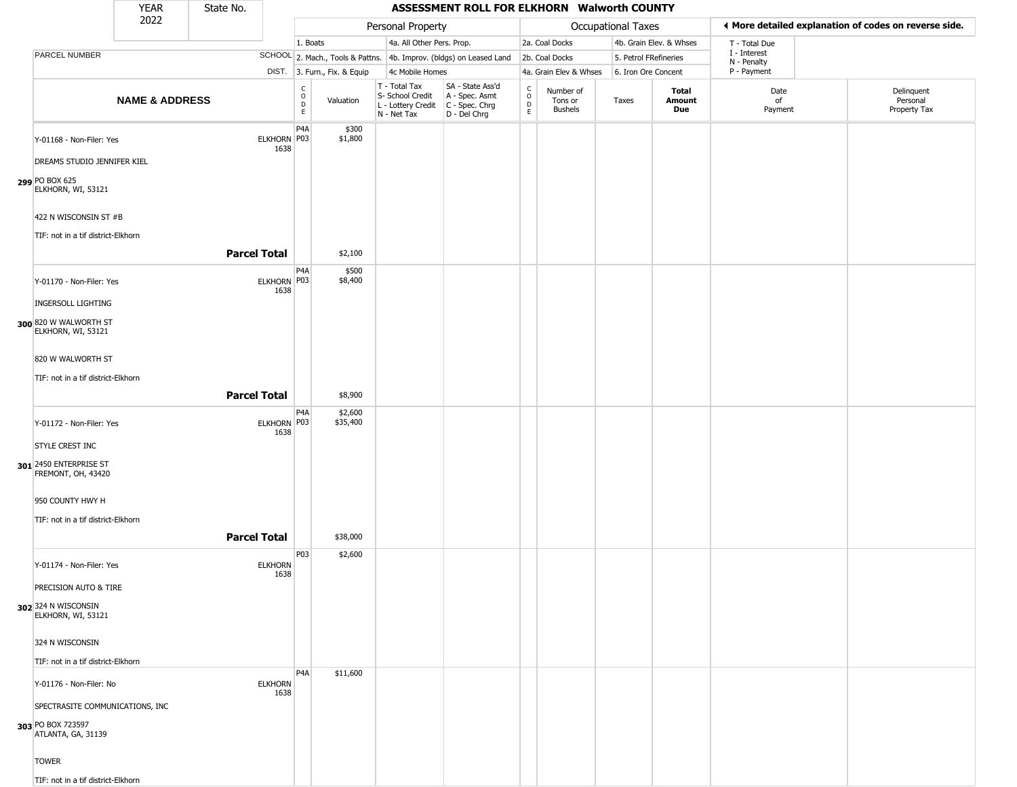|                                                                                                 | <b>YEAR</b>               | State No.           |                        |                              |                        |                                                                        | ASSESSMENT ROLL FOR ELKHORN Walworth COUNTY                          |                                                   |                                        |                       |                         |                             |                                                       |
|-------------------------------------------------------------------------------------------------|---------------------------|---------------------|------------------------|------------------------------|------------------------|------------------------------------------------------------------------|----------------------------------------------------------------------|---------------------------------------------------|----------------------------------------|-----------------------|-------------------------|-----------------------------|-------------------------------------------------------|
|                                                                                                 | 2022                      |                     |                        |                              |                        | Personal Property                                                      |                                                                      |                                                   |                                        | Occupational Taxes    |                         |                             | ♦ More detailed explanation of codes on reverse side. |
|                                                                                                 |                           |                     |                        | 1. Boats                     |                        | 4a. All Other Pers. Prop.                                              |                                                                      |                                                   | 2a. Coal Docks                         |                       | 4b. Grain Elev. & Whses | T - Total Due               |                                                       |
| <b>PARCEL NUMBER</b>                                                                            |                           |                     |                        |                              |                        |                                                                        | SCHOOL 2. Mach., Tools & Pattns. 4b. Improv. (bldgs) on Leased Land  |                                                   | 2b. Coal Docks                         | 5. Petrol FRefineries |                         | I - Interest<br>N - Penalty |                                                       |
|                                                                                                 |                           |                     | DIST.                  |                              | 3. Furn., Fix. & Equip | 4c Mobile Homes                                                        |                                                                      |                                                   | 4a. Grain Elev & Whses                 | 6. Iron Ore Concent   |                         | P - Payment                 |                                                       |
|                                                                                                 | <b>NAME &amp; ADDRESS</b> |                     |                        | $_{\rm o}^{\rm c}$<br>D<br>E | Valuation              | T - Total Tax<br>S- School Credit<br>L - Lottery Credit<br>N - Net Tax | SA - State Ass'd<br>A - Spec. Asmt<br>C - Spec. Chrg<br>D - Del Chrg | $\begin{array}{c}\nC \\ O \\ D \\ E\n\end{array}$ | Number of<br>Tons or<br><b>Bushels</b> | Taxes                 | Total<br>Amount<br>Due  | Date<br>of<br>Payment       | Delinquent<br>Personal<br>Property Tax                |
| Y-01168 - Non-Filer: Yes<br>DREAMS STUDIO JENNIFER KIEL<br>299 PO BOX 625<br>ELKHORN, WI, 53121 |                           |                     | ELKHORN P03<br>1638    | P4A                          | \$300<br>\$1,800       |                                                                        |                                                                      |                                                   |                                        |                       |                         |                             |                                                       |
| 422 N WISCONSIN ST #B<br>TIF: not in a tif district-Elkhorn                                     |                           |                     |                        |                              |                        |                                                                        |                                                                      |                                                   |                                        |                       |                         |                             |                                                       |
|                                                                                                 |                           | <b>Parcel Total</b> |                        |                              | \$2,100                |                                                                        |                                                                      |                                                   |                                        |                       |                         |                             |                                                       |
| Y-01170 - Non-Filer: Yes<br><b>INGERSOLL LIGHTING</b>                                           |                           |                     | ELKHORN P03<br>1638    | P4A                          | \$500<br>\$8,400       |                                                                        |                                                                      |                                                   |                                        |                       |                         |                             |                                                       |
| 300 820 W WALWORTH ST<br>ELKHORN, WI, 53121                                                     |                           |                     |                        |                              |                        |                                                                        |                                                                      |                                                   |                                        |                       |                         |                             |                                                       |
| 820 W WALWORTH ST                                                                               |                           |                     |                        |                              |                        |                                                                        |                                                                      |                                                   |                                        |                       |                         |                             |                                                       |
|                                                                                                 |                           |                     |                        |                              |                        |                                                                        |                                                                      |                                                   |                                        |                       |                         |                             |                                                       |
| TIF: not in a tif district-Elkhorn                                                              |                           |                     |                        |                              |                        |                                                                        |                                                                      |                                                   |                                        |                       |                         |                             |                                                       |
|                                                                                                 |                           | <b>Parcel Total</b> |                        |                              | \$8,900                |                                                                        |                                                                      |                                                   |                                        |                       |                         |                             |                                                       |
| Y-01172 - Non-Filer: Yes<br>STYLE CREST INC<br>301 2450 ENTERPRISE ST                           |                           |                     | ELKHORN P03<br>1638    | P4A                          | \$2,600<br>\$35,400    |                                                                        |                                                                      |                                                   |                                        |                       |                         |                             |                                                       |
| FREMONT, OH, 43420                                                                              |                           |                     |                        |                              |                        |                                                                        |                                                                      |                                                   |                                        |                       |                         |                             |                                                       |
| 950 COUNTY HWY H                                                                                |                           |                     |                        |                              |                        |                                                                        |                                                                      |                                                   |                                        |                       |                         |                             |                                                       |
| TIF: not in a tif district-Elkhorn                                                              |                           |                     |                        |                              |                        |                                                                        |                                                                      |                                                   |                                        |                       |                         |                             |                                                       |
|                                                                                                 |                           | <b>Parcel Total</b> |                        |                              | \$38,000               |                                                                        |                                                                      |                                                   |                                        |                       |                         |                             |                                                       |
| Y-01174 - Non-Filer: Yes                                                                        |                           |                     | <b>ELKHORN</b><br>1638 | P03                          | \$2,600                |                                                                        |                                                                      |                                                   |                                        |                       |                         |                             |                                                       |
| PRECISION AUTO & TIRE<br>302 324 N WISCONSIN<br>ELKHORN, WI, 53121                              |                           |                     |                        |                              |                        |                                                                        |                                                                      |                                                   |                                        |                       |                         |                             |                                                       |
| 324 N WISCONSIN<br>TIF: not in a tif district-Elkhorn                                           |                           |                     |                        |                              |                        |                                                                        |                                                                      |                                                   |                                        |                       |                         |                             |                                                       |
| Y-01176 - Non-Filer: No                                                                         |                           |                     | <b>ELKHORN</b><br>1638 | P <sub>4</sub> A             | \$11,600               |                                                                        |                                                                      |                                                   |                                        |                       |                         |                             |                                                       |
| SPECTRASITE COMMUNICATIONS, INC<br>303 PO BOX 723597<br>ATLANTA, GA, 31139                      |                           |                     |                        |                              |                        |                                                                        |                                                                      |                                                   |                                        |                       |                         |                             |                                                       |
| <b>TOWER</b><br>TIF: not in a tif district-Elkhorn                                              |                           |                     |                        |                              |                        |                                                                        |                                                                      |                                                   |                                        |                       |                         |                             |                                                       |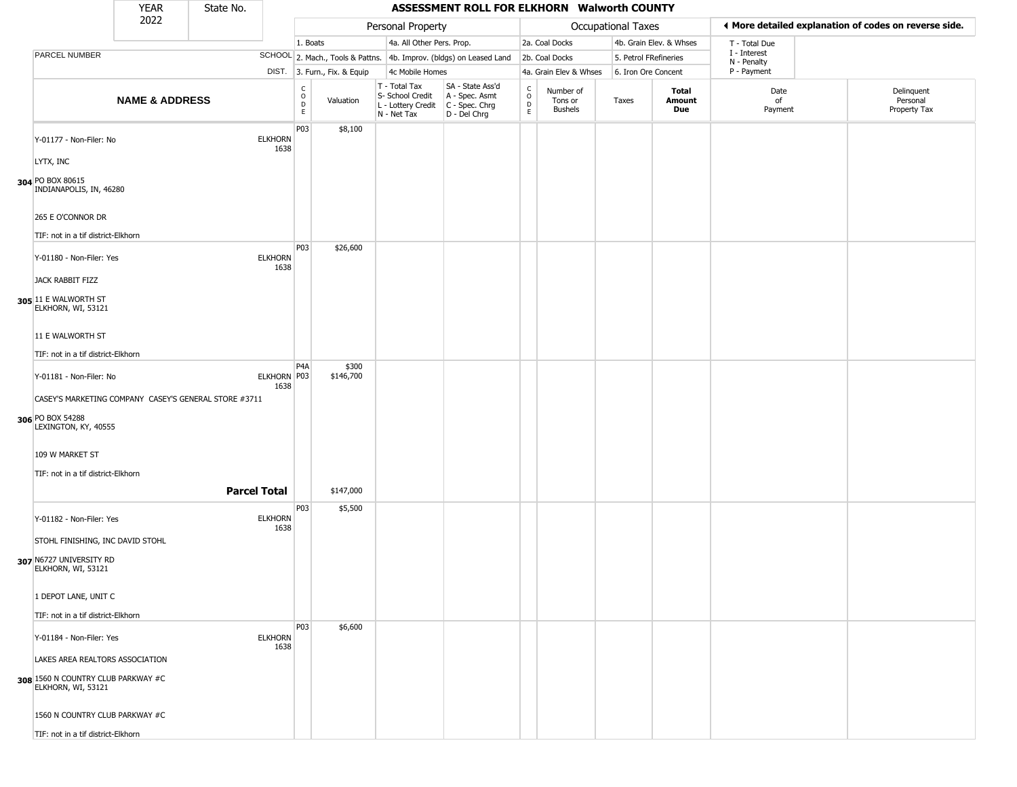|                                                                                                   | YEAR                      | State No.           |                        |                                             |                              |                                                                        | ASSESSMENT ROLL FOR ELKHORN Walworth COUNTY                            |                                              |                                        |                       |                         |                             |                                                       |
|---------------------------------------------------------------------------------------------------|---------------------------|---------------------|------------------------|---------------------------------------------|------------------------------|------------------------------------------------------------------------|------------------------------------------------------------------------|----------------------------------------------|----------------------------------------|-----------------------|-------------------------|-----------------------------|-------------------------------------------------------|
|                                                                                                   | 2022                      |                     |                        |                                             |                              | Personal Property                                                      |                                                                        |                                              |                                        | Occupational Taxes    |                         |                             | ♦ More detailed explanation of codes on reverse side. |
|                                                                                                   |                           |                     |                        | 1. Boats                                    |                              | 4a. All Other Pers. Prop.                                              |                                                                        |                                              | 2a. Coal Docks                         |                       | 4b. Grain Elev. & Whses | T - Total Due               |                                                       |
| PARCEL NUMBER                                                                                     |                           |                     |                        |                                             |                              |                                                                        | SCHOOL 2. Mach., Tools & Pattns. 4b. Improv. (bldgs) on Leased Land    |                                              | 2b. Coal Docks                         | 5. Petrol FRefineries |                         | I - Interest<br>N - Penalty |                                                       |
|                                                                                                   |                           |                     |                        |                                             | DIST. 3. Furn., Fix. & Equip | 4c Mobile Homes                                                        |                                                                        |                                              | 4a. Grain Elev & Whses                 | 6. Iron Ore Concent   |                         | P - Payment                 |                                                       |
|                                                                                                   | <b>NAME &amp; ADDRESS</b> |                     |                        | $\frac{C}{O}$<br>$\mathsf D$<br>$\mathsf E$ | Valuation                    | T - Total Tax<br>S- School Credit<br>L - Lottery Credit<br>N - Net Tax | SA - State Ass'd<br>A - Spec. Asmt<br>C - Spec. Chrg<br>$D - Del Chrg$ | $\int_{0}^{c}$<br>$\mathsf D$<br>$\mathsf E$ | Number of<br>Tons or<br><b>Bushels</b> | Taxes                 | Total<br>Amount<br>Due  | Date<br>of<br>Payment       | Delinquent<br>Personal<br>Property Tax                |
| Y-01177 - Non-Filer: No                                                                           |                           |                     | <b>ELKHORN</b><br>1638 | P03                                         | \$8,100                      |                                                                        |                                                                        |                                              |                                        |                       |                         |                             |                                                       |
| LYTX, INC<br>304 PO BOX 80615<br>INDIANAPOLIS, IN, 46280                                          |                           |                     |                        |                                             |                              |                                                                        |                                                                        |                                              |                                        |                       |                         |                             |                                                       |
| 265 E O'CONNOR DR                                                                                 |                           |                     |                        |                                             |                              |                                                                        |                                                                        |                                              |                                        |                       |                         |                             |                                                       |
| TIF: not in a tif district-Elkhorn                                                                |                           |                     |                        |                                             |                              |                                                                        |                                                                        |                                              |                                        |                       |                         |                             |                                                       |
| Y-01180 - Non-Filer: Yes                                                                          |                           |                     | <b>ELKHORN</b><br>1638 | P03                                         | \$26,600                     |                                                                        |                                                                        |                                              |                                        |                       |                         |                             |                                                       |
| JACK RABBIT FIZZ<br>305 11 E WALWORTH ST<br>ELKHORN, WI, 53121                                    |                           |                     |                        |                                             |                              |                                                                        |                                                                        |                                              |                                        |                       |                         |                             |                                                       |
| 11 E WALWORTH ST                                                                                  |                           |                     |                        |                                             |                              |                                                                        |                                                                        |                                              |                                        |                       |                         |                             |                                                       |
| TIF: not in a tif district-Elkhorn                                                                |                           |                     |                        |                                             |                              |                                                                        |                                                                        |                                              |                                        |                       |                         |                             |                                                       |
| Y-01181 - Non-Filer: No                                                                           |                           |                     | ELKHORN P03<br>1638    | P <sub>4</sub> A                            | \$300<br>\$146,700           |                                                                        |                                                                        |                                              |                                        |                       |                         |                             |                                                       |
| CASEY'S MARKETING COMPANY CASEY'S GENERAL STORE #3711<br>306 PO BOX 54288<br>LEXINGTON, KY, 40555 |                           |                     |                        |                                             |                              |                                                                        |                                                                        |                                              |                                        |                       |                         |                             |                                                       |
| 109 W MARKET ST                                                                                   |                           |                     |                        |                                             |                              |                                                                        |                                                                        |                                              |                                        |                       |                         |                             |                                                       |
| TIF: not in a tif district-Elkhorn                                                                |                           | <b>Parcel Total</b> |                        |                                             | \$147,000                    |                                                                        |                                                                        |                                              |                                        |                       |                         |                             |                                                       |
| Y-01182 - Non-Filer: Yes                                                                          |                           |                     | <b>ELKHORN</b><br>1638 | P03                                         | \$5,500                      |                                                                        |                                                                        |                                              |                                        |                       |                         |                             |                                                       |
| STOHL FINISHING, INC DAVID STOHL                                                                  |                           |                     |                        |                                             |                              |                                                                        |                                                                        |                                              |                                        |                       |                         |                             |                                                       |
| 307 N6727 UNIVERSITY RD<br>ELKHORN, WI, 53121                                                     |                           |                     |                        |                                             |                              |                                                                        |                                                                        |                                              |                                        |                       |                         |                             |                                                       |
| 1 DEPOT LANE, UNIT C                                                                              |                           |                     |                        |                                             |                              |                                                                        |                                                                        |                                              |                                        |                       |                         |                             |                                                       |
| TIF: not in a tif district-Elkhorn                                                                |                           |                     |                        |                                             |                              |                                                                        |                                                                        |                                              |                                        |                       |                         |                             |                                                       |
| Y-01184 - Non-Filer: Yes                                                                          |                           |                     | <b>ELKHORN</b><br>1638 | P03                                         | \$6,600                      |                                                                        |                                                                        |                                              |                                        |                       |                         |                             |                                                       |
| LAKES AREA REALTORS ASSOCIATION<br>308 1560 N COUNTRY CLUB PARKWAY #C<br>ELKHORN, WI, 53121       |                           |                     |                        |                                             |                              |                                                                        |                                                                        |                                              |                                        |                       |                         |                             |                                                       |
| 1560 N COUNTRY CLUB PARKWAY #C                                                                    |                           |                     |                        |                                             |                              |                                                                        |                                                                        |                                              |                                        |                       |                         |                             |                                                       |
| TIF: not in a tif district-Elkhorn                                                                |                           |                     |                        |                                             |                              |                                                                        |                                                                        |                                              |                                        |                       |                         |                             |                                                       |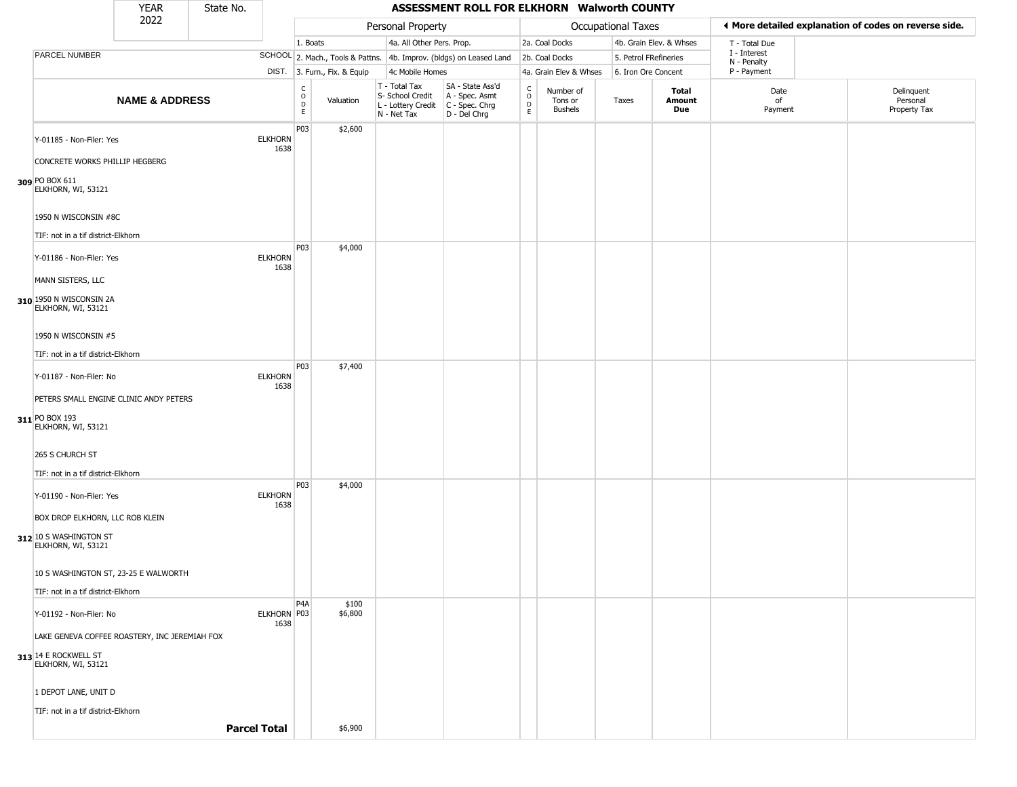|                                                                                | <b>YEAR</b>               | State No. |                        |                                             |                              |                                                                        | ASSESSMENT ROLL FOR ELKHORN Walworth COUNTY                          |                                              |                                        |                       |                         |                             |                                                       |
|--------------------------------------------------------------------------------|---------------------------|-----------|------------------------|---------------------------------------------|------------------------------|------------------------------------------------------------------------|----------------------------------------------------------------------|----------------------------------------------|----------------------------------------|-----------------------|-------------------------|-----------------------------|-------------------------------------------------------|
|                                                                                | 2022                      |           |                        |                                             |                              | Personal Property                                                      |                                                                      |                                              |                                        | Occupational Taxes    |                         |                             | ♦ More detailed explanation of codes on reverse side. |
|                                                                                |                           |           |                        | 1. Boats                                    |                              | 4a. All Other Pers. Prop.                                              |                                                                      |                                              | 2a. Coal Docks                         |                       | 4b. Grain Elev. & Whses | T - Total Due               |                                                       |
| PARCEL NUMBER                                                                  |                           |           |                        |                                             |                              |                                                                        | SCHOOL 2. Mach., Tools & Pattns. 4b. Improv. (bldgs) on Leased Land  |                                              | 2b. Coal Docks                         | 5. Petrol FRefineries |                         | I - Interest<br>N - Penalty |                                                       |
|                                                                                |                           |           |                        |                                             | DIST. 3. Furn., Fix. & Equip | 4c Mobile Homes                                                        |                                                                      |                                              | 4a. Grain Elev & Whses                 | 6. Iron Ore Concent   |                         | P - Payment                 |                                                       |
|                                                                                | <b>NAME &amp; ADDRESS</b> |           |                        | $\frac{C}{O}$<br>$\mathsf D$<br>$\mathsf E$ | Valuation                    | T - Total Tax<br>S- School Credit<br>L - Lottery Credit<br>N - Net Tax | SA - State Ass'd<br>A - Spec. Asmt<br>C - Spec. Chrg<br>D - Del Chrg | $\int_{0}^{c}$<br>$\mathsf D$<br>$\mathsf E$ | Number of<br>Tons or<br><b>Bushels</b> | Taxes                 | Total<br>Amount<br>Due  | Date<br>of<br>Payment       | Delinquent<br>Personal<br>Property Tax                |
| Y-01185 - Non-Filer: Yes<br>CONCRETE WORKS PHILLIP HEGBERG                     |                           |           | <b>ELKHORN</b><br>1638 | P03                                         | \$2,600                      |                                                                        |                                                                      |                                              |                                        |                       |                         |                             |                                                       |
| 309 PO BOX 611<br>ELKHORN, WI, 53121                                           |                           |           |                        |                                             |                              |                                                                        |                                                                      |                                              |                                        |                       |                         |                             |                                                       |
| 1950 N WISCONSIN #8C                                                           |                           |           |                        |                                             |                              |                                                                        |                                                                      |                                              |                                        |                       |                         |                             |                                                       |
| TIF: not in a tif district-Elkhorn<br>Y-01186 - Non-Filer: Yes                 |                           |           | <b>ELKHORN</b><br>1638 | P03                                         | \$4,000                      |                                                                        |                                                                      |                                              |                                        |                       |                         |                             |                                                       |
| MANN SISTERS, LLC<br>310 1950 N WISCONSIN 2A<br>ELKHORN, WI, 53121             |                           |           |                        |                                             |                              |                                                                        |                                                                      |                                              |                                        |                       |                         |                             |                                                       |
| 1950 N WISCONSIN #5                                                            |                           |           |                        |                                             |                              |                                                                        |                                                                      |                                              |                                        |                       |                         |                             |                                                       |
| TIF: not in a tif district-Elkhorn                                             |                           |           |                        | P03                                         | \$7,400                      |                                                                        |                                                                      |                                              |                                        |                       |                         |                             |                                                       |
| Y-01187 - Non-Filer: No                                                        |                           |           | <b>ELKHORN</b><br>1638 |                                             |                              |                                                                        |                                                                      |                                              |                                        |                       |                         |                             |                                                       |
| PETERS SMALL ENGINE CLINIC ANDY PETERS<br>311 PO BOX 193<br>ELKHORN, WI, 53121 |                           |           |                        |                                             |                              |                                                                        |                                                                      |                                              |                                        |                       |                         |                             |                                                       |
| 265 S CHURCH ST                                                                |                           |           |                        |                                             |                              |                                                                        |                                                                      |                                              |                                        |                       |                         |                             |                                                       |
| TIF: not in a tif district-Elkhorn                                             |                           |           |                        |                                             |                              |                                                                        |                                                                      |                                              |                                        |                       |                         |                             |                                                       |
| Y-01190 - Non-Filer: Yes<br>BOX DROP ELKHORN, LLC ROB KLEIN                    |                           |           | <b>ELKHORN</b><br>1638 | P03                                         | \$4,000                      |                                                                        |                                                                      |                                              |                                        |                       |                         |                             |                                                       |
| 312 10 S WASHINGTON ST<br>ELKHORN, WI, 53121                                   |                           |           |                        |                                             |                              |                                                                        |                                                                      |                                              |                                        |                       |                         |                             |                                                       |
| 10 S WASHINGTON ST, 23-25 E WALWORTH                                           |                           |           |                        |                                             |                              |                                                                        |                                                                      |                                              |                                        |                       |                         |                             |                                                       |
| TIF: not in a tif district-Elkhorn                                             |                           |           |                        |                                             |                              |                                                                        |                                                                      |                                              |                                        |                       |                         |                             |                                                       |
| Y-01192 - Non-Filer: No                                                        |                           |           | ELKHORN P03<br>1638    | P <sub>4</sub> A                            | \$100<br>\$6,800             |                                                                        |                                                                      |                                              |                                        |                       |                         |                             |                                                       |
| LAKE GENEVA COFFEE ROASTERY, INC JEREMIAH FOX                                  |                           |           |                        |                                             |                              |                                                                        |                                                                      |                                              |                                        |                       |                         |                             |                                                       |
| 313 14 E ROCKWELL ST<br>ELKHORN, WI, 53121                                     |                           |           |                        |                                             |                              |                                                                        |                                                                      |                                              |                                        |                       |                         |                             |                                                       |
| 1 DEPOT LANE, UNIT D                                                           |                           |           |                        |                                             |                              |                                                                        |                                                                      |                                              |                                        |                       |                         |                             |                                                       |
| TIF: not in a tif district-Elkhorn                                             |                           |           |                        |                                             |                              |                                                                        |                                                                      |                                              |                                        |                       |                         |                             |                                                       |
|                                                                                |                           |           | <b>Parcel Total</b>    |                                             | \$6,900                      |                                                                        |                                                                      |                                              |                                        |                       |                         |                             |                                                       |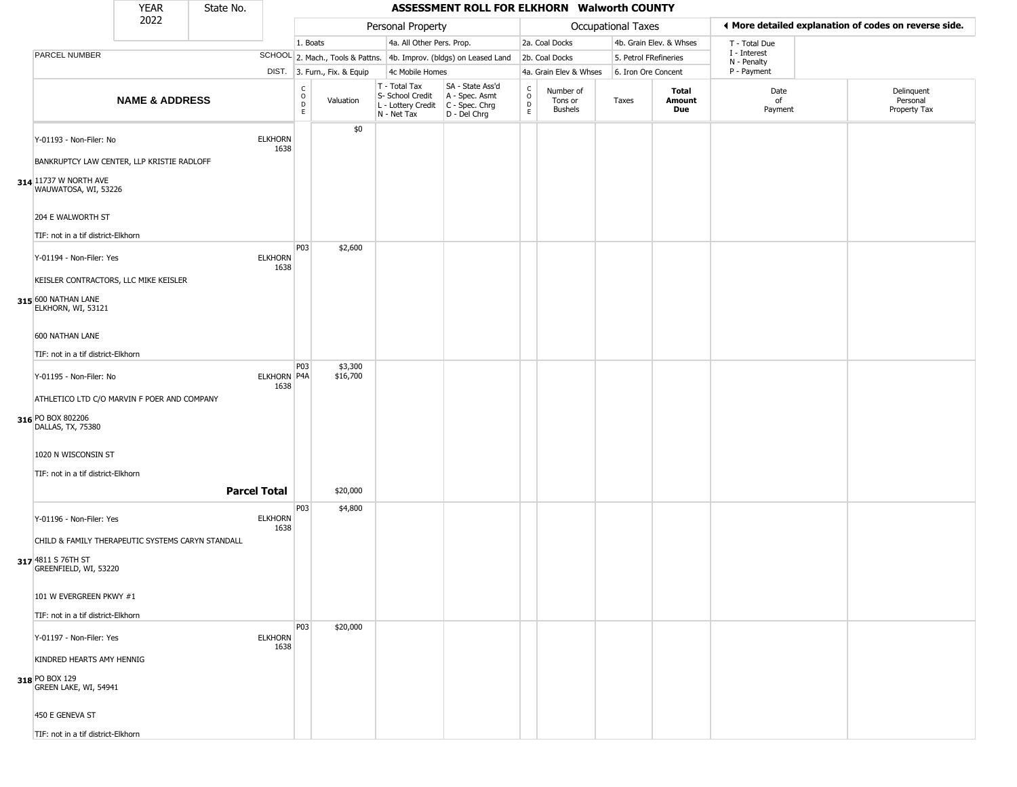|                                                                                       | <b>YEAR</b>               | State No. |                        |                                                |                              |                                                                        | ASSESSMENT ROLL FOR ELKHORN Walworth COUNTY                          |                                                 |                                 |                       |                         |                             |                                                       |
|---------------------------------------------------------------------------------------|---------------------------|-----------|------------------------|------------------------------------------------|------------------------------|------------------------------------------------------------------------|----------------------------------------------------------------------|-------------------------------------------------|---------------------------------|-----------------------|-------------------------|-----------------------------|-------------------------------------------------------|
|                                                                                       | 2022                      |           |                        |                                                |                              | Personal Property                                                      |                                                                      |                                                 |                                 | Occupational Taxes    |                         |                             | ♦ More detailed explanation of codes on reverse side. |
|                                                                                       |                           |           |                        | 1. Boats                                       |                              | 4a. All Other Pers. Prop.                                              |                                                                      |                                                 | 2a. Coal Docks                  |                       | 4b. Grain Elev. & Whses | T - Total Due               |                                                       |
| PARCEL NUMBER                                                                         |                           |           |                        |                                                |                              |                                                                        | SCHOOL 2. Mach., Tools & Pattns. 4b. Improv. (bldgs) on Leased Land  |                                                 | 2b. Coal Docks                  | 5. Petrol FRefineries |                         | I - Interest<br>N - Penalty |                                                       |
|                                                                                       |                           |           |                        |                                                | DIST. 3. Furn., Fix. & Equip | 4c Mobile Homes                                                        |                                                                      |                                                 | 4a. Grain Elev & Whses          | 6. Iron Ore Concent   |                         | P - Payment                 |                                                       |
|                                                                                       | <b>NAME &amp; ADDRESS</b> |           |                        | $\begin{matrix} 0 \\ 0 \\ D \end{matrix}$<br>E | Valuation                    | T - Total Tax<br>S- School Credit<br>L - Lottery Credit<br>N - Net Tax | SA - State Ass'd<br>A - Spec. Asmt<br>C - Spec. Chrg<br>D - Del Chrg | $\begin{array}{c} C \\ O \\ D \\ E \end{array}$ | Number of<br>Tons or<br>Bushels | Taxes                 | Total<br>Amount<br>Due  | Date<br>of<br>Payment       | Delinquent<br>Personal<br>Property Tax                |
| Y-01193 - Non-Filer: No<br>BANKRUPTCY LAW CENTER, LLP KRISTIE RADLOFF                 |                           |           | <b>ELKHORN</b><br>1638 |                                                | \$0                          |                                                                        |                                                                      |                                                 |                                 |                       |                         |                             |                                                       |
| 314 11737 W NORTH AVE<br>WAUWATOSA, WI, 53226                                         |                           |           |                        |                                                |                              |                                                                        |                                                                      |                                                 |                                 |                       |                         |                             |                                                       |
| 204 E WALWORTH ST                                                                     |                           |           |                        |                                                |                              |                                                                        |                                                                      |                                                 |                                 |                       |                         |                             |                                                       |
| TIF: not in a tif district-Elkhorn                                                    |                           |           |                        |                                                |                              |                                                                        |                                                                      |                                                 |                                 |                       |                         |                             |                                                       |
| Y-01194 - Non-Filer: Yes                                                              |                           |           | <b>ELKHORN</b><br>1638 | P03                                            | \$2,600                      |                                                                        |                                                                      |                                                 |                                 |                       |                         |                             |                                                       |
| KEISLER CONTRACTORS, LLC MIKE KEISLER                                                 |                           |           |                        |                                                |                              |                                                                        |                                                                      |                                                 |                                 |                       |                         |                             |                                                       |
| 315 600 NATHAN LANE<br>ELKHORN, WI, 53121                                             |                           |           |                        |                                                |                              |                                                                        |                                                                      |                                                 |                                 |                       |                         |                             |                                                       |
| 600 NATHAN LANE                                                                       |                           |           |                        |                                                |                              |                                                                        |                                                                      |                                                 |                                 |                       |                         |                             |                                                       |
| TIF: not in a tif district-Elkhorn                                                    |                           |           |                        |                                                |                              |                                                                        |                                                                      |                                                 |                                 |                       |                         |                             |                                                       |
| Y-01195 - Non-Filer: No                                                               |                           |           | ELKHORN P4A<br>1638    | P <sub>03</sub>                                | \$3,300<br>\$16,700          |                                                                        |                                                                      |                                                 |                                 |                       |                         |                             |                                                       |
| ATHLETICO LTD C/O MARVIN F POER AND COMPANY<br>316 PO BOX 802206<br>DALLAS, TX, 75380 |                           |           |                        |                                                |                              |                                                                        |                                                                      |                                                 |                                 |                       |                         |                             |                                                       |
| 1020 N WISCONSIN ST                                                                   |                           |           |                        |                                                |                              |                                                                        |                                                                      |                                                 |                                 |                       |                         |                             |                                                       |
| TIF: not in a tif district-Elkhorn                                                    |                           |           |                        |                                                |                              |                                                                        |                                                                      |                                                 |                                 |                       |                         |                             |                                                       |
|                                                                                       |                           |           | <b>Parcel Total</b>    |                                                | \$20,000                     |                                                                        |                                                                      |                                                 |                                 |                       |                         |                             |                                                       |
| Y-01196 - Non-Filer: Yes                                                              |                           |           | <b>ELKHORN</b><br>1638 | P03                                            | \$4,800                      |                                                                        |                                                                      |                                                 |                                 |                       |                         |                             |                                                       |
| CHILD & FAMILY THERAPEUTIC SYSTEMS CARYN STANDALL                                     |                           |           |                        |                                                |                              |                                                                        |                                                                      |                                                 |                                 |                       |                         |                             |                                                       |
| 317 4811 S 76TH ST<br>GREENFIELD, WI, 53220                                           |                           |           |                        |                                                |                              |                                                                        |                                                                      |                                                 |                                 |                       |                         |                             |                                                       |
| 101 W EVERGREEN PKWY #1                                                               |                           |           |                        |                                                |                              |                                                                        |                                                                      |                                                 |                                 |                       |                         |                             |                                                       |
| TIF: not in a tif district-Elkhorn                                                    |                           |           |                        |                                                |                              |                                                                        |                                                                      |                                                 |                                 |                       |                         |                             |                                                       |
| Y-01197 - Non-Filer: Yes                                                              |                           |           | <b>ELKHORN</b><br>1638 | P03                                            | \$20,000                     |                                                                        |                                                                      |                                                 |                                 |                       |                         |                             |                                                       |
| KINDRED HEARTS AMY HENNIG                                                             |                           |           |                        |                                                |                              |                                                                        |                                                                      |                                                 |                                 |                       |                         |                             |                                                       |
| 318 PO BOX 129<br>GREEN LAKE, WI, 54941                                               |                           |           |                        |                                                |                              |                                                                        |                                                                      |                                                 |                                 |                       |                         |                             |                                                       |
| 450 E GENEVA ST                                                                       |                           |           |                        |                                                |                              |                                                                        |                                                                      |                                                 |                                 |                       |                         |                             |                                                       |
| TIF: not in a tif district-Elkhorn                                                    |                           |           |                        |                                                |                              |                                                                        |                                                                      |                                                 |                                 |                       |                         |                             |                                                       |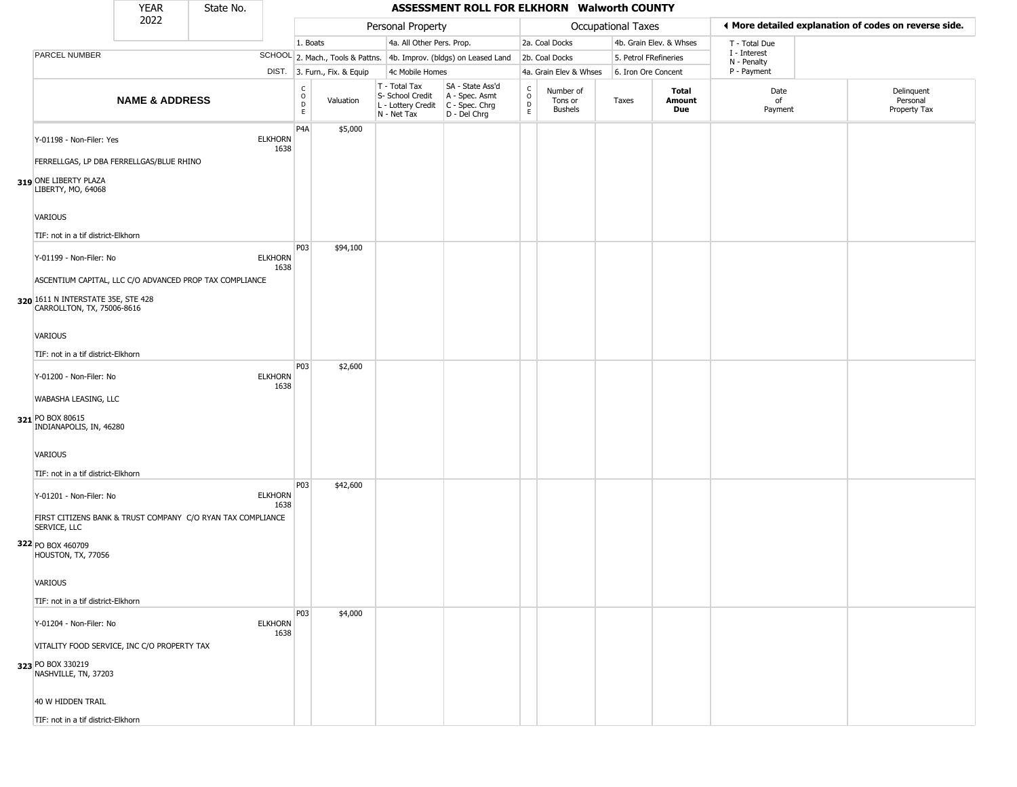|                                                                                                                          | <b>YEAR</b>               | State No. |                        |                                   |                              |                                                                        | ASSESSMENT ROLL FOR ELKHORN Walworth COUNTY                          |                                     |                                        |                       |                         |                             |                                                       |
|--------------------------------------------------------------------------------------------------------------------------|---------------------------|-----------|------------------------|-----------------------------------|------------------------------|------------------------------------------------------------------------|----------------------------------------------------------------------|-------------------------------------|----------------------------------------|-----------------------|-------------------------|-----------------------------|-------------------------------------------------------|
|                                                                                                                          | 2022                      |           |                        |                                   |                              | Personal Property                                                      |                                                                      |                                     |                                        | Occupational Taxes    |                         |                             | ◀ More detailed explanation of codes on reverse side. |
|                                                                                                                          |                           |           |                        | 1. Boats                          |                              | 4a. All Other Pers. Prop.                                              |                                                                      |                                     | 2a. Coal Docks                         |                       | 4b. Grain Elev. & Whses | T - Total Due               |                                                       |
| PARCEL NUMBER                                                                                                            |                           |           |                        |                                   |                              |                                                                        | SCHOOL 2. Mach., Tools & Pattns. 4b. Improv. (bldgs) on Leased Land  |                                     | 2b. Coal Docks                         | 5. Petrol FRefineries |                         | I - Interest<br>N - Penalty |                                                       |
|                                                                                                                          |                           |           |                        |                                   | DIST. 3. Furn., Fix. & Equip | 4c Mobile Homes                                                        |                                                                      |                                     | 4a. Grain Elev & Whses                 | 6. Iron Ore Concent   |                         | P - Payment                 |                                                       |
|                                                                                                                          | <b>NAME &amp; ADDRESS</b> |           |                        | $\frac{c}{0}$<br>$\mathsf D$<br>E | Valuation                    | T - Total Tax<br>S- School Credit<br>L - Lottery Credit<br>N - Net Tax | SA - State Ass'd<br>A - Spec. Asmt<br>C - Spec. Chrg<br>D - Del Chrg | $\frac{c}{0}$<br>$_{\rm E}^{\rm D}$ | Number of<br>Tons or<br><b>Bushels</b> | Taxes                 | Total<br>Amount<br>Due  | Date<br>of<br>Payment       | Delinquent<br>Personal<br>Property Tax                |
| Y-01198 - Non-Filer: Yes<br>FERRELLGAS, LP DBA FERRELLGAS/BLUE RHINO<br>319 ONE LIBERTY PLAZA                            |                           |           | <b>ELKHORN</b><br>1638 | P <sub>4</sub> A                  | \$5,000                      |                                                                        |                                                                      |                                     |                                        |                       |                         |                             |                                                       |
| LIBERTY, MO, 64068<br>VARIOUS<br>TIF: not in a tif district-Elkhorn                                                      |                           |           |                        |                                   |                              |                                                                        |                                                                      |                                     |                                        |                       |                         |                             |                                                       |
| Y-01199 - Non-Filer: No<br>ASCENTIUM CAPITAL, LLC C/O ADVANCED PROP TAX COMPLIANCE                                       |                           |           | <b>ELKHORN</b><br>1638 | P03                               | \$94,100                     |                                                                        |                                                                      |                                     |                                        |                       |                         |                             |                                                       |
| 320 1611 N INTERSTATE 35E, STE 428<br>CARROLLTON, TX, 75006-8616<br><b>VARIOUS</b><br>TIF: not in a tif district-Elkhorn |                           |           |                        |                                   |                              |                                                                        |                                                                      |                                     |                                        |                       |                         |                             |                                                       |
| Y-01200 - Non-Filer: No<br>WABASHA LEASING, LLC                                                                          |                           |           | <b>ELKHORN</b><br>1638 | P <sub>0</sub> 3                  | \$2,600                      |                                                                        |                                                                      |                                     |                                        |                       |                         |                             |                                                       |
| 321 PO BOX 80615<br>INDIANAPOLIS, IN, 46280<br>VARIOUS<br>TIF: not in a tif district-Elkhorn                             |                           |           |                        |                                   |                              |                                                                        |                                                                      |                                     |                                        |                       |                         |                             |                                                       |
| Y-01201 - Non-Filer: No<br>FIRST CITIZENS BANK & TRUST COMPANY C/O RYAN TAX COMPLIANCE<br>SERVICE, LLC                   |                           |           | <b>ELKHORN</b><br>1638 | P <sub>0</sub> 3                  | \$42,600                     |                                                                        |                                                                      |                                     |                                        |                       |                         |                             |                                                       |
| 322 PO BOX 460709<br>HOUSTON, TX, 77056<br>VARIOUS                                                                       |                           |           |                        |                                   |                              |                                                                        |                                                                      |                                     |                                        |                       |                         |                             |                                                       |
|                                                                                                                          |                           |           |                        |                                   |                              |                                                                        |                                                                      |                                     |                                        |                       |                         |                             |                                                       |
| TIF: not in a tif district-Elkhorn<br>Y-01204 - Non-Filer: No                                                            |                           |           | <b>ELKHORN</b><br>1638 | P03                               | \$4,000                      |                                                                        |                                                                      |                                     |                                        |                       |                         |                             |                                                       |
| VITALITY FOOD SERVICE, INC C/O PROPERTY TAX<br>323 PO BOX 330219<br>NASHVILLE, TN, 37203                                 |                           |           |                        |                                   |                              |                                                                        |                                                                      |                                     |                                        |                       |                         |                             |                                                       |
| 40 W HIDDEN TRAIL                                                                                                        |                           |           |                        |                                   |                              |                                                                        |                                                                      |                                     |                                        |                       |                         |                             |                                                       |
| TIF: not in a tif district-Elkhorn                                                                                       |                           |           |                        |                                   |                              |                                                                        |                                                                      |                                     |                                        |                       |                         |                             |                                                       |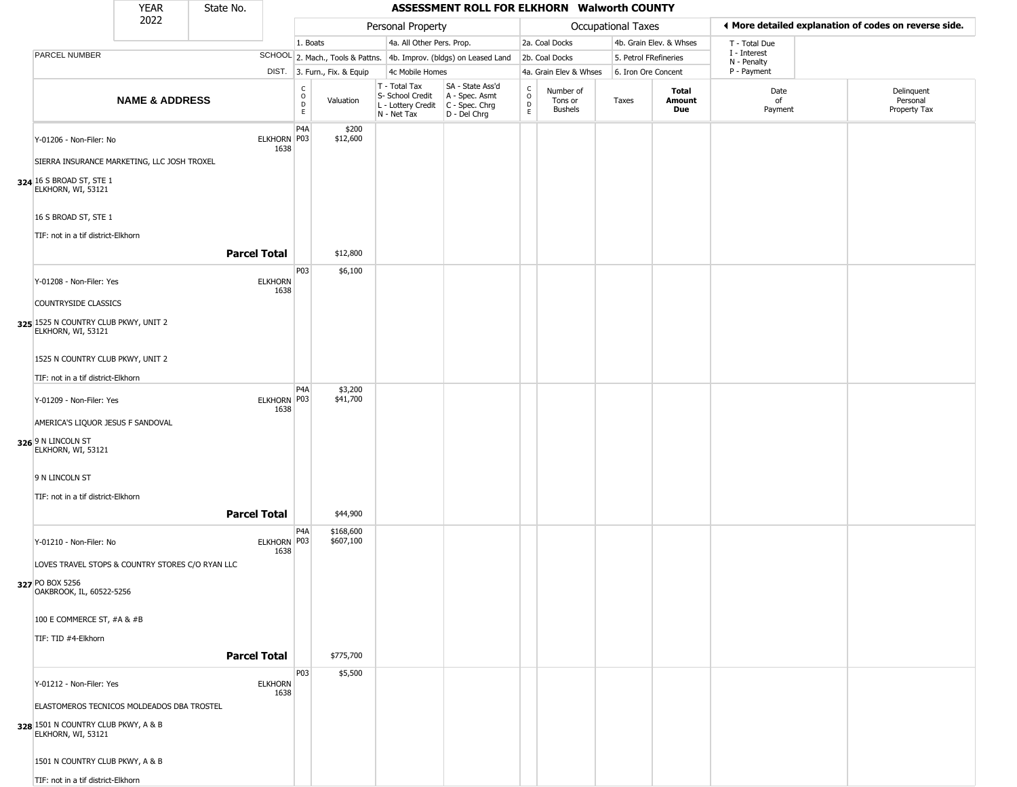|                                                            | YEAR                      | State No.           |                        |                        |                              |                                                                        | ASSESSMENT ROLL FOR ELKHORN Walworth COUNTY                          |                                   |                                        |                       |                               |                             |                                                       |
|------------------------------------------------------------|---------------------------|---------------------|------------------------|------------------------|------------------------------|------------------------------------------------------------------------|----------------------------------------------------------------------|-----------------------------------|----------------------------------------|-----------------------|-------------------------------|-----------------------------|-------------------------------------------------------|
|                                                            | 2022                      |                     |                        |                        |                              | Personal Property                                                      |                                                                      |                                   |                                        | Occupational Taxes    |                               |                             | ♦ More detailed explanation of codes on reverse side. |
|                                                            |                           |                     |                        | 1. Boats               |                              | 4a. All Other Pers. Prop.                                              |                                                                      |                                   | 2a. Coal Docks                         |                       | 4b. Grain Elev. & Whses       | T - Total Due               |                                                       |
| PARCEL NUMBER                                              |                           |                     |                        |                        |                              |                                                                        | SCHOOL 2. Mach., Tools & Pattns. 4b. Improv. (bldgs) on Leased Land  |                                   | 2b. Coal Docks                         | 5. Petrol FRefineries |                               | I - Interest<br>N - Penalty |                                                       |
|                                                            |                           |                     |                        |                        | DIST. 3. Furn., Fix. & Equip | 4c Mobile Homes                                                        |                                                                      |                                   | 4a. Grain Elev & Whses                 | 6. Iron Ore Concent   |                               | P - Payment                 |                                                       |
|                                                            | <b>NAME &amp; ADDRESS</b> |                     |                        | C<br>$\circ$<br>D<br>E | Valuation                    | T - Total Tax<br>S- School Credit<br>L - Lottery Credit<br>N - Net Tax | SA - State Ass'd<br>A - Spec. Asmt<br>C - Spec. Chrg<br>D - Del Chrg | $\mathsf{C}$<br>$\circ$<br>D<br>E | Number of<br>Tons or<br><b>Bushels</b> | Taxes                 | <b>Total</b><br>Amount<br>Due | Date<br>of<br>Payment       | Delinquent<br>Personal<br>Property Tax                |
| Y-01206 - Non-Filer: No                                    |                           |                     | ELKHORN P03<br>1638    | P4A                    | \$200<br>\$12,600            |                                                                        |                                                                      |                                   |                                        |                       |                               |                             |                                                       |
| SIERRA INSURANCE MARKETING, LLC JOSH TROXEL                |                           |                     |                        |                        |                              |                                                                        |                                                                      |                                   |                                        |                       |                               |                             |                                                       |
| 324 16 S BROAD ST, STE 1<br>ELKHORN, WI, 53121             |                           |                     |                        |                        |                              |                                                                        |                                                                      |                                   |                                        |                       |                               |                             |                                                       |
| 16 S BROAD ST, STE 1<br>TIF: not in a tif district-Elkhorn |                           |                     |                        |                        |                              |                                                                        |                                                                      |                                   |                                        |                       |                               |                             |                                                       |
|                                                            |                           | <b>Parcel Total</b> |                        |                        | \$12,800                     |                                                                        |                                                                      |                                   |                                        |                       |                               |                             |                                                       |
|                                                            |                           |                     |                        | P03                    | \$6,100                      |                                                                        |                                                                      |                                   |                                        |                       |                               |                             |                                                       |
| Y-01208 - Non-Filer: Yes                                   |                           |                     | <b>ELKHORN</b><br>1638 |                        |                              |                                                                        |                                                                      |                                   |                                        |                       |                               |                             |                                                       |
| COUNTRYSIDE CLASSICS                                       |                           |                     |                        |                        |                              |                                                                        |                                                                      |                                   |                                        |                       |                               |                             |                                                       |
| 325 1525 N COUNTRY CLUB PKWY, UNIT 2<br>ELKHORN, WI, 53121 |                           |                     |                        |                        |                              |                                                                        |                                                                      |                                   |                                        |                       |                               |                             |                                                       |
| 1525 N COUNTRY CLUB PKWY, UNIT 2                           |                           |                     |                        |                        |                              |                                                                        |                                                                      |                                   |                                        |                       |                               |                             |                                                       |
| TIF: not in a tif district-Elkhorn                         |                           |                     |                        |                        |                              |                                                                        |                                                                      |                                   |                                        |                       |                               |                             |                                                       |
| Y-01209 - Non-Filer: Yes                                   |                           |                     | ELKHORN P03            | P4A                    | \$3,200<br>\$41,700          |                                                                        |                                                                      |                                   |                                        |                       |                               |                             |                                                       |
|                                                            |                           |                     | 1638                   |                        |                              |                                                                        |                                                                      |                                   |                                        |                       |                               |                             |                                                       |
| AMERICA'S LIQUOR JESUS F SANDOVAL                          |                           |                     |                        |                        |                              |                                                                        |                                                                      |                                   |                                        |                       |                               |                             |                                                       |
| 326 9 N LINCOLN ST<br>ELKHORN, WI, 53121                   |                           |                     |                        |                        |                              |                                                                        |                                                                      |                                   |                                        |                       |                               |                             |                                                       |
| 9 N LINCOLN ST                                             |                           |                     |                        |                        |                              |                                                                        |                                                                      |                                   |                                        |                       |                               |                             |                                                       |
| TIF: not in a tif district-Elkhorn                         |                           |                     |                        |                        |                              |                                                                        |                                                                      |                                   |                                        |                       |                               |                             |                                                       |
|                                                            |                           | <b>Parcel Total</b> |                        |                        | \$44,900                     |                                                                        |                                                                      |                                   |                                        |                       |                               |                             |                                                       |
| Y-01210 - Non-Filer: No                                    |                           |                     | ELKHORN P03<br>1638    | P4A                    | \$168,600<br>\$607,100       |                                                                        |                                                                      |                                   |                                        |                       |                               |                             |                                                       |
| LOVES TRAVEL STOPS & COUNTRY STORES C/O RYAN LLC           |                           |                     |                        |                        |                              |                                                                        |                                                                      |                                   |                                        |                       |                               |                             |                                                       |
| 327 PO BOX 5256<br>OAKBROOK, IL, 60522-5256                |                           |                     |                        |                        |                              |                                                                        |                                                                      |                                   |                                        |                       |                               |                             |                                                       |
| 100 E COMMERCE ST, #A & #B                                 |                           |                     |                        |                        |                              |                                                                        |                                                                      |                                   |                                        |                       |                               |                             |                                                       |
| TIF: TID #4-Elkhorn                                        |                           |                     |                        |                        |                              |                                                                        |                                                                      |                                   |                                        |                       |                               |                             |                                                       |
|                                                            |                           | <b>Parcel Total</b> |                        |                        | \$775,700                    |                                                                        |                                                                      |                                   |                                        |                       |                               |                             |                                                       |
| Y-01212 - Non-Filer: Yes                                   |                           |                     | <b>ELKHORN</b><br>1638 | P03                    | \$5,500                      |                                                                        |                                                                      |                                   |                                        |                       |                               |                             |                                                       |
| ELASTOMEROS TECNICOS MOLDEADOS DBA TROSTEL                 |                           |                     |                        |                        |                              |                                                                        |                                                                      |                                   |                                        |                       |                               |                             |                                                       |
| 328 1501 N COUNTRY CLUB PKWY, A & B<br>ELKHORN, WI, 53121  |                           |                     |                        |                        |                              |                                                                        |                                                                      |                                   |                                        |                       |                               |                             |                                                       |
| 1501 N COUNTRY CLUB PKWY, A & B                            |                           |                     |                        |                        |                              |                                                                        |                                                                      |                                   |                                        |                       |                               |                             |                                                       |
| TIF: not in a tif district-Elkhorn                         |                           |                     |                        |                        |                              |                                                                        |                                                                      |                                   |                                        |                       |                               |                             |                                                       |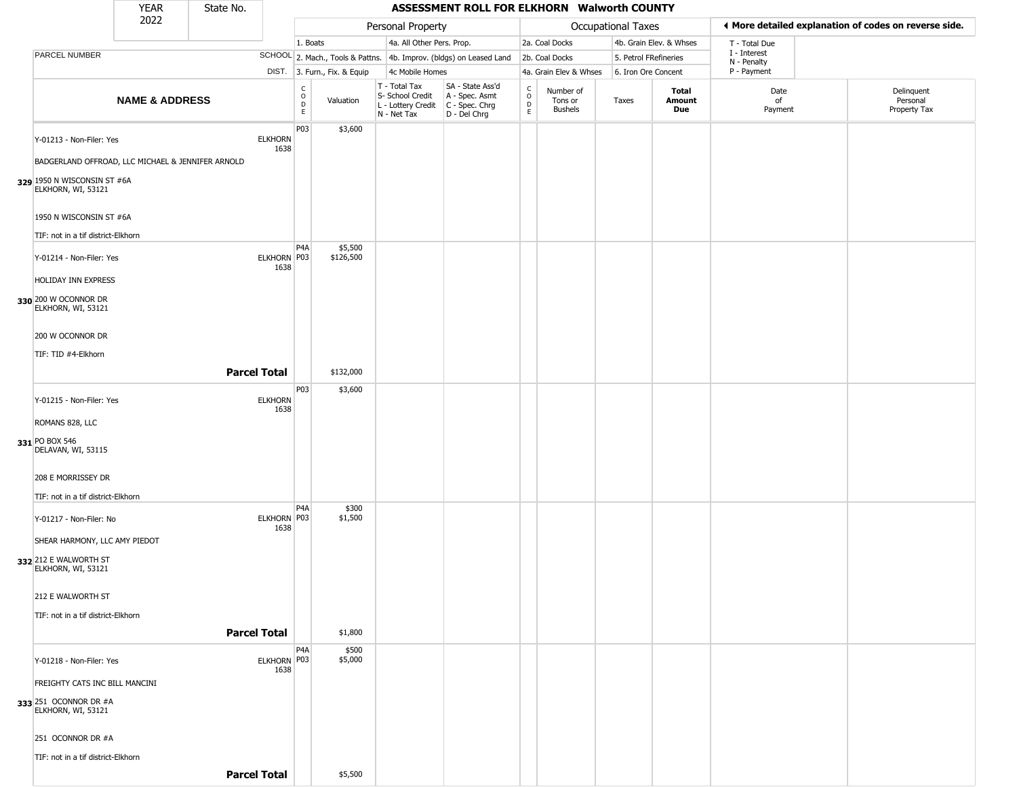|                                                                               | <b>YEAR</b>               | State No.           |                        |                                                          |                              |                                                                                       | ASSESSMENT ROLL FOR ELKHORN Walworth COUNTY                         |                                                          |                                        |                           |                         |                             |                                                       |
|-------------------------------------------------------------------------------|---------------------------|---------------------|------------------------|----------------------------------------------------------|------------------------------|---------------------------------------------------------------------------------------|---------------------------------------------------------------------|----------------------------------------------------------|----------------------------------------|---------------------------|-------------------------|-----------------------------|-------------------------------------------------------|
|                                                                               | 2022                      |                     |                        |                                                          |                              | Personal Property                                                                     |                                                                     |                                                          |                                        | <b>Occupational Taxes</b> |                         |                             | ♦ More detailed explanation of codes on reverse side. |
|                                                                               |                           |                     |                        | 1. Boats                                                 |                              | 4a. All Other Pers. Prop.                                                             |                                                                     |                                                          | 2a. Coal Docks                         |                           | 4b. Grain Elev. & Whses | T - Total Due               |                                                       |
| PARCEL NUMBER                                                                 |                           |                     |                        |                                                          |                              |                                                                                       | SCHOOL 2. Mach., Tools & Pattns. 4b. Improv. (bldgs) on Leased Land |                                                          | 2b. Coal Docks                         | 5. Petrol FRefineries     |                         | I - Interest<br>N - Penalty |                                                       |
|                                                                               |                           |                     |                        |                                                          | DIST. 3. Furn., Fix. & Equip | 4c Mobile Homes                                                                       |                                                                     |                                                          | 4a. Grain Elev & Whses                 | 6. Iron Ore Concent       |                         | P - Payment                 |                                                       |
|                                                                               | <b>NAME &amp; ADDRESS</b> |                     |                        | $\begin{matrix} 0 \\ 0 \\ D \end{matrix}$<br>$\mathsf E$ | Valuation                    | T - Total Tax<br>S- School Credit<br>L - Lottery Credit C - Spec. Chrg<br>N - Net Tax | SA - State Ass'd<br>A - Spec. Asmt<br>D - Del Chrg                  | $\begin{matrix} 0 \\ 0 \\ D \end{matrix}$<br>$\mathsf E$ | Number of<br>Tons or<br><b>Bushels</b> | Taxes                     | Total<br>Amount<br>Due  | Date<br>of<br>Payment       | Delinquent<br>Personal<br>Property Tax                |
| Y-01213 - Non-Filer: Yes<br>BADGERLAND OFFROAD, LLC MICHAEL & JENNIFER ARNOLD |                           |                     | <b>ELKHORN</b><br>1638 | P03                                                      | \$3,600                      |                                                                                       |                                                                     |                                                          |                                        |                           |                         |                             |                                                       |
| 329 1950 N WISCONSIN ST #6A<br>ELKHORN, WI, 53121                             |                           |                     |                        |                                                          |                              |                                                                                       |                                                                     |                                                          |                                        |                           |                         |                             |                                                       |
| 1950 N WISCONSIN ST #6A<br>TIF: not in a tif district-Elkhorn                 |                           |                     |                        |                                                          |                              |                                                                                       |                                                                     |                                                          |                                        |                           |                         |                             |                                                       |
| Y-01214 - Non-Filer: Yes<br>HOLIDAY INN EXPRESS                               |                           |                     | <b>ELKHORN</b><br>1638 | P <sub>4</sub> A<br>P03                                  | \$5,500<br>\$126,500         |                                                                                       |                                                                     |                                                          |                                        |                           |                         |                             |                                                       |
| 330 200 W OCONNOR DR<br>ELKHORN, WI, 53121                                    |                           |                     |                        |                                                          |                              |                                                                                       |                                                                     |                                                          |                                        |                           |                         |                             |                                                       |
| 200 W OCONNOR DR<br>TIF: TID #4-Elkhorn                                       |                           |                     |                        |                                                          |                              |                                                                                       |                                                                     |                                                          |                                        |                           |                         |                             |                                                       |
|                                                                               |                           | <b>Parcel Total</b> |                        |                                                          | \$132,000                    |                                                                                       |                                                                     |                                                          |                                        |                           |                         |                             |                                                       |
| Y-01215 - Non-Filer: Yes                                                      |                           |                     | <b>ELKHORN</b><br>1638 | P03                                                      | \$3,600                      |                                                                                       |                                                                     |                                                          |                                        |                           |                         |                             |                                                       |
| ROMANS 828, LLC                                                               |                           |                     |                        |                                                          |                              |                                                                                       |                                                                     |                                                          |                                        |                           |                         |                             |                                                       |
| 331 PO BOX 546<br>DELAVAN, WI, 53115                                          |                           |                     |                        |                                                          |                              |                                                                                       |                                                                     |                                                          |                                        |                           |                         |                             |                                                       |
| 208 E MORRISSEY DR                                                            |                           |                     |                        |                                                          |                              |                                                                                       |                                                                     |                                                          |                                        |                           |                         |                             |                                                       |
| TIF: not in a tif district-Elkhorn                                            |                           |                     |                        |                                                          |                              |                                                                                       |                                                                     |                                                          |                                        |                           |                         |                             |                                                       |
| Y-01217 - Non-Filer: No                                                       |                           |                     | ELKHORN P03<br>1638    | P <sub>4</sub> A                                         | \$300<br>\$1,500             |                                                                                       |                                                                     |                                                          |                                        |                           |                         |                             |                                                       |
| SHEAR HARMONY, LLC AMY PIEDOT<br>332 212 E WALWORTH ST<br>ELKHORN, WI, 53121  |                           |                     |                        |                                                          |                              |                                                                                       |                                                                     |                                                          |                                        |                           |                         |                             |                                                       |
| 212 E WALWORTH ST                                                             |                           |                     |                        |                                                          |                              |                                                                                       |                                                                     |                                                          |                                        |                           |                         |                             |                                                       |
| TIF: not in a tif district-Elkhorn                                            |                           |                     |                        |                                                          |                              |                                                                                       |                                                                     |                                                          |                                        |                           |                         |                             |                                                       |
|                                                                               |                           | <b>Parcel Total</b> |                        |                                                          | \$1,800                      |                                                                                       |                                                                     |                                                          |                                        |                           |                         |                             |                                                       |
| Y-01218 - Non-Filer: Yes                                                      |                           |                     | ELKHORN P03<br>1638    | P <sub>4</sub> A                                         | \$500<br>\$5,000             |                                                                                       |                                                                     |                                                          |                                        |                           |                         |                             |                                                       |
| FREIGHTY CATS INC BILL MANCINI                                                |                           |                     |                        |                                                          |                              |                                                                                       |                                                                     |                                                          |                                        |                           |                         |                             |                                                       |
| 333 251 OCONNOR DR #A<br>ELKHORN, WI, 53121                                   |                           |                     |                        |                                                          |                              |                                                                                       |                                                                     |                                                          |                                        |                           |                         |                             |                                                       |
| 251 OCONNOR DR #A                                                             |                           |                     |                        |                                                          |                              |                                                                                       |                                                                     |                                                          |                                        |                           |                         |                             |                                                       |
| TIF: not in a tif district-Elkhorn                                            |                           |                     |                        |                                                          |                              |                                                                                       |                                                                     |                                                          |                                        |                           |                         |                             |                                                       |
|                                                                               |                           | <b>Parcel Total</b> |                        |                                                          | \$5,500                      |                                                                                       |                                                                     |                                                          |                                        |                           |                         |                             |                                                       |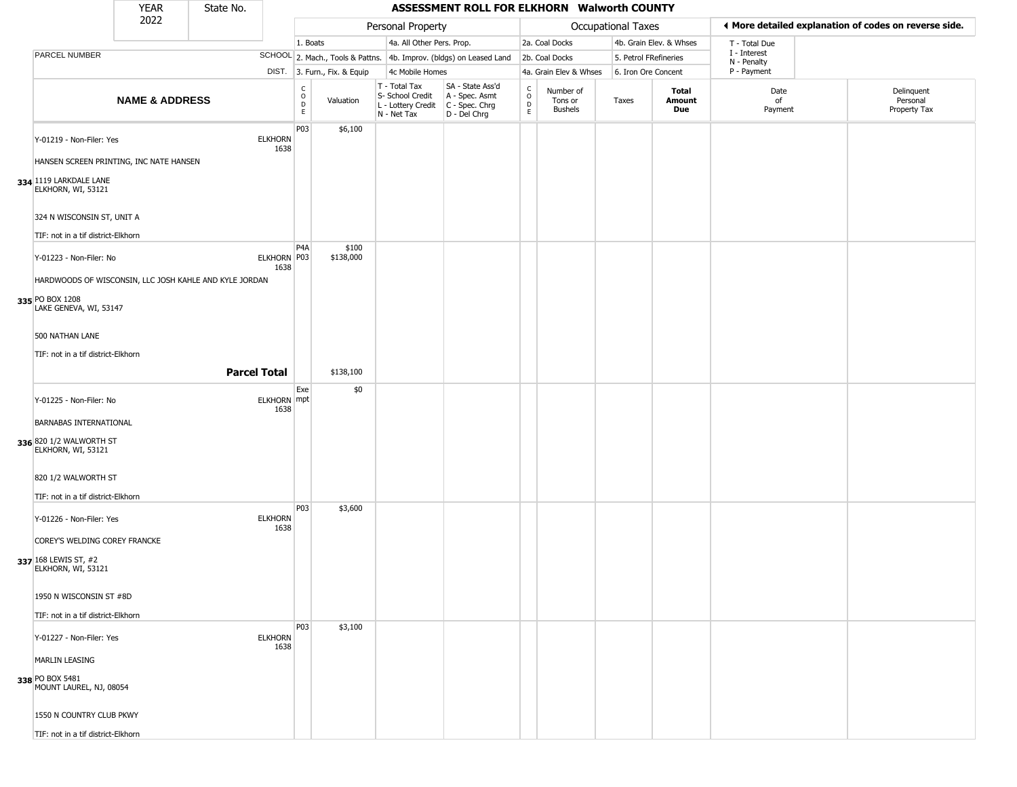|                                                                                                                     | <b>YEAR</b>               | State No.           |                        |                                    |                              |                                                                        | ASSESSMENT ROLL FOR ELKHORN Walworth COUNTY                          |                      |                                        |                       |                         |                             |                                                       |
|---------------------------------------------------------------------------------------------------------------------|---------------------------|---------------------|------------------------|------------------------------------|------------------------------|------------------------------------------------------------------------|----------------------------------------------------------------------|----------------------|----------------------------------------|-----------------------|-------------------------|-----------------------------|-------------------------------------------------------|
|                                                                                                                     | 2022                      |                     |                        |                                    |                              | Personal Property                                                      |                                                                      |                      |                                        | Occupational Taxes    |                         |                             | ◀ More detailed explanation of codes on reverse side. |
|                                                                                                                     |                           |                     |                        | 1. Boats                           |                              | 4a. All Other Pers. Prop.                                              |                                                                      |                      | 2a. Coal Docks                         |                       | 4b. Grain Elev. & Whses | T - Total Due               |                                                       |
| <b>PARCEL NUMBER</b>                                                                                                |                           |                     |                        |                                    |                              |                                                                        | SCHOOL 2. Mach., Tools & Pattns. 4b. Improv. (bldgs) on Leased Land  |                      | 2b. Coal Docks                         | 5. Petrol FRefineries |                         | I - Interest<br>N - Penalty |                                                       |
|                                                                                                                     |                           |                     |                        |                                    | DIST. 3. Furn., Fix. & Equip | 4c Mobile Homes                                                        |                                                                      |                      | 4a. Grain Elev & Whses                 | 6. Iron Ore Concent   |                         | P - Payment                 |                                                       |
|                                                                                                                     | <b>NAME &amp; ADDRESS</b> |                     |                        | $\frac{c}{0}$<br>$\mathsf{D}$<br>E | Valuation                    | T - Total Tax<br>S- School Credit<br>L - Lottery Credit<br>N - Net Tax | SA - State Ass'd<br>A - Spec. Asmt<br>C - Spec. Chrg<br>D - Del Chrg | $\rm ^c_o$<br>D<br>E | Number of<br>Tons or<br><b>Bushels</b> | Taxes                 | Total<br>Amount<br>Due  | Date<br>of<br>Payment       | Delinquent<br>Personal<br>Property Tax                |
| Y-01219 - Non-Filer: Yes<br>HANSEN SCREEN PRINTING, INC NATE HANSEN<br>334 1119 LARKDALE LANE<br>ELKHORN, WI, 53121 |                           |                     | <b>ELKHORN</b><br>1638 | P03                                | \$6,100                      |                                                                        |                                                                      |                      |                                        |                       |                         |                             |                                                       |
| 324 N WISCONSIN ST, UNIT A                                                                                          |                           |                     |                        |                                    |                              |                                                                        |                                                                      |                      |                                        |                       |                         |                             |                                                       |
| TIF: not in a tif district-Elkhorn                                                                                  |                           |                     |                        |                                    |                              |                                                                        |                                                                      |                      |                                        |                       |                         |                             |                                                       |
| Y-01223 - Non-Filer: No<br>HARDWOODS OF WISCONSIN, LLC JOSH KAHLE AND KYLE JORDAN<br>335 PO BOX 1208                |                           |                     | ELKHORN P03<br>1638    | P <sub>4</sub> A                   | \$100<br>\$138,000           |                                                                        |                                                                      |                      |                                        |                       |                         |                             |                                                       |
| LAKE GENEVA, WI, 53147<br>500 NATHAN LANE<br>TIF: not in a tif district-Elkhorn                                     |                           | <b>Parcel Total</b> |                        |                                    | \$138,100                    |                                                                        |                                                                      |                      |                                        |                       |                         |                             |                                                       |
|                                                                                                                     |                           |                     |                        | Exe                                | \$0                          |                                                                        |                                                                      |                      |                                        |                       |                         |                             |                                                       |
| Y-01225 - Non-Filer: No<br><b>BARNABAS INTERNATIONAL</b>                                                            |                           |                     | ELKHORN mpt<br>1638    |                                    |                              |                                                                        |                                                                      |                      |                                        |                       |                         |                             |                                                       |
| 336 820 1/2 WALWORTH ST<br>ELKHORN, WI, 53121                                                                       |                           |                     |                        |                                    |                              |                                                                        |                                                                      |                      |                                        |                       |                         |                             |                                                       |
| 820 1/2 WALWORTH ST                                                                                                 |                           |                     |                        |                                    |                              |                                                                        |                                                                      |                      |                                        |                       |                         |                             |                                                       |
| TIF: not in a tif district-Elkhorn                                                                                  |                           |                     |                        |                                    |                              |                                                                        |                                                                      |                      |                                        |                       |                         |                             |                                                       |
| Y-01226 - Non-Filer: Yes<br>COREY'S WELDING COREY FRANCKE<br>337 168 LEWIS ST, #2<br>ELKHORN, WI, 53121             |                           |                     | <b>ELKHORN</b><br>1638 | P03                                | \$3,600                      |                                                                        |                                                                      |                      |                                        |                       |                         |                             |                                                       |
| 1950 N WISCONSIN ST #8D<br>TIF: not in a tif district-Elkhorn                                                       |                           |                     |                        |                                    |                              |                                                                        |                                                                      |                      |                                        |                       |                         |                             |                                                       |
|                                                                                                                     |                           |                     |                        | P03                                | \$3,100                      |                                                                        |                                                                      |                      |                                        |                       |                         |                             |                                                       |
| Y-01227 - Non-Filer: Yes                                                                                            |                           |                     | <b>ELKHORN</b><br>1638 |                                    |                              |                                                                        |                                                                      |                      |                                        |                       |                         |                             |                                                       |
| <b>MARLIN LEASING</b>                                                                                               |                           |                     |                        |                                    |                              |                                                                        |                                                                      |                      |                                        |                       |                         |                             |                                                       |
| 338 PO BOX 5481<br>MOUNT LAUREL, NJ, 08054                                                                          |                           |                     |                        |                                    |                              |                                                                        |                                                                      |                      |                                        |                       |                         |                             |                                                       |
| 1550 N COUNTRY CLUB PKWY                                                                                            |                           |                     |                        |                                    |                              |                                                                        |                                                                      |                      |                                        |                       |                         |                             |                                                       |
| TIF: not in a tif district-Elkhorn                                                                                  |                           |                     |                        |                                    |                              |                                                                        |                                                                      |                      |                                        |                       |                         |                             |                                                       |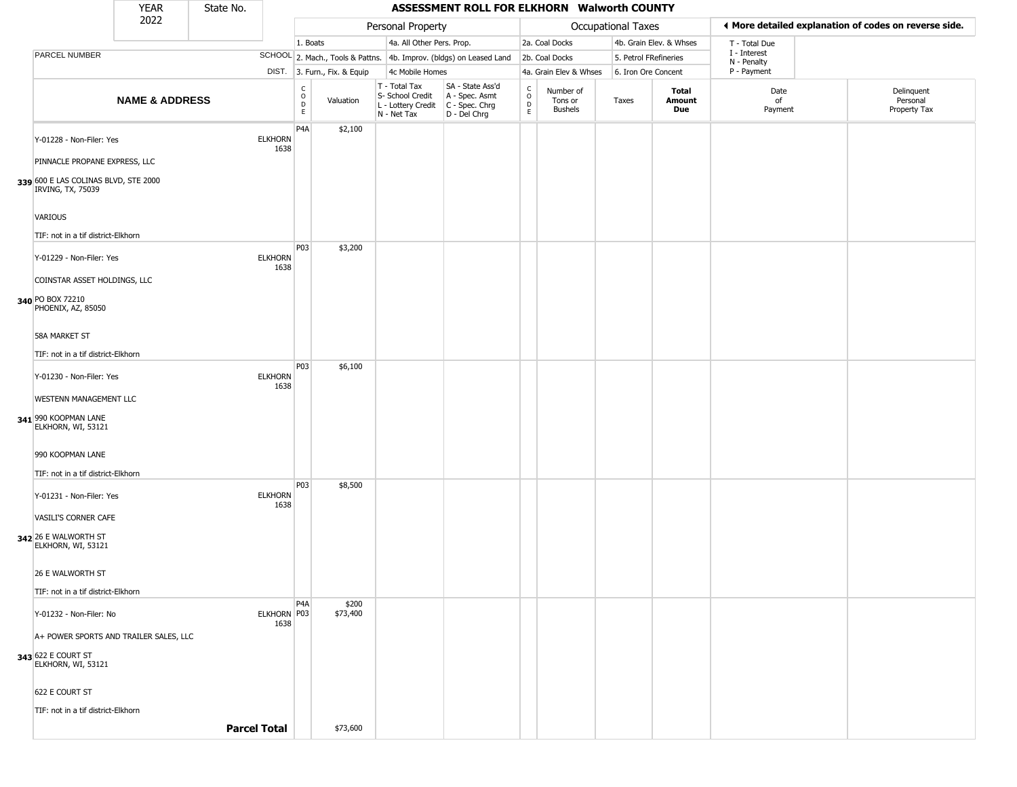|                                                                                            | <b>YEAR</b>               | State No.           |                        |                                                          |                              |                                                                        | ASSESSMENT ROLL FOR ELKHORN Walworth COUNTY                          |                                 |                                        |                       |                         |                             |                                                       |
|--------------------------------------------------------------------------------------------|---------------------------|---------------------|------------------------|----------------------------------------------------------|------------------------------|------------------------------------------------------------------------|----------------------------------------------------------------------|---------------------------------|----------------------------------------|-----------------------|-------------------------|-----------------------------|-------------------------------------------------------|
|                                                                                            | 2022                      |                     |                        |                                                          |                              | Personal Property                                                      |                                                                      |                                 |                                        | Occupational Taxes    |                         |                             | ◀ More detailed explanation of codes on reverse side. |
|                                                                                            |                           |                     |                        | 1. Boats                                                 |                              | 4a. All Other Pers. Prop.                                              |                                                                      |                                 | 2a. Coal Docks                         |                       | 4b. Grain Elev. & Whses | T - Total Due               |                                                       |
| PARCEL NUMBER                                                                              |                           |                     |                        |                                                          |                              |                                                                        | SCHOOL 2. Mach., Tools & Pattns. 4b. Improv. (bldgs) on Leased Land  |                                 | 2b. Coal Docks                         | 5. Petrol FRefineries |                         | I - Interest<br>N - Penalty |                                                       |
|                                                                                            |                           |                     |                        |                                                          | DIST. 3. Furn., Fix. & Equip | 4c Mobile Homes                                                        |                                                                      |                                 | 4a. Grain Elev & Whses                 | 6. Iron Ore Concent   |                         | P - Payment                 |                                                       |
|                                                                                            | <b>NAME &amp; ADDRESS</b> |                     |                        | $\begin{matrix} 0 \\ 0 \\ D \end{matrix}$<br>$\mathsf E$ | Valuation                    | T - Total Tax<br>S- School Credit<br>L - Lottery Credit<br>N - Net Tax | SA - State Ass'd<br>A - Spec. Asmt<br>C - Spec. Chrg<br>D - Del Chrg | $\int_{0}^{c}$<br>$\frac{D}{E}$ | Number of<br>Tons or<br><b>Bushels</b> | Taxes                 | Total<br>Amount<br>Due  | Date<br>of<br>Payment       | Delinquent<br>Personal<br>Property Tax                |
| Y-01228 - Non-Filer: Yes                                                                   |                           |                     | <b>ELKHORN</b><br>1638 | P4A                                                      | \$2,100                      |                                                                        |                                                                      |                                 |                                        |                       |                         |                             |                                                       |
| PINNACLE PROPANE EXPRESS, LLC<br>339 600 E LAS COLINAS BLVD, STE 2000<br>IRVING, TX, 75039 |                           |                     |                        |                                                          |                              |                                                                        |                                                                      |                                 |                                        |                       |                         |                             |                                                       |
| VARIOUS                                                                                    |                           |                     |                        |                                                          |                              |                                                                        |                                                                      |                                 |                                        |                       |                         |                             |                                                       |
| TIF: not in a tif district-Elkhorn                                                         |                           |                     |                        |                                                          |                              |                                                                        |                                                                      |                                 |                                        |                       |                         |                             |                                                       |
| Y-01229 - Non-Filer: Yes                                                                   |                           |                     | <b>ELKHORN</b><br>1638 | P03                                                      | \$3,200                      |                                                                        |                                                                      |                                 |                                        |                       |                         |                             |                                                       |
| COINSTAR ASSET HOLDINGS, LLC                                                               |                           |                     |                        |                                                          |                              |                                                                        |                                                                      |                                 |                                        |                       |                         |                             |                                                       |
| 340 PO BOX 72210<br>PHOENIX, AZ, 85050                                                     |                           |                     |                        |                                                          |                              |                                                                        |                                                                      |                                 |                                        |                       |                         |                             |                                                       |
| <b>58A MARKET ST</b>                                                                       |                           |                     |                        |                                                          |                              |                                                                        |                                                                      |                                 |                                        |                       |                         |                             |                                                       |
| TIF: not in a tif district-Elkhorn                                                         |                           |                     |                        |                                                          |                              |                                                                        |                                                                      |                                 |                                        |                       |                         |                             |                                                       |
| Y-01230 - Non-Filer: Yes                                                                   |                           |                     | <b>ELKHORN</b><br>1638 | P03                                                      | \$6,100                      |                                                                        |                                                                      |                                 |                                        |                       |                         |                             |                                                       |
| WESTENN MANAGEMENT LLC                                                                     |                           |                     |                        |                                                          |                              |                                                                        |                                                                      |                                 |                                        |                       |                         |                             |                                                       |
| 341 990 KOOPMAN LANE<br>ELKHORN, WI, 53121                                                 |                           |                     |                        |                                                          |                              |                                                                        |                                                                      |                                 |                                        |                       |                         |                             |                                                       |
| 990 KOOPMAN LANE                                                                           |                           |                     |                        |                                                          |                              |                                                                        |                                                                      |                                 |                                        |                       |                         |                             |                                                       |
| TIF: not in a tif district-Elkhorn                                                         |                           |                     |                        |                                                          |                              |                                                                        |                                                                      |                                 |                                        |                       |                         |                             |                                                       |
| Y-01231 - Non-Filer: Yes                                                                   |                           |                     | <b>ELKHORN</b><br>1638 | P03                                                      | \$8,500                      |                                                                        |                                                                      |                                 |                                        |                       |                         |                             |                                                       |
| VASILI'S CORNER CAFE                                                                       |                           |                     |                        |                                                          |                              |                                                                        |                                                                      |                                 |                                        |                       |                         |                             |                                                       |
| 342 26 E WALWORTH ST<br>ELKHORN, WI, 53121                                                 |                           |                     |                        |                                                          |                              |                                                                        |                                                                      |                                 |                                        |                       |                         |                             |                                                       |
| 26 E WALWORTH ST                                                                           |                           |                     |                        |                                                          |                              |                                                                        |                                                                      |                                 |                                        |                       |                         |                             |                                                       |
| TIF: not in a tif district-Elkhorn                                                         |                           |                     |                        |                                                          |                              |                                                                        |                                                                      |                                 |                                        |                       |                         |                             |                                                       |
| Y-01232 - Non-Filer: No                                                                    |                           |                     | ELKHORN P03<br>1638    | P <sub>4</sub> A                                         | \$200<br>\$73,400            |                                                                        |                                                                      |                                 |                                        |                       |                         |                             |                                                       |
| A+ POWER SPORTS AND TRAILER SALES, LLC                                                     |                           |                     |                        |                                                          |                              |                                                                        |                                                                      |                                 |                                        |                       |                         |                             |                                                       |
| <b>343</b> 622 E COURT ST<br>ELKHORN, WI, 53121                                            |                           |                     |                        |                                                          |                              |                                                                        |                                                                      |                                 |                                        |                       |                         |                             |                                                       |
| 622 E COURT ST                                                                             |                           |                     |                        |                                                          |                              |                                                                        |                                                                      |                                 |                                        |                       |                         |                             |                                                       |
| TIF: not in a tif district-Elkhorn                                                         |                           |                     |                        |                                                          |                              |                                                                        |                                                                      |                                 |                                        |                       |                         |                             |                                                       |
|                                                                                            |                           | <b>Parcel Total</b> |                        |                                                          | \$73,600                     |                                                                        |                                                                      |                                 |                                        |                       |                         |                             |                                                       |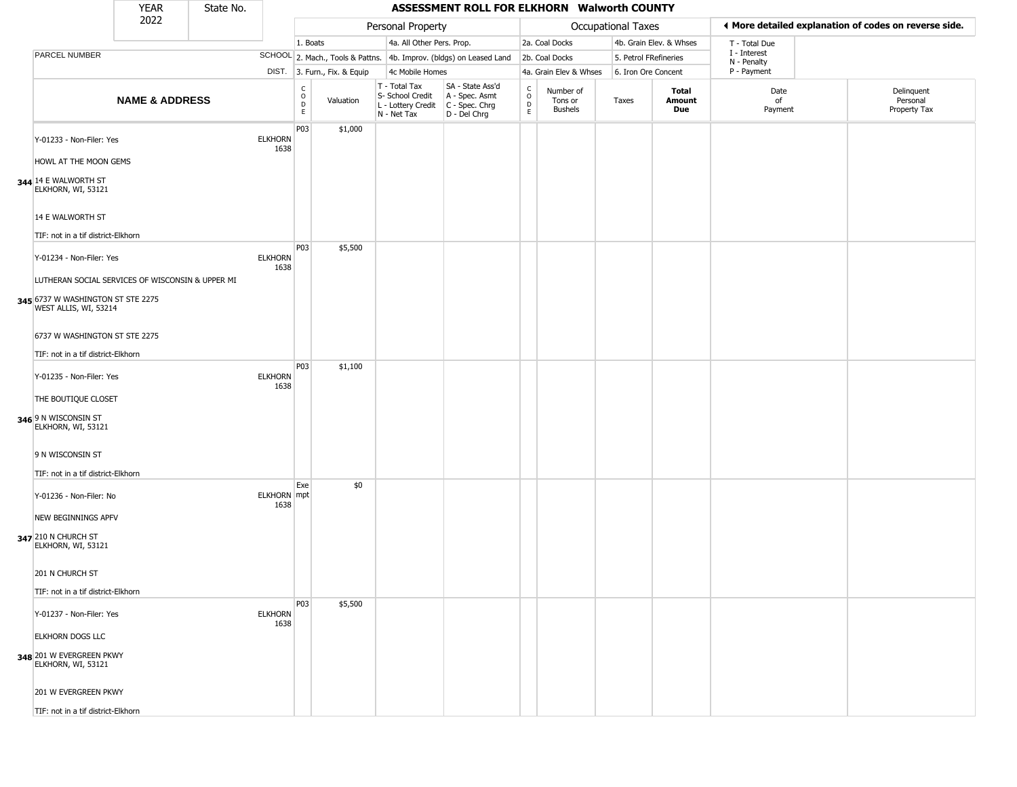|                                                                                                                                            | <b>YEAR</b>               | State No. |                        |                                          |                              |                                                                        | ASSESSMENT ROLL FOR ELKHORN Walworth COUNTY                          |                                            |                                        |                           |                         |                             |                                                       |
|--------------------------------------------------------------------------------------------------------------------------------------------|---------------------------|-----------|------------------------|------------------------------------------|------------------------------|------------------------------------------------------------------------|----------------------------------------------------------------------|--------------------------------------------|----------------------------------------|---------------------------|-------------------------|-----------------------------|-------------------------------------------------------|
|                                                                                                                                            | 2022                      |           |                        |                                          |                              | Personal Property                                                      |                                                                      |                                            |                                        | <b>Occupational Taxes</b> |                         |                             | ♦ More detailed explanation of codes on reverse side. |
|                                                                                                                                            |                           |           |                        | 1. Boats                                 |                              | 4a. All Other Pers. Prop.                                              |                                                                      |                                            | 2a. Coal Docks                         |                           | 4b. Grain Elev. & Whses | T - Total Due               |                                                       |
| PARCEL NUMBER                                                                                                                              |                           |           |                        |                                          |                              |                                                                        | SCHOOL 2. Mach., Tools & Pattns. 4b. Improv. (bldgs) on Leased Land  |                                            | 2b. Coal Docks                         | 5. Petrol FRefineries     |                         | I - Interest<br>N - Penalty |                                                       |
|                                                                                                                                            |                           |           |                        |                                          | DIST. 3. Furn., Fix. & Equip | 4c Mobile Homes                                                        |                                                                      |                                            | 4a. Grain Elev & Whses                 | 6. Iron Ore Concent       |                         | P - Payment                 |                                                       |
|                                                                                                                                            | <b>NAME &amp; ADDRESS</b> |           |                        | $\rm _o^C$<br>$\mathsf D$<br>$\mathsf E$ | Valuation                    | T - Total Tax<br>S- School Credit<br>L - Lottery Credit<br>N - Net Tax | SA - State Ass'd<br>A - Spec. Asmt<br>C - Spec. Chrg<br>D - Del Chrg | $\begin{array}{c} C \\ 0 \\ E \end{array}$ | Number of<br>Tons or<br><b>Bushels</b> | Taxes                     | Total<br>Amount<br>Due  | Date<br>of<br>Payment       | Delinquent<br>Personal<br>Property Tax                |
| Y-01233 - Non-Filer: Yes<br>HOWL AT THE MOON GEMS                                                                                          |                           |           | <b>ELKHORN</b><br>1638 | P03                                      | \$1,000                      |                                                                        |                                                                      |                                            |                                        |                           |                         |                             |                                                       |
| 344 14 E WALWORTH ST<br>ELKHORN, WI, 53121<br>14 E WALWORTH ST                                                                             |                           |           |                        |                                          |                              |                                                                        |                                                                      |                                            |                                        |                           |                         |                             |                                                       |
| TIF: not in a tif district-Elkhorn                                                                                                         |                           |           |                        |                                          |                              |                                                                        |                                                                      |                                            |                                        |                           |                         |                             |                                                       |
| Y-01234 - Non-Filer: Yes<br>LUTHERAN SOCIAL SERVICES OF WISCONSIN & UPPER MI<br>345 6737 W WASHINGTON ST STE 2275<br>WEST ALLIS, WI, 53214 |                           |           | <b>ELKHORN</b><br>1638 | P03                                      | \$5,500                      |                                                                        |                                                                      |                                            |                                        |                           |                         |                             |                                                       |
| 6737 W WASHINGTON ST STE 2275<br>TIF: not in a tif district-Elkhorn                                                                        |                           |           |                        |                                          |                              |                                                                        |                                                                      |                                            |                                        |                           |                         |                             |                                                       |
| Y-01235 - Non-Filer: Yes<br>THE BOUTIQUE CLOSET<br>346 9 N WISCONSIN ST<br>ELKHORN, WI, 53121                                              |                           |           | <b>ELKHORN</b><br>1638 | P03                                      | \$1,100                      |                                                                        |                                                                      |                                            |                                        |                           |                         |                             |                                                       |
| 9 N WISCONSIN ST<br>TIF: not in a tif district-Elkhorn                                                                                     |                           |           |                        |                                          |                              |                                                                        |                                                                      |                                            |                                        |                           |                         |                             |                                                       |
| Y-01236 - Non-Filer: No<br><b>NEW BEGINNINGS APFV</b><br>347 210 N CHURCH ST<br>ELKHORN, WI, 53121                                         |                           |           | ELKHORN mpt<br>1638    | Exe                                      | \$0                          |                                                                        |                                                                      |                                            |                                        |                           |                         |                             |                                                       |
| 201 N CHURCH ST<br>TIF: not in a tif district-Elkhorn                                                                                      |                           |           |                        |                                          |                              |                                                                        |                                                                      |                                            |                                        |                           |                         |                             |                                                       |
| Y-01237 - Non-Filer: Yes                                                                                                                   |                           |           | <b>ELKHORN</b><br>1638 | P03                                      | \$5,500                      |                                                                        |                                                                      |                                            |                                        |                           |                         |                             |                                                       |
| <b>ELKHORN DOGS LLC</b><br>348 201 W EVERGREEN PKWY<br>ELKHORN, WI, 53121                                                                  |                           |           |                        |                                          |                              |                                                                        |                                                                      |                                            |                                        |                           |                         |                             |                                                       |
| 201 W EVERGREEN PKWY<br>TIF: not in a tif district-Elkhorn                                                                                 |                           |           |                        |                                          |                              |                                                                        |                                                                      |                                            |                                        |                           |                         |                             |                                                       |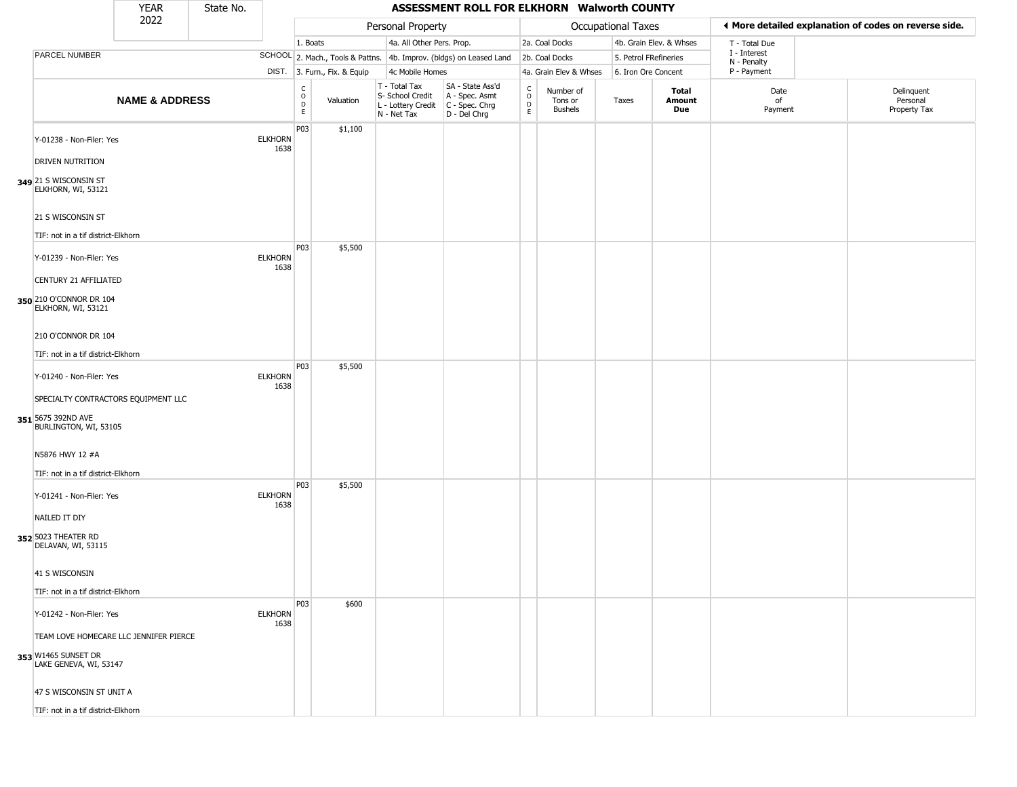|                                                               | <b>YEAR</b>               | State No. |                        |                                |                              |                                                                        | ASSESSMENT ROLL FOR ELKHORN Walworth COUNTY                          |                                                           |                                        |                       |                         |                             |                                                       |
|---------------------------------------------------------------|---------------------------|-----------|------------------------|--------------------------------|------------------------------|------------------------------------------------------------------------|----------------------------------------------------------------------|-----------------------------------------------------------|----------------------------------------|-----------------------|-------------------------|-----------------------------|-------------------------------------------------------|
|                                                               | 2022                      |           |                        |                                |                              | Personal Property                                                      |                                                                      |                                                           |                                        | Occupational Taxes    |                         |                             | ◀ More detailed explanation of codes on reverse side. |
|                                                               |                           |           |                        | 1. Boats                       |                              | 4a. All Other Pers. Prop.                                              |                                                                      |                                                           | 2a. Coal Docks                         |                       | 4b. Grain Elev. & Whses | T - Total Due               |                                                       |
| PARCEL NUMBER                                                 |                           |           |                        |                                |                              |                                                                        | SCHOOL 2. Mach., Tools & Pattns. 4b. Improv. (bldgs) on Leased Land  |                                                           | 2b. Coal Docks                         | 5. Petrol FRefineries |                         | I - Interest<br>N - Penalty |                                                       |
|                                                               |                           |           |                        |                                | DIST. 3. Furn., Fix. & Equip | 4c Mobile Homes                                                        |                                                                      |                                                           | 4a. Grain Elev & Whses                 | 6. Iron Ore Concent   |                         | P - Payment                 |                                                       |
|                                                               | <b>NAME &amp; ADDRESS</b> |           |                        | $\rm _o^C$<br>$\mathsf D$<br>E | Valuation                    | T - Total Tax<br>S- School Credit<br>L - Lottery Credit<br>N - Net Tax | SA - State Ass'd<br>A - Spec. Asmt<br>C - Spec. Chrg<br>D - Del Chrg | $_{\rm o}^{\rm c}$<br>$\mathrel{\mathsf{D}}_{\mathsf{E}}$ | Number of<br>Tons or<br><b>Bushels</b> | Taxes                 | Total<br>Amount<br>Due  | Date<br>of<br>Payment       | Delinquent<br>Personal<br>Property Tax                |
| Y-01238 - Non-Filer: Yes<br><b>DRIVEN NUTRITION</b>           |                           |           | <b>ELKHORN</b><br>1638 | P03                            | \$1,100                      |                                                                        |                                                                      |                                                           |                                        |                       |                         |                             |                                                       |
| 349 21 S WISCONSIN ST<br>ELKHORN, WI, 53121                   |                           |           |                        |                                |                              |                                                                        |                                                                      |                                                           |                                        |                       |                         |                             |                                                       |
| 21 S WISCONSIN ST<br>TIF: not in a tif district-Elkhorn       |                           |           |                        | P03                            | \$5,500                      |                                                                        |                                                                      |                                                           |                                        |                       |                         |                             |                                                       |
| Y-01239 - Non-Filer: Yes<br>CENTURY 21 AFFILIATED             |                           |           | <b>ELKHORN</b><br>1638 |                                |                              |                                                                        |                                                                      |                                                           |                                        |                       |                         |                             |                                                       |
| 350 210 O'CONNOR DR 104<br>ELKHORN, WI, 53121                 |                           |           |                        |                                |                              |                                                                        |                                                                      |                                                           |                                        |                       |                         |                             |                                                       |
| 210 O'CONNOR DR 104<br>TIF: not in a tif district-Elkhorn     |                           |           |                        |                                |                              |                                                                        |                                                                      |                                                           |                                        |                       |                         |                             |                                                       |
| Y-01240 - Non-Filer: Yes                                      |                           |           | <b>ELKHORN</b>         | P03                            | \$5,500                      |                                                                        |                                                                      |                                                           |                                        |                       |                         |                             |                                                       |
| SPECIALTY CONTRACTORS EQUIPMENT LLC                           |                           |           | 1638                   |                                |                              |                                                                        |                                                                      |                                                           |                                        |                       |                         |                             |                                                       |
| 351 5675 392ND AVE<br>BURLINGTON, WI, 53105                   |                           |           |                        |                                |                              |                                                                        |                                                                      |                                                           |                                        |                       |                         |                             |                                                       |
| N5876 HWY 12 #A<br>TIF: not in a tif district-Elkhorn         |                           |           |                        |                                |                              |                                                                        |                                                                      |                                                           |                                        |                       |                         |                             |                                                       |
| Y-01241 - Non-Filer: Yes                                      |                           |           | <b>ELKHORN</b><br>1638 | P03                            | \$5,500                      |                                                                        |                                                                      |                                                           |                                        |                       |                         |                             |                                                       |
| NAILED IT DIY<br>352 5023 THEATER RD<br>DELAVAN, WI, 53115    |                           |           |                        |                                |                              |                                                                        |                                                                      |                                                           |                                        |                       |                         |                             |                                                       |
| 41 S WISCONSIN                                                |                           |           |                        |                                |                              |                                                                        |                                                                      |                                                           |                                        |                       |                         |                             |                                                       |
| TIF: not in a tif district-Elkhorn                            |                           |           |                        |                                |                              |                                                                        |                                                                      |                                                           |                                        |                       |                         |                             |                                                       |
| Y-01242 - Non-Filer: Yes                                      |                           |           | <b>ELKHORN</b><br>1638 | P03                            | \$600                        |                                                                        |                                                                      |                                                           |                                        |                       |                         |                             |                                                       |
| TEAM LOVE HOMECARE LLC JENNIFER PIERCE<br>353 W1465 SUNSET DR |                           |           |                        |                                |                              |                                                                        |                                                                      |                                                           |                                        |                       |                         |                             |                                                       |
| LAKE GENEVA, WI, 53147<br>47 S WISCONSIN ST UNIT A            |                           |           |                        |                                |                              |                                                                        |                                                                      |                                                           |                                        |                       |                         |                             |                                                       |
| TIF: not in a tif district-Elkhorn                            |                           |           |                        |                                |                              |                                                                        |                                                                      |                                                           |                                        |                       |                         |                             |                                                       |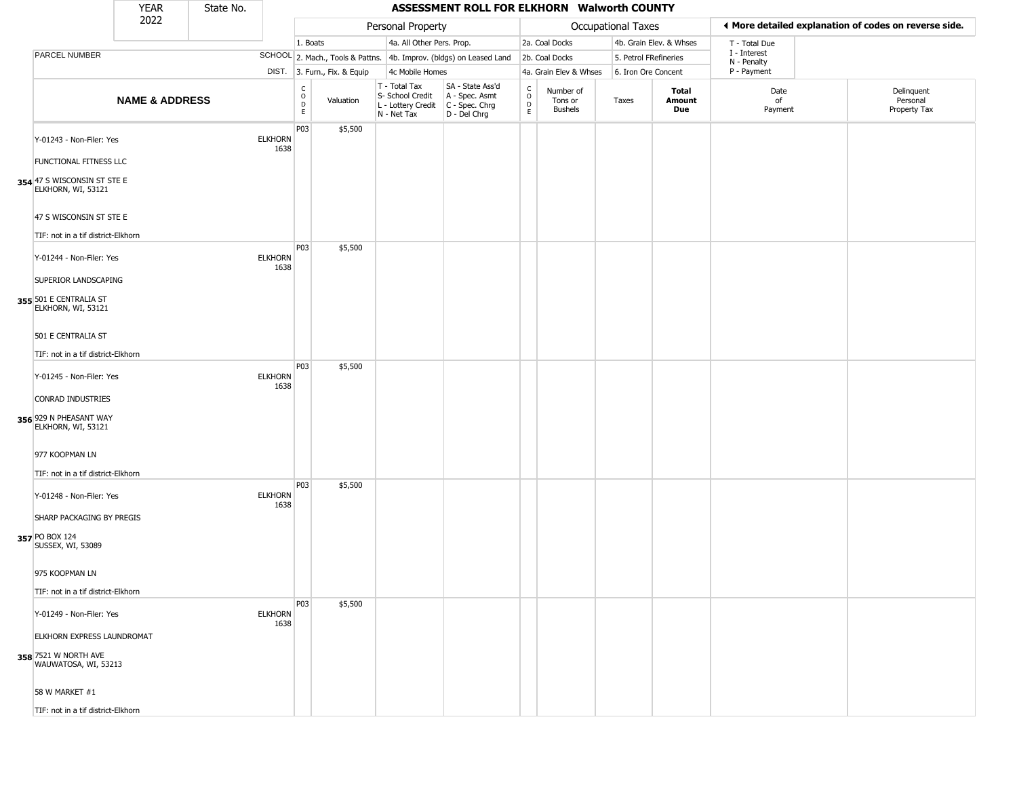|                                                                            | <b>YEAR</b>               | State No. |                        |                              |                              |                                                                                         | ASSESSMENT ROLL FOR ELKHORN Walworth COUNTY                         |                                                    |                                        |                       |                         |                             |                                                       |
|----------------------------------------------------------------------------|---------------------------|-----------|------------------------|------------------------------|------------------------------|-----------------------------------------------------------------------------------------|---------------------------------------------------------------------|----------------------------------------------------|----------------------------------------|-----------------------|-------------------------|-----------------------------|-------------------------------------------------------|
|                                                                            | 2022                      |           |                        |                              |                              | Personal Property                                                                       |                                                                     |                                                    |                                        | Occupational Taxes    |                         |                             | ◀ More detailed explanation of codes on reverse side. |
|                                                                            |                           |           |                        | 1. Boats                     |                              | 4a. All Other Pers. Prop.                                                               |                                                                     |                                                    | 2a. Coal Docks                         |                       | 4b. Grain Elev. & Whses | T - Total Due               |                                                       |
| PARCEL NUMBER                                                              |                           |           |                        |                              |                              |                                                                                         | SCHOOL 2. Mach., Tools & Pattns. 4b. Improv. (bldgs) on Leased Land |                                                    | 2b. Coal Docks                         | 5. Petrol FRefineries |                         | I - Interest<br>N - Penalty |                                                       |
|                                                                            |                           |           |                        |                              | DIST. 3. Furn., Fix. & Equip | 4c Mobile Homes                                                                         |                                                                     |                                                    | 4a. Grain Elev & Whses                 | 6. Iron Ore Concent   |                         | P - Payment                 |                                                       |
|                                                                            | <b>NAME &amp; ADDRESS</b> |           |                        | $_{\rm o}^{\rm c}$<br>D<br>E | Valuation                    | T - Total Tax<br>S- School Credit<br>L - Lottery Credit   C - Spec. Chrg<br>N - Net Tax | SA - State Ass'd<br>A - Spec. Asmt<br>D - Del Chrg                  | $\int_{0}^{c}$<br>$\mathop{\mathsf{D}}_\mathsf{E}$ | Number of<br>Tons or<br><b>Bushels</b> | Taxes                 | Total<br>Amount<br>Due  | Date<br>of<br>Payment       | Delinquent<br>Personal<br>Property Tax                |
| Y-01243 - Non-Filer: Yes<br>FUNCTIONAL FITNESS LLC                         |                           |           | <b>ELKHORN</b><br>1638 | P03                          | \$5,500                      |                                                                                         |                                                                     |                                                    |                                        |                       |                         |                             |                                                       |
| 354 47 S WISCONSIN ST STE E<br>ELKHORN, WI, 53121                          |                           |           |                        |                              |                              |                                                                                         |                                                                     |                                                    |                                        |                       |                         |                             |                                                       |
| 47 S WISCONSIN ST STE E<br>TIF: not in a tif district-Elkhorn              |                           |           |                        | P03                          | \$5,500                      |                                                                                         |                                                                     |                                                    |                                        |                       |                         |                             |                                                       |
| Y-01244 - Non-Filer: Yes<br>SUPERIOR LANDSCAPING                           |                           |           | <b>ELKHORN</b><br>1638 |                              |                              |                                                                                         |                                                                     |                                                    |                                        |                       |                         |                             |                                                       |
| 355 501 E CENTRALIA ST<br>ELKHORN, WI, 53121                               |                           |           |                        |                              |                              |                                                                                         |                                                                     |                                                    |                                        |                       |                         |                             |                                                       |
| 501 E CENTRALIA ST<br>TIF: not in a tif district-Elkhorn                   |                           |           |                        |                              |                              |                                                                                         |                                                                     |                                                    |                                        |                       |                         |                             |                                                       |
| Y-01245 - Non-Filer: Yes                                                   |                           |           | <b>ELKHORN</b><br>1638 | P03                          | \$5,500                      |                                                                                         |                                                                     |                                                    |                                        |                       |                         |                             |                                                       |
| CONRAD INDUSTRIES<br>356 929 N PHEASANT WAY<br>ELKHORN, WI, 53121          |                           |           |                        |                              |                              |                                                                                         |                                                                     |                                                    |                                        |                       |                         |                             |                                                       |
| 977 KOOPMAN LN<br>TIF: not in a tif district-Elkhorn                       |                           |           |                        |                              |                              |                                                                                         |                                                                     |                                                    |                                        |                       |                         |                             |                                                       |
| Y-01248 - Non-Filer: Yes                                                   |                           |           | <b>ELKHORN</b><br>1638 | P03                          | \$5,500                      |                                                                                         |                                                                     |                                                    |                                        |                       |                         |                             |                                                       |
| SHARP PACKAGING BY PREGIS<br>357 PO BOX 124<br>SUSSEX, WI, 53089           |                           |           |                        |                              |                              |                                                                                         |                                                                     |                                                    |                                        |                       |                         |                             |                                                       |
| 975 KOOPMAN LN                                                             |                           |           |                        |                              |                              |                                                                                         |                                                                     |                                                    |                                        |                       |                         |                             |                                                       |
| TIF: not in a tif district-Elkhorn                                         |                           |           |                        | P03                          | \$5,500                      |                                                                                         |                                                                     |                                                    |                                        |                       |                         |                             |                                                       |
| Y-01249 - Non-Filer: Yes                                                   |                           |           | <b>ELKHORN</b><br>1638 |                              |                              |                                                                                         |                                                                     |                                                    |                                        |                       |                         |                             |                                                       |
| ELKHORN EXPRESS LAUNDROMAT<br>358 7521 W NORTH AVE<br>WAUWATOSA, WI, 53213 |                           |           |                        |                              |                              |                                                                                         |                                                                     |                                                    |                                        |                       |                         |                             |                                                       |
| 58 W MARKET #1                                                             |                           |           |                        |                              |                              |                                                                                         |                                                                     |                                                    |                                        |                       |                         |                             |                                                       |
| TIF: not in a tif district-Elkhorn                                         |                           |           |                        |                              |                              |                                                                                         |                                                                     |                                                    |                                        |                       |                         |                             |                                                       |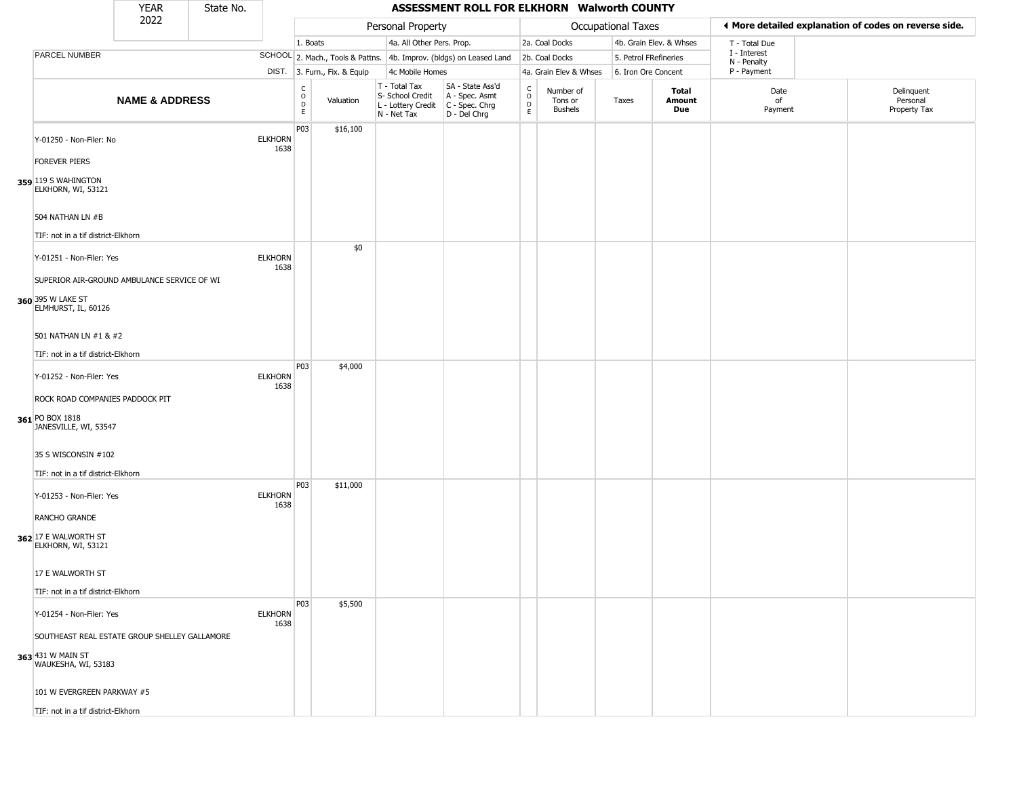|                                                                             | YEAR                      | State No. |                        |                                              |                              |                                                                        | ASSESSMENT ROLL FOR ELKHORN Walworth COUNTY                            |                                                   |                                        |                       |                         |                             |                                                       |
|-----------------------------------------------------------------------------|---------------------------|-----------|------------------------|----------------------------------------------|------------------------------|------------------------------------------------------------------------|------------------------------------------------------------------------|---------------------------------------------------|----------------------------------------|-----------------------|-------------------------|-----------------------------|-------------------------------------------------------|
|                                                                             | 2022                      |           |                        |                                              |                              | Personal Property                                                      |                                                                        |                                                   |                                        | Occupational Taxes    |                         |                             | ◀ More detailed explanation of codes on reverse side. |
|                                                                             |                           |           |                        | 1. Boats                                     |                              | 4a. All Other Pers. Prop.                                              |                                                                        |                                                   | 2a. Coal Docks                         |                       | 4b. Grain Elev. & Whses | T - Total Due               |                                                       |
| PARCEL NUMBER                                                               |                           |           |                        |                                              |                              |                                                                        | SCHOOL 2. Mach., Tools & Pattns. 4b. Improv. (bldgs) on Leased Land    |                                                   | 2b. Coal Docks                         | 5. Petrol FRefineries |                         | I - Interest<br>N - Penalty |                                                       |
|                                                                             |                           |           |                        |                                              | DIST. 3. Furn., Fix. & Equip | 4c Mobile Homes                                                        |                                                                        |                                                   | 4a. Grain Elev & Whses                 | 6. Iron Ore Concent   |                         | P - Payment                 |                                                       |
|                                                                             | <b>NAME &amp; ADDRESS</b> |           |                        | $\begin{array}{c}\nC \\ O \\ D\n\end{array}$ | Valuation                    | T - Total Tax<br>S- School Credit<br>L - Lottery Credit<br>N - Net Tax | SA - State Ass'd<br>A - Spec. Asmt<br>$C - Spec. Chrg$<br>D - Del Chrg | $\begin{array}{c}\nC \\ O \\ D \\ E\n\end{array}$ | Number of<br>Tons or<br><b>Bushels</b> | Taxes                 | Total<br>Amount<br>Due  | Date<br>of<br>Payment       | Delinquent<br>Personal<br>Property Tax                |
| Y-01250 - Non-Filer: No                                                     |                           |           | <b>ELKHORN</b><br>1638 | P <sub>0</sub> 3                             | \$16,100                     |                                                                        |                                                                        |                                                   |                                        |                       |                         |                             |                                                       |
| <b>FOREVER PIERS</b><br>359 119 S WAHINGTON<br>ELKHORN, WI, 53121           |                           |           |                        |                                              |                              |                                                                        |                                                                        |                                                   |                                        |                       |                         |                             |                                                       |
| 504 NATHAN LN #B                                                            |                           |           |                        |                                              |                              |                                                                        |                                                                        |                                                   |                                        |                       |                         |                             |                                                       |
| TIF: not in a tif district-Elkhorn<br>Y-01251 - Non-Filer: Yes              |                           |           | <b>ELKHORN</b>         |                                              | \$0                          |                                                                        |                                                                        |                                                   |                                        |                       |                         |                             |                                                       |
| SUPERIOR AIR-GROUND AMBULANCE SERVICE OF WI                                 |                           |           | 1638                   |                                              |                              |                                                                        |                                                                        |                                                   |                                        |                       |                         |                             |                                                       |
| 360 395 W LAKE ST<br>ELMHURST, IL, 60126                                    |                           |           |                        |                                              |                              |                                                                        |                                                                        |                                                   |                                        |                       |                         |                             |                                                       |
| 501 NATHAN LN #1 & #2                                                       |                           |           |                        |                                              |                              |                                                                        |                                                                        |                                                   |                                        |                       |                         |                             |                                                       |
| TIF: not in a tif district-Elkhorn                                          |                           |           |                        |                                              |                              |                                                                        |                                                                        |                                                   |                                        |                       |                         |                             |                                                       |
| Y-01252 - Non-Filer: Yes                                                    |                           |           | <b>ELKHORN</b><br>1638 | P03                                          | \$4,000                      |                                                                        |                                                                        |                                                   |                                        |                       |                         |                             |                                                       |
| ROCK ROAD COMPANIES PADDOCK PIT<br>361 PO BOX 1818<br>JANESVILLE, WI, 53547 |                           |           |                        |                                              |                              |                                                                        |                                                                        |                                                   |                                        |                       |                         |                             |                                                       |
| 35 S WISCONSIN #102                                                         |                           |           |                        |                                              |                              |                                                                        |                                                                        |                                                   |                                        |                       |                         |                             |                                                       |
| TIF: not in a tif district-Elkhorn                                          |                           |           |                        |                                              |                              |                                                                        |                                                                        |                                                   |                                        |                       |                         |                             |                                                       |
| Y-01253 - Non-Filer: Yes                                                    |                           |           | <b>ELKHORN</b><br>1638 | P03                                          | \$11,000                     |                                                                        |                                                                        |                                                   |                                        |                       |                         |                             |                                                       |
| RANCHO GRANDE<br>362 17 E WALWORTH ST                                       |                           |           |                        |                                              |                              |                                                                        |                                                                        |                                                   |                                        |                       |                         |                             |                                                       |
| ELKHORN, WI, 53121                                                          |                           |           |                        |                                              |                              |                                                                        |                                                                        |                                                   |                                        |                       |                         |                             |                                                       |
| 17 E WALWORTH ST                                                            |                           |           |                        |                                              |                              |                                                                        |                                                                        |                                                   |                                        |                       |                         |                             |                                                       |
| TIF: not in a tif district-Elkhorn                                          |                           |           |                        | P03                                          | \$5,500                      |                                                                        |                                                                        |                                                   |                                        |                       |                         |                             |                                                       |
| Y-01254 - Non-Filer: Yes                                                    |                           |           | <b>ELKHORN</b><br>1638 |                                              |                              |                                                                        |                                                                        |                                                   |                                        |                       |                         |                             |                                                       |
| SOUTHEAST REAL ESTATE GROUP SHELLEY GALLAMORE                               |                           |           |                        |                                              |                              |                                                                        |                                                                        |                                                   |                                        |                       |                         |                             |                                                       |
| 363 431 W MAIN ST<br>WAUKESHA, WI, 53183                                    |                           |           |                        |                                              |                              |                                                                        |                                                                        |                                                   |                                        |                       |                         |                             |                                                       |
| 101 W EVERGREEN PARKWAY #5                                                  |                           |           |                        |                                              |                              |                                                                        |                                                                        |                                                   |                                        |                       |                         |                             |                                                       |
| TIF: not in a tif district-Elkhorn                                          |                           |           |                        |                                              |                              |                                                                        |                                                                        |                                                   |                                        |                       |                         |                             |                                                       |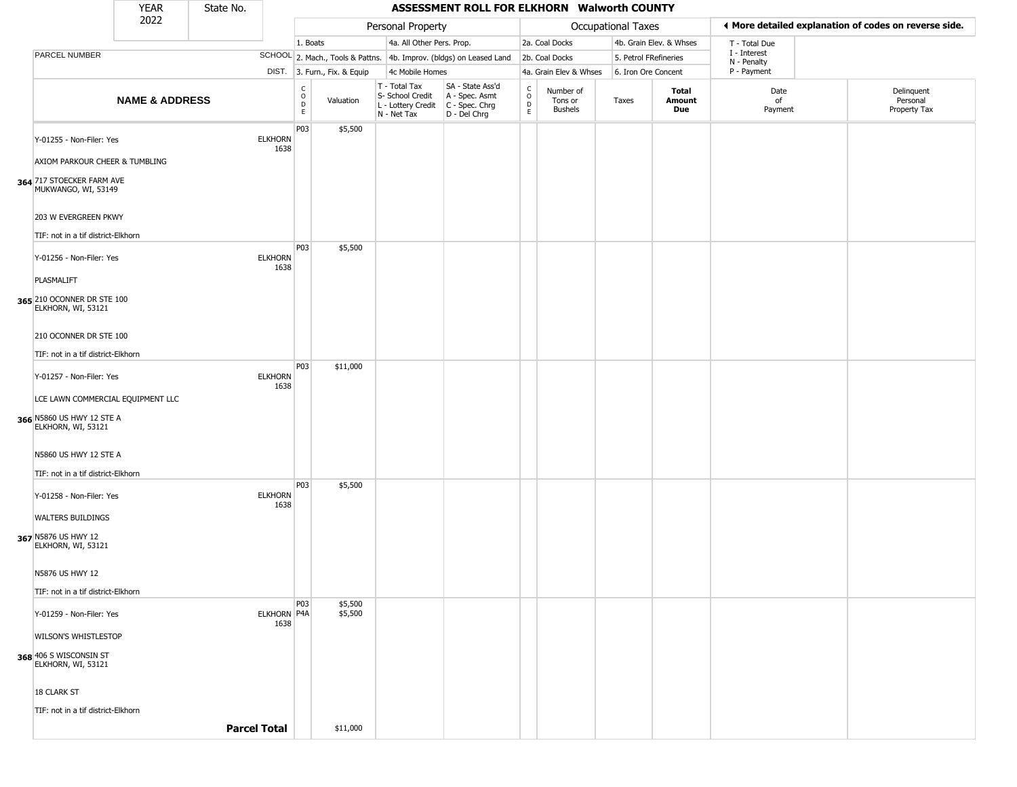|                                                                                    | <b>YEAR</b>               | State No.           |                            |                                                              |                              |                                                                        | ASSESSMENT ROLL FOR ELKHORN Walworth COUNTY                            |                                                 |                                 |                       |                         |                             |                                                       |
|------------------------------------------------------------------------------------|---------------------------|---------------------|----------------------------|--------------------------------------------------------------|------------------------------|------------------------------------------------------------------------|------------------------------------------------------------------------|-------------------------------------------------|---------------------------------|-----------------------|-------------------------|-----------------------------|-------------------------------------------------------|
|                                                                                    | 2022                      |                     |                            |                                                              |                              | Personal Property                                                      |                                                                        |                                                 |                                 | Occupational Taxes    |                         |                             | ♦ More detailed explanation of codes on reverse side. |
|                                                                                    |                           |                     |                            | 1. Boats                                                     |                              | 4a. All Other Pers. Prop.                                              |                                                                        |                                                 | 2a. Coal Docks                  |                       | 4b. Grain Elev. & Whses | T - Total Due               |                                                       |
| PARCEL NUMBER                                                                      |                           |                     |                            |                                                              |                              |                                                                        | SCHOOL 2. Mach., Tools & Pattns. 4b. Improv. (bldgs) on Leased Land    |                                                 | 2b. Coal Docks                  | 5. Petrol FRefineries |                         | I - Interest<br>N - Penalty |                                                       |
|                                                                                    |                           |                     |                            |                                                              | DIST. 3. Furn., Fix. & Equip | 4c Mobile Homes                                                        |                                                                        |                                                 | 4a. Grain Elev & Whses          | 6. Iron Ore Concent   |                         | P - Payment                 |                                                       |
|                                                                                    | <b>NAME &amp; ADDRESS</b> |                     |                            | $\mathsf{C}$<br>$\begin{array}{c}\n0 \\ D \\ E\n\end{array}$ | Valuation                    | T - Total Tax<br>S- School Credit<br>L - Lottery Credit<br>N - Net Tax | SA - State Ass'd<br>A - Spec. Asmt<br>$C - Spec. Chrg$<br>D - Del Chrg | $\begin{array}{c} C \\ O \\ D \\ E \end{array}$ | Number of<br>Tons or<br>Bushels | Taxes                 | Total<br>Amount<br>Due  | Date<br>of<br>Payment       | Delinquent<br>Personal<br>Property Tax                |
| Y-01255 - Non-Filer: Yes                                                           |                           |                     | <b>ELKHORN</b><br>1638     | P03                                                          | \$5,500                      |                                                                        |                                                                        |                                                 |                                 |                       |                         |                             |                                                       |
| AXIOM PARKOUR CHEER & TUMBLING<br>364 717 STOECKER FARM AVE<br>MUKWANGO, WI, 53149 |                           |                     |                            |                                                              |                              |                                                                        |                                                                        |                                                 |                                 |                       |                         |                             |                                                       |
| 203 W EVERGREEN PKWY                                                               |                           |                     |                            |                                                              |                              |                                                                        |                                                                        |                                                 |                                 |                       |                         |                             |                                                       |
| TIF: not in a tif district-Elkhorn                                                 |                           |                     |                            |                                                              |                              |                                                                        |                                                                        |                                                 |                                 |                       |                         |                             |                                                       |
| Y-01256 - Non-Filer: Yes                                                           |                           |                     | <b>ELKHORN</b><br>1638     | P <sub>0</sub> 3                                             | \$5,500                      |                                                                        |                                                                        |                                                 |                                 |                       |                         |                             |                                                       |
| PLASMALIFT                                                                         |                           |                     |                            |                                                              |                              |                                                                        |                                                                        |                                                 |                                 |                       |                         |                             |                                                       |
| 365 210 OCONNER DR STE 100<br>ELKHORN, WI, 53121                                   |                           |                     |                            |                                                              |                              |                                                                        |                                                                        |                                                 |                                 |                       |                         |                             |                                                       |
| 210 OCONNER DR STE 100                                                             |                           |                     |                            |                                                              |                              |                                                                        |                                                                        |                                                 |                                 |                       |                         |                             |                                                       |
| TIF: not in a tif district-Elkhorn                                                 |                           |                     |                            |                                                              |                              |                                                                        |                                                                        |                                                 |                                 |                       |                         |                             |                                                       |
| Y-01257 - Non-Filer: Yes                                                           |                           |                     | <b>ELKHORN</b><br>1638     | P03                                                          | \$11,000                     |                                                                        |                                                                        |                                                 |                                 |                       |                         |                             |                                                       |
| LCE LAWN COMMERCIAL EQUIPMENT LLC                                                  |                           |                     |                            |                                                              |                              |                                                                        |                                                                        |                                                 |                                 |                       |                         |                             |                                                       |
| 366 N5860 US HWY 12 STE A<br>ELKHORN, WI, 53121                                    |                           |                     |                            |                                                              |                              |                                                                        |                                                                        |                                                 |                                 |                       |                         |                             |                                                       |
| N5860 US HWY 12 STE A                                                              |                           |                     |                            |                                                              |                              |                                                                        |                                                                        |                                                 |                                 |                       |                         |                             |                                                       |
| TIF: not in a tif district-Elkhorn                                                 |                           |                     |                            |                                                              |                              |                                                                        |                                                                        |                                                 |                                 |                       |                         |                             |                                                       |
| Y-01258 - Non-Filer: Yes                                                           |                           |                     | <b>ELKHORN</b><br>1638     | P03                                                          | \$5,500                      |                                                                        |                                                                        |                                                 |                                 |                       |                         |                             |                                                       |
| <b>WALTERS BUILDINGS</b>                                                           |                           |                     |                            |                                                              |                              |                                                                        |                                                                        |                                                 |                                 |                       |                         |                             |                                                       |
| 367 N5876 US HWY 12<br>ELKHORN, WI, 53121                                          |                           |                     |                            |                                                              |                              |                                                                        |                                                                        |                                                 |                                 |                       |                         |                             |                                                       |
| N5876 US HWY 12                                                                    |                           |                     |                            |                                                              |                              |                                                                        |                                                                        |                                                 |                                 |                       |                         |                             |                                                       |
| TIF: not in a tif district-Elkhorn                                                 |                           |                     |                            |                                                              |                              |                                                                        |                                                                        |                                                 |                                 |                       |                         |                             |                                                       |
| Y-01259 - Non-Filer: Yes                                                           |                           |                     | <b>ELKHORN P4A</b><br>1638 | P03                                                          | \$5,500<br>\$5,500           |                                                                        |                                                                        |                                                 |                                 |                       |                         |                             |                                                       |
| WILSON'S WHISTLESTOP                                                               |                           |                     |                            |                                                              |                              |                                                                        |                                                                        |                                                 |                                 |                       |                         |                             |                                                       |
| 368 406 S WISCONSIN ST<br>ELKHORN, WI, 53121                                       |                           |                     |                            |                                                              |                              |                                                                        |                                                                        |                                                 |                                 |                       |                         |                             |                                                       |
| 18 CLARK ST                                                                        |                           |                     |                            |                                                              |                              |                                                                        |                                                                        |                                                 |                                 |                       |                         |                             |                                                       |
| TIF: not in a tif district-Elkhorn                                                 |                           |                     |                            |                                                              |                              |                                                                        |                                                                        |                                                 |                                 |                       |                         |                             |                                                       |
|                                                                                    |                           | <b>Parcel Total</b> |                            |                                                              | \$11,000                     |                                                                        |                                                                        |                                                 |                                 |                       |                         |                             |                                                       |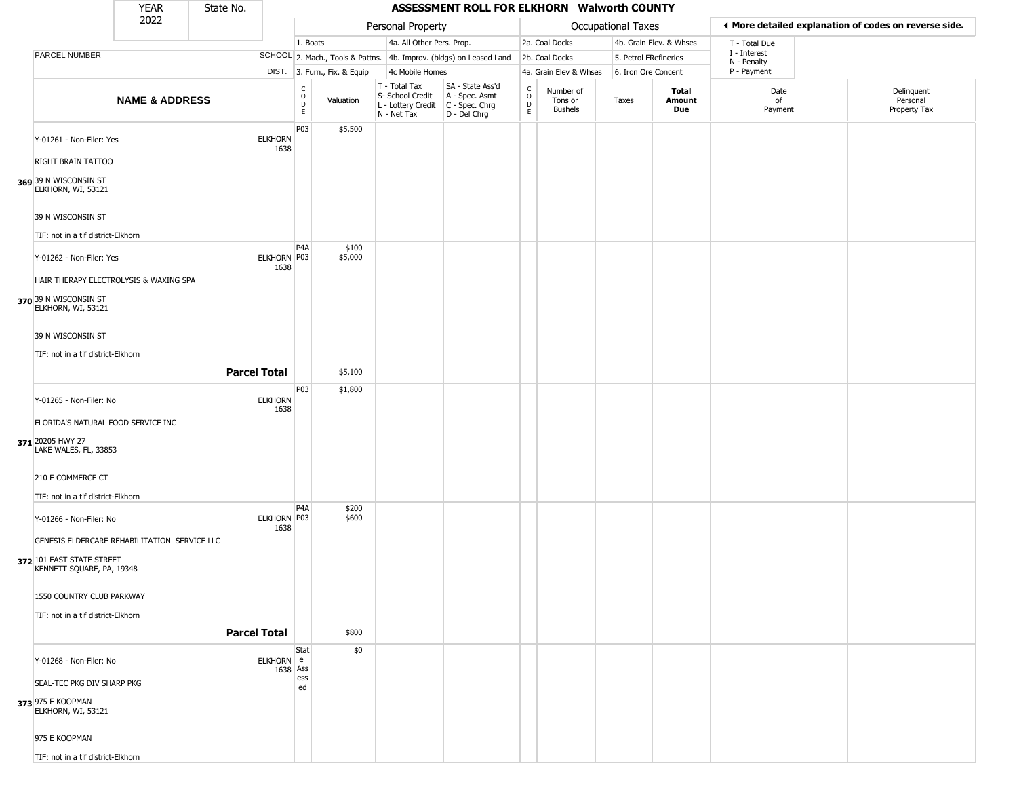|                                                        | <b>YEAR</b>               | State No. |                        |                                   |                              |                                                                        | ASSESSMENT ROLL FOR ELKHORN Walworth COUNTY                          |                                             |                                        |                       |                         |                             |                                                       |
|--------------------------------------------------------|---------------------------|-----------|------------------------|-----------------------------------|------------------------------|------------------------------------------------------------------------|----------------------------------------------------------------------|---------------------------------------------|----------------------------------------|-----------------------|-------------------------|-----------------------------|-------------------------------------------------------|
|                                                        | 2022                      |           |                        |                                   |                              | Personal Property                                                      |                                                                      |                                             |                                        | Occupational Taxes    |                         |                             | ◀ More detailed explanation of codes on reverse side. |
|                                                        |                           |           |                        | 1. Boats                          |                              | 4a. All Other Pers. Prop.                                              |                                                                      |                                             | 2a. Coal Docks                         |                       | 4b. Grain Elev. & Whses | T - Total Due               |                                                       |
| PARCEL NUMBER                                          |                           |           |                        |                                   |                              |                                                                        | SCHOOL 2. Mach., Tools & Pattns. 4b. Improv. (bldgs) on Leased Land  |                                             | 2b. Coal Docks                         | 5. Petrol FRefineries |                         | I - Interest<br>N - Penalty |                                                       |
|                                                        |                           |           |                        |                                   | DIST. 3. Furn., Fix. & Equip | 4c Mobile Homes                                                        |                                                                      |                                             | 4a. Grain Elev & Whses                 | 6. Iron Ore Concent   |                         | P - Payment                 |                                                       |
|                                                        | <b>NAME &amp; ADDRESS</b> |           |                        | C<br>$\circ$<br>$\mathsf{D}$<br>E | Valuation                    | T - Total Tax<br>S- School Credit<br>L - Lottery Credit<br>N - Net Tax | SA - State Ass'd<br>A - Spec. Asmt<br>C - Spec. Chrg<br>D - Del Chrg | $\frac{c}{0}$<br>$\mathsf D$<br>$\mathsf E$ | Number of<br>Tons or<br><b>Bushels</b> | Taxes                 | Total<br>Amount<br>Due  | Date<br>of<br>Payment       | Delinquent<br>Personal<br>Property Tax                |
| Y-01261 - Non-Filer: Yes<br>RIGHT BRAIN TATTOO         |                           |           | <b>ELKHORN</b><br>1638 | P03                               | \$5,500                      |                                                                        |                                                                      |                                             |                                        |                       |                         |                             |                                                       |
|                                                        |                           |           |                        |                                   |                              |                                                                        |                                                                      |                                             |                                        |                       |                         |                             |                                                       |
| 369 39 N WISCONSIN ST<br>ELKHORN, WI, 53121            |                           |           |                        |                                   |                              |                                                                        |                                                                      |                                             |                                        |                       |                         |                             |                                                       |
| 39 N WISCONSIN ST                                      |                           |           |                        |                                   |                              |                                                                        |                                                                      |                                             |                                        |                       |                         |                             |                                                       |
| TIF: not in a tif district-Elkhorn                     |                           |           |                        |                                   |                              |                                                                        |                                                                      |                                             |                                        |                       |                         |                             |                                                       |
| Y-01262 - Non-Filer: Yes                               |                           |           | ELKHORN P03<br>1638    | P4A                               | \$100<br>\$5,000             |                                                                        |                                                                      |                                             |                                        |                       |                         |                             |                                                       |
| HAIR THERAPY ELECTROLYSIS & WAXING SPA                 |                           |           |                        |                                   |                              |                                                                        |                                                                      |                                             |                                        |                       |                         |                             |                                                       |
| 370 39 N WISCONSIN ST<br>ELKHORN, WI, 53121            |                           |           |                        |                                   |                              |                                                                        |                                                                      |                                             |                                        |                       |                         |                             |                                                       |
| 39 N WISCONSIN ST                                      |                           |           |                        |                                   |                              |                                                                        |                                                                      |                                             |                                        |                       |                         |                             |                                                       |
| TIF: not in a tif district-Elkhorn                     |                           |           |                        |                                   |                              |                                                                        |                                                                      |                                             |                                        |                       |                         |                             |                                                       |
|                                                        |                           |           | <b>Parcel Total</b>    |                                   | \$5,100                      |                                                                        |                                                                      |                                             |                                        |                       |                         |                             |                                                       |
|                                                        |                           |           |                        | P <sub>0</sub> 3                  | \$1,800                      |                                                                        |                                                                      |                                             |                                        |                       |                         |                             |                                                       |
| Y-01265 - Non-Filer: No                                |                           |           | <b>ELKHORN</b><br>1638 |                                   |                              |                                                                        |                                                                      |                                             |                                        |                       |                         |                             |                                                       |
| FLORIDA'S NATURAL FOOD SERVICE INC                     |                           |           |                        |                                   |                              |                                                                        |                                                                      |                                             |                                        |                       |                         |                             |                                                       |
| 371 20205 HWY 27<br>LAKE WALES, FL, 33853              |                           |           |                        |                                   |                              |                                                                        |                                                                      |                                             |                                        |                       |                         |                             |                                                       |
| 210 E COMMERCE CT                                      |                           |           |                        |                                   |                              |                                                                        |                                                                      |                                             |                                        |                       |                         |                             |                                                       |
| TIF: not in a tif district-Elkhorn                     |                           |           |                        |                                   |                              |                                                                        |                                                                      |                                             |                                        |                       |                         |                             |                                                       |
| Y-01266 - Non-Filer: No                                |                           |           | ELKHORN P03<br>1638    | P <sub>4</sub> A                  | \$200<br>\$600               |                                                                        |                                                                      |                                             |                                        |                       |                         |                             |                                                       |
| GENESIS ELDERCARE REHABILITATION SERVICE LLC           |                           |           |                        |                                   |                              |                                                                        |                                                                      |                                             |                                        |                       |                         |                             |                                                       |
| 372 101 EAST STATE STREET<br>KENNETT SQUARE, PA, 19348 |                           |           |                        |                                   |                              |                                                                        |                                                                      |                                             |                                        |                       |                         |                             |                                                       |
| 1550 COUNTRY CLUB PARKWAY                              |                           |           |                        |                                   |                              |                                                                        |                                                                      |                                             |                                        |                       |                         |                             |                                                       |
| TIF: not in a tif district-Elkhorn                     |                           |           | <b>Parcel Total</b>    |                                   | \$800                        |                                                                        |                                                                      |                                             |                                        |                       |                         |                             |                                                       |
|                                                        |                           |           |                        |                                   |                              |                                                                        |                                                                      |                                             |                                        |                       |                         |                             |                                                       |
| Y-01268 - Non-Filer: No                                |                           |           | ELKHORN e<br>1638 Ass  | Stat<br>ess                       | \$0                          |                                                                        |                                                                      |                                             |                                        |                       |                         |                             |                                                       |
| SEAL-TEC PKG DIV SHARP PKG                             |                           |           |                        | ed                                |                              |                                                                        |                                                                      |                                             |                                        |                       |                         |                             |                                                       |
| 373 975 E KOOPMAN<br>ELKHORN, WI, 53121                |                           |           |                        |                                   |                              |                                                                        |                                                                      |                                             |                                        |                       |                         |                             |                                                       |
| 975 E KOOPMAN                                          |                           |           |                        |                                   |                              |                                                                        |                                                                      |                                             |                                        |                       |                         |                             |                                                       |
| TIF: not in a tif district-Elkhorn                     |                           |           |                        |                                   |                              |                                                                        |                                                                      |                                             |                                        |                       |                         |                             |                                                       |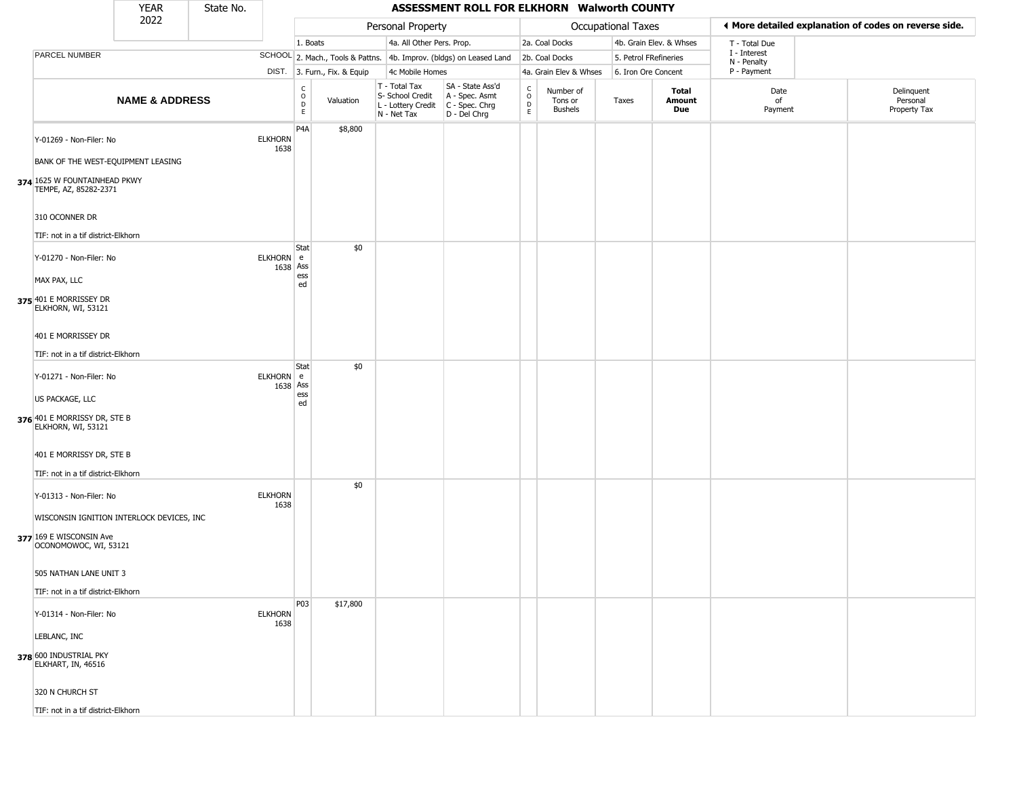|                                                                                                                          | <b>YEAR</b>               | State No. |                        |                                                   |                              |                                                                        | ASSESSMENT ROLL FOR ELKHORN Walworth COUNTY                          |                                                 |                                 |                       |                         |                             |                                                       |
|--------------------------------------------------------------------------------------------------------------------------|---------------------------|-----------|------------------------|---------------------------------------------------|------------------------------|------------------------------------------------------------------------|----------------------------------------------------------------------|-------------------------------------------------|---------------------------------|-----------------------|-------------------------|-----------------------------|-------------------------------------------------------|
|                                                                                                                          | 2022                      |           |                        |                                                   |                              | Personal Property                                                      |                                                                      |                                                 |                                 | Occupational Taxes    |                         |                             | ◀ More detailed explanation of codes on reverse side. |
|                                                                                                                          |                           |           |                        | 1. Boats                                          |                              | 4a. All Other Pers. Prop.                                              |                                                                      |                                                 | 2a. Coal Docks                  |                       | 4b. Grain Elev. & Whses | T - Total Due               |                                                       |
| PARCEL NUMBER                                                                                                            |                           |           |                        |                                                   |                              |                                                                        | SCHOOL 2. Mach., Tools & Pattns. 4b. Improv. (bldgs) on Leased Land  |                                                 | 2b. Coal Docks                  | 5. Petrol FRefineries |                         | I - Interest<br>N - Penalty |                                                       |
|                                                                                                                          |                           |           |                        |                                                   | DIST. 3. Furn., Fix. & Equip | 4c Mobile Homes                                                        |                                                                      |                                                 | 4a. Grain Elev & Whses          | 6. Iron Ore Concent   |                         | P - Payment                 |                                                       |
|                                                                                                                          | <b>NAME &amp; ADDRESS</b> |           |                        | $\begin{array}{c}\nC \\ O \\ D \\ E\n\end{array}$ | Valuation                    | T - Total Tax<br>S- School Credit<br>L - Lottery Credit<br>N - Net Tax | SA - State Ass'd<br>A - Spec. Asmt<br>C - Spec. Chrg<br>D - Del Chrg | $\begin{array}{c} C \\ O \\ D \\ E \end{array}$ | Number of<br>Tons or<br>Bushels | Taxes                 | Total<br>Amount<br>Due  | Date<br>of<br>Payment       | Delinquent<br>Personal<br>Property Tax                |
| Y-01269 - Non-Filer: No<br>BANK OF THE WEST-EQUIPMENT LEASING<br>374 1625 W FOUNTAINHEAD PKWY<br>TEMPE, AZ, 85282-2371   |                           |           | <b>ELKHORN</b><br>1638 | P <sub>4</sub> A                                  | \$8,800                      |                                                                        |                                                                      |                                                 |                                 |                       |                         |                             |                                                       |
| 310 OCONNER DR<br>TIF: not in a tif district-Elkhorn                                                                     |                           |           |                        | Stat                                              | \$0                          |                                                                        |                                                                      |                                                 |                                 |                       |                         |                             |                                                       |
| Y-01270 - Non-Filer: No<br>MAX PAX, LLC<br>375 401 E MORRISSEY DR<br>ELKHORN, WI, 53121                                  |                           |           | ELKHORN e<br>1638 Ass  | ess<br>ed                                         |                              |                                                                        |                                                                      |                                                 |                                 |                       |                         |                             |                                                       |
| 401 E MORRISSEY DR<br>TIF: not in a tif district-Elkhorn                                                                 |                           |           |                        | Stat                                              | \$0                          |                                                                        |                                                                      |                                                 |                                 |                       |                         |                             |                                                       |
| Y-01271 - Non-Filer: No<br>US PACKAGE, LLC<br>376 401 E MORRISSY DR, STE B<br>ELKHORN, WI, 53121                         |                           |           | ELKHORN e<br>1638 Ass  | ess<br>ed                                         |                              |                                                                        |                                                                      |                                                 |                                 |                       |                         |                             |                                                       |
| 401 E MORRISSY DR, STE B<br>TIF: not in a tif district-Elkhorn                                                           |                           |           |                        |                                                   |                              |                                                                        |                                                                      |                                                 |                                 |                       |                         |                             |                                                       |
| Y-01313 - Non-Filer: No<br>WISCONSIN IGNITION INTERLOCK DEVICES, INC<br>377 169 E WISCONSIN Ave<br>OCONOMOWOC, WI, 53121 |                           |           | <b>ELKHORN</b><br>1638 |                                                   | \$0                          |                                                                        |                                                                      |                                                 |                                 |                       |                         |                             |                                                       |
| 505 NATHAN LANE UNIT 3<br>TIF: not in a tif district-Elkhorn                                                             |                           |           |                        |                                                   |                              |                                                                        |                                                                      |                                                 |                                 |                       |                         |                             |                                                       |
| Y-01314 - Non-Filer: No<br>LEBLANC, INC                                                                                  |                           |           | <b>ELKHORN</b><br>1638 | P03                                               | \$17,800                     |                                                                        |                                                                      |                                                 |                                 |                       |                         |                             |                                                       |
| 378 600 INDUSTRIAL PKY<br>ELKHART, IN, 46516                                                                             |                           |           |                        |                                                   |                              |                                                                        |                                                                      |                                                 |                                 |                       |                         |                             |                                                       |
| 320 N CHURCH ST                                                                                                          |                           |           |                        |                                                   |                              |                                                                        |                                                                      |                                                 |                                 |                       |                         |                             |                                                       |
| TIF: not in a tif district-Elkhorn                                                                                       |                           |           |                        |                                                   |                              |                                                                        |                                                                      |                                                 |                                 |                       |                         |                             |                                                       |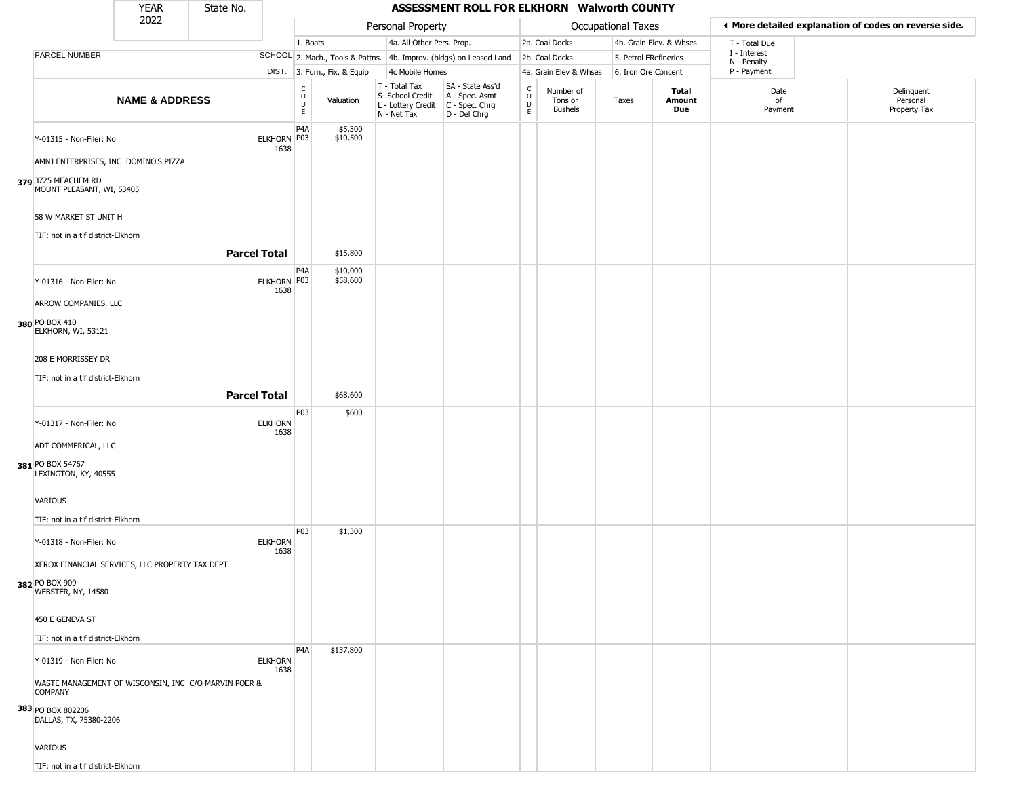|                                                                                                                        | <b>YEAR</b>               | State No.           |                        |                         |                                  |                                                                        | ASSESSMENT ROLL FOR ELKHORN Walworth COUNTY                          |                                             |                                        |                       |                         |                             |                                                       |
|------------------------------------------------------------------------------------------------------------------------|---------------------------|---------------------|------------------------|-------------------------|----------------------------------|------------------------------------------------------------------------|----------------------------------------------------------------------|---------------------------------------------|----------------------------------------|-----------------------|-------------------------|-----------------------------|-------------------------------------------------------|
|                                                                                                                        | 2022                      |                     |                        |                         |                                  | Personal Property                                                      |                                                                      |                                             |                                        | Occupational Taxes    |                         |                             | ♦ More detailed explanation of codes on reverse side. |
|                                                                                                                        |                           |                     |                        | 1. Boats                |                                  | 4a. All Other Pers. Prop.                                              |                                                                      |                                             | 2a. Coal Docks                         |                       | 4b. Grain Elev. & Whses | T - Total Due               |                                                       |
| PARCEL NUMBER                                                                                                          |                           |                     |                        |                         | SCHOOL 2. Mach., Tools & Pattns. |                                                                        | 4b. Improv. (bldgs) on Leased Land                                   |                                             | 2b. Coal Docks                         | 5. Petrol FRefineries |                         | I - Interest<br>N - Penalty |                                                       |
|                                                                                                                        |                           |                     |                        |                         | DIST. 3. Furn., Fix. & Equip     | 4c Mobile Homes                                                        |                                                                      |                                             | 4a. Grain Elev & Whses                 | 6. Iron Ore Concent   |                         | P - Payment                 |                                                       |
|                                                                                                                        | <b>NAME &amp; ADDRESS</b> |                     |                        | C<br>$\circ$<br>D<br>E. | Valuation                        | T - Total Tax<br>S- School Credit<br>L - Lottery Credit<br>N - Net Tax | SA - State Ass'd<br>A - Spec. Asmt<br>C - Spec. Chrg<br>D - Del Chrg | $\mathsf{C}$<br>$\circ$<br>D<br>$\mathsf E$ | Number of<br>Tons or<br><b>Bushels</b> | Taxes                 | Total<br>Amount<br>Due  | Date<br>of<br>Payment       | Delinquent<br>Personal<br>Property Tax                |
| Y-01315 - Non-Filer: No<br>AMNJ ENTERPRISES, INC DOMINO'S PIZZA<br>379 3725 MEACHEM RD<br>MOUNT PLEASANT, WI, 53405    |                           |                     | ELKHORN P03<br>1638    | P <sub>4</sub> A        | \$5,300<br>\$10,500              |                                                                        |                                                                      |                                             |                                        |                       |                         |                             |                                                       |
| 58 W MARKET ST UNIT H<br>TIF: not in a tif district-Elkhorn                                                            |                           | <b>Parcel Total</b> |                        |                         |                                  |                                                                        |                                                                      |                                             |                                        |                       |                         |                             |                                                       |
|                                                                                                                        |                           |                     |                        |                         | \$15,800                         |                                                                        |                                                                      |                                             |                                        |                       |                         |                             |                                                       |
| Y-01316 - Non-Filer: No<br>ARROW COMPANIES, LLC<br>380 PO BOX 410<br>ELKHORN, WI, 53121                                |                           |                     | ELKHORN P03<br>1638    | P <sub>4</sub> A        | \$10,000<br>\$58,600             |                                                                        |                                                                      |                                             |                                        |                       |                         |                             |                                                       |
| 208 E MORRISSEY DR                                                                                                     |                           |                     |                        |                         |                                  |                                                                        |                                                                      |                                             |                                        |                       |                         |                             |                                                       |
| TIF: not in a tif district-Elkhorn                                                                                     |                           |                     |                        |                         |                                  |                                                                        |                                                                      |                                             |                                        |                       |                         |                             |                                                       |
|                                                                                                                        |                           |                     |                        |                         |                                  |                                                                        |                                                                      |                                             |                                        |                       |                         |                             |                                                       |
|                                                                                                                        |                           | <b>Parcel Total</b> |                        |                         | \$68,600                         |                                                                        |                                                                      |                                             |                                        |                       |                         |                             |                                                       |
| Y-01317 - Non-Filer: No<br>ADT COMMERICAL, LLC<br>381 PO BOX 54767<br>LEXINGTON, KY, 40555                             |                           |                     | <b>ELKHORN</b><br>1638 | P03                     | \$600                            |                                                                        |                                                                      |                                             |                                        |                       |                         |                             |                                                       |
| VARIOUS<br>TIF: not in a tif district-Elkhorn                                                                          |                           |                     |                        |                         |                                  |                                                                        |                                                                      |                                             |                                        |                       |                         |                             |                                                       |
| Y-01318 - Non-Filer: No<br>XEROX FINANCIAL SERVICES, LLC PROPERTY TAX DEPT<br>382 PO BOX 909<br>WEBSTER, NY, 14580     |                           |                     | <b>ELKHORN</b><br>1638 | P03                     | \$1,300                          |                                                                        |                                                                      |                                             |                                        |                       |                         |                             |                                                       |
| 450 E GENEVA ST<br>TIF: not in a tif district-Elkhorn                                                                  |                           |                     |                        |                         |                                  |                                                                        |                                                                      |                                             |                                        |                       |                         |                             |                                                       |
| Y-01319 - Non-Filer: No<br>WASTE MANAGEMENT OF WISCONSIN, INC C/O MARVIN POER &<br><b>COMPANY</b><br>383 PO BOX 802206 |                           |                     | <b>ELKHORN</b><br>1638 | P4A                     | \$137,800                        |                                                                        |                                                                      |                                             |                                        |                       |                         |                             |                                                       |
| DALLAS, TX, 75380-2206<br><b>VARIOUS</b><br>TIF: not in a tif district-Elkhorn                                         |                           |                     |                        |                         |                                  |                                                                        |                                                                      |                                             |                                        |                       |                         |                             |                                                       |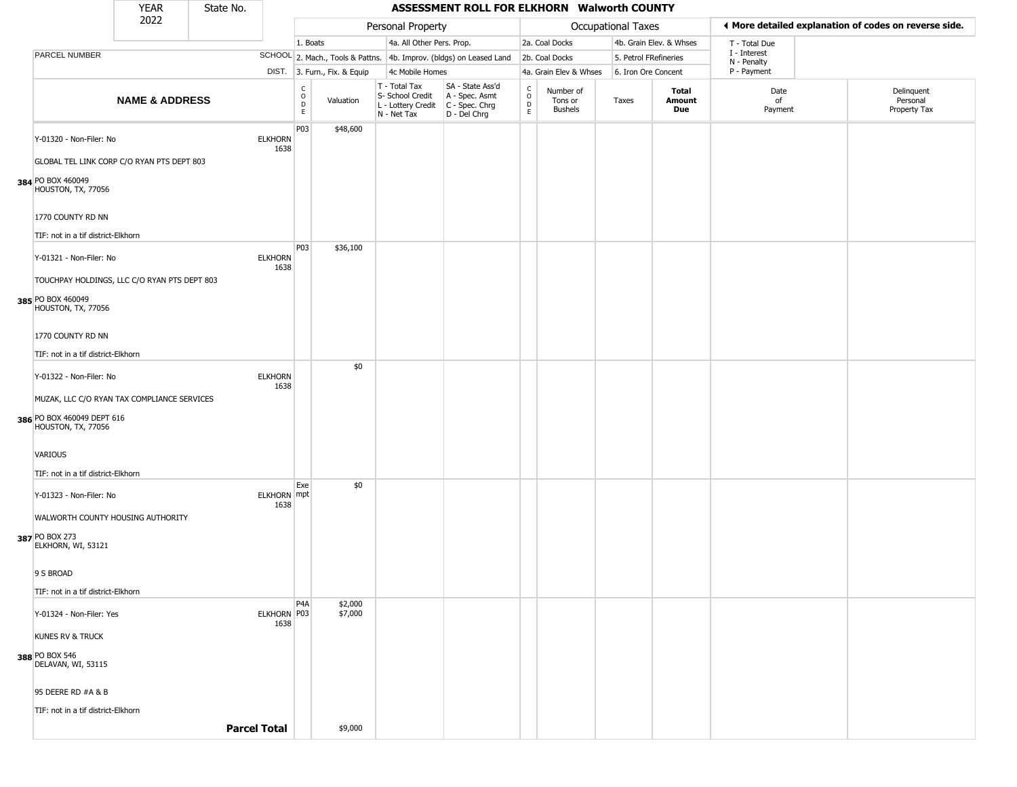|                                                                                                 | <b>YEAR</b>               | State No.           |                            |                                                 |                              |                                                                        | ASSESSMENT ROLL FOR ELKHORN Walworth COUNTY                            |                                              |                                        |                       |                         |                             |                                                       |
|-------------------------------------------------------------------------------------------------|---------------------------|---------------------|----------------------------|-------------------------------------------------|------------------------------|------------------------------------------------------------------------|------------------------------------------------------------------------|----------------------------------------------|----------------------------------------|-----------------------|-------------------------|-----------------------------|-------------------------------------------------------|
|                                                                                                 | 2022                      |                     |                            |                                                 |                              | Personal Property                                                      |                                                                        |                                              |                                        | Occupational Taxes    |                         |                             | ◀ More detailed explanation of codes on reverse side. |
|                                                                                                 |                           |                     |                            | 1. Boats                                        |                              | 4a. All Other Pers. Prop.                                              |                                                                        |                                              | 2a. Coal Docks                         |                       | 4b. Grain Elev. & Whses | T - Total Due               |                                                       |
| <b>PARCEL NUMBER</b>                                                                            |                           |                     |                            |                                                 |                              |                                                                        | SCHOOL 2. Mach., Tools & Pattns. 4b. Improv. (bldgs) on Leased Land    |                                              | 2b. Coal Docks                         | 5. Petrol FRefineries |                         | I - Interest<br>N - Penalty |                                                       |
|                                                                                                 |                           |                     |                            |                                                 | DIST. 3. Furn., Fix. & Equip | 4c Mobile Homes                                                        |                                                                        |                                              | 4a. Grain Elev & Whses                 | 6. Iron Ore Concent   |                         | P - Payment                 |                                                       |
|                                                                                                 | <b>NAME &amp; ADDRESS</b> |                     |                            | c<br>$\mathsf{o}$<br>$\mathsf D$<br>$\mathsf E$ | Valuation                    | T - Total Tax<br>S- School Credit<br>L - Lottery Credit<br>N - Net Tax | SA - State Ass'd<br>A - Spec. Asmt<br>C - Spec. Chrg<br>$D - Del Chrg$ | $\begin{array}{c}\nC \\ O \\ D\n\end{array}$ | Number of<br>Tons or<br><b>Bushels</b> | Taxes                 | Total<br>Amount<br>Due  | Date<br>of<br>Payment       | Delinquent<br>Personal<br>Property Tax                |
| Y-01320 - Non-Filer: No                                                                         |                           |                     | <b>ELKHORN</b><br>1638     | P03                                             | \$48,600                     |                                                                        |                                                                        |                                              |                                        |                       |                         |                             |                                                       |
| GLOBAL TEL LINK CORP C/O RYAN PTS DEPT 803<br>384 PO BOX 460049<br>HOUSTON, TX, 77056           |                           |                     |                            |                                                 |                              |                                                                        |                                                                        |                                              |                                        |                       |                         |                             |                                                       |
| 1770 COUNTY RD NN                                                                               |                           |                     |                            |                                                 |                              |                                                                        |                                                                        |                                              |                                        |                       |                         |                             |                                                       |
| TIF: not in a tif district-Elkhorn                                                              |                           |                     |                            |                                                 |                              |                                                                        |                                                                        |                                              |                                        |                       |                         |                             |                                                       |
| Y-01321 - Non-Filer: No<br>TOUCHPAY HOLDINGS, LLC C/O RYAN PTS DEPT 803                         |                           |                     | <b>ELKHORN</b><br>1638     | P03                                             | \$36,100                     |                                                                        |                                                                        |                                              |                                        |                       |                         |                             |                                                       |
| 385 PO BOX 460049<br>HOUSTON, TX, 77056                                                         |                           |                     |                            |                                                 |                              |                                                                        |                                                                        |                                              |                                        |                       |                         |                             |                                                       |
| 1770 COUNTY RD NN                                                                               |                           |                     |                            |                                                 |                              |                                                                        |                                                                        |                                              |                                        |                       |                         |                             |                                                       |
| TIF: not in a tif district-Elkhorn                                                              |                           |                     |                            |                                                 |                              |                                                                        |                                                                        |                                              |                                        |                       |                         |                             |                                                       |
| Y-01322 - Non-Filer: No                                                                         |                           |                     | <b>ELKHORN</b><br>1638     |                                                 | \$0                          |                                                                        |                                                                        |                                              |                                        |                       |                         |                             |                                                       |
| MUZAK, LLC C/O RYAN TAX COMPLIANCE SERVICES<br>386 PO BOX 460049 DEPT 616<br>HOUSTON, TX, 77056 |                           |                     |                            |                                                 |                              |                                                                        |                                                                        |                                              |                                        |                       |                         |                             |                                                       |
| VARIOUS                                                                                         |                           |                     |                            |                                                 |                              |                                                                        |                                                                        |                                              |                                        |                       |                         |                             |                                                       |
| TIF: not in a tif district-Elkhorn                                                              |                           |                     |                            | Exe                                             | \$0                          |                                                                        |                                                                        |                                              |                                        |                       |                         |                             |                                                       |
| Y-01323 - Non-Filer: No<br>WALWORTH COUNTY HOUSING AUTHORITY                                    |                           |                     | <b>ELKHORN</b> mpt<br>1638 |                                                 |                              |                                                                        |                                                                        |                                              |                                        |                       |                         |                             |                                                       |
| 387 PO BOX 273<br>ELKHORN, WI, 53121                                                            |                           |                     |                            |                                                 |                              |                                                                        |                                                                        |                                              |                                        |                       |                         |                             |                                                       |
| 9 S BROAD                                                                                       |                           |                     |                            |                                                 |                              |                                                                        |                                                                        |                                              |                                        |                       |                         |                             |                                                       |
| TIF: not in a tif district-Elkhorn                                                              |                           |                     |                            | P4A                                             | \$2,000                      |                                                                        |                                                                        |                                              |                                        |                       |                         |                             |                                                       |
| Y-01324 - Non-Filer: Yes                                                                        |                           |                     | ELKHORN P03<br>1638        |                                                 | \$7,000                      |                                                                        |                                                                        |                                              |                                        |                       |                         |                             |                                                       |
| <b>KUNES RV &amp; TRUCK</b>                                                                     |                           |                     |                            |                                                 |                              |                                                                        |                                                                        |                                              |                                        |                       |                         |                             |                                                       |
| 388 PO BOX 546<br>DELAVAN, WI, 53115                                                            |                           |                     |                            |                                                 |                              |                                                                        |                                                                        |                                              |                                        |                       |                         |                             |                                                       |
| 95 DEERE RD #A & B                                                                              |                           |                     |                            |                                                 |                              |                                                                        |                                                                        |                                              |                                        |                       |                         |                             |                                                       |
| TIF: not in a tif district-Elkhorn                                                              |                           |                     |                            |                                                 |                              |                                                                        |                                                                        |                                              |                                        |                       |                         |                             |                                                       |
|                                                                                                 |                           | <b>Parcel Total</b> |                            |                                                 | \$9,000                      |                                                                        |                                                                        |                                              |                                        |                       |                         |                             |                                                       |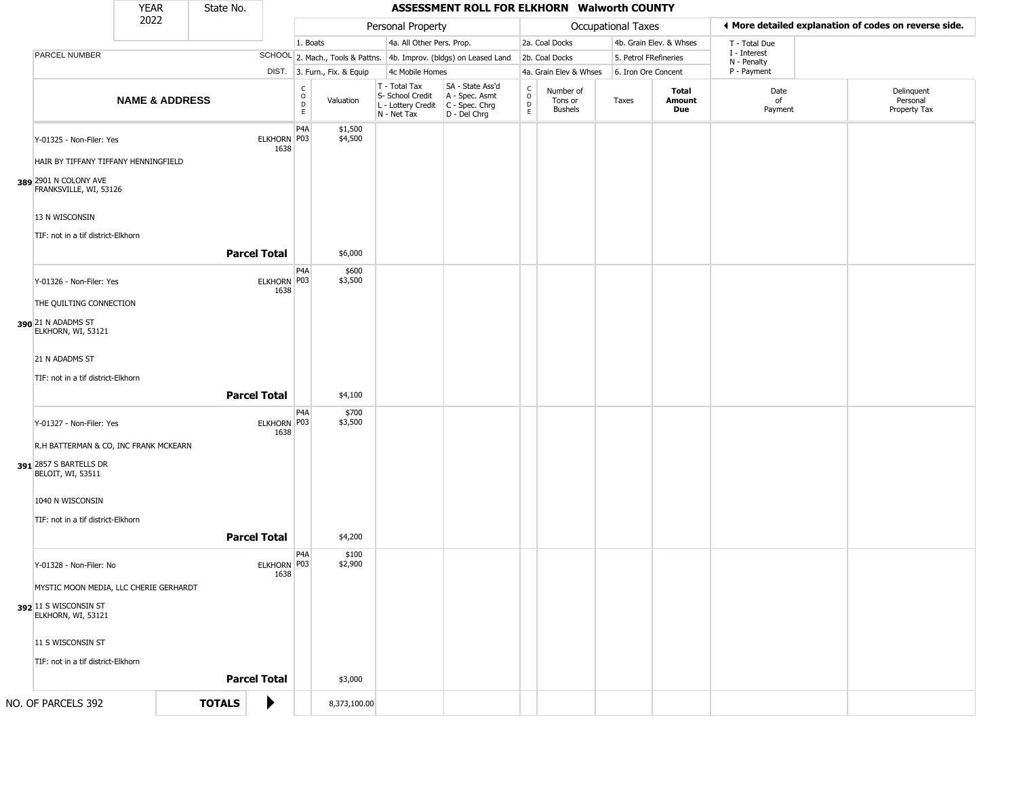|                                                                                         | <b>YEAR</b>               | State No.     |                     |                        |                              |                                                                        | ASSESSMENT ROLL FOR ELKHORN Walworth COUNTY                          |                                                        |                                        |                       |                         |                             |                                                       |
|-----------------------------------------------------------------------------------------|---------------------------|---------------|---------------------|------------------------|------------------------------|------------------------------------------------------------------------|----------------------------------------------------------------------|--------------------------------------------------------|----------------------------------------|-----------------------|-------------------------|-----------------------------|-------------------------------------------------------|
|                                                                                         | 2022                      |               |                     |                        |                              | Personal Property                                                      |                                                                      |                                                        |                                        | Occupational Taxes    |                         |                             | ♦ More detailed explanation of codes on reverse side. |
|                                                                                         |                           |               |                     | 1. Boats               |                              | 4a. All Other Pers. Prop.                                              |                                                                      |                                                        | 2a. Coal Docks                         |                       | 4b. Grain Elev. & Whses | T - Total Due               |                                                       |
| PARCEL NUMBER                                                                           |                           |               |                     |                        |                              |                                                                        | SCHOOL 2. Mach., Tools & Pattns. 4b. Improv. (bldgs) on Leased Land  |                                                        | 2b. Coal Docks                         | 5. Petrol FRefineries |                         | I - Interest<br>N - Penalty |                                                       |
|                                                                                         |                           |               |                     |                        | DIST. 3. Furn., Fix. & Equip | 4c Mobile Homes                                                        |                                                                      |                                                        | 4a. Grain Elev & Whses                 | 6. Iron Ore Concent   |                         | P - Payment                 |                                                       |
|                                                                                         | <b>NAME &amp; ADDRESS</b> |               |                     | C<br>$\circ$<br>D<br>E | Valuation                    | T - Total Tax<br>S- School Credit<br>L - Lottery Credit<br>N - Net Tax | SA - State Ass'd<br>A - Spec. Asmt<br>C - Spec. Chrg<br>D - Del Chrg | $\mathsf{C}$<br>$\circ$<br>$\mathsf{D}$<br>$\mathsf E$ | Number of<br>Tons or<br><b>Bushels</b> | Taxes                 | Total<br>Amount<br>Due  | Date<br>of<br>Payment       | Delinquent<br>Personal<br>Property Tax                |
| Y-01325 - Non-Filer: Yes                                                                |                           |               | ELKHORN P03<br>1638 | P4A                    | \$1,500<br>\$4,500           |                                                                        |                                                                      |                                                        |                                        |                       |                         |                             |                                                       |
| HAIR BY TIFFANY TIFFANY HENNINGFIELD<br>389 2901 N COLONY AVE<br>FRANKSVILLE, WI, 53126 |                           |               |                     |                        |                              |                                                                        |                                                                      |                                                        |                                        |                       |                         |                             |                                                       |
| 13 N WISCONSIN<br>TIF: not in a tif district-Elkhorn                                    |                           |               |                     |                        |                              |                                                                        |                                                                      |                                                        |                                        |                       |                         |                             |                                                       |
|                                                                                         |                           |               | <b>Parcel Total</b> |                        | \$6,000                      |                                                                        |                                                                      |                                                        |                                        |                       |                         |                             |                                                       |
| Y-01326 - Non-Filer: Yes                                                                |                           |               | ELKHORN P03<br>1638 | P4A                    | \$600<br>\$3,500             |                                                                        |                                                                      |                                                        |                                        |                       |                         |                             |                                                       |
| THE QUILTING CONNECTION                                                                 |                           |               |                     |                        |                              |                                                                        |                                                                      |                                                        |                                        |                       |                         |                             |                                                       |
| 390 21 N ADADMS ST<br>ELKHORN, WI, 53121                                                |                           |               |                     |                        |                              |                                                                        |                                                                      |                                                        |                                        |                       |                         |                             |                                                       |
| 21 N ADADMS ST                                                                          |                           |               |                     |                        |                              |                                                                        |                                                                      |                                                        |                                        |                       |                         |                             |                                                       |
| TIF: not in a tif district-Elkhorn                                                      |                           |               |                     |                        |                              |                                                                        |                                                                      |                                                        |                                        |                       |                         |                             |                                                       |
|                                                                                         |                           |               | <b>Parcel Total</b> |                        | \$4,100                      |                                                                        |                                                                      |                                                        |                                        |                       |                         |                             |                                                       |
| Y-01327 - Non-Filer: Yes                                                                |                           |               | ELKHORN P03<br>1638 | P4A                    | \$700<br>\$3,500             |                                                                        |                                                                      |                                                        |                                        |                       |                         |                             |                                                       |
| R.H BATTERMAN & CO, INC FRANK MCKEARN                                                   |                           |               |                     |                        |                              |                                                                        |                                                                      |                                                        |                                        |                       |                         |                             |                                                       |
| 391 2857 S BARTELLS DR<br>BELOIT, WI, 53511                                             |                           |               |                     |                        |                              |                                                                        |                                                                      |                                                        |                                        |                       |                         |                             |                                                       |
| 1040 N WISCONSIN                                                                        |                           |               |                     |                        |                              |                                                                        |                                                                      |                                                        |                                        |                       |                         |                             |                                                       |
| TIF: not in a tif district-Elkhorn                                                      |                           |               |                     |                        |                              |                                                                        |                                                                      |                                                        |                                        |                       |                         |                             |                                                       |
|                                                                                         |                           |               | <b>Parcel Total</b> |                        | \$4,200                      |                                                                        |                                                                      |                                                        |                                        |                       |                         |                             |                                                       |
| Y-01328 - Non-Filer: No                                                                 |                           |               | ELKHORN P03<br>1638 | P <sub>4</sub> A       | \$100<br>\$2,900             |                                                                        |                                                                      |                                                        |                                        |                       |                         |                             |                                                       |
| MYSTIC MOON MEDIA, LLC CHERIE GERHARDT                                                  |                           |               |                     |                        |                              |                                                                        |                                                                      |                                                        |                                        |                       |                         |                             |                                                       |
| 392 11 S WISCONSIN ST<br>ELKHORN, WI, 53121                                             |                           |               |                     |                        |                              |                                                                        |                                                                      |                                                        |                                        |                       |                         |                             |                                                       |
| 11 S WISCONSIN ST                                                                       |                           |               |                     |                        |                              |                                                                        |                                                                      |                                                        |                                        |                       |                         |                             |                                                       |
| TIF: not in a tif district-Elkhorn                                                      |                           |               |                     |                        |                              |                                                                        |                                                                      |                                                        |                                        |                       |                         |                             |                                                       |
|                                                                                         |                           |               | <b>Parcel Total</b> |                        | \$3,000                      |                                                                        |                                                                      |                                                        |                                        |                       |                         |                             |                                                       |
| NO. OF PARCELS 392                                                                      |                           | <b>TOTALS</b> | ▶                   |                        | 8,373,100.00                 |                                                                        |                                                                      |                                                        |                                        |                       |                         |                             |                                                       |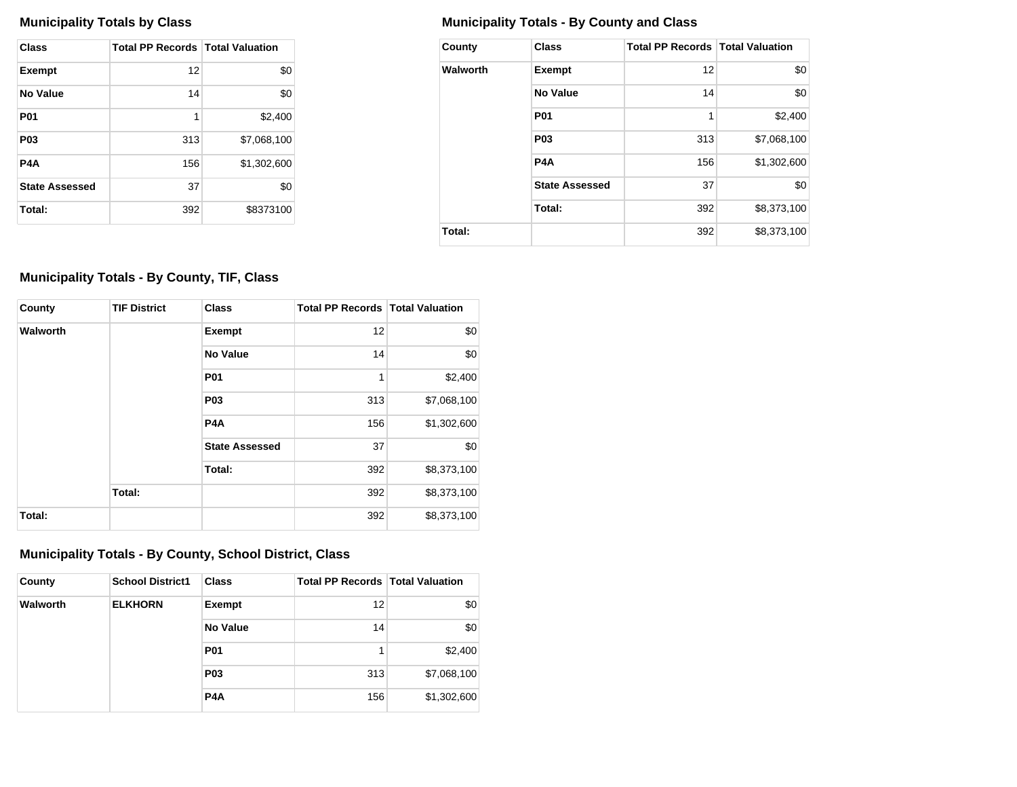| Class                 | <b>Total PP Records   Total Valuation</b> |             |
|-----------------------|-------------------------------------------|-------------|
| <b>Exempt</b>         | 12                                        | \$0         |
| No Value              | 14                                        | \$0         |
| <b>P01</b>            | 1                                         | \$2,400     |
| P <sub>0</sub> 3      | 313                                       | \$7.068.100 |
| P4A                   | 156                                       | \$1,302,600 |
| <b>State Assessed</b> | 37                                        | \$0         |
| Total:                | 392                                       | \$8373100   |

## **Municipality Totals by Class Municipality Totals - By County and Class**

| County   | <b>Class</b>          | <b>Total PP Records   Total Valuation</b> |             |
|----------|-----------------------|-------------------------------------------|-------------|
| Walworth | <b>Exempt</b>         | 12                                        | \$0         |
|          | No Value              | 14                                        | \$0         |
|          | <b>P01</b>            | 1                                         | \$2,400     |
|          | P <sub>0</sub> 3      | 313                                       | \$7,068,100 |
|          | P <sub>4</sub> A      | 156                                       | \$1,302,600 |
|          | <b>State Assessed</b> | 37                                        | \$0         |
|          | Total:                | 392                                       | \$8,373,100 |
| Total:   |                       | 392                                       | \$8,373,100 |

## **Municipality Totals - By County, TIF, Class**

| County   | <b>TIF District</b> | <b>Class</b>          | <b>Total PP Records   Total Valuation</b> |             |
|----------|---------------------|-----------------------|-------------------------------------------|-------------|
| Walworth |                     | Exempt                | 12                                        | \$0         |
|          |                     | <b>No Value</b>       | 14                                        | \$0         |
|          |                     | <b>P01</b>            | 1                                         | \$2,400     |
|          |                     | <b>P03</b>            | 313                                       | \$7,068,100 |
|          |                     | P <sub>4</sub> A      | 156                                       | \$1,302,600 |
|          |                     | <b>State Assessed</b> | 37                                        | \$0         |
|          |                     | Total:                | 392                                       | \$8,373,100 |
|          | Total:              |                       | 392                                       | \$8,373,100 |
| Total:   |                     |                       | 392                                       | \$8,373,100 |

## **Municipality Totals - By County, School District, Class**

| County   | <b>School District1</b> | <b>Class</b>     | <b>Total PP Records   Total Valuation</b> |             |
|----------|-------------------------|------------------|-------------------------------------------|-------------|
| Walworth | <b>ELKHORN</b>          | <b>Exempt</b>    | 12                                        | \$0         |
|          |                         | No Value         | 14                                        | \$0         |
|          |                         | <b>P01</b>       |                                           | \$2,400     |
|          |                         | <b>P03</b>       | 313                                       | \$7,068,100 |
|          |                         | P <sub>4</sub> A | 156                                       | \$1,302,600 |